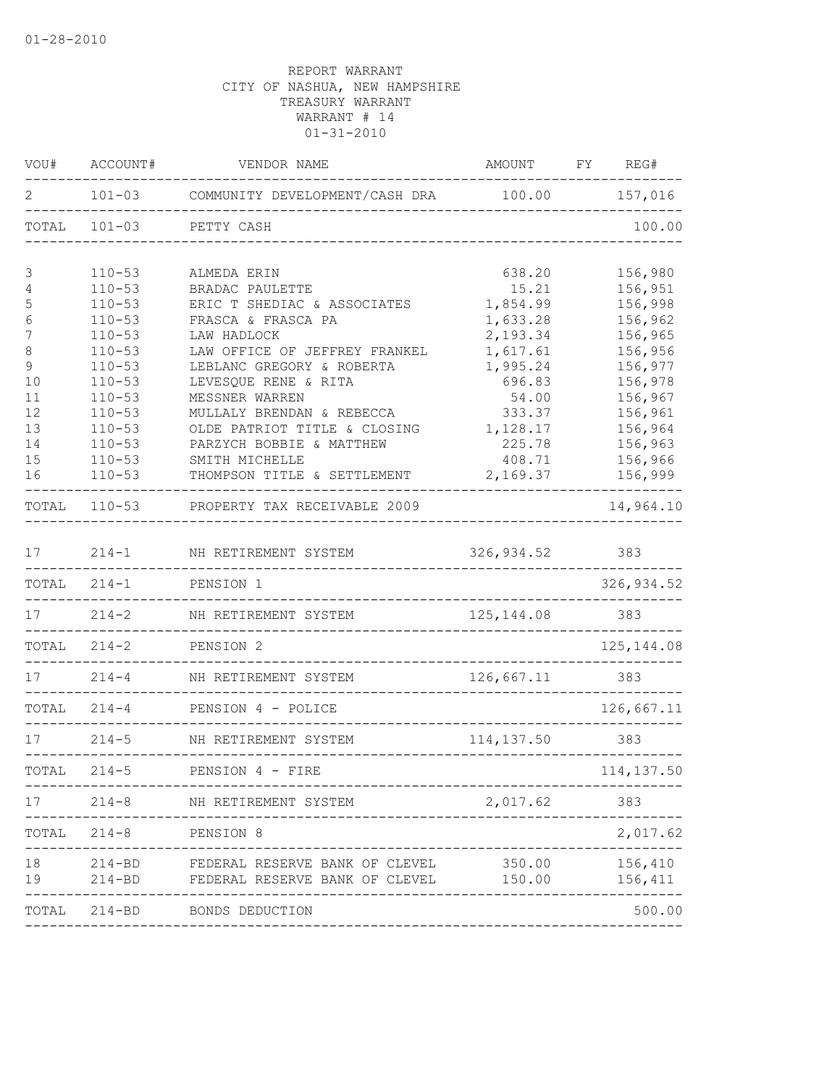| VOU#           | ACCOUNT#                 | VENDOR NAME                                                             | AMOUNT                        | FY | REG#               |
|----------------|--------------------------|-------------------------------------------------------------------------|-------------------------------|----|--------------------|
| 2              | $101 - 03$               | COMMUNITY DEVELOPMENT/CASH DRA 100.00 157,016                           |                               |    |                    |
| TOTAL          | $101 - 03$               | PETTY CASH                                                              |                               |    | 100.00             |
| 3              | $110 - 53$               | ALMEDA ERIN                                                             | 638.20                        |    | 156,980            |
| $\overline{4}$ | $110 - 53$               | BRADAC PAULETTE                                                         | 15.21                         |    | 156,951            |
| 5              | $110 - 53$               | ERIC T SHEDIAC & ASSOCIATES                                             | 1,854.99                      |    | 156,998            |
| $6\,$          | $110 - 53$               | FRASCA & FRASCA PA                                                      | 1,633.28                      |    | 156,962            |
| 7              | $110 - 53$               | LAW HADLOCK                                                             | 2,193.34                      |    | 156,965            |
| $\,8\,$        | $110 - 53$               | LAW OFFICE OF JEFFREY FRANKEL                                           | 1,617.61                      |    | 156,956            |
| $\mathcal{G}$  | $110 - 53$               | LEBLANC GREGORY & ROBERTA                                               | 1,995.24                      |    | 156,977            |
| 10             | $110 - 53$               | LEVESQUE RENE & RITA                                                    | 696.83                        |    | 156,978            |
| 11             | $110 - 53$               | MESSNER WARREN                                                          | 54.00                         |    | 156,967            |
| 12             | $110 - 53$               | MULLALY BRENDAN & REBECCA                                               | 333.37                        |    | 156,961            |
| 13<br>14       | $110 - 53$<br>$110 - 53$ | OLDE PATRIOT TITLE & CLOSING                                            | 1,128.17<br>225.78            |    | 156,964<br>156,963 |
| 15             | $110 - 53$               | PARZYCH BOBBIE & MATTHEW<br>SMITH MICHELLE                              | 408.71                        |    | 156,966            |
| 16             | $110 - 53$               | THOMPSON TITLE & SETTLEMENT                                             | 2,169.37                      |    | 156,999            |
|                |                          |                                                                         |                               |    |                    |
| TOTAL          | $110 - 53$               | PROPERTY TAX RECEIVABLE 2009                                            |                               |    | 14,964.10          |
| 17             | $214 - 1$                | NH RETIREMENT SYSTEM                                                    | 326,934.52                    |    | 383                |
| TOTAL          | $214 - 1$                | PENSION 1                                                               |                               |    | 326, 934.52        |
| 17             | $214 - 2$                | NH RETIREMENT SYSTEM                                                    | 125, 144.08<br>______________ |    | 383                |
| TOTAL          | $214 - 2$                | PENSION 2<br>----------------------                                     |                               |    | 125, 144.08        |
| 17             | $214 - 4$                | NH RETIREMENT SYSTEM                                                    | 126,667.11                    |    | 383                |
|                | $TOTAL$ 214-4            | PENSION 4 - POLICE<br>______________________                            |                               |    | 126,667.11         |
| 17             | $214 - 5$                | NH RETIREMENT SYSTEM                                                    | 114,137.50                    |    | 383                |
| TOTAL          | $214 - 5$                | PENSION 4 - FIRE                                                        |                               |    | 114,137.50         |
| 17             |                          | 214-8 NH RETIREMENT SYSTEM                                              | 2,017.62                      |    | 383                |
|                | TOTAL 214-8 PENSION 8    |                                                                         |                               |    | 2,017.62           |
| 18<br>19       | $214 - BD$<br>$214 - BD$ | FEDERAL RESERVE BANK OF CLEVEL<br>FEDERAL RESERVE BANK OF CLEVEL 150.00 | 350.00                        |    | 156,410<br>156,411 |
|                | TOTAL 214-BD             | BONDS DEDUCTION                                                         |                               |    | 500.00             |
|                |                          |                                                                         |                               |    |                    |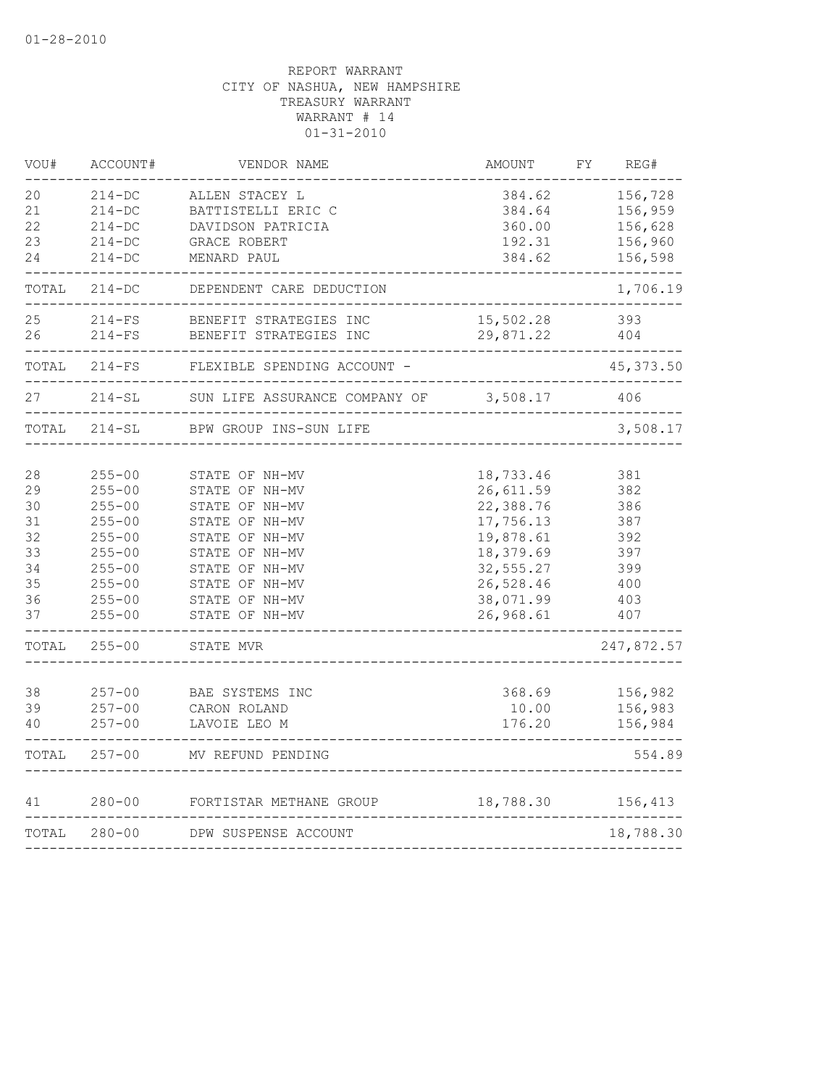| VOU#     | ACCOUNT#                 | VENDOR NAME                          | AMOUNT                           | REG#<br>FΥ         |
|----------|--------------------------|--------------------------------------|----------------------------------|--------------------|
| 20<br>21 | $214 - DC$<br>$214 - DC$ | ALLEN STACEY L<br>BATTISTELLI ERIC C | 384.62<br>384.64                 | 156,728<br>156,959 |
| 22       | $214 - DC$               | DAVIDSON PATRICIA                    | 360.00                           | 156,628            |
| 23       | $214-DC$                 | GRACE ROBERT                         | 192.31                           | 156,960            |
| 24       | $214 - DC$               | MENARD PAUL                          | 384.62                           | 156,598            |
| TOTAL    | $214 - DC$               | DEPENDENT CARE DEDUCTION             |                                  | 1,706.19           |
| 25       | $214-FS$                 | BENEFIT STRATEGIES INC               | 15,502.28                        | 393                |
| 26       | $214-FS$                 | BENEFIT STRATEGIES INC               | 29,871.22                        | 404                |
| TOTAL    | $214-FS$                 | FLEXIBLE SPENDING ACCOUNT -          |                                  | 45, 373.50         |
| 27       | $214 - SL$               | SUN LIFE ASSURANCE COMPANY OF        | 3,508.17<br>-------------------- | 406                |
| TOTAL    | 214-SL                   | BPW GROUP INS-SUN LIFE               |                                  | 3,508.17           |
|          |                          |                                      |                                  |                    |
| 28<br>29 | $255 - 00$<br>$255 - 00$ | STATE OF NH-MV<br>STATE OF NH-MV     | 18,733.46<br>26,611.59           | 381<br>382         |
| 30       | $255 - 00$               | STATE OF NH-MV                       | 22,388.76                        | 386                |
| 31       | $255 - 00$               | STATE OF NH-MV                       | 17,756.13                        | 387                |
| 32       | $255 - 00$               | STATE OF NH-MV                       | 19,878.61                        | 392                |
| 33       | $255 - 00$               | STATE OF NH-MV                       | 18,379.69                        | 397                |
| 34       | $255 - 00$               | STATE OF NH-MV                       | 32,555.27                        | 399                |
| 35       | $255 - 00$               | STATE OF NH-MV                       | 26,528.46                        | 400                |
| 36       | $255 - 00$               | STATE OF NH-MV                       | 38,071.99                        | 403                |
| 37       | $255 - 00$               | STATE OF NH-MV                       | 26,968.61                        | 407                |
| TOTAL    | $255 - 00$               | STATE MVR                            |                                  | 247,872.57         |
|          |                          |                                      |                                  |                    |
| 38<br>39 | $257 - 00$<br>$257 - 00$ | BAE SYSTEMS INC                      | 368.69                           | 156,982<br>156,983 |
| 40       | $257 - 00$               | CARON ROLAND<br>LAVOIE LEO M         | 10.00<br>176.20                  | 156,984            |
| TOTAL    | $257 - 00$               | MV REFUND PENDING                    |                                  | 554.89             |
| 41       | $280 - 00$               | FORTISTAR METHANE GROUP              |                                  | 18,788.30 156,413  |
| TOTAL    | $280 - 00$               | DPW SUSPENSE ACCOUNT                 |                                  | 18,788.30          |
|          |                          | -------------                        |                                  |                    |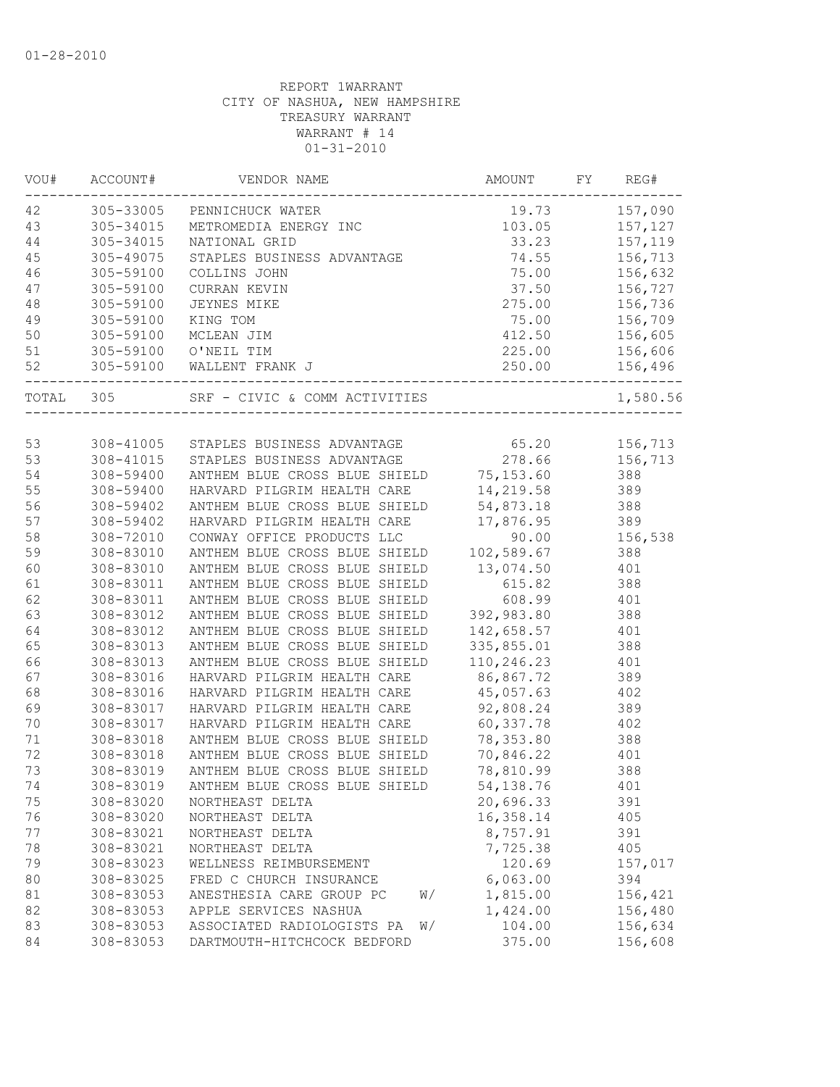| VOU# | ACCOUNT#  | VENDOR NAME                                                                                  | AMOUNT     | FY | REG#     |
|------|-----------|----------------------------------------------------------------------------------------------|------------|----|----------|
| 42   |           | 305-33005 PENNICHUCK WATER                                                                   | 19.73      |    | 157,090  |
| 43   | 305-34015 | METROMEDIA ENERGY INC                                                                        | 103.05     |    | 157,127  |
| 44   | 305-34015 | NATIONAL GRID                                                                                | 33.23      |    | 157,119  |
| 45   | 305-49075 | STAPLES BUSINESS ADVANTAGE                                                                   | 74.55      |    | 156,713  |
| 46   | 305-59100 | COLLINS JOHN                                                                                 | 75.00      |    | 156,632  |
| 47   | 305-59100 | CURRAN KEVIN                                                                                 | 37.50      |    | 156,727  |
| 48   | 305-59100 | JEYNES MIKE                                                                                  | 275.00     |    | 156,736  |
| 49   | 305-59100 | KING TOM                                                                                     | 75.00      |    | 156,709  |
| 50   | 305-59100 | MCLEAN JIM                                                                                   | 412.50     |    | 156,605  |
| 51   |           | 305-59100 O'NEIL TIM                                                                         | 225.00     |    | 156,606  |
| 52   | 305-59100 | WALLENT FRANK J                                                                              | 250.00     |    | 156,496  |
|      | TOTAL 305 | SRF - CIVIC & COMM ACTIVITIES                                                                |            |    | 1,580.56 |
|      |           |                                                                                              |            |    |          |
| 53   |           | 308-41005 STAPLES BUSINESS ADVANTAGE 65.20<br>308-41015 STAPLES BUSINESS ADVANTAGE 66 278.66 |            |    | 156,713  |
| 53   | 308-41015 | STAPLES BUSINESS ADVANTAGE                                                                   | 278.66     |    | 156,713  |
| 54   | 308-59400 | ANTHEM BLUE CROSS BLUE SHIELD                                                                | 75,153.60  |    | 388      |
| 55   | 308-59400 | HARVARD PILGRIM HEALTH CARE                                                                  | 14,219.58  |    | 389      |
| 56   | 308-59402 | ANTHEM BLUE CROSS BLUE SHIELD                                                                | 54,873.18  |    | 388      |
| 57   | 308-59402 | HARVARD PILGRIM HEALTH CARE                                                                  | 17,876.95  |    | 389      |
| 58   | 308-72010 | CONWAY OFFICE PRODUCTS LLC                                                                   | 90.00      |    | 156,538  |
| 59   | 308-83010 | ANTHEM BLUE CROSS BLUE SHIELD                                                                | 102,589.67 |    | 388      |
| 60   | 308-83010 | ANTHEM BLUE CROSS BLUE SHIELD                                                                | 13,074.50  |    | 401      |
| 61   | 308-83011 | ANTHEM BLUE CROSS BLUE SHIELD                                                                | 615.82     |    | 388      |
| 62   | 308-83011 | ANTHEM BLUE CROSS BLUE SHIELD                                                                | 608.99     |    | 401      |
| 63   | 308-83012 | ANTHEM BLUE CROSS BLUE SHIELD                                                                | 392,983.80 |    | 388      |
| 64   | 308-83012 | ANTHEM BLUE CROSS BLUE SHIELD                                                                | 142,658.57 |    | 401      |
| 65   | 308-83013 | ANTHEM BLUE CROSS BLUE SHIELD                                                                | 335,855.01 |    | 388      |
| 66   | 308-83013 | ANTHEM BLUE CROSS BLUE SHIELD                                                                | 110,246.23 |    | 401      |
| 67   | 308-83016 | HARVARD PILGRIM HEALTH CARE                                                                  | 86,867.72  |    | 389      |
| 68   | 308-83016 | HARVARD PILGRIM HEALTH CARE                                                                  | 45,057.63  |    | 402      |
| 69   | 308-83017 | HARVARD PILGRIM HEALTH CARE                                                                  | 92,808.24  |    | 389      |
| $70$ | 308-83017 | HARVARD PILGRIM HEALTH CARE                                                                  | 60,337.78  |    | 402      |
| $71$ | 308-83018 | ANTHEM BLUE CROSS BLUE SHIELD                                                                | 78,353.80  |    | 388      |
| 72   | 308-83018 | ANTHEM BLUE CROSS BLUE SHIELD                                                                | 70,846.22  |    | 401      |
| 73   | 308-83019 | ANTHEM BLUE CROSS BLUE SHIELD                                                                | 78,810.99  |    | 388      |
| 74   | 308-83019 | ANTHEM BLUE CROSS BLUE SHIELD                                                                | 54,138.76  |    | 401      |
| 75   | 308-83020 | NORTHEAST DELTA                                                                              | 20,696.33  |    | 391      |
| 76   | 308-83020 | NORTHEAST DELTA                                                                              | 16,358.14  |    | 405      |
| 77   | 308-83021 | NORTHEAST DELTA                                                                              | 8,757.91   |    | 391      |
| 78   | 308-83021 | NORTHEAST DELTA                                                                              | 7,725.38   |    | 405      |
| 79   | 308-83023 | WELLNESS REIMBURSEMENT                                                                       | 120.69     |    | 157,017  |
| 80   | 308-83025 | FRED C CHURCH INSURANCE                                                                      | 6,063.00   |    | 394      |
| 81   | 308-83053 | ANESTHESIA CARE GROUP PC<br>W/                                                               | 1,815.00   |    | 156,421  |
| 82   | 308-83053 | APPLE SERVICES NASHUA                                                                        | 1,424.00   |    | 156,480  |
| 83   | 308-83053 | ASSOCIATED RADIOLOGISTS PA<br>W/                                                             | 104.00     |    | 156,634  |
| 84   | 308-83053 | DARTMOUTH-HITCHCOCK BEDFORD                                                                  | 375.00     |    | 156,608  |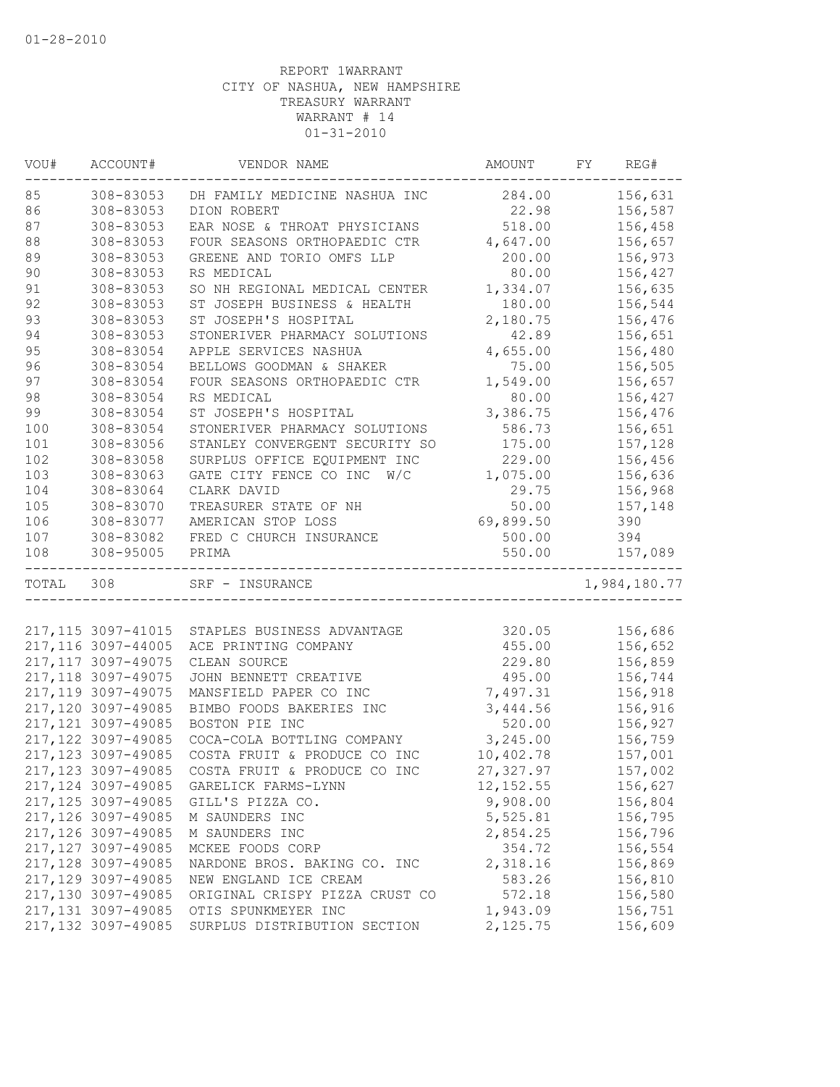| VOU#  | ACCOUNT#            | VENDOR NAME                    | AMOUNT     | FY | REG#         |
|-------|---------------------|--------------------------------|------------|----|--------------|
| 85    | 308-83053           | DH FAMILY MEDICINE NASHUA INC  | 284.00     |    | 156,631      |
| 86    | 308-83053           | DION ROBERT                    | 22.98      |    | 156,587      |
| 87    | 308-83053           | EAR NOSE & THROAT PHYSICIANS   | 518.00     |    | 156,458      |
| 88    | 308-83053           | FOUR SEASONS ORTHOPAEDIC CTR   | 4,647.00   |    | 156,657      |
| 89    | 308-83053           | GREENE AND TORIO OMFS LLP      | 200.00     |    | 156,973      |
| 90    | 308-83053           | RS MEDICAL                     | 80.00      |    | 156,427      |
| 91    | 308-83053           | SO NH REGIONAL MEDICAL CENTER  | 1,334.07   |    | 156,635      |
| 92    | 308-83053           | ST JOSEPH BUSINESS & HEALTH    | 180.00     |    | 156,544      |
| 93    | 308-83053           | ST JOSEPH'S HOSPITAL           | 2,180.75   |    | 156,476      |
| 94    | 308-83053           | STONERIVER PHARMACY SOLUTIONS  | 42.89      |    | 156,651      |
| 95    | 308-83054           | APPLE SERVICES NASHUA          | 4,655.00   |    | 156,480      |
| 96    | 308-83054           | BELLOWS GOODMAN & SHAKER       | 75.00      |    | 156,505      |
| 97    | 308-83054           | FOUR SEASONS ORTHOPAEDIC CTR   | 1,549.00   |    | 156,657      |
| 98    | 308-83054           | RS MEDICAL                     | 80.00      |    | 156,427      |
| 99    | 308-83054           | ST JOSEPH'S HOSPITAL           | 3,386.75   |    | 156,476      |
| 100   | 308-83054           | STONERIVER PHARMACY SOLUTIONS  | 586.73     |    | 156,651      |
| 101   | 308-83056           | STANLEY CONVERGENT SECURITY SO | 175.00     |    | 157,128      |
| 102   | 308-83058           | SURPLUS OFFICE EQUIPMENT INC   | 229.00     |    | 156,456      |
| 103   | 308-83063           | GATE CITY FENCE CO INC<br>W/C  | 1,075.00   |    | 156,636      |
| 104   | 308-83064           | CLARK DAVID                    | 29.75      |    | 156,968      |
| 105   | 308-83070           | TREASURER STATE OF NH          | 50.00      |    | 157,148      |
| 106   | 308-83077           | AMERICAN STOP LOSS             | 69,899.50  |    | 390          |
| 107   | 308-83082           | FRED C CHURCH INSURANCE        | 500.00     |    | 394          |
| 108   | 308-95005           | PRIMA                          | 550.00     |    | 157,089      |
| TOTAL | 308                 | SRF - INSURANCE                |            |    | 1,984,180.77 |
|       |                     |                                |            |    |              |
|       | 217, 115 3097-41015 | STAPLES BUSINESS ADVANTAGE     | 320.05     |    | 156,686      |
|       | 217, 116 3097-44005 | ACE PRINTING COMPANY           | 455.00     |    | 156,652      |
|       | 217, 117 3097-49075 | CLEAN SOURCE                   | 229.80     |    | 156,859      |
|       | 217, 118 3097-49075 | JOHN BENNETT CREATIVE          | 495.00     |    | 156,744      |
|       | 217, 119 3097-49075 | MANSFIELD PAPER CO INC         | 7,497.31   |    | 156,918      |
|       | 217,120 3097-49085  | BIMBO FOODS BAKERIES INC       | 3,444.56   |    | 156,916      |
|       | 217, 121 3097-49085 | BOSTON PIE INC                 | 520.00     |    | 156,927      |
|       | 217, 122 3097-49085 | COCA-COLA BOTTLING COMPANY     | 3,245.00   |    | 156,759      |
|       | 217, 123 3097-49085 | COSTA FRUIT & PRODUCE CO INC   | 10,402.78  |    | 157,001      |
|       | 217, 123 3097-49085 | COSTA FRUIT & PRODUCE CO INC   | 27,327.97  |    | 157,002      |
|       | 217,124 3097-49085  | GARELICK FARMS-LYNN            | 12, 152.55 |    | 156,627      |
|       | 217, 125 3097-49085 | GILL'S PIZZA CO.               | 9,908.00   |    | 156,804      |
|       | 217,126 3097-49085  | M SAUNDERS INC                 | 5,525.81   |    | 156,795      |
|       | 217,126 3097-49085  | M SAUNDERS INC                 | 2,854.25   |    | 156,796      |
|       | 217, 127 3097-49085 | MCKEE FOODS CORP               | 354.72     |    | 156,554      |
|       | 217, 128 3097-49085 | NARDONE BROS. BAKING CO. INC   | 2,318.16   |    | 156,869      |
|       | 217,129 3097-49085  | NEW ENGLAND ICE CREAM          | 583.26     |    | 156,810      |
|       | 217,130 3097-49085  | ORIGINAL CRISPY PIZZA CRUST CO | 572.18     |    | 156,580      |
|       | 217, 131 3097-49085 | OTIS SPUNKMEYER INC            | 1,943.09   |    | 156,751      |
|       | 217,132 3097-49085  | SURPLUS DISTRIBUTION SECTION   | 2,125.75   |    | 156,609      |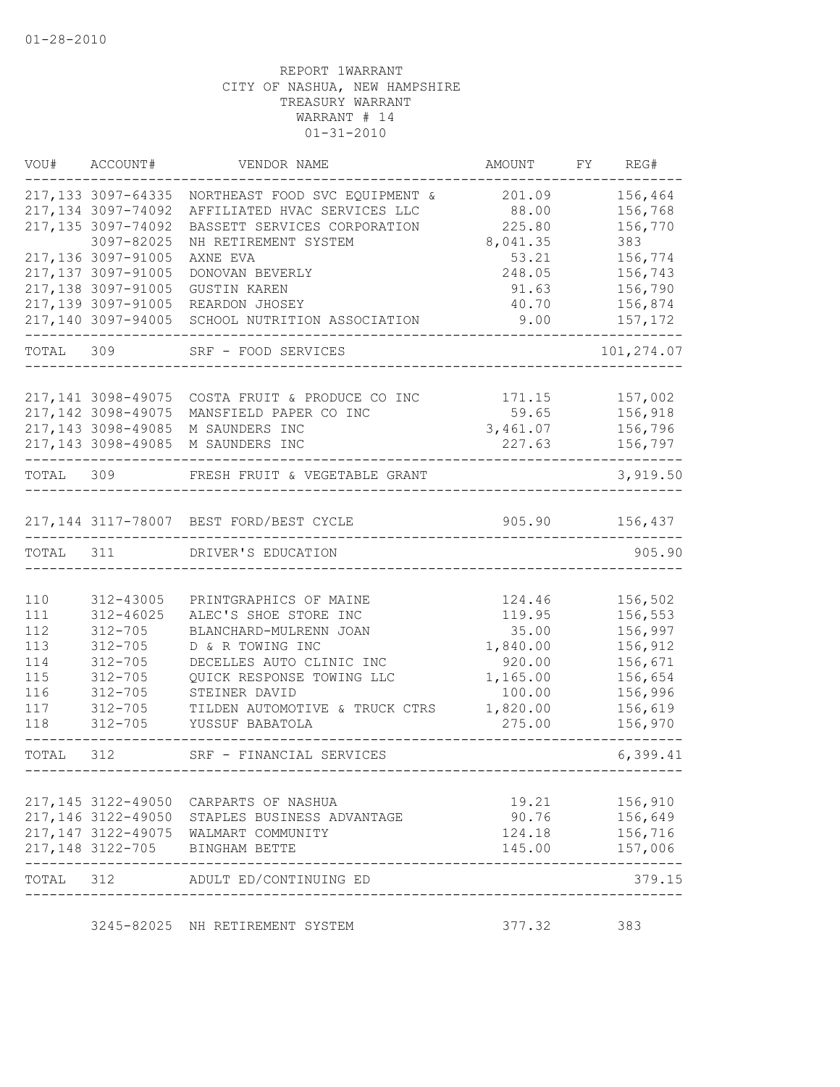| VOU#       | ACCOUNT#                                 | VENDOR NAME                                     | AMOUNT             | FY REG#            |
|------------|------------------------------------------|-------------------------------------------------|--------------------|--------------------|
|            | 217, 133 3097-64335                      | NORTHEAST FOOD SVC EQUIPMENT &                  | 201.09             | 156,464            |
|            | 217,134 3097-74092                       | AFFILIATED HVAC SERVICES LLC                    | 88.00              | 156,768            |
|            | 217, 135 3097-74092                      | BASSETT SERVICES CORPORATION                    | 225.80             | 156,770            |
|            | 3097-82025                               | NH RETIREMENT SYSTEM                            | 8,041.35           | 383                |
|            | 217,136 3097-91005                       | AXNE EVA                                        | 53.21              | 156,774            |
|            | 217,137 3097-91005                       | DONOVAN BEVERLY                                 | 248.05             | 156,743            |
|            | 217,138 3097-91005                       | <b>GUSTIN KAREN</b>                             | 91.63              | 156,790            |
|            | 217,139 3097-91005<br>217,140 3097-94005 | REARDON JHOSEY<br>SCHOOL NUTRITION ASSOCIATION  | 40.70<br>9.00      | 156,874<br>157,172 |
| TOTAL 309  |                                          | SRF - FOOD SERVICES                             |                    | 101,274.07         |
|            |                                          |                                                 |                    |                    |
|            | 217, 141 3098-49075                      | COSTA FRUIT & PRODUCE CO INC                    | 171.15             | 157,002            |
|            | 217, 142 3098-49075                      | MANSFIELD PAPER CO INC                          | 59.65              | 156,918            |
|            | 217, 143 3098-49085                      | M SAUNDERS INC                                  | 3,461.07           | 156,796            |
|            |                                          | 217,143 3098-49085 M SAUNDERS INC               | 227.63             | 156,797            |
| TOTAL 309  |                                          | FRESH FRUIT & VEGETABLE GRANT                   |                    | 3,919.50           |
|            |                                          | 217,144 3117-78007 BEST FORD/BEST CYCLE         | 905.90             | 156,437            |
| TOTAL      | 311                                      | DRIVER'S EDUCATION                              |                    | 905.90             |
|            |                                          |                                                 |                    |                    |
| 110        | 312-43005                                | PRINTGRAPHICS OF MAINE                          | 124.46             | 156,502            |
| 111        | $312 - 46025$                            | ALEC'S SHOE STORE INC                           | 119.95             | 156,553            |
| 112        | $312 - 705$                              | BLANCHARD-MULRENN JOAN                          | 35.00              | 156,997            |
| 113        | $312 - 705$                              | D & R TOWING INC                                | 1,840.00           | 156,912            |
| 114        | $312 - 705$                              | DECELLES AUTO CLINIC INC                        | 920.00             | 156,671            |
| 115<br>116 | $312 - 705$<br>$312 - 705$               | QUICK RESPONSE TOWING LLC                       | 1,165.00           | 156,654            |
| 117        | $312 - 705$                              | STEINER DAVID<br>TILDEN AUTOMOTIVE & TRUCK CTRS | 100.00<br>1,820.00 | 156,996<br>156,619 |
| 118        | $312 - 705$                              | YUSSUF BABATOLA                                 | 275.00             | 156,970            |
| TOTAL      | 312                                      | SRF - FINANCIAL SERVICES                        |                    | 6,399.41           |
|            |                                          |                                                 |                    | ------------       |
|            |                                          | 217,145 3122-49050 CARPARTS OF NASHUA           |                    | 19.21 156,910      |
|            |                                          | 217,146 3122-49050 STAPLES BUSINESS ADVANTAGE   | 90.76 156,649      |                    |
|            |                                          | 217,147 3122-49075 WALMART COMMUNITY            | 124.18             | 156,716            |
|            |                                          | 217,148 3122-705 BINGHAM BETTE                  | 145.00             | 157,006            |
| TOTAL 312  |                                          | ADULT ED/CONTINUING ED                          |                    | 379.15             |
|            |                                          | 3245-82025 NH RETIREMENT SYSTEM                 | 377.32 383         |                    |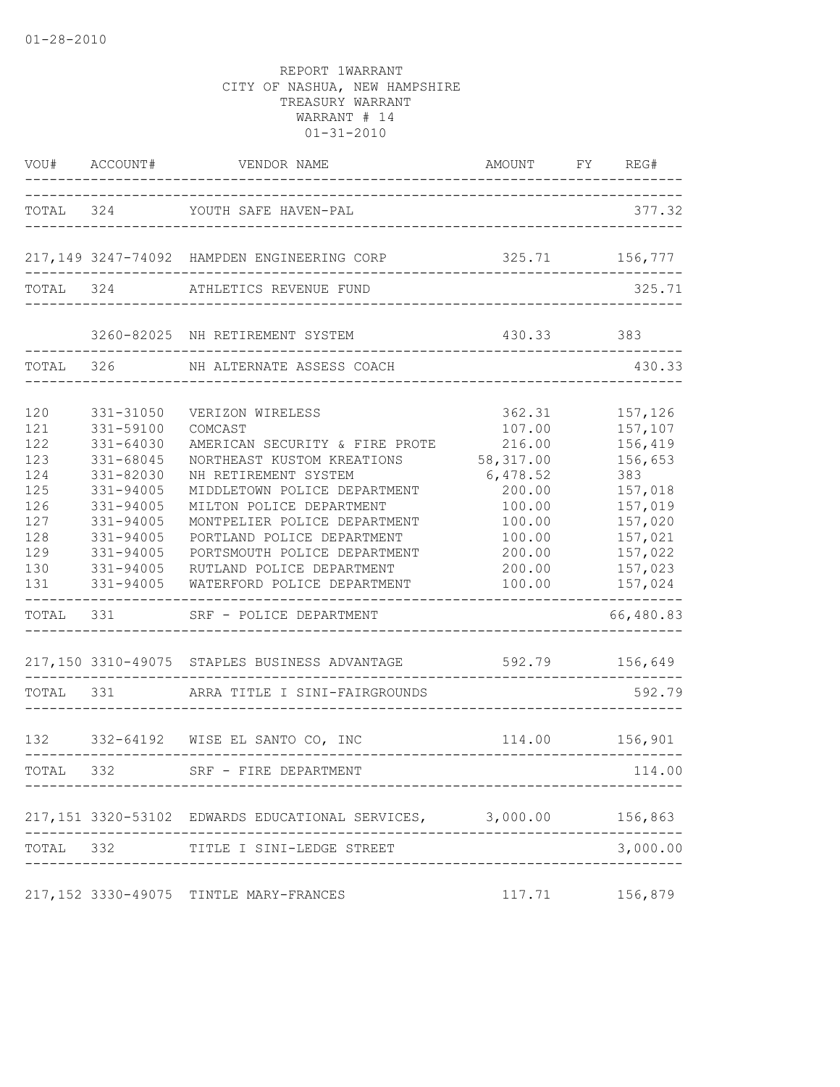| VOU#              | ACCOUNT#                                   | VENDOR NAME                                                                      | AMOUNT                               | FY | REG#                      |
|-------------------|--------------------------------------------|----------------------------------------------------------------------------------|--------------------------------------|----|---------------------------|
|                   |                                            | TOTAL 324 YOUTH SAFE HAVEN-PAL                                                   | ------------------------------------ |    | 377.32                    |
|                   |                                            | 217,149 3247-74092 HAMPDEN ENGINEERING CORP                                      | 325.71                               |    | 156,777                   |
|                   |                                            |                                                                                  |                                      |    |                           |
| TOTAL 324         |                                            | ATHLETICS REVENUE FUND                                                           |                                      |    | 325.71                    |
|                   |                                            | 3260-82025 NH RETIREMENT SYSTEM                                                  | 430.33                               |    | 383                       |
| TOTAL 326         |                                            | NH ALTERNATE ASSESS COACH                                                        |                                      |    | 430.33                    |
| 120<br>121        | 331-31050<br>331-59100                     | VERIZON WIRELESS<br>COMCAST                                                      | 362.31<br>107.00                     |    | 157,126<br>157,107        |
| 122<br>123        | $331 - 64030$<br>331-68045                 | AMERICAN SECURITY & FIRE PROTE<br>NORTHEAST KUSTOM KREATIONS                     | 216.00<br>58, 317.00                 |    | 156,419<br>156,653        |
| 124<br>125<br>126 | 331-82030<br>331-94005<br>331-94005        | NH RETIREMENT SYSTEM<br>MIDDLETOWN POLICE DEPARTMENT<br>MILTON POLICE DEPARTMENT | 6,478.52<br>200.00<br>100.00         |    | 383<br>157,018<br>157,019 |
| 127<br>128        | 331-94005<br>331-94005                     | MONTPELIER POLICE DEPARTMENT<br>PORTLAND POLICE DEPARTMENT                       | 100.00<br>100.00                     |    | 157,020<br>157,021        |
| 129<br>130        | 331-94005<br>331-94005                     | PORTSMOUTH POLICE DEPARTMENT<br>RUTLAND POLICE DEPARTMENT                        | 200.00<br>200.00                     |    | 157,022<br>157,023        |
| 131               | 331-94005<br>----------------<br>TOTAL 331 | WATERFORD POLICE DEPARTMENT<br>SRF - POLICE DEPARTMENT                           | 100.00                               |    | 157,024<br>66,480.83      |
|                   |                                            |                                                                                  |                                      |    |                           |
|                   |                                            | 217,150 3310-49075 STAPLES BUSINESS ADVANTAGE                                    | 592.79 156,649                       |    |                           |
| TOTAL 331         |                                            | ARRA TITLE I SINI-FAIRGROUNDS                                                    |                                      |    | 592.79                    |
|                   |                                            | 132 332-64192 WISE EL SANTO CO, INC                                              |                                      |    | 114.00 156,901            |
| TOTAL 332         |                                            | SRF - FIRE DEPARTMENT                                                            |                                      |    | 114.00                    |
|                   |                                            | 217,151 3320-53102 EDWARDS EDUCATIONAL SERVICES, 3,000.00 156,863                |                                      |    |                           |
|                   |                                            | TOTAL 332 TITLE I SINI-LEDGE STREET                                              |                                      |    | 3,000.00                  |
|                   |                                            | 217,152 3330-49075 TINTLE MARY-FRANCES                                           |                                      |    | 117.71 156,879            |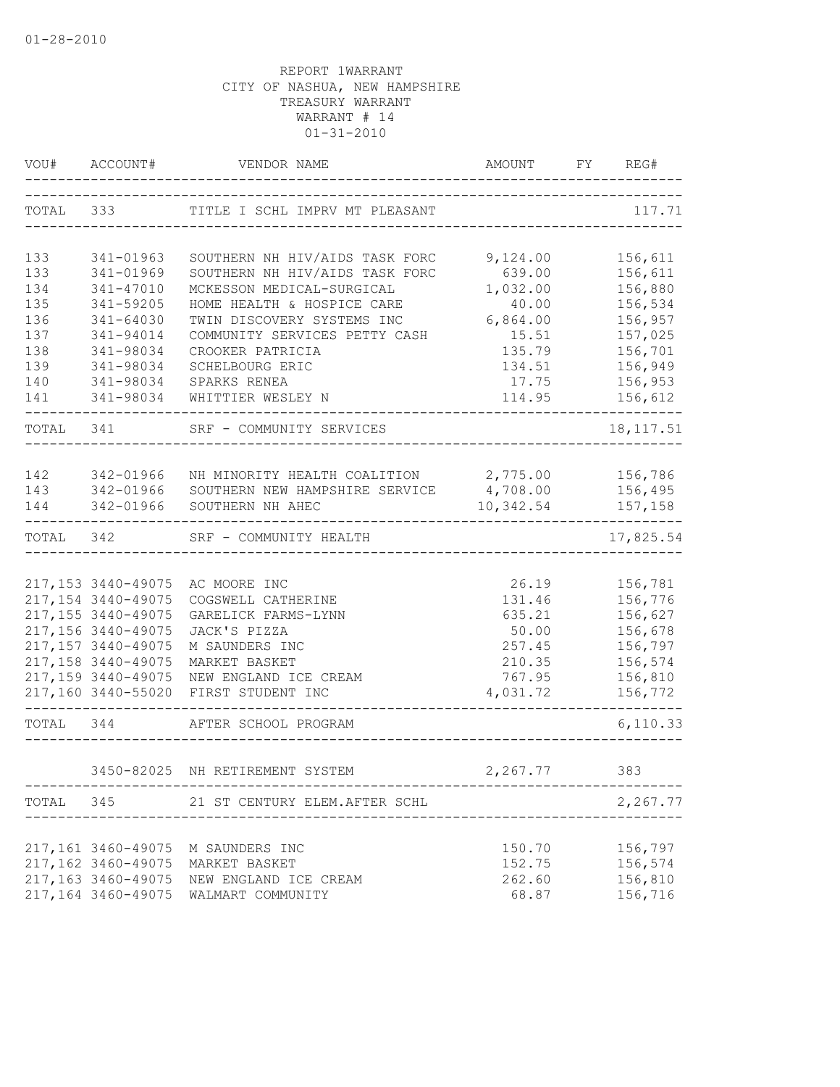| VOU#       | ACCOUNT#                                                | VENDOR NAME                                | AMOUNT<br>------------------------       | FY | REG#                  |  |  |  |
|------------|---------------------------------------------------------|--------------------------------------------|------------------------------------------|----|-----------------------|--|--|--|
| TOTAL 333  |                                                         | TITLE I SCHL IMPRV MT PLEASANT             |                                          |    | 117.71                |  |  |  |
|            |                                                         |                                            | 9,124.00                                 |    |                       |  |  |  |
| 133        | 341-01963                                               | SOUTHERN NH HIV/AIDS TASK FORC             | 156,611<br>156,611                       |    |                       |  |  |  |
| 133<br>134 | 341-01969<br>341-47010                                  | MCKESSON MEDICAL-SURGICAL                  | SOUTHERN NH HIV/AIDS TASK FORC<br>639.00 |    |                       |  |  |  |
| 135        | 341-59205                                               | HOME HEALTH & HOSPICE CARE                 | 1,032.00<br>40.00                        |    | 156,880<br>156,534    |  |  |  |
| 136        | 341-64030                                               | TWIN DISCOVERY SYSTEMS INC                 | 6,864.00                                 |    | 156,957               |  |  |  |
| 137        | 341-94014                                               | COMMUNITY SERVICES PETTY CASH              | 15.51                                    |    | 157,025               |  |  |  |
| 138        | 341-98034                                               | CROOKER PATRICIA                           | 135.79                                   |    | 156,701               |  |  |  |
| 139        | 341-98034                                               | SCHELBOURG ERIC                            | 134.51                                   |    | 156,949               |  |  |  |
| 140        | 341-98034                                               | SPARKS RENEA                               | 17.75                                    |    | 156,953               |  |  |  |
| 141        | 341-98034                                               | WHITTIER WESLEY N                          | 114.95                                   |    | 156,612               |  |  |  |
| TOTAL      | 341                                                     | SRF - COMMUNITY SERVICES                   |                                          |    | 18, 117.51            |  |  |  |
|            |                                                         |                                            |                                          |    |                       |  |  |  |
| 142        | 342-01966                                               | NH MINORITY HEALTH COALITION 2,775.00      |                                          |    | 156,786               |  |  |  |
| 143        | 342-01966                                               | SOUTHERN NEW HAMPSHIRE SERVICE             | 4,708.00                                 |    | 156,495               |  |  |  |
| 144        | 342-01966                                               | SOUTHERN NH AHEC                           | 10,342.54                                |    | 157,158<br>---------- |  |  |  |
| TOTAL      | ----------------------<br>342<br>SRF - COMMUNITY HEALTH |                                            |                                          |    | 17,825.54             |  |  |  |
|            |                                                         |                                            |                                          |    |                       |  |  |  |
|            | 217,153 3440-49075                                      | AC MOORE INC                               | 26.19                                    |    | 156,781               |  |  |  |
|            | 217, 154 3440-49075                                     | COGSWELL CATHERINE                         | 131.46                                   |    | 156,776               |  |  |  |
|            | 217,155 3440-49075                                      | GARELICK FARMS-LYNN                        | 635.21                                   |    | 156,627               |  |  |  |
|            | 217,156 3440-49075                                      | JACK'S PIZZA                               | 50.00                                    |    | 156,678               |  |  |  |
|            | 217, 157 3440-49075                                     | M SAUNDERS INC                             | 257.45                                   |    | 156,797               |  |  |  |
|            | 217,158 3440-49075                                      | MARKET BASKET                              | 210.35                                   |    | 156,574               |  |  |  |
|            | 217,159 3440-49075<br>217,160 3440-55020                | NEW ENGLAND ICE CREAM<br>FIRST STUDENT INC | 767.95<br>4,031.72                       |    | 156,810<br>156,772    |  |  |  |
| TOTAL      | 344                                                     | AFTER SCHOOL PROGRAM                       |                                          |    | 6, 110.33             |  |  |  |
|            |                                                         |                                            |                                          |    |                       |  |  |  |
|            |                                                         | 3450-82025 NH RETIREMENT SYSTEM            | 2,267.77                                 |    | 383                   |  |  |  |
| TOTAL 345  |                                                         | 21 ST CENTURY ELEM.AFTER SCHL              |                                          |    | 2,267.77              |  |  |  |
|            | 217,161 3460-49075                                      | M SAUNDERS INC                             | 150.70                                   |    | 156,797               |  |  |  |
|            | 217,162 3460-49075                                      | MARKET BASKET                              | 152.75                                   |    | 156,574               |  |  |  |
|            | 217,163 3460-49075                                      | NEW ENGLAND ICE CREAM                      | 262.60                                   |    | 156,810               |  |  |  |
|            | 217,164 3460-49075                                      | WALMART COMMUNITY                          | 68.87                                    |    | 156,716               |  |  |  |
|            |                                                         |                                            |                                          |    |                       |  |  |  |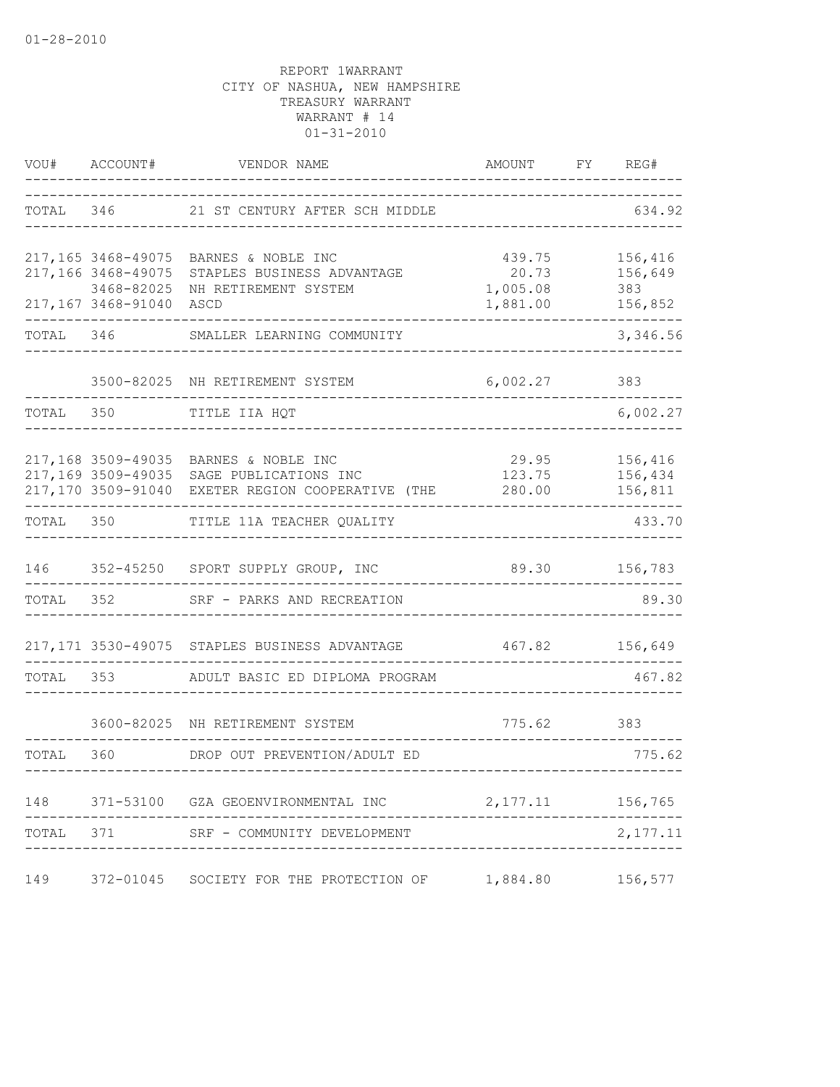| VOU#      | ACCOUNT#                                               | VENDOR NAME                                                                                                                            | AMOUNT                                  | FY | REG#                                 |
|-----------|--------------------------------------------------------|----------------------------------------------------------------------------------------------------------------------------------------|-----------------------------------------|----|--------------------------------------|
| TOTAL 346 |                                                        | 21 ST CENTURY AFTER SCH MIDDLE                                                                                                         | 439.75<br>20.73<br>1,005.08<br>1,881.00 |    | 634.92                               |
|           | 217,166 3468-49075<br>3468-82025<br>217,167 3468-91040 | 217,165 3468-49075 BARNES & NOBLE INC<br>STAPLES BUSINESS ADVANTAGE<br>NH RETIREMENT SYSTEM<br>ASCD                                    |                                         |    | 156,416<br>156,649<br>383<br>156,852 |
| TOTAL     | 346                                                    | SMALLER LEARNING COMMUNITY                                                                                                             |                                         |    | 3,346.56                             |
|           |                                                        | 3500-82025 NH RETIREMENT SYSTEM                                                                                                        | 6,002.27                                |    | 383                                  |
| TOTAL     | 350                                                    | TITLE IIA HQT                                                                                                                          |                                         |    | 6,002.27                             |
|           |                                                        | 217,168 3509-49035 BARNES & NOBLE INC<br>217,169 3509-49035 SAGE PUBLICATIONS INC<br>217,170 3509-91040 EXETER REGION COOPERATIVE (THE | 29.95<br>123.75<br>280.00               |    | 156,416<br>156,434<br>156,811        |
| TOTAL 350 |                                                        | TITLE 11A TEACHER QUALITY                                                                                                              |                                         |    | 433.70                               |
| 146       |                                                        | 352-45250 SPORT SUPPLY GROUP, INC                                                                                                      |                                         |    | 89.30 156,783                        |
| TOTAL     | 352                                                    | SRF - PARKS AND RECREATION                                                                                                             |                                         |    | 89.30                                |
|           |                                                        | 217,171 3530-49075 STAPLES BUSINESS ADVANTAGE                                                                                          | 467.82                                  |    | 156,649                              |
| TOTAL     | 353                                                    | ADULT BASIC ED DIPLOMA PROGRAM                                                                                                         |                                         |    | 467.82                               |
|           |                                                        | 3600-82025 NH RETIREMENT SYSTEM                                                                                                        | 775.62                                  |    | 383                                  |
| TOTAL     | 360                                                    | DROP OUT PREVENTION/ADULT ED                                                                                                           |                                         |    | 775.62                               |
| 148       |                                                        | 371-53100 GZA GEOENVIRONMENTAL INC                                                                                                     | 2,177.11                                |    | 156,765                              |
| TOTAL     | 371                                                    | SRF - COMMUNITY DEVELOPMENT                                                                                                            |                                         |    | 2,177.11                             |
| 149       | 372-01045                                              | SOCIETY FOR THE PROTECTION OF                                                                                                          | 1,884.80                                |    | 156,577                              |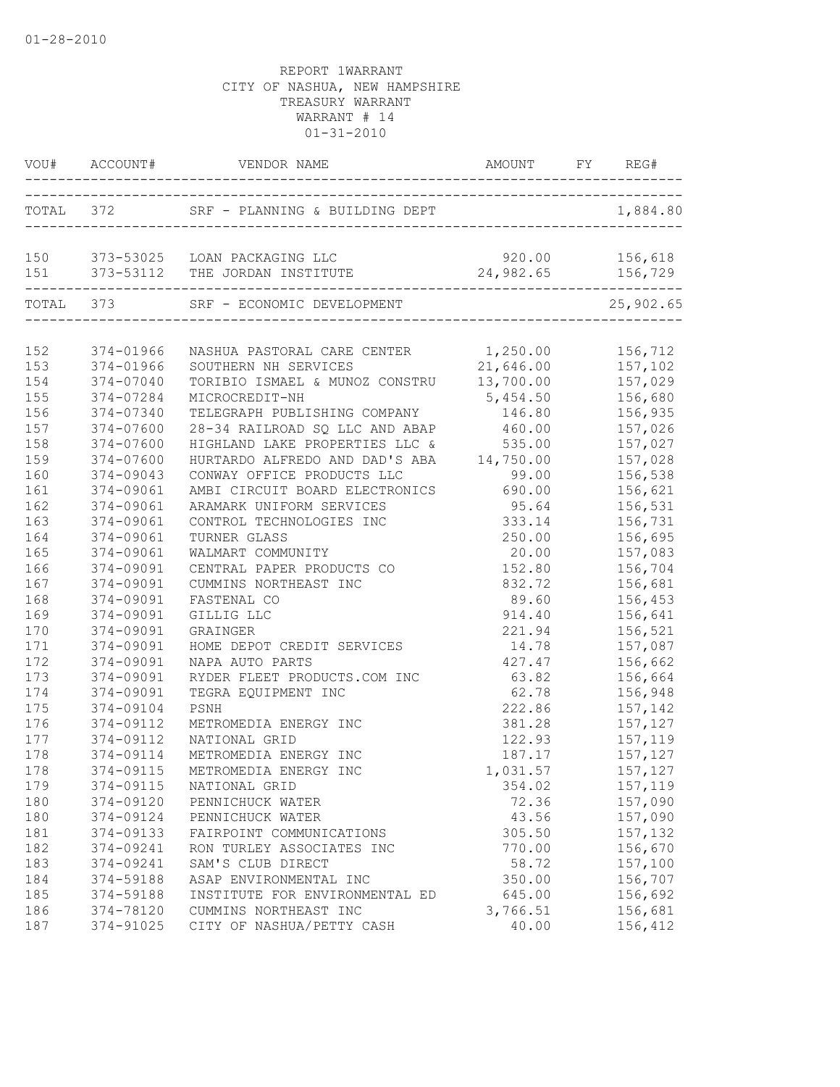| TOTAL 372 SRF - PLANNING & BUILDING DEPT 1,884.80<br>150 373-53025 LOAN PACKAGING LLC<br>920.00 156,618<br>24,982.65 156,729<br>151 373-53112 THE JORDAN INSTITUTE<br>---------<br>TOTAL 373<br>25,902.65<br>SRF - ECONOMIC DEVELOPMENT<br>-----------------------------<br>NASHUA PASTORAL CARE CENTER 1,250.00<br>156,712<br>374-01966<br>157,102<br>21,646.00<br>374-01966<br>SOUTHERN NH SERVICES<br>TORIBIO ISMAEL & MUNOZ CONSTRU 13,700.00 157,029<br>374-07040<br>374-07284<br>MICROCREDIT-NH<br>5,454.50 156,680<br>374-07340<br>TELEGRAPH PUBLISHING COMPANY<br>146.80<br>156,935<br>374-07600<br>28-34 RAILROAD SQ LLC AND ABAP<br>157,026<br>460.00<br>158<br>HIGHLAND LAKE PROPERTIES LLC &<br>535.00<br>157,027<br>374-07600<br>159<br>157,028<br>374-07600<br>HURTARDO ALFREDO AND DAD'S ABA<br>14,750.00<br>99.00<br>160<br>374-09043<br>CONWAY OFFICE PRODUCTS LLC<br>156,538<br>161<br>374-09061<br>AMBI CIRCUIT BOARD ELECTRONICS<br>156,621<br>690.00<br>162<br>374-09061<br>95.64<br>156,531<br>ARAMARK UNIFORM SERVICES<br>163<br>374-09061<br>333.14<br>CONTROL TECHNOLOGIES INC<br>156,731<br>164<br>374-09061<br>TURNER GLASS<br>250.00<br>156,695<br>165<br>374-09061<br>WALMART COMMUNITY<br>20.00<br>157,083<br>166<br>374-09091<br>CENTRAL PAPER PRODUCTS CO<br>152.80<br>156,704<br>167<br>832.72<br>156,681<br>374-09091<br>CUMMINS NORTHEAST INC<br>168<br>374-09091<br>FASTENAL CO<br>89.60<br>156,453<br>169<br>374-09091<br>GILLIG LLC<br>914.40<br>156,641<br>170<br>374-09091<br>221.94<br>156,521<br>GRAINGER<br>171<br>374-09091<br>HOME DEPOT CREDIT SERVICES<br>14.78<br>157,087<br>427.47<br>172<br>374-09091<br>156,662<br>NAPA AUTO PARTS<br>173<br>374-09091<br>63.82<br>RYDER FLEET PRODUCTS.COM INC<br>156,664<br>174<br>62.78<br>374-09091<br>TEGRA EQUIPMENT INC<br>156,948<br>175<br>374-09104<br>222.86 157,142<br>PSNH<br>176<br>374-09112<br>381.28<br>METROMEDIA ENERGY INC<br>157,127<br>177<br>374-09112<br>122.93<br>157,119<br>NATIONAL GRID<br>178<br>374-09114<br>157,127<br>METROMEDIA ENERGY INC<br>187.17<br>178<br>1,031.57<br>157,127<br>374-09115<br>METROMEDIA ENERGY INC<br>179<br>374-09115<br>354.02<br>157,119<br>NATIONAL GRID<br>180<br>374-09120<br>157,090<br>PENNICHUCK WATER<br>72.36<br>180<br>374-09124<br>43.56<br>157,090<br>PENNICHUCK WATER<br>181<br>374-09133<br>FAIRPOINT COMMUNICATIONS<br>305.50<br>157,132<br>182<br>374-09241<br>156,670<br>RON TURLEY ASSOCIATES INC<br>770.00<br>183<br>SAM'S CLUB DIRECT<br>58.72<br>374-09241<br>157,100<br>184<br>374-59188<br>ASAP ENVIRONMENTAL INC<br>350.00<br>156,707<br>185<br>645.00<br>374-59188<br>INSTITUTE FOR ENVIRONMENTAL ED<br>156,692<br>186<br>374-78120<br>CUMMINS NORTHEAST INC<br>3,766.51<br>156,681<br>CITY OF NASHUA/PETTY CASH<br>40.00<br>156,412<br>187<br>374-91025 |     | VOU# ACCOUNT# VENDOR NAME AMOUNT FY REG- | AMOUNT FY REG# |  |  |
|-------------------------------------------------------------------------------------------------------------------------------------------------------------------------------------------------------------------------------------------------------------------------------------------------------------------------------------------------------------------------------------------------------------------------------------------------------------------------------------------------------------------------------------------------------------------------------------------------------------------------------------------------------------------------------------------------------------------------------------------------------------------------------------------------------------------------------------------------------------------------------------------------------------------------------------------------------------------------------------------------------------------------------------------------------------------------------------------------------------------------------------------------------------------------------------------------------------------------------------------------------------------------------------------------------------------------------------------------------------------------------------------------------------------------------------------------------------------------------------------------------------------------------------------------------------------------------------------------------------------------------------------------------------------------------------------------------------------------------------------------------------------------------------------------------------------------------------------------------------------------------------------------------------------------------------------------------------------------------------------------------------------------------------------------------------------------------------------------------------------------------------------------------------------------------------------------------------------------------------------------------------------------------------------------------------------------------------------------------------------------------------------------------------------------------------------------------------------------------------------------------------------------------------------------------------------------------------------------------------------------------------------------------------------------------------------------------------------------------------------------------------------------------------------------------------------------------|-----|------------------------------------------|----------------|--|--|
|                                                                                                                                                                                                                                                                                                                                                                                                                                                                                                                                                                                                                                                                                                                                                                                                                                                                                                                                                                                                                                                                                                                                                                                                                                                                                                                                                                                                                                                                                                                                                                                                                                                                                                                                                                                                                                                                                                                                                                                                                                                                                                                                                                                                                                                                                                                                                                                                                                                                                                                                                                                                                                                                                                                                                                                                                               |     |                                          |                |  |  |
|                                                                                                                                                                                                                                                                                                                                                                                                                                                                                                                                                                                                                                                                                                                                                                                                                                                                                                                                                                                                                                                                                                                                                                                                                                                                                                                                                                                                                                                                                                                                                                                                                                                                                                                                                                                                                                                                                                                                                                                                                                                                                                                                                                                                                                                                                                                                                                                                                                                                                                                                                                                                                                                                                                                                                                                                                               |     |                                          |                |  |  |
|                                                                                                                                                                                                                                                                                                                                                                                                                                                                                                                                                                                                                                                                                                                                                                                                                                                                                                                                                                                                                                                                                                                                                                                                                                                                                                                                                                                                                                                                                                                                                                                                                                                                                                                                                                                                                                                                                                                                                                                                                                                                                                                                                                                                                                                                                                                                                                                                                                                                                                                                                                                                                                                                                                                                                                                                                               |     |                                          |                |  |  |
|                                                                                                                                                                                                                                                                                                                                                                                                                                                                                                                                                                                                                                                                                                                                                                                                                                                                                                                                                                                                                                                                                                                                                                                                                                                                                                                                                                                                                                                                                                                                                                                                                                                                                                                                                                                                                                                                                                                                                                                                                                                                                                                                                                                                                                                                                                                                                                                                                                                                                                                                                                                                                                                                                                                                                                                                                               | 152 |                                          |                |  |  |
|                                                                                                                                                                                                                                                                                                                                                                                                                                                                                                                                                                                                                                                                                                                                                                                                                                                                                                                                                                                                                                                                                                                                                                                                                                                                                                                                                                                                                                                                                                                                                                                                                                                                                                                                                                                                                                                                                                                                                                                                                                                                                                                                                                                                                                                                                                                                                                                                                                                                                                                                                                                                                                                                                                                                                                                                                               | 153 |                                          |                |  |  |
|                                                                                                                                                                                                                                                                                                                                                                                                                                                                                                                                                                                                                                                                                                                                                                                                                                                                                                                                                                                                                                                                                                                                                                                                                                                                                                                                                                                                                                                                                                                                                                                                                                                                                                                                                                                                                                                                                                                                                                                                                                                                                                                                                                                                                                                                                                                                                                                                                                                                                                                                                                                                                                                                                                                                                                                                                               | 154 |                                          |                |  |  |
|                                                                                                                                                                                                                                                                                                                                                                                                                                                                                                                                                                                                                                                                                                                                                                                                                                                                                                                                                                                                                                                                                                                                                                                                                                                                                                                                                                                                                                                                                                                                                                                                                                                                                                                                                                                                                                                                                                                                                                                                                                                                                                                                                                                                                                                                                                                                                                                                                                                                                                                                                                                                                                                                                                                                                                                                                               | 155 |                                          |                |  |  |
|                                                                                                                                                                                                                                                                                                                                                                                                                                                                                                                                                                                                                                                                                                                                                                                                                                                                                                                                                                                                                                                                                                                                                                                                                                                                                                                                                                                                                                                                                                                                                                                                                                                                                                                                                                                                                                                                                                                                                                                                                                                                                                                                                                                                                                                                                                                                                                                                                                                                                                                                                                                                                                                                                                                                                                                                                               | 156 |                                          |                |  |  |
|                                                                                                                                                                                                                                                                                                                                                                                                                                                                                                                                                                                                                                                                                                                                                                                                                                                                                                                                                                                                                                                                                                                                                                                                                                                                                                                                                                                                                                                                                                                                                                                                                                                                                                                                                                                                                                                                                                                                                                                                                                                                                                                                                                                                                                                                                                                                                                                                                                                                                                                                                                                                                                                                                                                                                                                                                               | 157 |                                          |                |  |  |
|                                                                                                                                                                                                                                                                                                                                                                                                                                                                                                                                                                                                                                                                                                                                                                                                                                                                                                                                                                                                                                                                                                                                                                                                                                                                                                                                                                                                                                                                                                                                                                                                                                                                                                                                                                                                                                                                                                                                                                                                                                                                                                                                                                                                                                                                                                                                                                                                                                                                                                                                                                                                                                                                                                                                                                                                                               |     |                                          |                |  |  |
|                                                                                                                                                                                                                                                                                                                                                                                                                                                                                                                                                                                                                                                                                                                                                                                                                                                                                                                                                                                                                                                                                                                                                                                                                                                                                                                                                                                                                                                                                                                                                                                                                                                                                                                                                                                                                                                                                                                                                                                                                                                                                                                                                                                                                                                                                                                                                                                                                                                                                                                                                                                                                                                                                                                                                                                                                               |     |                                          |                |  |  |
|                                                                                                                                                                                                                                                                                                                                                                                                                                                                                                                                                                                                                                                                                                                                                                                                                                                                                                                                                                                                                                                                                                                                                                                                                                                                                                                                                                                                                                                                                                                                                                                                                                                                                                                                                                                                                                                                                                                                                                                                                                                                                                                                                                                                                                                                                                                                                                                                                                                                                                                                                                                                                                                                                                                                                                                                                               |     |                                          |                |  |  |
|                                                                                                                                                                                                                                                                                                                                                                                                                                                                                                                                                                                                                                                                                                                                                                                                                                                                                                                                                                                                                                                                                                                                                                                                                                                                                                                                                                                                                                                                                                                                                                                                                                                                                                                                                                                                                                                                                                                                                                                                                                                                                                                                                                                                                                                                                                                                                                                                                                                                                                                                                                                                                                                                                                                                                                                                                               |     |                                          |                |  |  |
|                                                                                                                                                                                                                                                                                                                                                                                                                                                                                                                                                                                                                                                                                                                                                                                                                                                                                                                                                                                                                                                                                                                                                                                                                                                                                                                                                                                                                                                                                                                                                                                                                                                                                                                                                                                                                                                                                                                                                                                                                                                                                                                                                                                                                                                                                                                                                                                                                                                                                                                                                                                                                                                                                                                                                                                                                               |     |                                          |                |  |  |
|                                                                                                                                                                                                                                                                                                                                                                                                                                                                                                                                                                                                                                                                                                                                                                                                                                                                                                                                                                                                                                                                                                                                                                                                                                                                                                                                                                                                                                                                                                                                                                                                                                                                                                                                                                                                                                                                                                                                                                                                                                                                                                                                                                                                                                                                                                                                                                                                                                                                                                                                                                                                                                                                                                                                                                                                                               |     |                                          |                |  |  |
|                                                                                                                                                                                                                                                                                                                                                                                                                                                                                                                                                                                                                                                                                                                                                                                                                                                                                                                                                                                                                                                                                                                                                                                                                                                                                                                                                                                                                                                                                                                                                                                                                                                                                                                                                                                                                                                                                                                                                                                                                                                                                                                                                                                                                                                                                                                                                                                                                                                                                                                                                                                                                                                                                                                                                                                                                               |     |                                          |                |  |  |
|                                                                                                                                                                                                                                                                                                                                                                                                                                                                                                                                                                                                                                                                                                                                                                                                                                                                                                                                                                                                                                                                                                                                                                                                                                                                                                                                                                                                                                                                                                                                                                                                                                                                                                                                                                                                                                                                                                                                                                                                                                                                                                                                                                                                                                                                                                                                                                                                                                                                                                                                                                                                                                                                                                                                                                                                                               |     |                                          |                |  |  |
|                                                                                                                                                                                                                                                                                                                                                                                                                                                                                                                                                                                                                                                                                                                                                                                                                                                                                                                                                                                                                                                                                                                                                                                                                                                                                                                                                                                                                                                                                                                                                                                                                                                                                                                                                                                                                                                                                                                                                                                                                                                                                                                                                                                                                                                                                                                                                                                                                                                                                                                                                                                                                                                                                                                                                                                                                               |     |                                          |                |  |  |
|                                                                                                                                                                                                                                                                                                                                                                                                                                                                                                                                                                                                                                                                                                                                                                                                                                                                                                                                                                                                                                                                                                                                                                                                                                                                                                                                                                                                                                                                                                                                                                                                                                                                                                                                                                                                                                                                                                                                                                                                                                                                                                                                                                                                                                                                                                                                                                                                                                                                                                                                                                                                                                                                                                                                                                                                                               |     |                                          |                |  |  |
|                                                                                                                                                                                                                                                                                                                                                                                                                                                                                                                                                                                                                                                                                                                                                                                                                                                                                                                                                                                                                                                                                                                                                                                                                                                                                                                                                                                                                                                                                                                                                                                                                                                                                                                                                                                                                                                                                                                                                                                                                                                                                                                                                                                                                                                                                                                                                                                                                                                                                                                                                                                                                                                                                                                                                                                                                               |     |                                          |                |  |  |
|                                                                                                                                                                                                                                                                                                                                                                                                                                                                                                                                                                                                                                                                                                                                                                                                                                                                                                                                                                                                                                                                                                                                                                                                                                                                                                                                                                                                                                                                                                                                                                                                                                                                                                                                                                                                                                                                                                                                                                                                                                                                                                                                                                                                                                                                                                                                                                                                                                                                                                                                                                                                                                                                                                                                                                                                                               |     |                                          |                |  |  |
|                                                                                                                                                                                                                                                                                                                                                                                                                                                                                                                                                                                                                                                                                                                                                                                                                                                                                                                                                                                                                                                                                                                                                                                                                                                                                                                                                                                                                                                                                                                                                                                                                                                                                                                                                                                                                                                                                                                                                                                                                                                                                                                                                                                                                                                                                                                                                                                                                                                                                                                                                                                                                                                                                                                                                                                                                               |     |                                          |                |  |  |
|                                                                                                                                                                                                                                                                                                                                                                                                                                                                                                                                                                                                                                                                                                                                                                                                                                                                                                                                                                                                                                                                                                                                                                                                                                                                                                                                                                                                                                                                                                                                                                                                                                                                                                                                                                                                                                                                                                                                                                                                                                                                                                                                                                                                                                                                                                                                                                                                                                                                                                                                                                                                                                                                                                                                                                                                                               |     |                                          |                |  |  |
|                                                                                                                                                                                                                                                                                                                                                                                                                                                                                                                                                                                                                                                                                                                                                                                                                                                                                                                                                                                                                                                                                                                                                                                                                                                                                                                                                                                                                                                                                                                                                                                                                                                                                                                                                                                                                                                                                                                                                                                                                                                                                                                                                                                                                                                                                                                                                                                                                                                                                                                                                                                                                                                                                                                                                                                                                               |     |                                          |                |  |  |
|                                                                                                                                                                                                                                                                                                                                                                                                                                                                                                                                                                                                                                                                                                                                                                                                                                                                                                                                                                                                                                                                                                                                                                                                                                                                                                                                                                                                                                                                                                                                                                                                                                                                                                                                                                                                                                                                                                                                                                                                                                                                                                                                                                                                                                                                                                                                                                                                                                                                                                                                                                                                                                                                                                                                                                                                                               |     |                                          |                |  |  |
|                                                                                                                                                                                                                                                                                                                                                                                                                                                                                                                                                                                                                                                                                                                                                                                                                                                                                                                                                                                                                                                                                                                                                                                                                                                                                                                                                                                                                                                                                                                                                                                                                                                                                                                                                                                                                                                                                                                                                                                                                                                                                                                                                                                                                                                                                                                                                                                                                                                                                                                                                                                                                                                                                                                                                                                                                               |     |                                          |                |  |  |
|                                                                                                                                                                                                                                                                                                                                                                                                                                                                                                                                                                                                                                                                                                                                                                                                                                                                                                                                                                                                                                                                                                                                                                                                                                                                                                                                                                                                                                                                                                                                                                                                                                                                                                                                                                                                                                                                                                                                                                                                                                                                                                                                                                                                                                                                                                                                                                                                                                                                                                                                                                                                                                                                                                                                                                                                                               |     |                                          |                |  |  |
|                                                                                                                                                                                                                                                                                                                                                                                                                                                                                                                                                                                                                                                                                                                                                                                                                                                                                                                                                                                                                                                                                                                                                                                                                                                                                                                                                                                                                                                                                                                                                                                                                                                                                                                                                                                                                                                                                                                                                                                                                                                                                                                                                                                                                                                                                                                                                                                                                                                                                                                                                                                                                                                                                                                                                                                                                               |     |                                          |                |  |  |
|                                                                                                                                                                                                                                                                                                                                                                                                                                                                                                                                                                                                                                                                                                                                                                                                                                                                                                                                                                                                                                                                                                                                                                                                                                                                                                                                                                                                                                                                                                                                                                                                                                                                                                                                                                                                                                                                                                                                                                                                                                                                                                                                                                                                                                                                                                                                                                                                                                                                                                                                                                                                                                                                                                                                                                                                                               |     |                                          |                |  |  |
|                                                                                                                                                                                                                                                                                                                                                                                                                                                                                                                                                                                                                                                                                                                                                                                                                                                                                                                                                                                                                                                                                                                                                                                                                                                                                                                                                                                                                                                                                                                                                                                                                                                                                                                                                                                                                                                                                                                                                                                                                                                                                                                                                                                                                                                                                                                                                                                                                                                                                                                                                                                                                                                                                                                                                                                                                               |     |                                          |                |  |  |
|                                                                                                                                                                                                                                                                                                                                                                                                                                                                                                                                                                                                                                                                                                                                                                                                                                                                                                                                                                                                                                                                                                                                                                                                                                                                                                                                                                                                                                                                                                                                                                                                                                                                                                                                                                                                                                                                                                                                                                                                                                                                                                                                                                                                                                                                                                                                                                                                                                                                                                                                                                                                                                                                                                                                                                                                                               |     |                                          |                |  |  |
|                                                                                                                                                                                                                                                                                                                                                                                                                                                                                                                                                                                                                                                                                                                                                                                                                                                                                                                                                                                                                                                                                                                                                                                                                                                                                                                                                                                                                                                                                                                                                                                                                                                                                                                                                                                                                                                                                                                                                                                                                                                                                                                                                                                                                                                                                                                                                                                                                                                                                                                                                                                                                                                                                                                                                                                                                               |     |                                          |                |  |  |
|                                                                                                                                                                                                                                                                                                                                                                                                                                                                                                                                                                                                                                                                                                                                                                                                                                                                                                                                                                                                                                                                                                                                                                                                                                                                                                                                                                                                                                                                                                                                                                                                                                                                                                                                                                                                                                                                                                                                                                                                                                                                                                                                                                                                                                                                                                                                                                                                                                                                                                                                                                                                                                                                                                                                                                                                                               |     |                                          |                |  |  |
|                                                                                                                                                                                                                                                                                                                                                                                                                                                                                                                                                                                                                                                                                                                                                                                                                                                                                                                                                                                                                                                                                                                                                                                                                                                                                                                                                                                                                                                                                                                                                                                                                                                                                                                                                                                                                                                                                                                                                                                                                                                                                                                                                                                                                                                                                                                                                                                                                                                                                                                                                                                                                                                                                                                                                                                                                               |     |                                          |                |  |  |
|                                                                                                                                                                                                                                                                                                                                                                                                                                                                                                                                                                                                                                                                                                                                                                                                                                                                                                                                                                                                                                                                                                                                                                                                                                                                                                                                                                                                                                                                                                                                                                                                                                                                                                                                                                                                                                                                                                                                                                                                                                                                                                                                                                                                                                                                                                                                                                                                                                                                                                                                                                                                                                                                                                                                                                                                                               |     |                                          |                |  |  |
|                                                                                                                                                                                                                                                                                                                                                                                                                                                                                                                                                                                                                                                                                                                                                                                                                                                                                                                                                                                                                                                                                                                                                                                                                                                                                                                                                                                                                                                                                                                                                                                                                                                                                                                                                                                                                                                                                                                                                                                                                                                                                                                                                                                                                                                                                                                                                                                                                                                                                                                                                                                                                                                                                                                                                                                                                               |     |                                          |                |  |  |
|                                                                                                                                                                                                                                                                                                                                                                                                                                                                                                                                                                                                                                                                                                                                                                                                                                                                                                                                                                                                                                                                                                                                                                                                                                                                                                                                                                                                                                                                                                                                                                                                                                                                                                                                                                                                                                                                                                                                                                                                                                                                                                                                                                                                                                                                                                                                                                                                                                                                                                                                                                                                                                                                                                                                                                                                                               |     |                                          |                |  |  |
|                                                                                                                                                                                                                                                                                                                                                                                                                                                                                                                                                                                                                                                                                                                                                                                                                                                                                                                                                                                                                                                                                                                                                                                                                                                                                                                                                                                                                                                                                                                                                                                                                                                                                                                                                                                                                                                                                                                                                                                                                                                                                                                                                                                                                                                                                                                                                                                                                                                                                                                                                                                                                                                                                                                                                                                                                               |     |                                          |                |  |  |
|                                                                                                                                                                                                                                                                                                                                                                                                                                                                                                                                                                                                                                                                                                                                                                                                                                                                                                                                                                                                                                                                                                                                                                                                                                                                                                                                                                                                                                                                                                                                                                                                                                                                                                                                                                                                                                                                                                                                                                                                                                                                                                                                                                                                                                                                                                                                                                                                                                                                                                                                                                                                                                                                                                                                                                                                                               |     |                                          |                |  |  |
|                                                                                                                                                                                                                                                                                                                                                                                                                                                                                                                                                                                                                                                                                                                                                                                                                                                                                                                                                                                                                                                                                                                                                                                                                                                                                                                                                                                                                                                                                                                                                                                                                                                                                                                                                                                                                                                                                                                                                                                                                                                                                                                                                                                                                                                                                                                                                                                                                                                                                                                                                                                                                                                                                                                                                                                                                               |     |                                          |                |  |  |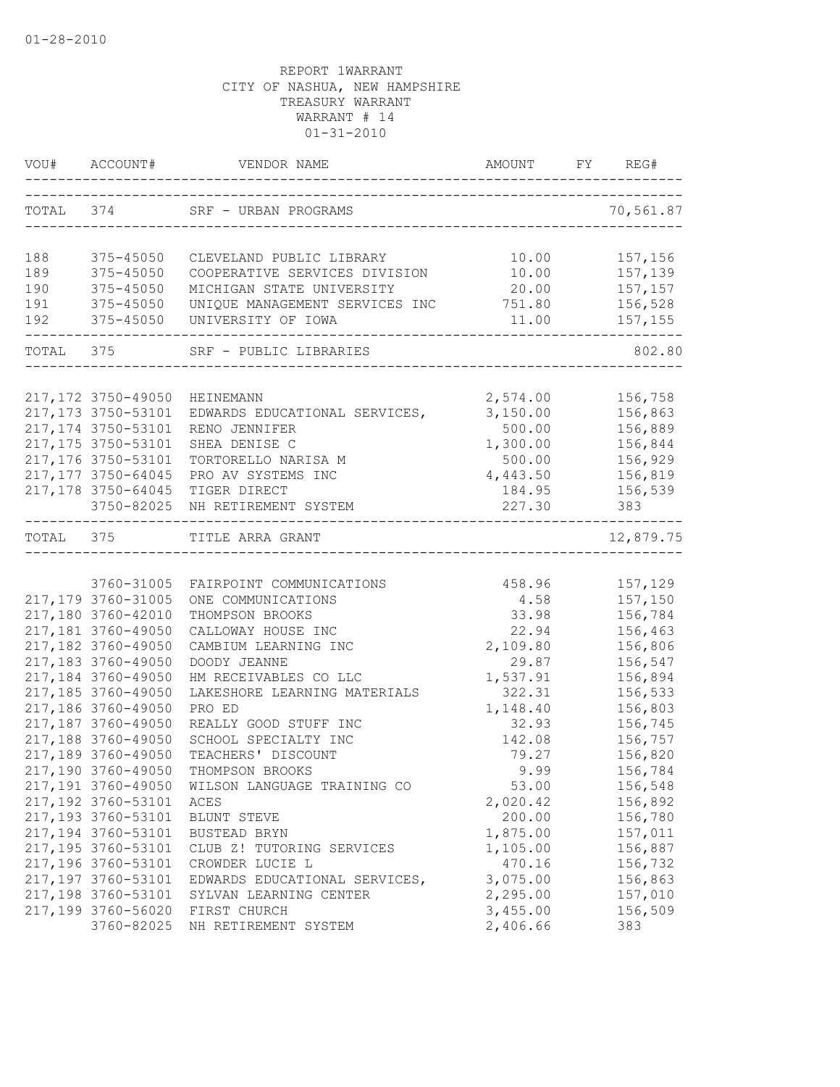|            |                                          | VOU# ACCOUNT# VENDOR NAME AMOUNT FY RI                             |                 | FY REG#            |
|------------|------------------------------------------|--------------------------------------------------------------------|-----------------|--------------------|
|            |                                          | TOTAL 374 SRF - URBAN PROGRAMS<br>-------------------------------- |                 | 70,561.87          |
|            |                                          |                                                                    |                 |                    |
| 188        | 375-45050                                | CLEVELAND PUBLIC LIBRARY                                           | 10.00           | 157,156            |
| 189        | 375-45050                                | COOPERATIVE SERVICES DIVISION                                      | 10.00           | 157,139            |
| 190<br>191 | 375-45050<br>375-45050                   | MICHIGAN STATE UNIVERSITY                                          | 20.00<br>751.80 | 157,157            |
| 192        | 375-45050                                | UNIQUE MANAGEMENT SERVICES INC<br>UNIVERSITY OF IOWA               |                 | 156,528            |
|            | TOTAL 375                                | SRF - PUBLIC LIBRARIES                                             |                 | 802.80             |
|            |                                          |                                                                    |                 |                    |
|            | 217,172 3750-49050                       | HEINEMANN                                                          | 2,574.00        | 156,758            |
|            | 217, 173 3750-53101                      | EDWARDS EDUCATIONAL SERVICES,                                      | 3,150.00        | 156,863            |
|            | 217, 174 3750-53101                      | RENO JENNIFER                                                      | 500.00          | 156,889            |
|            | 217,175 3750-53101                       | SHEA DENISE C                                                      | 1,300.00        | 156,844            |
|            | 217,176 3750-53101                       | TORTORELLO NARISA M                                                | 500.00          | 156,929            |
|            | 217, 177 3750-64045                      | PRO AV SYSTEMS INC                                                 | 4,443.50        | 156,819            |
|            | 217,178 3750-64045                       | TIGER DIRECT                                                       | 184.95          | 156,539            |
|            | 3750-82025                               | NH RETIREMENT SYSTEM<br>-------------------------------------      | 227.30          | 383                |
|            |                                          | TOTAL 375 TITLE ARRA GRANT                                         |                 | 12,879.75          |
|            |                                          |                                                                    |                 |                    |
|            | 3760-31005                               | FAIRPOINT COMMUNICATIONS                                           | 458.96          | 157,129            |
|            | 217,179 3760-31005                       | ONE COMMUNICATIONS                                                 | 4.58            | 157,150            |
|            | 217,180 3760-42010                       | THOMPSON BROOKS                                                    | 33.98           | 156,784            |
|            | 217,181 3760-49050                       | CALLOWAY HOUSE INC                                                 | 22.94           | 156,463            |
|            | 217,182 3760-49050                       | CAMBIUM LEARNING INC                                               | 2,109.80        | 156,806            |
|            | 217,183 3760-49050                       | DOODY JEANNE                                                       | 29.87           | 156,547            |
|            | 217,184 3760-49050                       | HM RECEIVABLES CO LLC                                              | 1,537.91        | 156,894            |
|            | 217,185 3760-49050                       | LAKESHORE LEARNING MATERIALS                                       | 322.31          | 156,533            |
|            | 217,186 3760-49050                       | PRO ED                                                             | 1,148.40        | 156,803            |
|            | 217,187 3760-49050                       | REALLY GOOD STUFF INC                                              | 32.93           | 156,745            |
|            | 217,188 3760-49050<br>217,189 3760-49050 | SCHOOL SPECIALTY INC                                               | 142.08<br>79.27 | 156,757            |
|            |                                          | TEACHERS' DISCOUNT                                                 | 9.99            | 156,820<br>156,784 |
|            | 217,190 3760-49050                       | THOMPSON BROOKS<br>217,191 3760-49050 WILSON LANGUAGE TRAINING CO  | 53.00           | 156,548            |
|            | 217,192 3760-53101                       | ACES                                                               | 2,020.42        | 156,892            |
|            | 217,193 3760-53101                       | BLUNT STEVE                                                        | 200.00          | 156,780            |
|            | 217,194 3760-53101                       | BUSTEAD BRYN                                                       | 1,875.00        | 157,011            |
|            | 217,195 3760-53101                       | CLUB Z! TUTORING SERVICES                                          | 1,105.00        | 156,887            |
|            | 217,196 3760-53101                       | CROWDER LUCIE L                                                    | 470.16          | 156,732            |
|            | 217,197 3760-53101                       | EDWARDS EDUCATIONAL SERVICES,                                      | 3,075.00        | 156,863            |
|            | 217,198 3760-53101                       | SYLVAN LEARNING CENTER                                             | 2,295.00        | 157,010            |
|            | 217,199 3760-56020                       | FIRST CHURCH                                                       | 3,455.00        | 156,509            |
|            | 3760-82025                               | NH RETIREMENT SYSTEM                                               | 2,406.66        | 383                |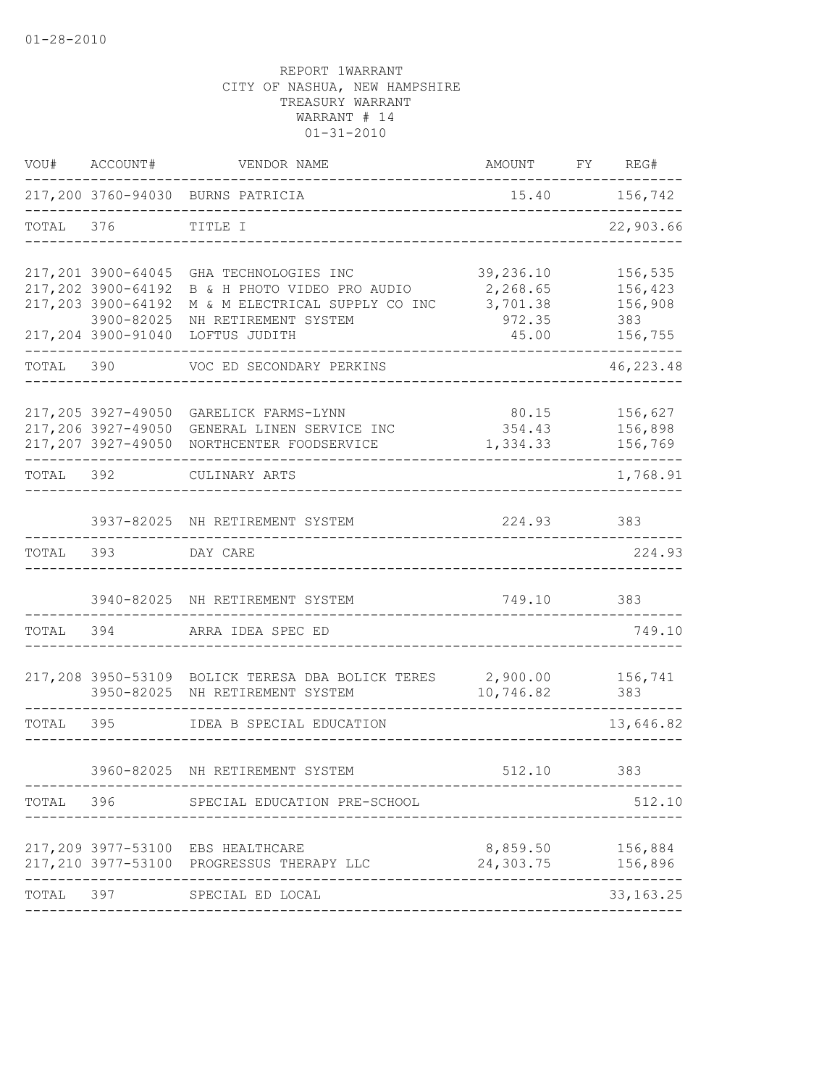|           | VOU# ACCOUNT#                                          | VENDOR NAME                                                                                                                                                          | AMOUNT FY REG#                                       |               |                                                 |
|-----------|--------------------------------------------------------|----------------------------------------------------------------------------------------------------------------------------------------------------------------------|------------------------------------------------------|---------------|-------------------------------------------------|
|           |                                                        | 217,200 3760-94030 BURNS PATRICIA                                                                                                                                    |                                                      | 15.40 156,742 |                                                 |
| TOTAL 376 |                                                        | TITLE I                                                                                                                                                              |                                                      |               |                                                 |
|           | 217,202 3900-64192<br>217,203 3900-64192<br>3900-82025 | 217,201 3900-64045 GHA TECHNOLOGIES INC<br>B & H PHOTO VIDEO PRO AUDIO<br>M & M ELECTRICAL SUPPLY CO INC<br>NH RETIREMENT SYSTEM<br>217,204 3900-91040 LOFTUS JUDITH | 39,236.10<br>2,268.65<br>3,701.38<br>972.35<br>45.00 |               | 156,535<br>156,423<br>156,908<br>383<br>156,755 |
| TOTAL 390 |                                                        | VOC ED SECONDARY PERKINS                                                                                                                                             |                                                      |               | 46, 223.48                                      |
|           |                                                        | 217,205 3927-49050 GARELICK FARMS-LYNN<br>217,206 3927-49050 GENERAL LINEN SERVICE INC<br>217,207 3927-49050 NORTHCENTER FOODSERVICE                                 | 80.15<br>354.43<br>1,334.33                          |               | 156,627<br>156,898<br>156,769                   |
|           |                                                        | TOTAL 392 CULINARY ARTS                                                                                                                                              |                                                      |               | 1,768.91                                        |
| TOTAL     | 393                                                    | 3937-82025 NH RETIREMENT SYSTEM<br>DAY CARE                                                                                                                          | 224.93                                               |               | 383<br>224.93                                   |
|           |                                                        |                                                                                                                                                                      |                                                      |               |                                                 |
|           |                                                        | 3940-82025 NH RETIREMENT SYSTEM                                                                                                                                      | 749.10                                               |               | 383                                             |
| TOTAL     | 394                                                    | ARRA IDEA SPEC ED                                                                                                                                                    |                                                      |               | 749.10                                          |
|           |                                                        | 217,208 3950-53109 BOLICK TERESA DBA BOLICK TERES 2,900.00 156,741<br>3950-82025 NH RETIREMENT SYSTEM                                                                | 10,746.82                                            |               | 383                                             |
| TOTAL 395 |                                                        | IDEA B SPECIAL EDUCATION                                                                                                                                             |                                                      |               | 13,646.82                                       |
|           |                                                        | 3960-82025 NH RETIREMENT SYSTEM                                                                                                                                      | 512.10 383                                           |               |                                                 |
| TOTAL 396 |                                                        | SPECIAL EDUCATION PRE-SCHOOL                                                                                                                                         |                                                      |               | 512.10                                          |
|           |                                                        | 217,209 3977-53100 EBS HEALTHCARE<br>217,210 3977-53100 PROGRESSUS THERAPY LLC                                                                                       | 8,859.50<br>24,303.75                                |               | 156,884<br>156,896                              |
| TOTAL     | 397                                                    | SPECIAL ED LOCAL                                                                                                                                                     |                                                      |               | 33, 163. 25                                     |
|           |                                                        |                                                                                                                                                                      |                                                      |               |                                                 |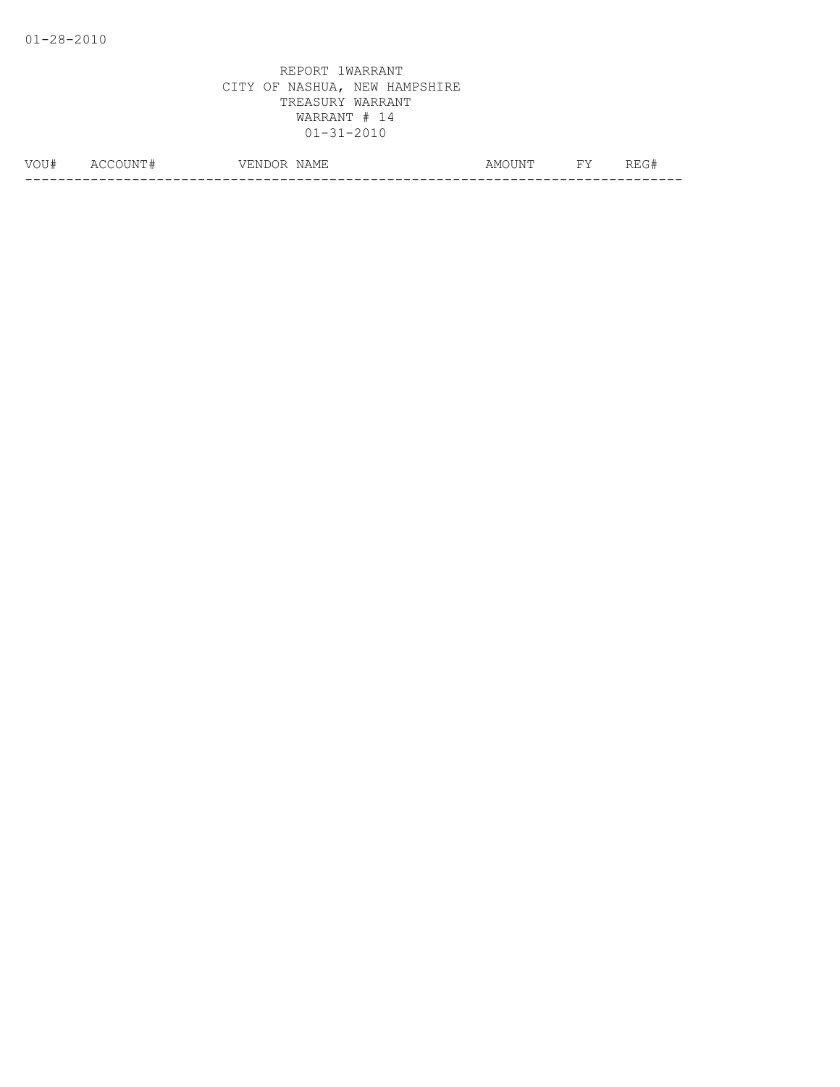| NOTT#<br>◡◡ | Δ1<br>NL<br>$\sim$ | ∴N L<br>ہر ( | $-$<br>NAMH | . N. P<br>AMI | $-1$ | --- |
|-------------|--------------------|--------------|-------------|---------------|------|-----|
|             |                    |              |             |               |      | __  |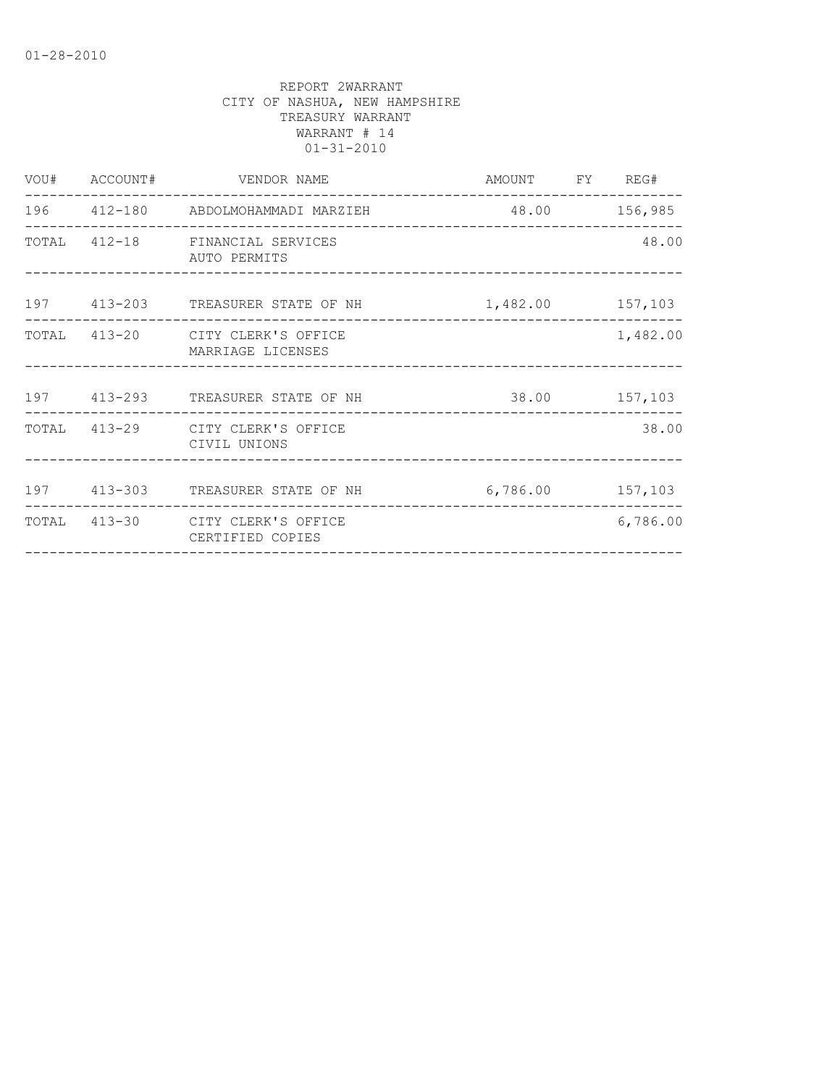|  | VOU# ACCOUNT# VENDOR NAME                             | AMOUNT FY REG#   |          |
|--|-------------------------------------------------------|------------------|----------|
|  | 196   412-180   ABDOLMOHAMMADI MARZIEH                | 48.00 156,985    |          |
|  | TOTAL 412-18 FINANCIAL SERVICES<br>AUTO PERMITS       |                  | 48.00    |
|  | 197 413-203 TREASURER STATE OF NH 1,482.00 157,103    |                  |          |
|  | TOTAL 413-20 CITY CLERK'S OFFICE<br>MARRIAGE LICENSES |                  | 1,482.00 |
|  | 197 413-293 TREASURER STATE OF NH                     | 38.00 157,103    |          |
|  | TOTAL 413-29 CITY CLERK'S OFFICE<br>CIVIL UNIONS      |                  | 38.00    |
|  |                                                       |                  |          |
|  | 197 413-303 TREASURER STATE OF NH                     | 6,786.00 157,103 |          |
|  | TOTAL 413-30 CITY CLERK'S OFFICE<br>CERTIFIED COPIES  |                  | 6,786.00 |
|  |                                                       |                  |          |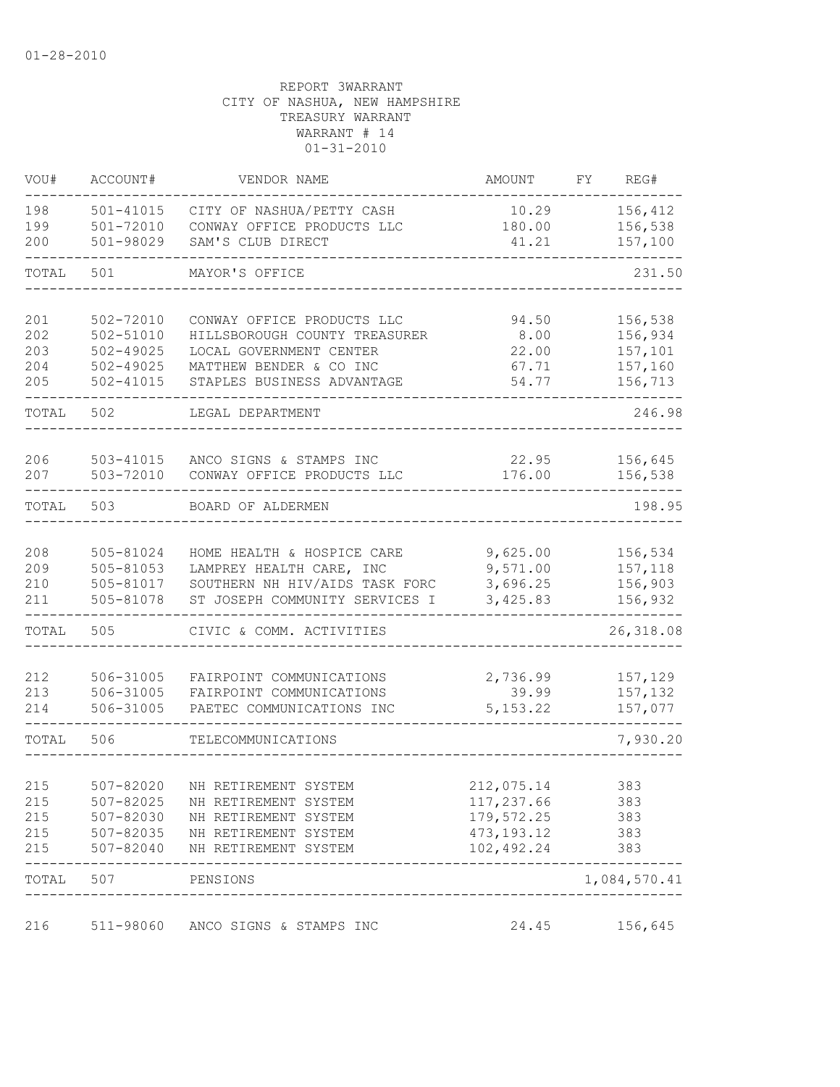| VOU#       | ACCOUNT#                       | VENDOR NAME                                                      | AMOUNT               | FY | REG#                         |
|------------|--------------------------------|------------------------------------------------------------------|----------------------|----|------------------------------|
| 198<br>199 | $501 - 41015$<br>$501 - 72010$ | CITY OF NASHUA/PETTY CASH<br>CONWAY OFFICE PRODUCTS LLC          | 10.29<br>180.00      |    | 156,412<br>156,538           |
| 200        | 501-98029                      | SAM'S CLUB DIRECT                                                | 41.21                |    | 157,100                      |
| TOTAL      | 501                            | MAYOR'S OFFICE                                                   |                      |    | 231.50                       |
| 201        | 502-72010                      | CONWAY OFFICE PRODUCTS LLC                                       | 94.50                |    | 156,538                      |
| 202<br>203 | 502-51010<br>$502 - 49025$     | HILLSBOROUGH COUNTY TREASURER<br>LOCAL GOVERNMENT CENTER         | 8.00<br>22.00        |    | 156,934<br>157,101           |
| 204        | $502 - 49025$                  | MATTHEW BENDER & CO INC                                          | 67.71                |    | 157,160                      |
| 205        | $502 - 41015$                  | STAPLES BUSINESS ADVANTAGE                                       | 54.77                |    | 156,713                      |
| TOTAL      | 502                            | LEGAL DEPARTMENT                                                 |                      |    | 246.98                       |
| 206        | 503-41015                      | ANCO SIGNS & STAMPS INC                                          | 22.95                |    | 156,645                      |
| 207        | 503-72010                      | CONWAY OFFICE PRODUCTS LLC                                       | 176.00               |    | 156,538                      |
| TOTAL      | 503                            | BOARD OF ALDERMEN                                                |                      |    | 198.95                       |
|            |                                |                                                                  |                      |    |                              |
| 208        | 505-81024                      | HOME HEALTH & HOSPICE CARE                                       | 9,625.00             |    | 156,534                      |
| 209        | $505 - 81053$                  | LAMPREY HEALTH CARE, INC                                         | 9,571.00             |    | 157,118                      |
| 210<br>211 | 505-81017<br>505-81078         | SOUTHERN NH HIV/AIDS TASK FORC<br>ST JOSEPH COMMUNITY SERVICES I | 3,696.25<br>3,425.83 |    | 156,903<br>156,932           |
| TOTAL      | 505                            | CIVIC & COMM. ACTIVITIES                                         |                      |    | 26,318.08                    |
| 212        | 506-31005                      | FAIRPOINT COMMUNICATIONS                                         | 2,736.99             |    | 157,129                      |
| 213        | 506-31005                      | FAIRPOINT COMMUNICATIONS                                         | 39.99                |    | 157,132                      |
| 214        | 506-31005                      | PAETEC COMMUNICATIONS INC                                        | 5, 153.22            |    | 157,077                      |
| TOTAL      | 506                            | TELECOMMUNICATIONS                                               |                      |    | 7,930.20                     |
| 215        | 507-82020                      | NH RETIREMENT SYSTEM                                             | 212,075.14           |    | 383                          |
| 215        | 507-82025                      | NH RETIREMENT SYSTEM                                             | 117,237.66           |    | 383                          |
| 215        | 507-82030                      | NH RETIREMENT SYSTEM                                             | 179,572.25           |    | 383                          |
| 215        | $507 - 82035$                  | NH RETIREMENT SYSTEM                                             | 473, 193. 12         |    | 383                          |
| 215        | 507-82040                      | NH RETIREMENT SYSTEM                                             | 102,492.24           |    | 383                          |
| TOTAL      | 507                            | PENSIONS                                                         |                      |    | 1,084,570.41<br>------------ |
| 216        | 511-98060                      | ANCO SIGNS & STAMPS INC                                          | 24.45                |    | 156,645                      |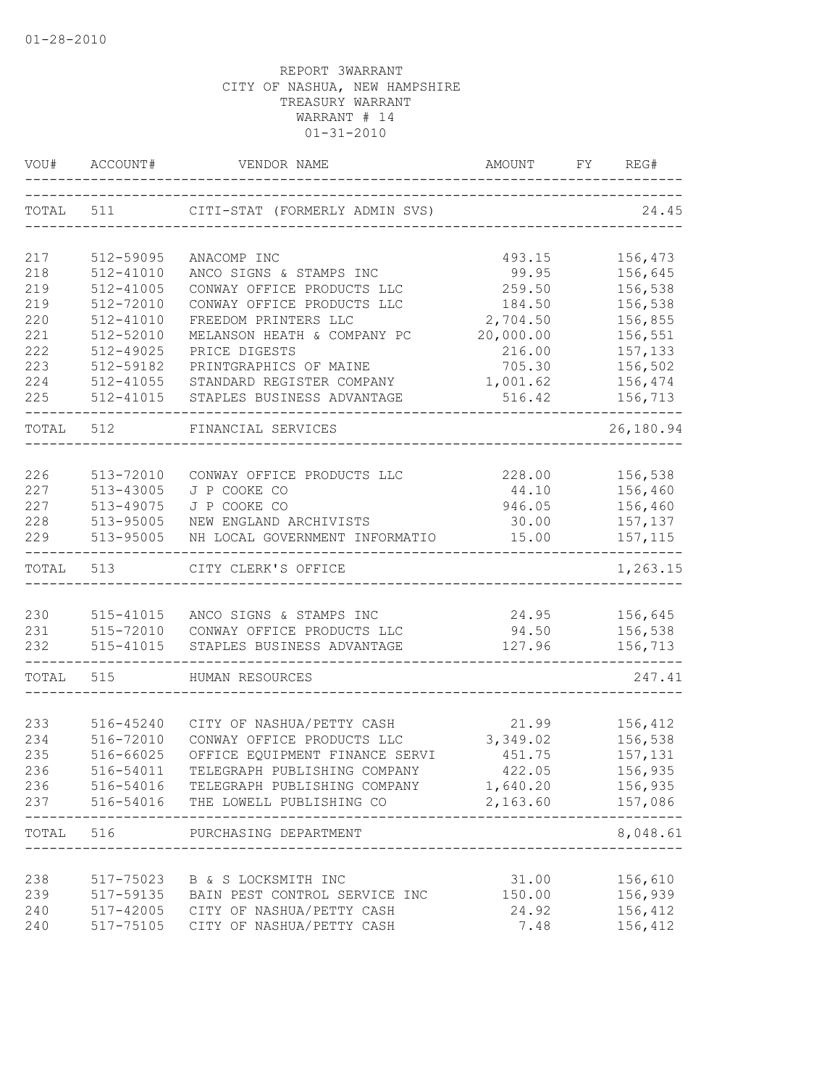| VOU#       | ACCOUNT#               | VENDOR NAME                                              | AMOUNT                       | FY | REG#               |
|------------|------------------------|----------------------------------------------------------|------------------------------|----|--------------------|
| TOTAL 511  |                        | CITI-STAT (FORMERLY ADMIN SVS)                           |                              |    | 24.45              |
| 217        | 512-59095              | ANACOMP INC                                              | 493.15                       |    | 156,473            |
| 218        | 512-41010              | ANCO SIGNS & STAMPS INC                                  | 99.95                        |    | 156,645            |
| 219        | 512-41005              | CONWAY OFFICE PRODUCTS LLC                               | 259.50                       |    | 156,538            |
| 219        | 512-72010              | CONWAY OFFICE PRODUCTS LLC                               | 184.50                       |    | 156,538            |
| 220        | $512 - 41010$          | FREEDOM PRINTERS LLC                                     | 2,704.50                     |    | 156,855            |
| 221        | 512-52010              | MELANSON HEATH & COMPANY PC                              | 20,000.00                    |    | 156,551            |
| 222        | 512-49025              | PRICE DIGESTS                                            | 216.00                       |    | 157,133            |
| 223        | 512-59182              | PRINTGRAPHICS OF MAINE                                   | 705.30                       |    | 156,502            |
| 224        | 512-41055              | STANDARD REGISTER COMPANY                                | 1,001.62                     |    | 156,474            |
| 225        | 512-41015              | STAPLES BUSINESS ADVANTAGE                               | 516.42                       |    | 156,713            |
| TOTAL      | 512                    | FINANCIAL SERVICES                                       |                              |    | 26,180.94          |
|            |                        |                                                          |                              |    |                    |
| 226        | 513-72010              | CONWAY OFFICE PRODUCTS LLC                               | 228.00                       |    | 156,538            |
| 227        | 513-43005              | J P COOKE CO                                             | 44.10                        |    | 156,460            |
| 227        | 513-49075              | J P COOKE CO                                             | 946.05                       |    | 156,460            |
| 228<br>229 | 513-95005<br>513-95005 | NEW ENGLAND ARCHIVISTS<br>NH LOCAL GOVERNMENT INFORMATIO | 30.00<br>15.00               |    | 157,137<br>157,115 |
|            |                        |                                                          |                              |    |                    |
| TOTAL      | 513                    | CITY CLERK'S OFFICE                                      |                              |    | 1,263.15           |
| 230        | 515-41015              | ANCO SIGNS & STAMPS INC                                  | 24.95                        |    | 156,645            |
| 231        |                        | 515-72010 CONWAY OFFICE PRODUCTS LLC                     | 94.50                        |    | 156,538            |
| 232        | 515-41015              | STAPLES BUSINESS ADVANTAGE                               | 127.96                       |    | 156,713            |
|            |                        |                                                          |                              |    |                    |
| TOTAL      | 515                    | HUMAN RESOURCES                                          |                              |    | 247.41             |
| 233        |                        | CITY OF NASHUA/PETTY CASH                                | 21.99                        |    | 156,412            |
| 234        | 516-45240<br>516-72010 | CONWAY OFFICE PRODUCTS LLC                               | 3,349.02                     |    | 156,538            |
| 235        | 516-66025              | OFFICE EQUIPMENT FINANCE SERVI                           | 451.75                       |    | 157,131            |
| 236        | 516-54011              | TELEGRAPH PUBLISHING COMPANY                             | 422.05                       |    | 156,935            |
| 236        |                        | 516-54016 TELEGRAPH PUBLISHING COMPANY 1,640.20 156,935  |                              |    |                    |
| 237        |                        | 516-54016 THE LOWELL PUBLISHING CO                       | 2,163.60 157,086             |    |                    |
| TOTAL 516  |                        | PURCHASING DEPARTMENT                                    |                              |    | ------<br>8,048.61 |
|            |                        |                                                          | ---------------------------- |    |                    |
| 238        |                        | 517-75023 B & S LOCKSMITH INC                            | 31.00                        |    | 156,610            |
| 239        |                        | 517-59135 BAIN PEST CONTROL SERVICE INC                  | 150.00                       |    | 156,939            |
| 240        |                        | 517-42005 CITY OF NASHUA/PETTY CASH                      | 24.92                        |    | 156,412            |
| 240        | 517-75105              | CITY OF NASHUA/PETTY CASH                                | 7.48                         |    | 156,412            |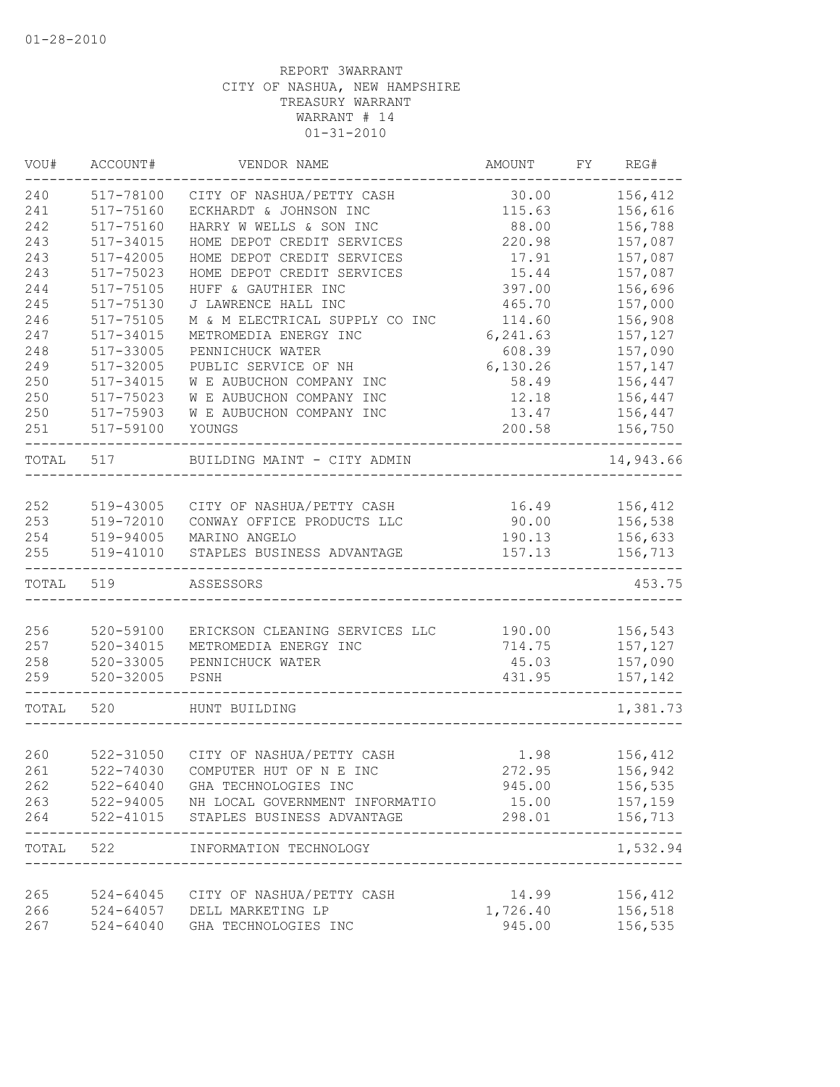| VOU#  | ACCOUNT#      | VENDOR NAME                                             | AMOUNT                                | FY REG#                 |
|-------|---------------|---------------------------------------------------------|---------------------------------------|-------------------------|
| 240   | 517-78100     | CITY OF NASHUA/PETTY CASH                               | 30.00                                 | 156,412                 |
| 241   | 517-75160     | ECKHARDT & JOHNSON INC                                  | 115.63                                | 156,616                 |
| 242   | 517-75160     | HARRY W WELLS & SON INC                                 | 88.00                                 | 156,788                 |
| 243   | 517-34015     | HOME DEPOT CREDIT SERVICES                              | 220.98                                | 157,087                 |
| 243   | 517-42005     | HOME DEPOT CREDIT SERVICES                              | 17.91                                 | 157,087                 |
| 243   | 517-75023     | HOME DEPOT CREDIT SERVICES                              | 15.44                                 | 157,087                 |
| 244   | 517-75105     | HUFF & GAUTHIER INC                                     | 397.00                                | 156,696                 |
| 245   | 517-75130     | J LAWRENCE HALL INC                                     | 465.70                                | 157,000                 |
| 246   | 517-75105     | M & M ELECTRICAL SUPPLY CO INC                          | 114.60                                | 156,908                 |
| 247   | 517-34015     | METROMEDIA ENERGY INC                                   | 6,241.63                              | 157,127                 |
| 248   | 517-33005     | PENNICHUCK WATER                                        | 608.39                                | 157,090                 |
| 249   | 517-32005     | PUBLIC SERVICE OF NH                                    | 6,130.26                              | 157,147                 |
| 250   | 517-34015     | W E AUBUCHON COMPANY INC                                | 58.49                                 | 156,447                 |
| 250   | 517-75023     | W E AUBUCHON COMPANY INC                                | 12.18                                 | 156,447                 |
| 250   | 517-75903     | W E AUBUCHON COMPANY INC                                | 13.47                                 | 156,447                 |
| 251   | 517-59100     | YOUNGS                                                  | 200.58                                | 156,750                 |
| TOTAL | 517           | BUILDING MAINT - CITY ADMIN                             |                                       | 14,943.66               |
|       |               |                                                         |                                       |                         |
| 252   | 519-43005     | CITY OF NASHUA/PETTY CASH                               | 16.49                                 | 156,412                 |
| 253   | 519-72010     | CONWAY OFFICE PRODUCTS LLC                              | 90.00                                 | 156,538                 |
| 254   | 519-94005     | MARINO ANGELO                                           | 190.13                                | 156,633                 |
| 255   | 519-41010     | STAPLES BUSINESS ADVANTAGE                              | 157.13                                | 156,713                 |
| TOTAL | 519           | ASSESSORS                                               |                                       | 453.75                  |
| 256   | 520-59100     |                                                         | 190.00                                |                         |
| 257   | $520 - 34015$ | ERICKSON CLEANING SERVICES LLC<br>METROMEDIA ENERGY INC | 714.75                                | 156,543<br>157,127      |
| 258   | $520 - 33005$ | PENNICHUCK WATER                                        | 45.03                                 | 157,090                 |
| 259   | $520 - 32005$ | PSNH                                                    | 431.95                                | 157,142                 |
| TOTAL | 520           | HUNT BUILDING                                           |                                       | 1,381.73                |
|       |               |                                                         |                                       |                         |
| 260   |               | 522-31050 CITY OF NASHUA/PETTY CASH                     | 1.98                                  | 156,412                 |
| 261   |               | 522-74030 COMPUTER HUT OF N E INC                       | 272.95                                | 156,942                 |
| 262   |               | 522-64040 GHA TECHNOLOGIES INC                          | 945.00                                | 156,535                 |
|       |               | 263 522-94005 NH LOCAL GOVERNMENT INFORMATIO            | 15.00                                 | 157,159                 |
| 264   |               | 522-41015 STAPLES BUSINESS ADVANTAGE                    | 298.01                                | 156,713                 |
|       |               | TOTAL 522 INFORMATION TECHNOLOGY                        | ------------------------------------- | $- - - - -$<br>1,532.94 |
|       |               |                                                         |                                       |                         |
| 265   |               | 524-64045 CITY OF NASHUA/PETTY CASH                     | 14.99                                 | 156,412                 |
| 266   |               | 524-64057 DELL MARKETING LP                             | 1,726.40                              | 156,518                 |
| 267   |               | 524-64040 GHA TECHNOLOGIES INC                          | 945.00                                | 156,535                 |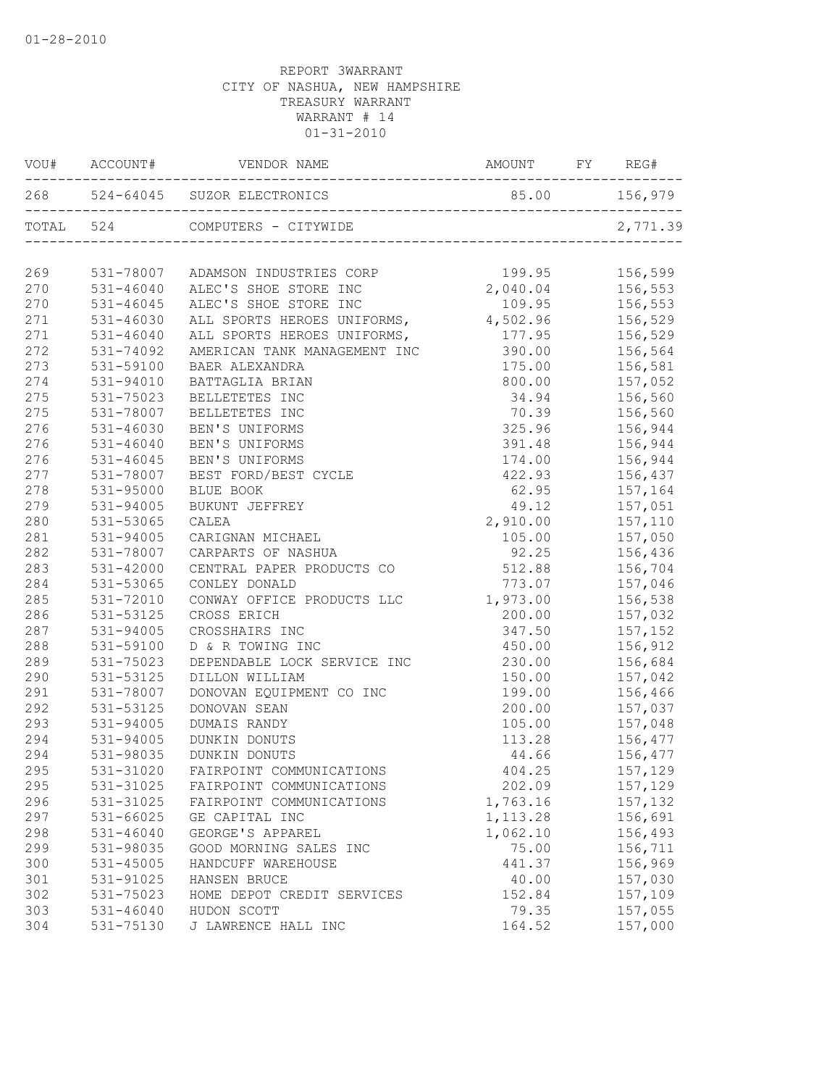|     | VOU# ACCOUNT# | VENDOR NAME                                  |                                       |                |
|-----|---------------|----------------------------------------------|---------------------------------------|----------------|
|     |               |                                              | 85.00 156,979                         |                |
|     | TOTAL 524     | COMPUTERS - CITYWIDE                         |                                       | 2,771.39       |
| 269 |               | 531-78007 ADAMSON INDUSTRIES CORP            | 199.95                                | 156,599        |
| 270 |               | 531-46040 ALEC'S SHOE STORE INC              |                                       |                |
| 270 | $531 - 46045$ | ALEC'S SHOE STORE INC                        | 2,040.04<br>156,553<br>109.95 156,553 |                |
| 271 | 531-46030     | ALL SPORTS HEROES UNIFORMS, 4,502.96 156,529 |                                       |                |
| 271 | 531-46040     | ALL SPORTS HEROES UNIFORMS,                  | $177.95$ 156,529                      |                |
| 272 | 531-74092     | AMERICAN TANK MANAGEMENT INC                 |                                       | 390.00 156,564 |
| 273 | 531-59100     | BAER ALEXANDRA                               |                                       | 175.00 156,581 |
| 274 | 531-94010     | BATTAGLIA BRIAN                              | 800.00                                | 157,052        |
| 275 | 531-75023     | BELLETETES INC                               | 34.94                                 | 156,560        |
| 275 | 531-78007     | BELLETETES INC                               | 70.39                                 | 156,560        |
| 276 | $531 - 46030$ | BEN'S UNIFORMS                               | 325.96                                | 156,944        |
| 276 | $531 - 46040$ | BEN'S UNIFORMS                               | 391.48                                | 156,944        |
| 276 | $531 - 46045$ | BEN'S UNIFORMS                               | 174.00                                | 156,944        |
| 277 | 531-78007     | BEST FORD/BEST CYCLE                         | 422.93                                | 156,437        |
| 278 | 531-95000     | BLUE BOOK                                    | 62.95                                 | 157,164        |
| 279 | 531-94005     | BUKUNT JEFFREY                               | 49.12                                 | 157,051        |
| 280 | 531-53065     | CALEA                                        | 2,910.00                              | 157,110        |
| 281 | 531-94005     | CARIGNAN MICHAEL                             | 105.00                                | 157,050        |
| 282 | 531-78007     | CARPARTS OF NASHUA                           | 92.25                                 | 156,436        |
| 283 | 531-42000     | CENTRAL PAPER PRODUCTS CO                    | 512.88                                | 156,704        |
| 284 | 531-53065     | CONLEY DONALD                                | 773.07                                | 157,046        |
| 285 | 531-72010     | CONWAY OFFICE PRODUCTS LLC                   | 1,973.00                              | 156,538        |
| 286 | 531-53125     | CROSS ERICH                                  | 200.00                                | 157,032        |
| 287 | 531-94005     | CROSSHAIRS INC                               | 347.50                                | 157,152        |
| 288 | 531-59100     | D & R TOWING INC                             | 450.00                                | 156,912        |
| 289 | 531-75023     | DEPENDABLE LOCK SERVICE INC                  | 230.00                                | 156,684        |
| 290 | 531-53125     | DILLON WILLIAM                               | 150.00                                | 157,042        |
| 291 | 531-78007     | DONOVAN EQUIPMENT CO INC                     | 199.00                                | 156,466        |
| 292 | 531-53125     | DONOVAN SEAN                                 | 200.00                                | 157,037        |
| 293 | 531-94005     | DUMAIS RANDY                                 | 105.00                                | 157,048        |
| 294 | 531-94005     | DUNKIN DONUTS                                | 113.28                                | 156,477        |
| 294 | 531-98035     | DUNKIN DONUTS                                |                                       | 44.66 156,477  |
| 295 | 531-31020     | FAIRPOINT COMMUNICATIONS                     | 404.25                                | 157,129        |
| 295 | 531-31025     | FAIRPOINT COMMUNICATIONS                     | 202.09                                | 157,129        |
| 296 | 531-31025     | FAIRPOINT COMMUNICATIONS                     | 1,763.16                              | 157,132        |
| 297 | 531-66025     | GE CAPITAL INC                               | 1, 113.28                             | 156,691        |
| 298 | $531 - 46040$ | GEORGE'S APPAREL                             | 1,062.10                              | 156,493        |
| 299 | 531-98035     | GOOD MORNING SALES INC                       | 75.00                                 | 156,711        |
| 300 | 531-45005     | HANDCUFF WAREHOUSE                           | 441.37                                | 156,969        |
| 301 | 531-91025     | HANSEN BRUCE                                 | 40.00                                 | 157,030        |
| 302 | 531-75023     | HOME DEPOT CREDIT SERVICES                   | 152.84                                | 157,109        |
| 303 | $531 - 46040$ | HUDON SCOTT                                  | 79.35                                 | 157,055        |
| 304 | 531-75130     | J LAWRENCE HALL INC                          | 164.52                                | 157,000        |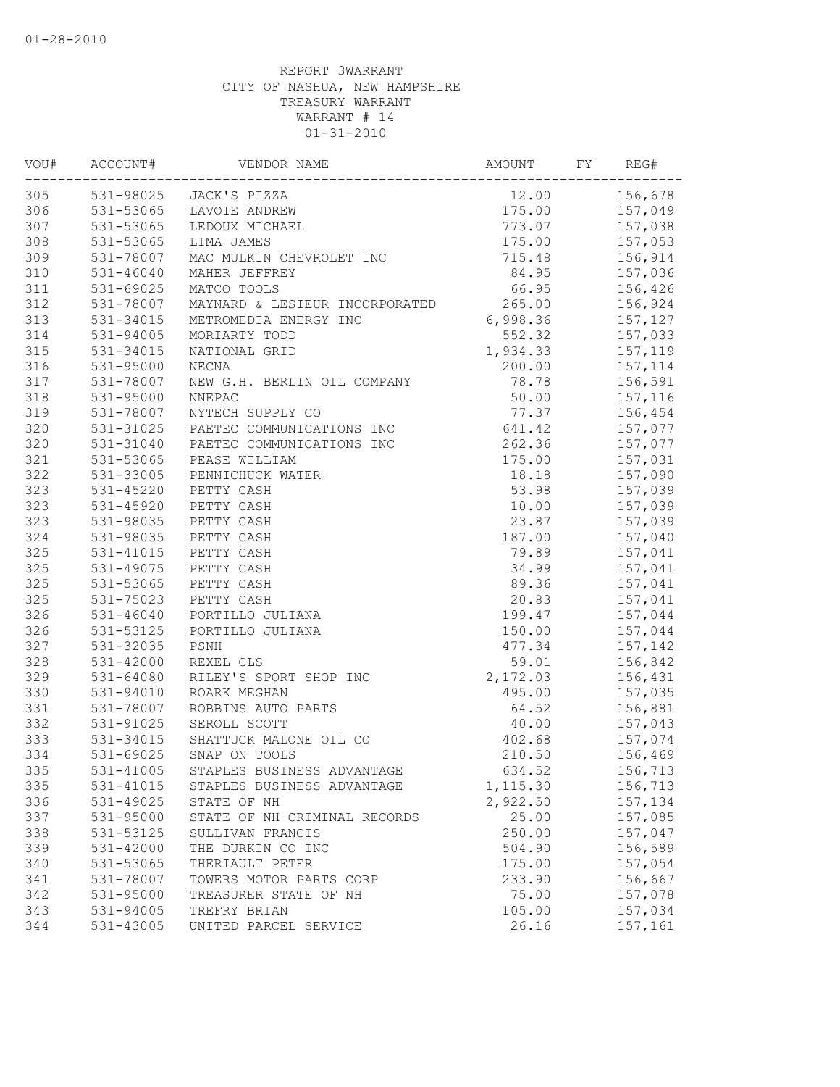| VOU# | ACCOUNT#      | VENDOR NAME                    | AMOUNT           | FY | REG#           |
|------|---------------|--------------------------------|------------------|----|----------------|
| 305  |               | 531-98025 JACK'S PIZZA         | 12.00            |    | 156,678        |
| 306  |               | 531-53065 LAVOIE ANDREW        |                  |    | 175.00 157,049 |
| 307  | 531-53065     | LEDOUX MICHAEL                 | 773.07           |    | 157,038        |
| 308  | 531-53065     | LIMA JAMES                     | 175.00           |    | 157,053        |
| 309  | 531-78007     | MAC MULKIN CHEVROLET INC       | 715.48           |    | 156,914        |
| 310  | $531 - 46040$ | MAHER JEFFREY                  | 84.95            |    | 157,036        |
| 311  | 531-69025     | MATCO TOOLS                    | 66.95            |    | 156,426        |
| 312  | 531-78007     | MAYNARD & LESIEUR INCORPORATED | 265.00           |    | 156,924        |
| 313  | 531-34015     | METROMEDIA ENERGY INC          | 6,998.36 157,127 |    |                |
| 314  | 531-94005     | MORIARTY TODD                  | 552.32           |    | 157,033        |
| 315  | 531-34015     | NATIONAL GRID                  | 1,934.33         |    | 157,119        |
| 316  | 531-95000     | NECNA                          | 200.00           |    | 157,114        |
| 317  | 531-78007     | NEW G.H. BERLIN OIL COMPANY    | 78.78            |    | 156,591        |
| 318  | 531-95000     | NNEPAC                         | 50.00            |    | 157,116        |
| 319  | 531-78007     | NYTECH SUPPLY CO               | 77.37            |    | 156,454        |
| 320  | 531-31025     | PAETEC COMMUNICATIONS INC      | 641.42           |    | 157,077        |
| 320  | 531-31040     | PAETEC COMMUNICATIONS INC      | 262.36           |    | 157,077        |
| 321  | 531-53065     | PEASE WILLIAM                  | 175.00           |    | 157,031        |
| 322  | 531-33005     | PENNICHUCK WATER               | 18.18            |    | 157,090        |
| 323  | 531-45220     | PETTY CASH                     | 53.98            |    | 157,039        |
| 323  | 531-45920     | PETTY CASH                     | 10.00            |    | 157,039        |
| 323  | 531-98035     | PETTY CASH                     | 23.87            |    | 157,039        |
| 324  | 531-98035     | PETTY CASH                     | 187.00           |    | 157,040        |
| 325  | 531-41015     | PETTY CASH                     | 79.89            |    | 157,041        |
| 325  | 531-49075     | PETTY CASH                     | 34.99            |    | 157,041        |
| 325  | 531-53065     | PETTY CASH                     | 89.36            |    | 157,041        |
| 325  | 531-75023     | PETTY CASH                     | 20.83            |    | 157,041        |
| 326  | $531 - 46040$ | PORTILLO JULIANA               | 199.47           |    | 157,044        |
| 326  | 531-53125     | PORTILLO JULIANA               | 150.00           |    | 157,044        |
| 327  | 531-32035     | PSNH                           | 477.34           |    | 157,142        |
| 328  | 531-42000     | REXEL CLS                      | 59.01            |    | 156,842        |
| 329  | 531-64080     | RILEY'S SPORT SHOP INC         | 2,172.03         |    | 156,431        |
| 330  | 531-94010     | ROARK MEGHAN                   | 495.00           |    | 157,035        |
| 331  | 531-78007     | ROBBINS AUTO PARTS             | 64.52            |    | 156,881        |
| 332  | 531-91025     | SEROLL SCOTT                   | 40.00            |    | 157,043        |
| 333  | 531-34015     | SHATTUCK MALONE OIL CO         | 402.68           |    | 157,074        |
| 334  | 531-69025     | SNAP ON TOOLS                  | 210.50           |    | 156,469        |
| 335  | 531-41005     | STAPLES BUSINESS ADVANTAGE     | 634.52           |    | 156,713        |
| 335  | 531-41015     | STAPLES BUSINESS ADVANTAGE     | 1,115.30         |    | 156,713        |
| 336  | 531-49025     | STATE OF NH                    | 2,922.50         |    | 157,134        |
| 337  | 531-95000     | STATE OF NH CRIMINAL RECORDS   | 25.00            |    | 157,085        |
| 338  | 531-53125     | SULLIVAN FRANCIS               | 250.00           |    | 157,047        |
| 339  | 531-42000     | THE DURKIN CO INC              | 504.90           |    | 156,589        |
| 340  | 531-53065     | THERIAULT PETER                | 175.00           |    | 157,054        |
| 341  | 531-78007     | TOWERS MOTOR PARTS CORP        | 233.90           |    | 156,667        |
| 342  | 531-95000     | TREASURER STATE OF NH          | 75.00            |    | 157,078        |
| 343  | 531-94005     | TREFRY BRIAN                   | 105.00           |    | 157,034        |
| 344  | 531-43005     | UNITED PARCEL SERVICE          | 26.16            |    | 157,161        |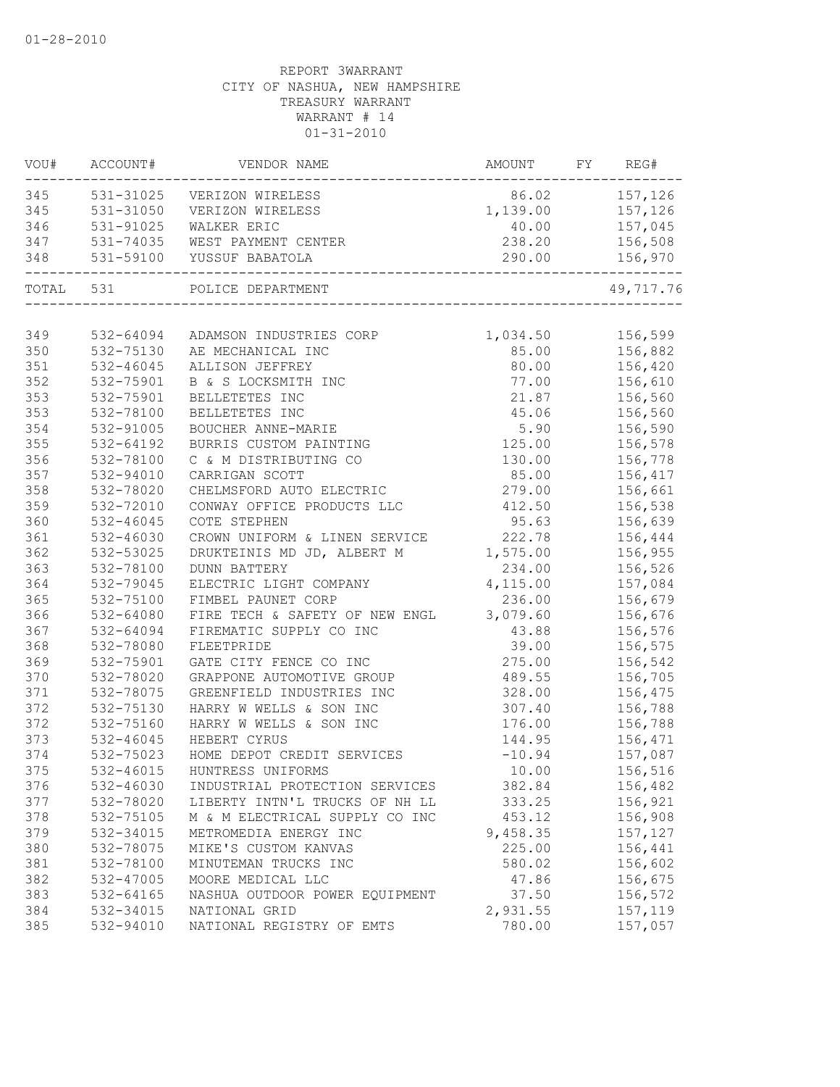| VOU#      | ACCOUNT#      | VENDOR NAME                    | AMOUNT           | FY | REG#             |
|-----------|---------------|--------------------------------|------------------|----|------------------|
| 345       |               | 531-31025 VERIZON WIRELESS     | 86.02 157,126    |    |                  |
| 345       | 531-31050     | VERIZON WIRELESS               | 1,139.00 157,126 |    |                  |
| 346       | 531-91025     | WALKER ERIC                    |                  |    | 40.00    157,045 |
| 347       | 531-74035     | WEST PAYMENT CENTER            | 238.20           |    | 156,508          |
| 348       | 531-59100     | YUSSUF BABATOLA                | 290.00           |    | 156,970          |
| TOTAL 531 |               | POLICE DEPARTMENT              |                  |    | 49,717.76        |
|           |               |                                |                  |    |                  |
| 349       | 532-64094     | ADAMSON INDUSTRIES CORP        | 1,034.50 156,599 |    |                  |
| 350       | 532-75130     | AE MECHANICAL INC              |                  |    | 85.00 156,882    |
| 351       | 532-46045     | ALLISON JEFFREY                | 80.00            |    | 156,420          |
| 352       | 532-75901     | B & S LOCKSMITH INC            | 77.00            |    | 156,610          |
| 353       | 532-75901     | BELLETETES INC                 | 21.87            |    | 156,560          |
| 353       | 532-78100     | BELLETETES INC                 | 45.06            |    | 156,560          |
| 354       | 532-91005     | BOUCHER ANNE-MARIE             | 5.90             |    | 156,590          |
| 355       | 532-64192     | BURRIS CUSTOM PAINTING         | 125.00           |    | 156,578          |
| 356       | 532-78100     | C & M DISTRIBUTING CO          | 130.00           |    | 156,778          |
| 357       | 532-94010     | CARRIGAN SCOTT                 | 85.00            |    | 156,417          |
| 358       | 532-78020     | CHELMSFORD AUTO ELECTRIC       | 279.00           |    | 156,661          |
| 359       | 532-72010     | CONWAY OFFICE PRODUCTS LLC     | 412.50           |    | 156,538          |
| 360       | $532 - 46045$ | COTE STEPHEN                   | 95.63            |    | 156,639          |
| 361       | 532-46030     | CROWN UNIFORM & LINEN SERVICE  | 222.78           |    | 156,444          |
| 362       | 532-53025     | DRUKTEINIS MD JD, ALBERT M     | 1,575.00         |    | 156,955          |
| 363       | 532-78100     | <b>DUNN BATTERY</b>            | 234.00           |    | 156,526          |
| 364       | 532-79045     | ELECTRIC LIGHT COMPANY         | 4,115.00         |    | 157,084          |
| 365       | 532-75100     | FIMBEL PAUNET CORP             | 236.00           |    | 156,679          |
| 366       | 532-64080     | FIRE TECH & SAFETY OF NEW ENGL | 3,079.60         |    | 156,676          |
| 367       | 532-64094     | FIREMATIC SUPPLY CO INC        | 43.88            |    | 156,576          |
| 368       | 532-78080     | FLEETPRIDE                     | 39.00            |    | 156,575          |
| 369       | 532-75901     | GATE CITY FENCE CO INC         | 275.00           |    | 156,542          |
| 370       | 532-78020     | GRAPPONE AUTOMOTIVE GROUP      | 489.55           |    | 156,705          |
| 371       | 532-78075     | GREENFIELD INDUSTRIES INC      | 328.00           |    | 156,475          |
| 372       | 532-75130     | HARRY W WELLS & SON INC        | 307.40           |    | 156,788          |
| 372       | 532-75160     | HARRY W WELLS & SON INC        | 176.00           |    | 156,788          |
| 373       | 532-46045     | HEBERT CYRUS                   | 144.95           |    | 156,471          |
| 374       | 532-75023     | HOME DEPOT CREDIT SERVICES     | $-10.94$         |    | 157,087          |
| 375       | 532-46015     | HUNTRESS UNIFORMS              | 10.00            |    | 156,516          |
| 376       | 532-46030     | INDUSTRIAL PROTECTION SERVICES | 382.84           |    | 156,482          |
| 377       | 532-78020     | LIBERTY INTN'L TRUCKS OF NH LL | 333.25           |    | 156,921          |
| 378       | 532-75105     | M & M ELECTRICAL SUPPLY CO INC | 453.12           |    | 156,908          |
| 379       | 532-34015     | METROMEDIA ENERGY INC          | 9,458.35         |    | 157,127          |
| 380       | 532-78075     | MIKE'S CUSTOM KANVAS           | 225.00           |    | 156,441          |
| 381       | 532-78100     | MINUTEMAN TRUCKS INC           | 580.02           |    | 156,602          |
| 382       | 532-47005     | MOORE MEDICAL LLC              | 47.86            |    | 156,675          |
| 383       | 532-64165     | NASHUA OUTDOOR POWER EQUIPMENT | 37.50            |    | 156,572          |
| 384       | 532-34015     | NATIONAL GRID                  | 2,931.55         |    | 157,119          |
| 385       | 532-94010     | NATIONAL REGISTRY OF EMTS      | 780.00           |    | 157,057          |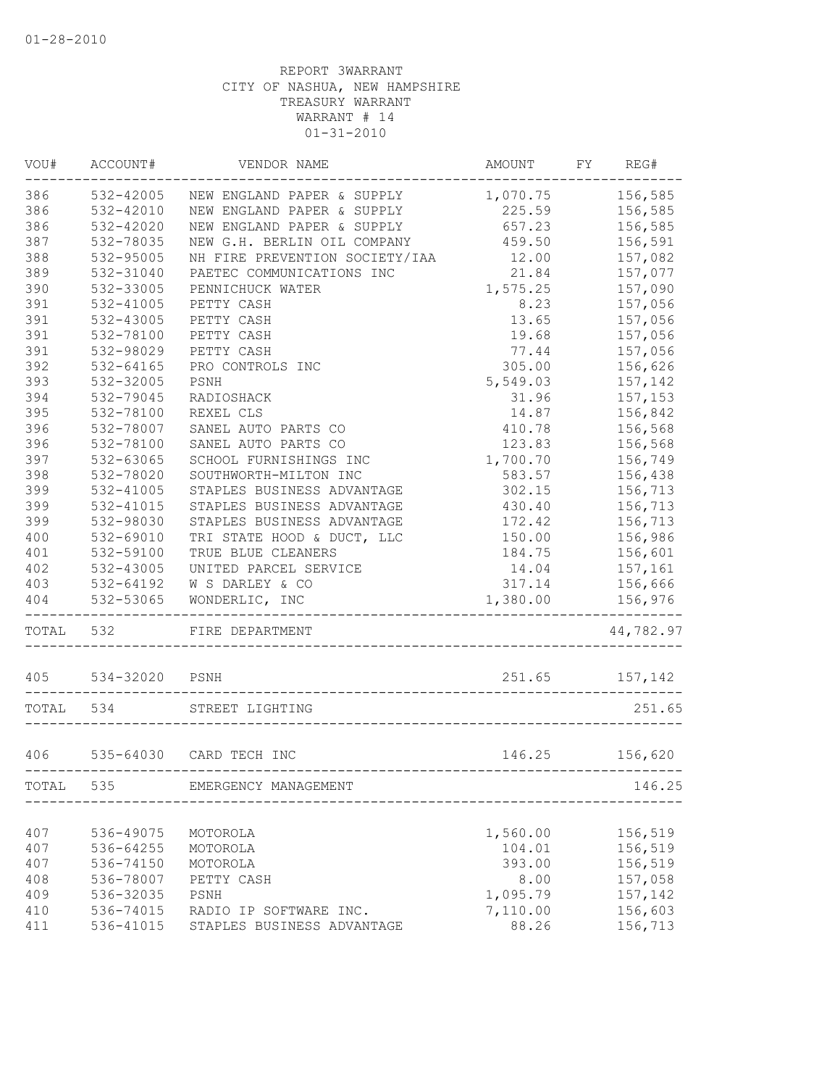| VOU#  | ACCOUNT#      | VENDOR NAME                    | AMOUNT   | FY | REG#      |
|-------|---------------|--------------------------------|----------|----|-----------|
| 386   | 532-42005     | NEW ENGLAND PAPER & SUPPLY     | 1,070.75 |    | 156,585   |
| 386   | $532 - 42010$ | NEW ENGLAND PAPER & SUPPLY     | 225.59   |    | 156,585   |
| 386   | 532-42020     | NEW ENGLAND PAPER & SUPPLY     | 657.23   |    | 156,585   |
| 387   | 532-78035     | NEW G.H. BERLIN OIL COMPANY    | 459.50   |    | 156,591   |
| 388   | 532-95005     | NH FIRE PREVENTION SOCIETY/IAA | 12.00    |    | 157,082   |
| 389   | 532-31040     | PAETEC COMMUNICATIONS INC      | 21.84    |    | 157,077   |
| 390   | 532-33005     | PENNICHUCK WATER               | 1,575.25 |    | 157,090   |
| 391   | 532-41005     | PETTY CASH                     | 8.23     |    | 157,056   |
| 391   | 532-43005     | PETTY CASH                     | 13.65    |    | 157,056   |
| 391   | 532-78100     | PETTY CASH                     | 19.68    |    | 157,056   |
| 391   | 532-98029     | PETTY CASH                     | 77.44    |    | 157,056   |
| 392   | $532 - 64165$ | PRO CONTROLS INC               | 305.00   |    | 156,626   |
| 393   | 532-32005     | PSNH                           | 5,549.03 |    | 157,142   |
| 394   | 532-79045     | RADIOSHACK                     | 31.96    |    | 157,153   |
| 395   | 532-78100     | REXEL CLS                      | 14.87    |    | 156,842   |
| 396   | 532-78007     | SANEL AUTO PARTS CO            | 410.78   |    | 156,568   |
| 396   | 532-78100     | SANEL AUTO PARTS CO            | 123.83   |    | 156,568   |
| 397   | 532-63065     | SCHOOL FURNISHINGS INC         | 1,700.70 |    | 156,749   |
| 398   | 532-78020     | SOUTHWORTH-MILTON INC          | 583.57   |    | 156,438   |
| 399   | 532-41005     | STAPLES BUSINESS ADVANTAGE     | 302.15   |    | 156,713   |
| 399   | 532-41015     | STAPLES BUSINESS ADVANTAGE     | 430.40   |    | 156,713   |
| 399   | 532-98030     | STAPLES BUSINESS ADVANTAGE     | 172.42   |    | 156,713   |
| 400   | 532-69010     | TRI STATE HOOD & DUCT, LLC     | 150.00   |    | 156,986   |
| 401   | 532-59100     | TRUE BLUE CLEANERS             | 184.75   |    | 156,601   |
| 402   | 532-43005     | UNITED PARCEL SERVICE          | 14.04    |    | 157,161   |
| 403   | 532-64192     | W S DARLEY & CO                | 317.14   |    | 156,666   |
| 404   | 532-53065     | WONDERLIC, INC                 | 1,380.00 |    | 156,976   |
| TOTAL | 532           | FIRE DEPARTMENT                |          |    | 44,782.97 |
| 405   | 534-32020     | PSNH                           | 251.65   |    | 157,142   |
| TOTAL | 534           | STREET LIGHTING                |          |    | 251.65    |
|       |               |                                |          |    |           |
| 406   |               | 535-64030 CARD TECH INC        | 146.25   |    | 156,620   |
| TOTAL | 535           | EMERGENCY MANAGEMENT           |          |    | 146.25    |
|       |               |                                |          |    |           |
| 407   | 536-49075     | MOTOROLA                       | 1,560.00 |    | 156,519   |
| 407   | 536-64255     | MOTOROLA                       | 104.01   |    | 156,519   |
| 407   | 536-74150     | MOTOROLA                       | 393.00   |    | 156,519   |
| 408   | 536-78007     | PETTY CASH                     | 8.00     |    | 157,058   |
| 409   | 536-32035     | PSNH                           | 1,095.79 |    | 157,142   |
| 410   | 536-74015     | RADIO IP SOFTWARE INC.         | 7,110.00 |    | 156,603   |
| 411   | 536-41015     | STAPLES BUSINESS ADVANTAGE     | 88.26    |    | 156,713   |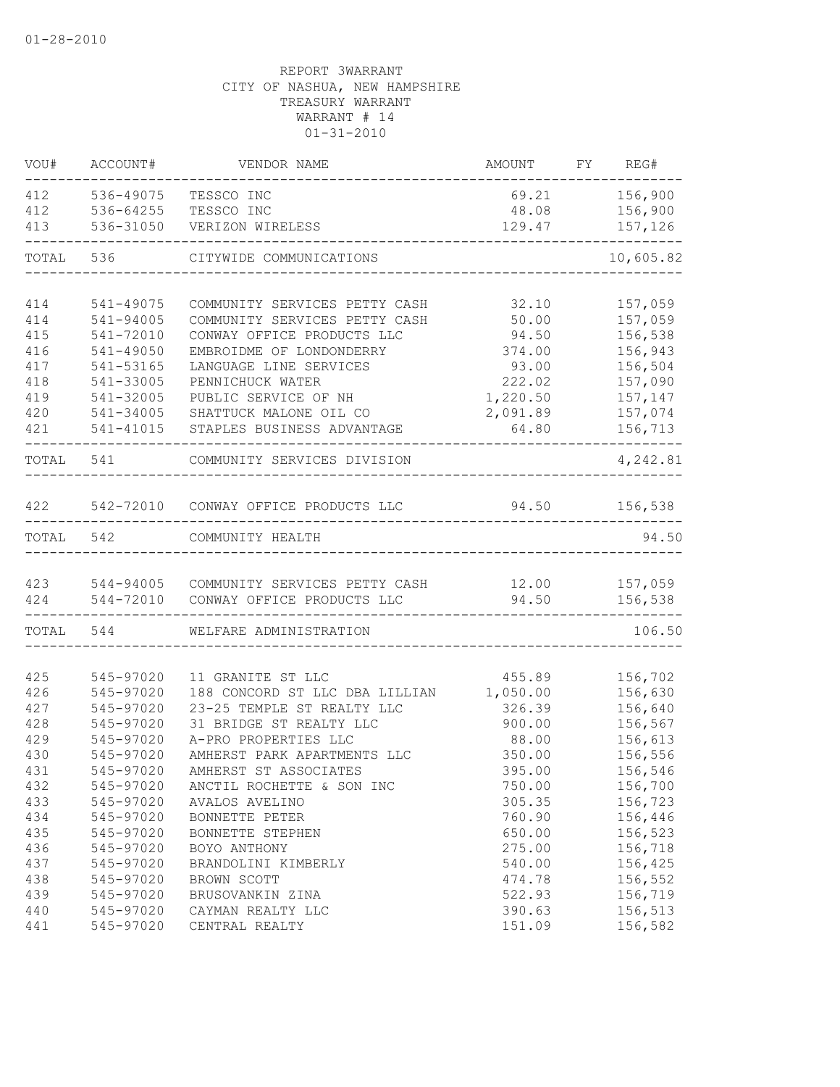| VOU#      | ACCOUNT#               | VENDOR NAME                                                    | AMOUNT            | FY REG#            |
|-----------|------------------------|----------------------------------------------------------------|-------------------|--------------------|
| 412       | 536-49075              | TESSCO INC                                                     | 69.21             | 156,900            |
| 412       | 536-64255              | TESSCO INC                                                     | 48.08             | 156,900            |
| 413       | 536-31050              | VERIZON WIRELESS                                               | 129.47            | 157,126<br>-----   |
| TOTAL     | 536                    | CITYWIDE COMMUNICATIONS                                        |                   | 10,605.82          |
| 414       |                        |                                                                |                   |                    |
| 414       | 541-49075<br>541-94005 | COMMUNITY SERVICES PETTY CASH<br>COMMUNITY SERVICES PETTY CASH | 32.10<br>50.00    | 157,059<br>157,059 |
| 415       | 541-72010              | CONWAY OFFICE PRODUCTS LLC                                     | 94.50             | 156,538            |
| 416       | 541-49050              | EMBROIDME OF LONDONDERRY                                       | 374.00            | 156,943            |
| 417       | 541-53165              | LANGUAGE LINE SERVICES                                         | 93.00             | 156,504            |
| 418       | 541-33005              | PENNICHUCK WATER                                               | 222.02            | 157,090            |
| 419       | 541-32005              | PUBLIC SERVICE OF NH                                           | 1,220.50          | 157,147            |
| 420       | 541-34005              |                                                                |                   |                    |
| 421       | 541-41015              | SHATTUCK MALONE OIL CO<br>STAPLES BUSINESS ADVANTAGE           | 2,091.89<br>64.80 | 157,074<br>156,713 |
|           |                        |                                                                |                   |                    |
| TOTAL 541 |                        | COMMUNITY SERVICES DIVISION                                    |                   | 4,242.81           |
| 422       |                        | 542-72010 CONWAY OFFICE PRODUCTS LLC                           | 94.50             | 156,538            |
| TOTAL     | 542                    | COMMUNITY HEALTH                                               |                   | 94.50              |
|           |                        |                                                                |                   |                    |
| 423       |                        | 544-94005 COMMUNITY SERVICES PETTY CASH                        | 12.00             | 157,059            |
| 424       | 544-72010              | CONWAY OFFICE PRODUCTS LLC                                     | 94.50             | 156,538            |
| TOTAL     | 544                    | WELFARE ADMINISTRATION                                         |                   | 106.50             |
| 425       | 545-97020              | 11 GRANITE ST LLC                                              | 455.89            | 156,702            |
| 426       | 545-97020              | 188 CONCORD ST LLC DBA LILLIAN                                 | 1,050.00          | 156,630            |
| 427       | 545-97020              | 23-25 TEMPLE ST REALTY LLC                                     | 326.39            | 156,640            |
| 428       | 545-97020              | 31 BRIDGE ST REALTY LLC                                        | 900.00            | 156,567            |
| 429       | 545-97020              | A-PRO PROPERTIES LLC                                           | 88.00             | 156,613            |
| 430       | 545-97020              | AMHERST PARK APARTMENTS LLC                                    | 350.00            | 156,556            |
| 431       | 545-97020              | AMHERST ST ASSOCIATES                                          | 395.00            | 156,546            |
| 432       | 545-97020              | ANCTIL ROCHETTE & SON INC                                      | 750.00            | 156,700            |
| 433       | 545-97020              | AVALOS AVELINO                                                 | 305.35            | 156,723            |
| 434       | 545-97020              | BONNETTE PETER                                                 | 760.90            | 156,446            |
| 435       | 545-97020              | BONNETTE STEPHEN                                               | 650.00            | 156,523            |
| 436       | 545-97020              | BOYO ANTHONY                                                   | 275.00            | 156,718            |
| 437       | 545-97020              | BRANDOLINI KIMBERLY                                            | 540.00            | 156,425            |
| 438       | 545-97020              | BROWN SCOTT                                                    | 474.78            | 156,552            |
| 439       | 545-97020              | BRUSOVANKIN ZINA                                               | 522.93            | 156,719            |
| 440       | 545-97020              | CAYMAN REALTY LLC                                              | 390.63            | 156,513            |
| 441       | 545-97020              | CENTRAL REALTY                                                 | 151.09            | 156,582            |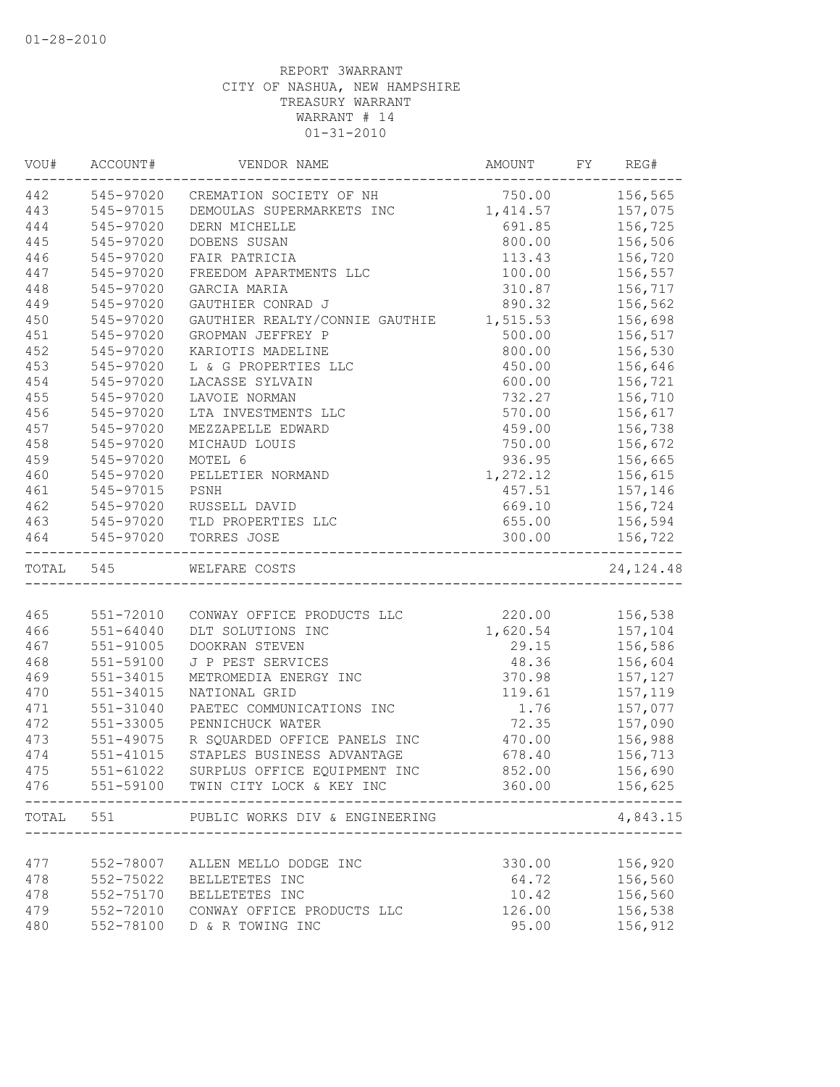| VOU#      | ACCOUNT#      | VENDOR NAME                           | AMOUNT             | FY | REG#           |
|-----------|---------------|---------------------------------------|--------------------|----|----------------|
|           |               | 442 545-97020 CREMATION SOCIETY OF NH | 750.00 156,565     |    |                |
| 443       | 545-97015     | DEMOULAS SUPERMARKETS INC             | 1, 414.57 157, 075 |    |                |
| 444       | 545-97020     | DERN MICHELLE                         |                    |    | 691.85 156,725 |
| 445       | 545-97020     | DOBENS SUSAN                          | 800.00             |    | 156,506        |
| 446       | 545-97020     | FAIR PATRICIA                         | 113.43             |    | 156,720        |
| 447       | 545-97020     | FREEDOM APARTMENTS LLC                | 100.00             |    | 156,557        |
| 448       | 545-97020     | GARCIA MARIA                          | 310.87             |    | 156,717        |
| 449       | 545-97020     | GAUTHIER CONRAD J                     | 890.32             |    | 156,562        |
| 450       | 545-97020     | GAUTHIER REALTY/CONNIE GAUTHIE        | 1,515.53           |    | 156,698        |
| 451       | 545-97020     | GROPMAN JEFFREY P                     | 500.00             |    | 156,517        |
| 452       | 545-97020     | KARIOTIS MADELINE                     | 800.00             |    | 156,530        |
| 453       | 545-97020     | L & G PROPERTIES LLC                  | 450.00             |    | 156,646        |
| 454       | 545-97020     | LACASSE SYLVAIN                       | 600.00             |    | 156,721        |
| 455       | 545-97020     | LAVOIE NORMAN                         | 732.27             |    | 156,710        |
| 456       | 545-97020     | LTA INVESTMENTS LLC                   | 570.00             |    | 156,617        |
| 457       | 545-97020     | MEZZAPELLE EDWARD                     | 459.00             |    | 156,738        |
| 458       | 545-97020     | MICHAUD LOUIS                         | 750.00             |    | 156,672        |
| 459       | 545-97020     | MOTEL 6                               | 936.95             |    | 156,665        |
| 460       | 545-97020     | PELLETIER NORMAND                     | 1,272.12           |    | 156,615        |
| 461       | 545-97015     | PSNH                                  | 457.51             |    | 157,146        |
| 462       | 545-97020     | RUSSELL DAVID                         | 669.10             |    | 156,724        |
| 463       |               | 545-97020 TLD PROPERTIES LLC          | 655.00             |    | 156,594        |
| 464       | 545-97020     | TORRES JOSE                           | 300.00             |    | 156,722        |
| TOTAL 545 |               | WELFARE COSTS                         |                    |    | 24, 124.48     |
|           |               |                                       |                    |    |                |
| 465       | 551-72010     | CONWAY OFFICE PRODUCTS LLC            |                    |    | 220.00 156,538 |
| 466       | 551-64040     | DLT SOLUTIONS INC                     | 1,620.54 157,104   |    |                |
| 467       | $551 - 91005$ | DOOKRAN STEVEN                        |                    |    | 29.15 156,586  |
| 468       | 551-59100     | J P PEST SERVICES                     | 48.36              |    | 156,604        |
| 469       | 551-34015     | METROMEDIA ENERGY INC                 | 370.98             |    | 157,127        |
| 470       | 551-34015     | NATIONAL GRID                         | 119.61             |    | 157,119        |
| 471       | 551-31040     | PAETEC COMMUNICATIONS INC             | 1.76               |    | 157,077        |
| 472       | 551-33005     | PENNICHUCK WATER                      | 72.35              |    | 157,090        |
| 473       | 551-49075     | R SQUARDED OFFICE PANELS INC          | 470.00             |    | 156,988        |
| 474       | 551-41015     | STAPLES BUSINESS ADVANTAGE            | 678.40             |    | 156,713        |
| 475       | 551-61022     | SURPLUS OFFICE EQUIPMENT INC          | 852.00             |    | 156,690        |
| 476       |               | 551-59100 TWIN CITY LOCK & KEY INC    | 360.00             |    | 156,625        |
| TOTAL     | 551           | PUBLIC WORKS DIV & ENGINEERING        |                    |    | 4,843.15       |
|           |               |                                       |                    |    |                |
| 477       | 552-78007     | ALLEN MELLO DODGE INC                 | 330.00             |    | 156,920        |
| 478       | 552-75022     | BELLETETES INC                        | 64.72              |    | 156,560        |
| 478       | 552-75170     | BELLETETES INC                        | 10.42              |    | 156,560        |
| 479       | 552-72010     | CONWAY OFFICE PRODUCTS LLC            | 126.00             |    | 156,538        |
| 480       | 552-78100     | D & R TOWING INC                      | 95.00              |    | 156,912        |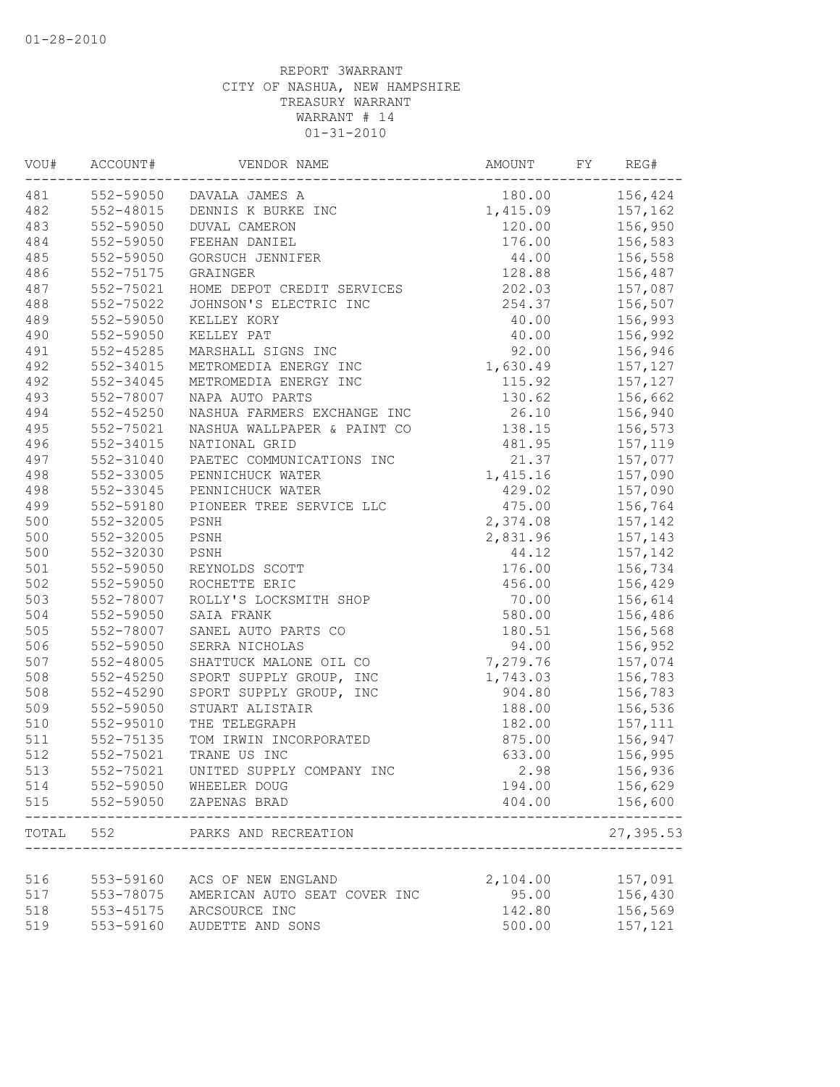| VOU#      | ACCOUNT#      | VENDOR NAME                  | AMOUNT   | FY | REG#      |
|-----------|---------------|------------------------------|----------|----|-----------|
| 481       |               | 552-59050 DAVALA JAMES A     | 180.00   |    | 156,424   |
| 482       | 552-48015     | DENNIS K BURKE INC           | 1,415.09 |    | 157,162   |
| 483       | 552-59050     | <b>DUVAL CAMERON</b>         | 120.00   |    | 156,950   |
| 484       | 552-59050     | FEEHAN DANIEL                | 176.00   |    | 156,583   |
| 485       | 552-59050     | GORSUCH JENNIFER             | 44.00    |    | 156,558   |
| 486       | 552-75175     | GRAINGER                     | 128.88   |    | 156,487   |
| 487       | 552-75021     | HOME DEPOT CREDIT SERVICES   | 202.03   |    | 157,087   |
| 488       | 552-75022     | JOHNSON'S ELECTRIC INC       | 254.37   |    | 156,507   |
| 489       | 552-59050     | KELLEY KORY                  | 40.00    |    | 156,993   |
| 490       | 552-59050     | KELLEY PAT                   | 40.00    |    | 156,992   |
| 491       | $552 - 45285$ | MARSHALL SIGNS INC           | 92.00    |    | 156,946   |
| 492       | 552-34015     | METROMEDIA ENERGY INC        | 1,630.49 |    | 157,127   |
| 492       | 552-34045     | METROMEDIA ENERGY INC        | 115.92   |    | 157,127   |
| 493       | 552-78007     | NAPA AUTO PARTS              | 130.62   |    | 156,662   |
| 494       | $552 - 45250$ | NASHUA FARMERS EXCHANGE INC  | 26.10    |    | 156,940   |
| 495       | 552-75021     | NASHUA WALLPAPER & PAINT CO  | 138.15   |    | 156,573   |
| 496       | $552 - 34015$ | NATIONAL GRID                | 481.95   |    | 157,119   |
| 497       | 552-31040     | PAETEC COMMUNICATIONS INC    | 21.37    |    | 157,077   |
| 498       | 552-33005     | PENNICHUCK WATER             | 1,415.16 |    | 157,090   |
| 498       | 552-33045     | PENNICHUCK WATER             | 429.02   |    | 157,090   |
| 499       | 552-59180     | PIONEER TREE SERVICE LLC     | 475.00   |    | 156,764   |
| 500       | 552-32005     | PSNH                         | 2,374.08 |    | 157,142   |
| 500       | 552-32005     | PSNH                         | 2,831.96 |    | 157,143   |
| 500       | 552-32030     | PSNH                         | 44.12    |    | 157,142   |
| 501       | 552-59050     | REYNOLDS SCOTT               | 176.00   |    | 156,734   |
| 502       | 552-59050     | ROCHETTE ERIC                | 456.00   |    | 156,429   |
| 503       | 552-78007     | ROLLY'S LOCKSMITH SHOP       | 70.00    |    | 156,614   |
| 504       | 552-59050     | SAIA FRANK                   | 580.00   |    | 156,486   |
| 505       | 552-78007     | SANEL AUTO PARTS CO          | 180.51   |    | 156,568   |
| 506       | 552-59050     | SERRA NICHOLAS               | 94.00    |    | 156,952   |
| 507       | 552-48005     | SHATTUCK MALONE OIL CO       | 7,279.76 |    | 157,074   |
| 508       | 552-45250     | SPORT SUPPLY GROUP, INC      | 1,743.03 |    | 156,783   |
| 508       | $552 - 45290$ | SPORT SUPPLY GROUP, INC      | 904.80   |    | 156,783   |
| 509       | 552-59050     | STUART ALISTAIR              | 188.00   |    | 156,536   |
| 510       | 552-95010     | THE TELEGRAPH                | 182.00   |    | 157,111   |
| 511       | 552-75135     | TOM IRWIN INCORPORATED       | 875.00   |    | 156,947   |
| 512       | 552-75021     | TRANE US INC                 | 633.00   |    | 156,995   |
| 513       | 552-75021     | UNITED SUPPLY COMPANY INC    | 2.98     |    | 156,936   |
| 514       | 552-59050     | WHEELER DOUG                 | 194.00   |    | 156,629   |
| 515       | 552-59050     | ZAPENAS BRAD                 | 404.00   |    | 156,600   |
| TOTAL 552 |               | PARKS AND RECREATION         |          |    | 27,395.53 |
|           |               |                              |          |    |           |
| 516       | 553-59160     | ACS OF NEW ENGLAND           | 2,104.00 |    | 157,091   |
| 517       | 553-78075     | AMERICAN AUTO SEAT COVER INC | 95.00    |    | 156,430   |
| 518       | 553-45175     | ARCSOURCE INC                | 142.80   |    | 156,569   |
| 519       | 553-59160     | AUDETTE AND SONS             | 500.00   |    | 157,121   |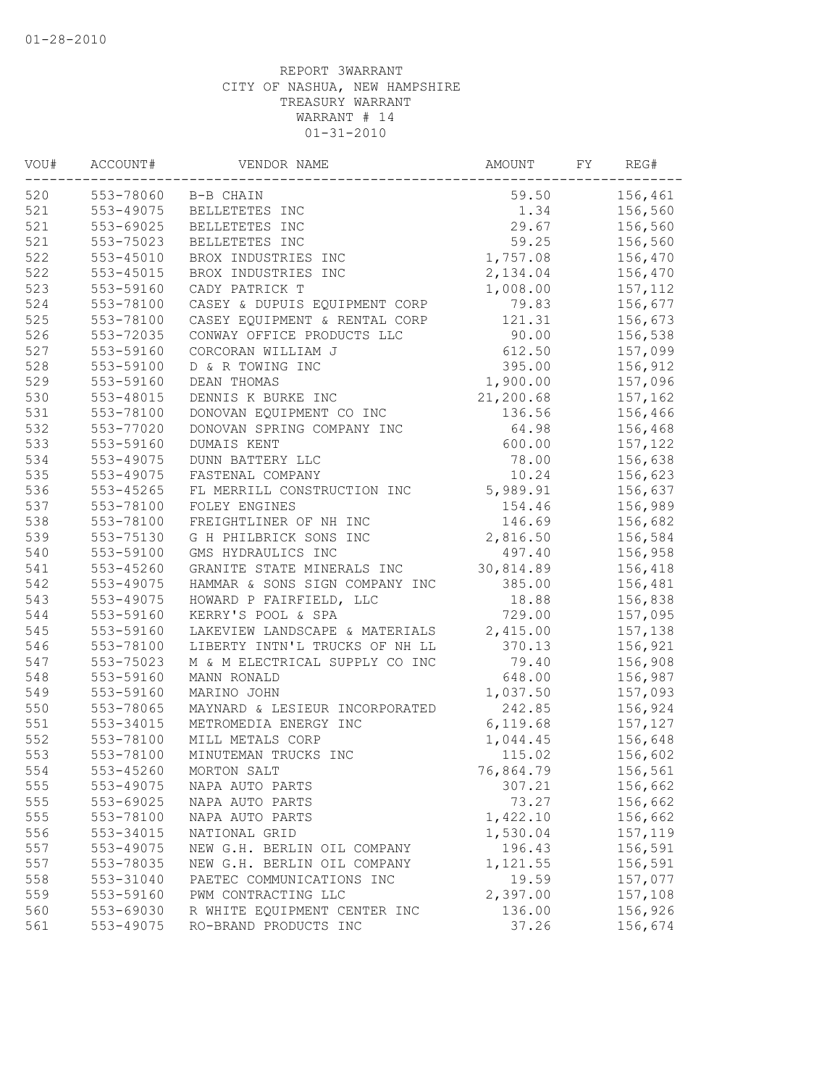| VOU# | ACCOUNT#      | VENDOR NAME                    | AMOUNT    | FY | REG#    |
|------|---------------|--------------------------------|-----------|----|---------|
| 520  |               | 553-78060 B-B CHAIN            | 59.50     |    | 156,461 |
| 521  | 553-49075     | BELLETETES INC                 | 1.34      |    | 156,560 |
| 521  | 553-69025     | BELLETETES INC                 | 29.67     |    | 156,560 |
| 521  | 553-75023     | BELLETETES INC                 | 59.25     |    | 156,560 |
| 522  | 553-45010     | BROX INDUSTRIES INC            | 1,757.08  |    | 156,470 |
| 522  | $553 - 45015$ | BROX INDUSTRIES INC            | 2,134.04  |    | 156,470 |
| 523  | 553-59160     | CADY PATRICK T                 | 1,008.00  |    | 157,112 |
| 524  | 553-78100     | CASEY & DUPUIS EQUIPMENT CORP  | 79.83     |    | 156,677 |
| 525  | 553-78100     | CASEY EQUIPMENT & RENTAL CORP  | 121.31    |    | 156,673 |
| 526  | 553-72035     | CONWAY OFFICE PRODUCTS LLC     | 90.00     |    | 156,538 |
| 527  | 553-59160     | CORCORAN WILLIAM J             | 612.50    |    | 157,099 |
| 528  | 553-59100     | D & R TOWING INC               | 395.00    |    | 156,912 |
| 529  | 553-59160     | DEAN THOMAS                    | 1,900.00  |    | 157,096 |
| 530  | 553-48015     | DENNIS K BURKE INC             | 21,200.68 |    | 157,162 |
| 531  | 553-78100     | DONOVAN EQUIPMENT CO INC       | 136.56    |    | 156,466 |
| 532  | 553-77020     | DONOVAN SPRING COMPANY INC     | 64.98     |    | 156,468 |
| 533  | 553-59160     | DUMAIS KENT                    | 600.00    |    | 157,122 |
| 534  | 553-49075     | DUNN BATTERY LLC               | 78.00     |    | 156,638 |
| 535  | 553-49075     | FASTENAL COMPANY               | 10.24     |    | 156,623 |
| 536  | 553-45265     | FL MERRILL CONSTRUCTION INC    | 5,989.91  |    | 156,637 |
| 537  | 553-78100     | FOLEY ENGINES                  | 154.46    |    | 156,989 |
| 538  | 553-78100     | FREIGHTLINER OF NH INC         | 146.69    |    | 156,682 |
| 539  | 553-75130     | G H PHILBRICK SONS INC         | 2,816.50  |    | 156,584 |
| 540  | 553-59100     | GMS HYDRAULICS INC             | 497.40    |    | 156,958 |
| 541  | 553-45260     | GRANITE STATE MINERALS INC     | 30,814.89 |    | 156,418 |
| 542  | 553-49075     | HAMMAR & SONS SIGN COMPANY INC | 385.00    |    | 156,481 |
| 543  | 553-49075     | HOWARD P FAIRFIELD, LLC        | 18.88     |    | 156,838 |
| 544  | 553-59160     | KERRY'S POOL & SPA             | 729.00    |    | 157,095 |
| 545  | 553-59160     | LAKEVIEW LANDSCAPE & MATERIALS | 2,415.00  |    | 157,138 |
| 546  | 553-78100     | LIBERTY INTN'L TRUCKS OF NH LL | 370.13    |    | 156,921 |
| 547  | 553-75023     | M & M ELECTRICAL SUPPLY CO INC | 79.40     |    | 156,908 |
| 548  | 553-59160     | MANN RONALD                    | 648.00    |    | 156,987 |
| 549  | 553-59160     | MARINO JOHN                    | 1,037.50  |    | 157,093 |
| 550  | 553-78065     | MAYNARD & LESIEUR INCORPORATED | 242.85    |    | 156,924 |
| 551  | 553-34015     | METROMEDIA ENERGY INC          | 6,119.68  |    | 157,127 |
| 552  | 553-78100     | MILL METALS CORP               | 1,044.45  |    | 156,648 |
| 553  | 553-78100     | MINUTEMAN TRUCKS INC           | 115.02    |    | 156,602 |
| 554  | 553-45260     | MORTON SALT                    | 76,864.79 |    | 156,561 |
| 555  | 553-49075     | NAPA AUTO PARTS                | 307.21    |    | 156,662 |
| 555  | 553-69025     | NAPA AUTO PARTS                | 73.27     |    | 156,662 |
| 555  | 553-78100     | NAPA AUTO PARTS                | 1,422.10  |    | 156,662 |
| 556  | 553-34015     | NATIONAL GRID                  | 1,530.04  |    | 157,119 |
| 557  | 553-49075     | NEW G.H. BERLIN OIL COMPANY    | 196.43    |    | 156,591 |
| 557  | 553-78035     | NEW G.H. BERLIN OIL COMPANY    | 1,121.55  |    | 156,591 |
| 558  | 553-31040     | PAETEC COMMUNICATIONS INC      | 19.59     |    | 157,077 |
| 559  | 553-59160     | PWM CONTRACTING LLC            | 2,397.00  |    | 157,108 |
| 560  | 553-69030     | R WHITE EQUIPMENT CENTER INC   | 136.00    |    | 156,926 |
| 561  | 553-49075     | RO-BRAND PRODUCTS INC          | 37.26     |    | 156,674 |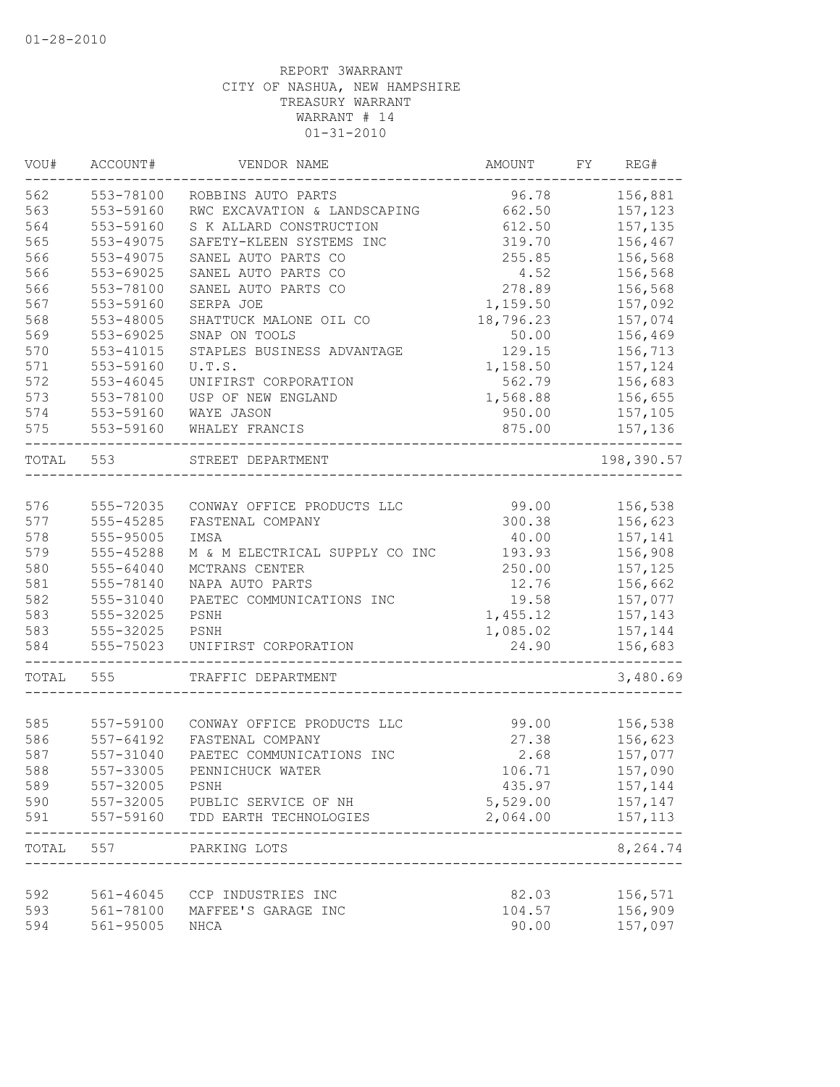| VOU#  | ACCOUNT#  | VENDOR NAME                    | AMOUNT    | FY | REG#              |
|-------|-----------|--------------------------------|-----------|----|-------------------|
| 562   | 553-78100 | ROBBINS AUTO PARTS             | 96.78     |    | 156,881           |
| 563   | 553-59160 | RWC EXCAVATION & LANDSCAPING   | 662.50    |    | 157,123           |
| 564   | 553-59160 | S K ALLARD CONSTRUCTION        | 612.50    |    | 157,135           |
| 565   | 553-49075 | SAFETY-KLEEN SYSTEMS INC       | 319.70    |    | 156,467           |
| 566   | 553-49075 | SANEL AUTO PARTS CO            | 255.85    |    | 156,568           |
| 566   | 553-69025 | SANEL AUTO PARTS CO            | 4.52      |    | 156,568           |
| 566   | 553-78100 | SANEL AUTO PARTS CO            | 278.89    |    | 156,568           |
| 567   | 553-59160 | SERPA JOE                      | 1,159.50  |    | 157,092           |
| 568   | 553-48005 | SHATTUCK MALONE OIL CO         | 18,796.23 |    | 157,074           |
| 569   | 553-69025 | SNAP ON TOOLS                  | 50.00     |    | 156,469           |
| 570   | 553-41015 | STAPLES BUSINESS ADVANTAGE     | 129.15    |    | 156,713           |
| 571   | 553-59160 | U.T.S.                         | 1,158.50  |    | 157,124           |
| 572   | 553-46045 | UNIFIRST CORPORATION           | 562.79    |    | 156,683           |
| 573   | 553-78100 | USP OF NEW ENGLAND             | 1,568.88  |    | 156,655           |
| 574   | 553-59160 | WAYE JASON                     | 950.00    |    | 157,105           |
| 575   | 553-59160 | WHALEY FRANCIS                 | 875.00    |    | 157,136           |
|       |           |                                |           |    |                   |
| TOTAL | 553       | STREET DEPARTMENT              |           |    | 198,390.57        |
|       |           |                                |           |    |                   |
| 576   | 555-72035 | CONWAY OFFICE PRODUCTS LLC     | 99.00     |    | 156,538           |
| 577   | 555-45285 | FASTENAL COMPANY               | 300.38    |    | 156,623           |
| 578   | 555-95005 | IMSA                           | 40.00     |    | 157,141           |
| 579   | 555-45288 | M & M ELECTRICAL SUPPLY CO INC | 193.93    |    | 156,908           |
| 580   | 555-64040 | MCTRANS CENTER                 | 250.00    |    | 157,125           |
| 581   | 555-78140 | NAPA AUTO PARTS                | 12.76     |    | 156,662           |
| 582   | 555-31040 | PAETEC COMMUNICATIONS INC      | 19.58     |    | 157,077           |
| 583   | 555-32025 | PSNH                           | 1,455.12  |    | 157,143           |
| 583   | 555-32025 | PSNH                           | 1,085.02  |    | 157,144           |
| 584   | 555-75023 | UNIFIRST CORPORATION           | 24.90     |    | 156,683           |
| TOTAL | 555       | TRAFFIC DEPARTMENT             |           |    | 3,480.69          |
|       |           |                                |           |    |                   |
| 585   | 557-59100 | CONWAY OFFICE PRODUCTS LLC     | 99.00     |    | 156,538           |
| 586   | 557-64192 | FASTENAL COMPANY               | 27.38     |    | 156,623           |
| 587   | 557-31040 | PAETEC COMMUNICATIONS INC      | 2.68      |    | 157,077           |
| 588   | 557-33005 | PENNICHUCK WATER               | 106.71    |    | 157,090           |
| 589   | 557-32005 | PSNH                           | 435.97    |    | 157,144           |
| 590   |           | 557-32005 PUBLIC SERVICE OF NH | 5,529.00  |    | 157,147           |
| 591   | 557-59160 | TDD EARTH TECHNOLOGIES         | 2,064.00  |    | 157, 113          |
| TOTAL | 557       | PARKING LOTS                   |           |    | -----<br>8,264.74 |
|       |           |                                |           |    |                   |
| 592   |           | 561-46045 CCP INDUSTRIES INC   | 82.03     |    | 156,571           |
| 593   | 561-78100 | MAFFEE'S GARAGE INC            | 104.57    |    | 156,909           |
| 594   | 561-95005 | NHCA                           | 90.00     |    | 157,097           |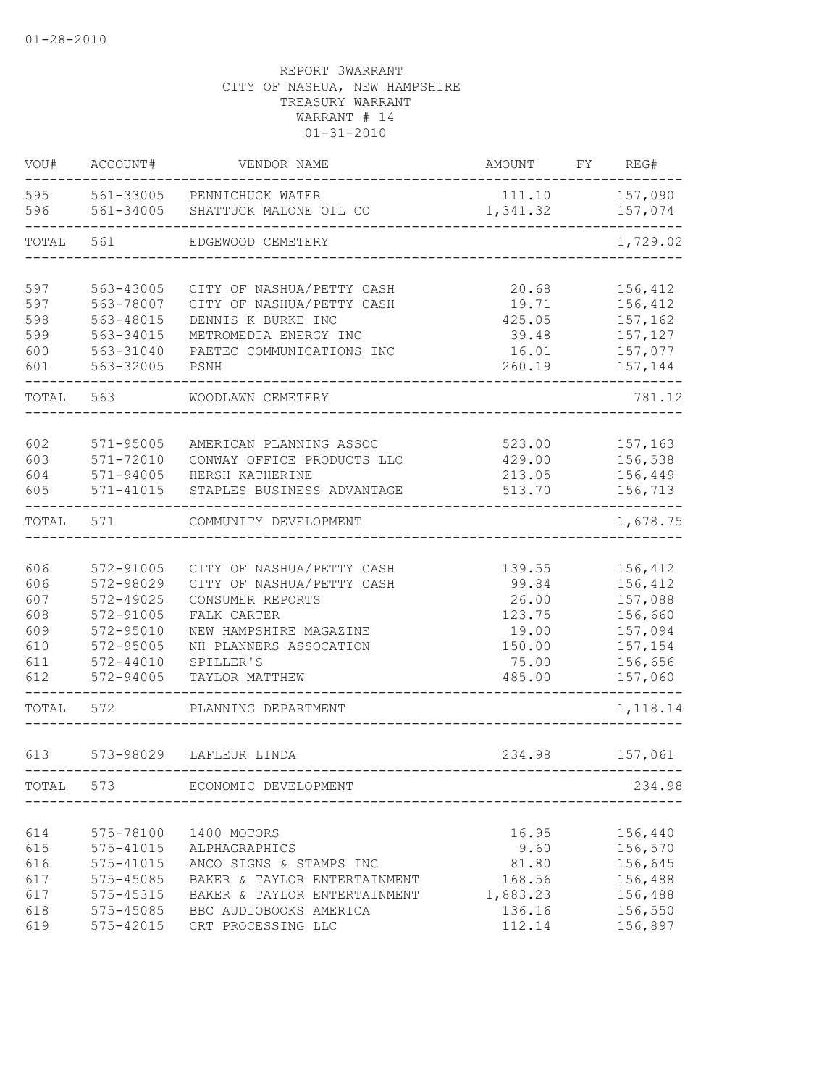| VOU#                                                 | ACCOUNT#                                                                                                 | VENDOR NAME                                                                                                                                                                  | AMOUNT                                                                   | FY | REG#                                                                                 |
|------------------------------------------------------|----------------------------------------------------------------------------------------------------------|------------------------------------------------------------------------------------------------------------------------------------------------------------------------------|--------------------------------------------------------------------------|----|--------------------------------------------------------------------------------------|
| 595<br>596                                           | 561-33005<br>561-34005                                                                                   | PENNICHUCK WATER<br>SHATTUCK MALONE OIL CO                                                                                                                                   | 111.10<br>1,341.32                                                       |    | 157,090<br>157,074                                                                   |
| TOTAL                                                | 561                                                                                                      | EDGEWOOD CEMETERY                                                                                                                                                            |                                                                          |    | 1,729.02                                                                             |
| 597<br>597<br>598<br>599<br>600<br>601               | 563-43005<br>563-78007<br>563-48015<br>563-34015<br>563-31040<br>563-32005                               | CITY OF NASHUA/PETTY CASH<br>CITY OF NASHUA/PETTY CASH<br>DENNIS K BURKE INC<br>METROMEDIA ENERGY INC<br>PAETEC COMMUNICATIONS INC<br>PSNH                                   | 20.68<br>19.71<br>425.05<br>39.48<br>16.01<br>260.19                     |    | 156,412<br>156,412<br>157,162<br>157,127<br>157,077<br>157,144                       |
| TOTAL                                                | 563                                                                                                      | WOODLAWN CEMETERY                                                                                                                                                            |                                                                          |    | 781.12                                                                               |
| 602<br>603<br>604<br>605                             | 571-95005<br>$571 - 72010$<br>571-94005<br>571-41015                                                     | AMERICAN PLANNING ASSOC<br>CONWAY OFFICE PRODUCTS LLC<br>HERSH KATHERINE<br>STAPLES BUSINESS ADVANTAGE                                                                       | 523.00<br>429.00<br>213.05<br>513.70                                     |    | 157,163<br>156,538<br>156,449<br>156,713                                             |
| TOTAL                                                | 571                                                                                                      | COMMUNITY DEVELOPMENT                                                                                                                                                        |                                                                          |    | 1,678.75                                                                             |
| 606<br>606<br>607<br>608<br>609<br>610<br>611<br>612 | 572-91005<br>572-98029<br>572-49025<br>572-91005<br>572-95010<br>572-95005<br>$572 - 44010$<br>572-94005 | CITY OF NASHUA/PETTY CASH<br>CITY OF NASHUA/PETTY CASH<br>CONSUMER REPORTS<br>FALK CARTER<br>NEW HAMPSHIRE MAGAZINE<br>NH PLANNERS ASSOCATION<br>SPILLER'S<br>TAYLOR MATTHEW | 139.55<br>99.84<br>26.00<br>123.75<br>19.00<br>150.00<br>75.00<br>485.00 |    | 156,412<br>156,412<br>157,088<br>156,660<br>157,094<br>157,154<br>156,656<br>157,060 |
| TOTAL                                                | 572                                                                                                      | PLANNING DEPARTMENT                                                                                                                                                          |                                                                          |    | 1,118.14                                                                             |
| 613                                                  | 573-98029                                                                                                | LAFLEUR LINDA                                                                                                                                                                | 234.98                                                                   |    | 157,061                                                                              |
| TOTAL                                                | 573                                                                                                      | ECONOMIC DEVELOPMENT                                                                                                                                                         |                                                                          |    | 234.98                                                                               |
| 614<br>615<br>616<br>617<br>617<br>618<br>619        | 575-78100<br>575-41015<br>575-41015<br>575-45085<br>575-45315<br>575-45085<br>575-42015                  | 1400 MOTORS<br>ALPHAGRAPHICS<br>ANCO SIGNS & STAMPS INC<br>BAKER & TAYLOR ENTERTAINMENT<br>BAKER & TAYLOR ENTERTAINMENT<br>BBC AUDIOBOOKS AMERICA<br>CRT PROCESSING LLC      | 16.95<br>9.60<br>81.80<br>168.56<br>1,883.23<br>136.16<br>112.14         |    | 156,440<br>156,570<br>156,645<br>156,488<br>156,488<br>156,550<br>156,897            |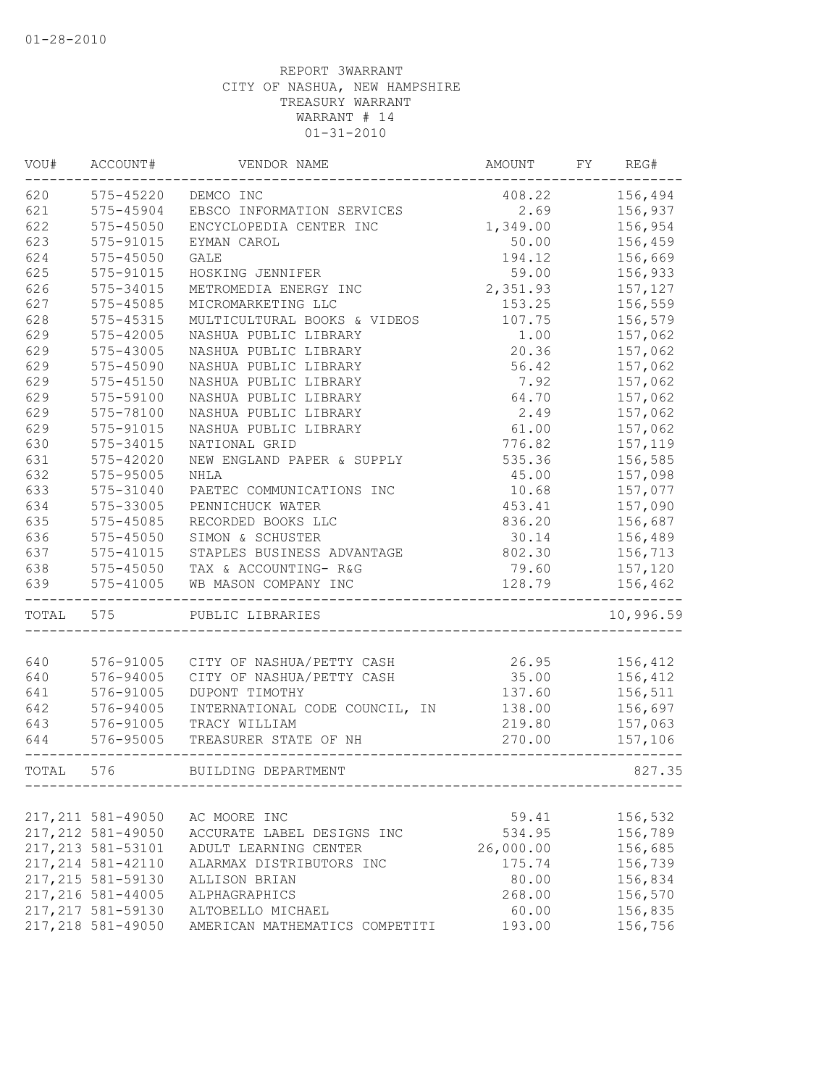| WOU#  | ACCOUNT#           | VENDOR NAME                    | AMOUNT    | FY | REG#      |
|-------|--------------------|--------------------------------|-----------|----|-----------|
| 620   | 575-45220          | DEMCO INC                      | 408.22    |    | 156,494   |
| 621   | 575-45904          | EBSCO INFORMATION SERVICES     | 2.69      |    | 156,937   |
| 622   | $575 - 45050$      | ENCYCLOPEDIA CENTER INC        | 1,349.00  |    | 156,954   |
| 623   | 575-91015          | EYMAN CAROL                    | 50.00     |    | 156,459   |
| 624   | 575-45050          | GALE                           | 194.12    |    | 156,669   |
| 625   | 575-91015          | HOSKING JENNIFER               | 59.00     |    | 156,933   |
| 626   | 575-34015          | METROMEDIA ENERGY INC          | 2,351.93  |    | 157,127   |
| 627   | 575-45085          | MICROMARKETING LLC             | 153.25    |    | 156,559   |
| 628   | $575 - 45315$      | MULTICULTURAL BOOKS & VIDEOS   | 107.75    |    | 156,579   |
| 629   | 575-42005          | NASHUA PUBLIC LIBRARY          | 1.00      |    | 157,062   |
| 629   | 575-43005          | NASHUA PUBLIC LIBRARY          | 20.36     |    | 157,062   |
| 629   | 575-45090          | NASHUA PUBLIC LIBRARY          | 56.42     |    | 157,062   |
| 629   | 575-45150          | NASHUA PUBLIC LIBRARY          | 7.92      |    | 157,062   |
| 629   | 575-59100          | NASHUA PUBLIC LIBRARY          | 64.70     |    | 157,062   |
| 629   | 575-78100          | NASHUA PUBLIC LIBRARY          | 2.49      |    | 157,062   |
| 629   | 575-91015          | NASHUA PUBLIC LIBRARY          | 61.00     |    | 157,062   |
| 630   | 575-34015          | NATIONAL GRID                  | 776.82    |    | 157,119   |
| 631   | $575 - 42020$      | NEW ENGLAND PAPER & SUPPLY     | 535.36    |    | 156,585   |
| 632   | 575-95005          | NHLA                           | 45.00     |    | 157,098   |
| 633   | 575-31040          | PAETEC COMMUNICATIONS INC      | 10.68     |    | 157,077   |
| 634   | 575-33005          | PENNICHUCK WATER               | 453.41    |    | 157,090   |
| 635   | $575 - 45085$      | RECORDED BOOKS LLC             | 836.20    |    | 156,687   |
| 636   | 575-45050          | SIMON & SCHUSTER               | 30.14     |    | 156,489   |
| 637   | $575 - 41015$      | STAPLES BUSINESS ADVANTAGE     | 802.30    |    | 156,713   |
| 638   | 575-45050          | TAX & ACCOUNTING- R&G          | 79.60     |    | 157,120   |
| 639   | $575 - 41005$      | WB MASON COMPANY INC           | 128.79    |    | 156,462   |
| TOTAL | 575                | PUBLIC LIBRARIES               |           |    | 10,996.59 |
|       |                    |                                |           |    |           |
| 640   | 576-91005          | CITY OF NASHUA/PETTY CASH      | 26.95     |    | 156,412   |
| 640   | 576-94005          | CITY OF NASHUA/PETTY CASH      | 35.00     |    | 156,412   |
| 641   | 576-91005          | DUPONT TIMOTHY                 | 137.60    |    | 156,511   |
| 642   | 576-94005          | INTERNATIONAL CODE COUNCIL, IN | 138.00    |    | 156,697   |
| 643   | 576-91005          | TRACY WILLIAM                  | 219.80    |    | 157,063   |
| 644   | 576-95005          | TREASURER STATE OF NH          | 270.00    |    | 157,106   |
| TOTAL | 576                | BUILDING DEPARTMENT            |           |    | 827.35    |
|       |                    |                                |           |    |           |
|       | 217, 211 581-49050 | AC MOORE INC                   | 59.41     |    | 156,532   |
|       | 217, 212 581-49050 | ACCURATE LABEL DESIGNS INC     | 534.95    |    | 156,789   |
|       | 217, 213 581-53101 | ADULT LEARNING CENTER          | 26,000.00 |    | 156,685   |
|       | 217, 214 581-42110 | ALARMAX DISTRIBUTORS INC       | 175.74    |    | 156,739   |
|       | 217, 215 581-59130 | ALLISON BRIAN                  | 80.00     |    | 156,834   |
|       | 217,216 581-44005  | ALPHAGRAPHICS                  | 268.00    |    | 156,570   |
|       | 217, 217 581-59130 | ALTOBELLO MICHAEL              | 60.00     |    | 156,835   |
|       | 217,218 581-49050  | AMERICAN MATHEMATICS COMPETITI | 193.00    |    | 156,756   |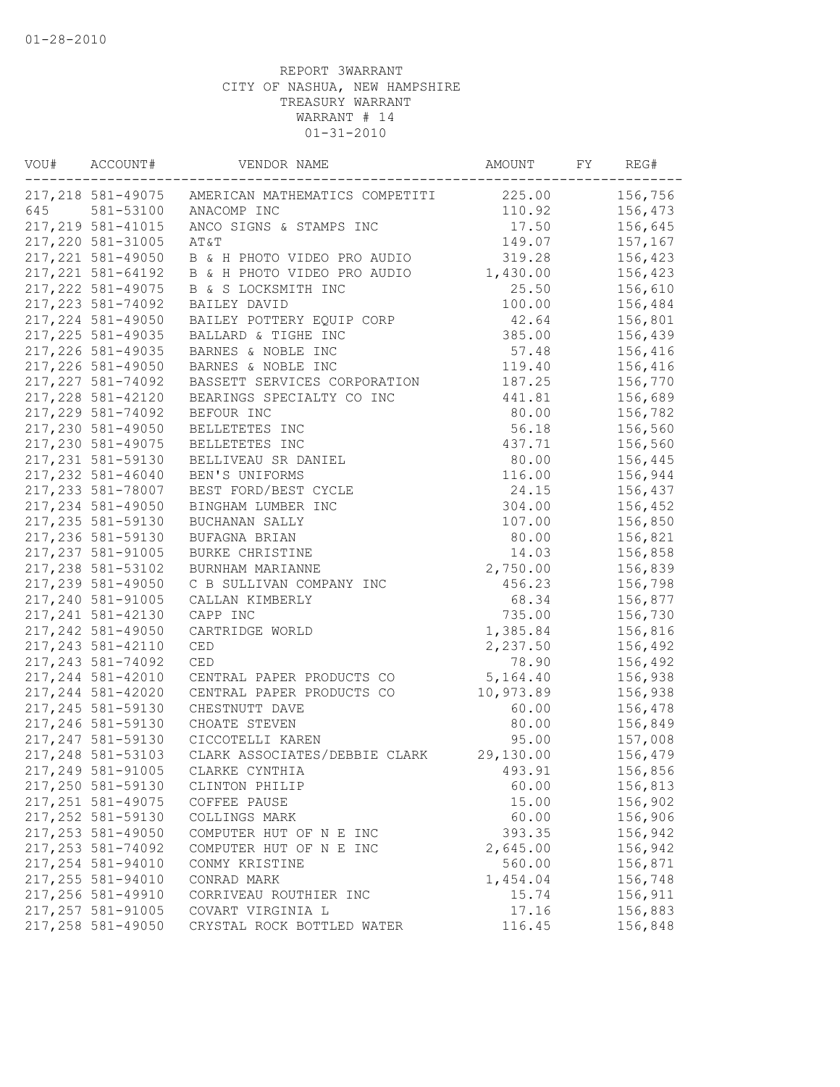| VOU# | ACCOUNT#           | VENDOR NAME                    | AMOUNT               | FY | REG#    |
|------|--------------------|--------------------------------|----------------------|----|---------|
|      | 217,218 581-49075  | AMERICAN MATHEMATICS COMPETITI | 225.00               |    | 156,756 |
| 645  | 581-53100          | ANACOMP INC                    | 110.92               |    | 156,473 |
|      | 217, 219 581-41015 | ANCO SIGNS & STAMPS INC        | 17.50                |    | 156,645 |
|      | 217,220 581-31005  | AT&T                           | 149.07               |    | 157,167 |
|      | 217, 221 581-49050 | B & H PHOTO VIDEO PRO AUDIO    | 319.28               |    | 156,423 |
|      | 217, 221 581-64192 | B & H PHOTO VIDEO PRO AUDIO    | 1,430.00             |    | 156,423 |
|      | 217, 222 581-49075 | B & S LOCKSMITH INC            | 25.50                |    | 156,610 |
|      | 217, 223 581-74092 | BAILEY DAVID                   | 100.00               |    | 156,484 |
|      | 217, 224 581-49050 | BAILEY POTTERY EQUIP CORP      | 42.64                |    | 156,801 |
|      | 217, 225 581-49035 | BALLARD & TIGHE INC            | 385.00               |    | 156,439 |
|      | 217, 226 581-49035 | BARNES & NOBLE INC             | 57.48                |    | 156,416 |
|      | 217,226 581-49050  | BARNES & NOBLE INC             | 119.40               |    | 156,416 |
|      | 217, 227 581-74092 | BASSETT SERVICES CORPORATION   | 187.25               |    | 156,770 |
|      | 217, 228 581-42120 | BEARINGS SPECIALTY CO INC      | 441.81               |    | 156,689 |
|      | 217,229 581-74092  | BEFOUR INC                     | 80.00                |    | 156,782 |
|      | 217,230 581-49050  | BELLETETES INC                 | 56.18                |    | 156,560 |
|      | 217,230 581-49075  | BELLETETES INC                 | 437.71               |    | 156,560 |
|      | 217, 231 581-59130 | BELLIVEAU SR DANIEL            | 80.00                |    | 156,445 |
|      | 217,232 581-46040  | BEN'S UNIFORMS                 | 116.00               |    | 156,944 |
|      | 217, 233 581-78007 | BEST FORD/BEST CYCLE           | 24.15                |    | 156,437 |
|      | 217,234 581-49050  | BINGHAM LUMBER INC             | 304.00               |    | 156,452 |
|      | 217, 235 581-59130 | BUCHANAN SALLY                 | 107.00               |    | 156,850 |
|      | 217,236 581-59130  | BUFAGNA BRIAN                  | 80.00                |    | 156,821 |
|      | 217, 237 581-91005 | <b>BURKE CHRISTINE</b>         | 14.03                |    | 156,858 |
|      | 217,238 581-53102  | BURNHAM MARIANNE               | 2,750.00             |    | 156,839 |
|      | 217,239 581-49050  | C B SULLIVAN COMPANY INC       | 456.23               |    | 156,798 |
|      | 217,240 581-91005  | CALLAN KIMBERLY                | 68.34                |    | 156,877 |
|      | 217, 241 581-42130 | CAPP INC                       | 735.00               |    | 156,730 |
|      | 217, 242 581-49050 | CARTRIDGE WORLD                |                      |    |         |
|      |                    | CED                            | 1,385.84<br>2,237.50 |    | 156,816 |
|      | 217, 243 581-42110 | <b>CED</b>                     | 78.90                |    | 156,492 |
|      | 217, 243 581-74092 |                                |                      |    | 156,492 |
|      | 217, 244 581-42010 | CENTRAL PAPER PRODUCTS CO      | 5,164.40             |    | 156,938 |
|      | 217, 244 581-42020 | CENTRAL PAPER PRODUCTS CO      | 10,973.89            |    | 156,938 |
|      | 217, 245 581-59130 | CHESTNUTT DAVE                 | 60.00                |    | 156,478 |
|      | 217,246 581-59130  | CHOATE STEVEN                  | 80.00                |    | 156,849 |
|      | 217, 247 581-59130 | CICCOTELLI KAREN               | 95.00                |    | 157,008 |
|      | 217, 248 581-53103 | CLARK ASSOCIATES/DEBBIE CLARK  | 29,130.00            |    | 156,479 |
|      | 217,249 581-91005  | CLARKE CYNTHIA                 | 493.91               |    | 156,856 |
|      | 217,250 581-59130  | CLINTON PHILIP                 | 60.00                |    | 156,813 |
|      | 217, 251 581-49075 | COFFEE PAUSE                   | 15.00                |    | 156,902 |
|      | 217, 252 581-59130 | COLLINGS MARK                  | 60.00                |    | 156,906 |
|      | 217, 253 581-49050 | COMPUTER HUT OF N E INC        | 393.35               |    | 156,942 |
|      | 217, 253 581-74092 | COMPUTER HUT OF N E INC        | 2,645.00             |    | 156,942 |
|      | 217,254 581-94010  | CONMY KRISTINE                 | 560.00               |    | 156,871 |
|      | 217,255 581-94010  | CONRAD MARK                    | 1,454.04             |    | 156,748 |
|      | 217,256 581-49910  | CORRIVEAU ROUTHIER INC         | 15.74                |    | 156,911 |
|      | 217, 257 581-91005 | COVART VIRGINIA L              | 17.16                |    | 156,883 |
|      | 217,258 581-49050  | CRYSTAL ROCK BOTTLED WATER     | 116.45               |    | 156,848 |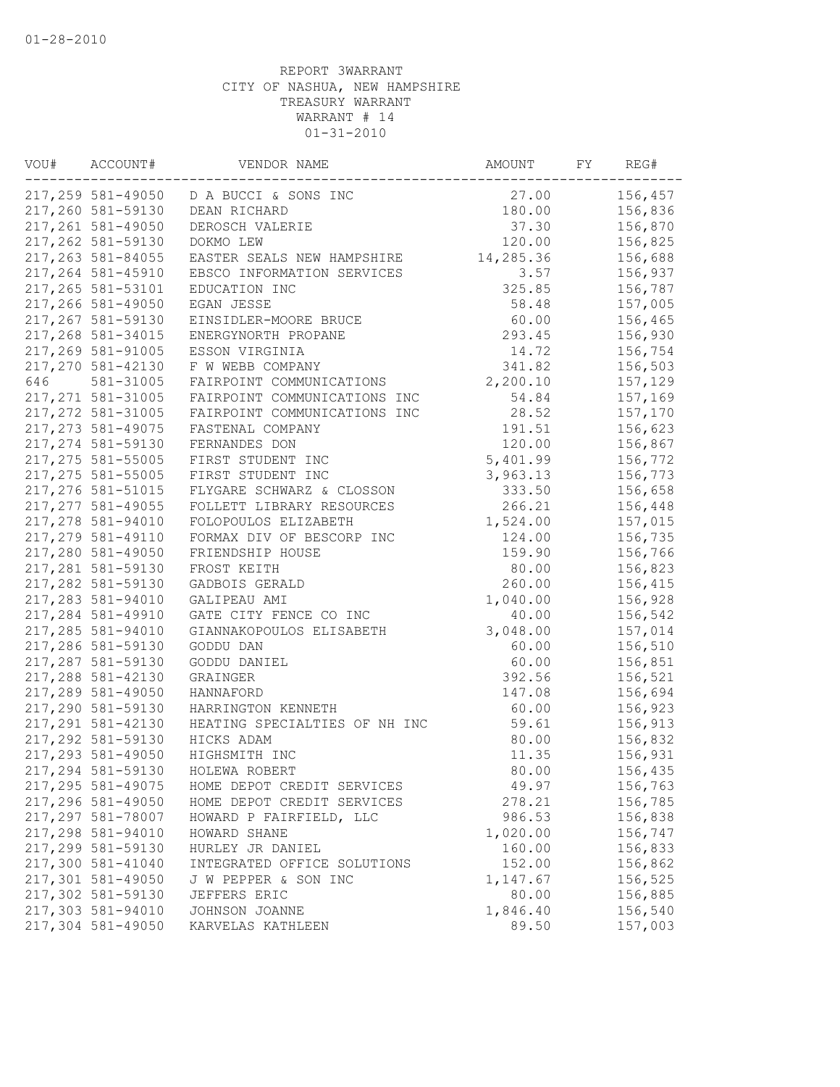| WOU# | ACCOUNT#           | VENDOR NAME                            | AMOUNT    | FY | REG#    |
|------|--------------------|----------------------------------------|-----------|----|---------|
|      |                    | 217,259 581-49050 D A BUCCI & SONS INC | 27.00     |    | 156,457 |
|      | 217,260 581-59130  | DEAN RICHARD                           | 180.00    |    | 156,836 |
|      | 217,261 581-49050  | DEROSCH VALERIE                        | 37.30     |    | 156,870 |
|      | 217,262 581-59130  | DOKMO LEW                              | 120.00    |    | 156,825 |
|      | 217,263 581-84055  | EASTER SEALS NEW HAMPSHIRE             | 14,285.36 |    | 156,688 |
|      | 217,264 581-45910  | EBSCO INFORMATION SERVICES             | 3.57      |    | 156,937 |
|      | 217,265 581-53101  | EDUCATION INC                          | 325.85    |    | 156,787 |
|      | 217,266 581-49050  | EGAN JESSE                             | 58.48     |    | 157,005 |
|      | 217,267 581-59130  | EINSIDLER-MOORE BRUCE                  | 60.00     |    | 156,465 |
|      | 217,268 581-34015  | ENERGYNORTH PROPANE                    | 293.45    |    | 156,930 |
|      | 217,269 581-91005  | ESSON VIRGINIA                         | 14.72     |    | 156,754 |
|      | 217,270 581-42130  | F W WEBB COMPANY                       | 341.82    |    | 156,503 |
| 646  | 581-31005          | FAIRPOINT COMMUNICATIONS               | 2,200.10  |    | 157,129 |
|      | 217, 271 581-31005 | FAIRPOINT COMMUNICATIONS INC           | 54.84     |    | 157,169 |
|      | 217,272 581-31005  | FAIRPOINT COMMUNICATIONS INC           | 28.52     |    | 157,170 |
|      | 217, 273 581-49075 | FASTENAL COMPANY                       | 191.51    |    | 156,623 |
|      | 217,274 581-59130  | FERNANDES DON                          | 120.00    |    | 156,867 |
|      | 217,275 581-55005  | FIRST STUDENT INC                      | 5,401.99  |    | 156,772 |
|      | 217,275 581-55005  | FIRST STUDENT INC                      | 3,963.13  |    | 156,773 |
|      | 217,276 581-51015  | FLYGARE SCHWARZ & CLOSSON              | 333.50    |    | 156,658 |
|      | 217, 277 581-49055 | FOLLETT LIBRARY RESOURCES              | 266.21    |    | 156,448 |
|      | 217,278 581-94010  | FOLOPOULOS ELIZABETH                   | 1,524.00  |    | 157,015 |
|      | 217,279 581-49110  | FORMAX DIV OF BESCORP INC              | 124.00    |    | 156,735 |
|      | 217,280 581-49050  | FRIENDSHIP HOUSE                       | 159.90    |    | 156,766 |
|      | 217,281 581-59130  |                                        |           |    |         |
|      |                    | FROST KEITH                            | 80.00     |    | 156,823 |
|      | 217,282 581-59130  | GADBOIS GERALD                         | 260.00    |    | 156,415 |
|      | 217,283 581-94010  | GALIPEAU AMI                           | 1,040.00  |    | 156,928 |
|      | 217,284 581-49910  | GATE CITY FENCE CO INC                 | 40.00     |    | 156,542 |
|      | 217,285 581-94010  | GIANNAKOPOULOS ELISABETH               | 3,048.00  |    | 157,014 |
|      | 217,286 581-59130  | GODDU DAN                              | 60.00     |    | 156,510 |
|      | 217,287 581-59130  | GODDU DANIEL                           | 60.00     |    | 156,851 |
|      | 217,288 581-42130  | GRAINGER                               | 392.56    |    | 156,521 |
|      | 217,289 581-49050  | HANNAFORD                              | 147.08    |    | 156,694 |
|      | 217,290 581-59130  | HARRINGTON KENNETH                     | 60.00     |    | 156,923 |
|      | 217,291 581-42130  | HEATING SPECIALTIES OF NH INC          | 59.61     |    | 156,913 |
|      | 217,292 581-59130  | HICKS ADAM                             | 80.00     |    | 156,832 |
|      | 217,293 581-49050  | HIGHSMITH INC                          | 11.35     |    | 156,931 |
|      | 217,294 581-59130  | HOLEWA ROBERT                          | 80.00     |    | 156,435 |
|      | 217,295 581-49075  | HOME DEPOT CREDIT SERVICES             | 49.97     |    | 156,763 |
|      | 217,296 581-49050  | HOME DEPOT CREDIT SERVICES             | 278.21    |    | 156,785 |
|      | 217,297 581-78007  | HOWARD P FAIRFIELD, LLC                | 986.53    |    | 156,838 |
|      | 217,298 581-94010  | HOWARD SHANE                           | 1,020.00  |    | 156,747 |
|      | 217,299 581-59130  | HURLEY JR DANIEL                       | 160.00    |    | 156,833 |
|      | 217,300 581-41040  | INTEGRATED OFFICE SOLUTIONS            | 152.00    |    | 156,862 |
|      | 217,301 581-49050  | J W PEPPER & SON INC                   | 1,147.67  |    | 156,525 |
|      | 217,302 581-59130  | JEFFERS ERIC                           | 80.00     |    | 156,885 |
|      | 217,303 581-94010  | JOHNSON JOANNE                         | 1,846.40  |    | 156,540 |
|      | 217,304 581-49050  | KARVELAS KATHLEEN                      | 89.50     |    | 157,003 |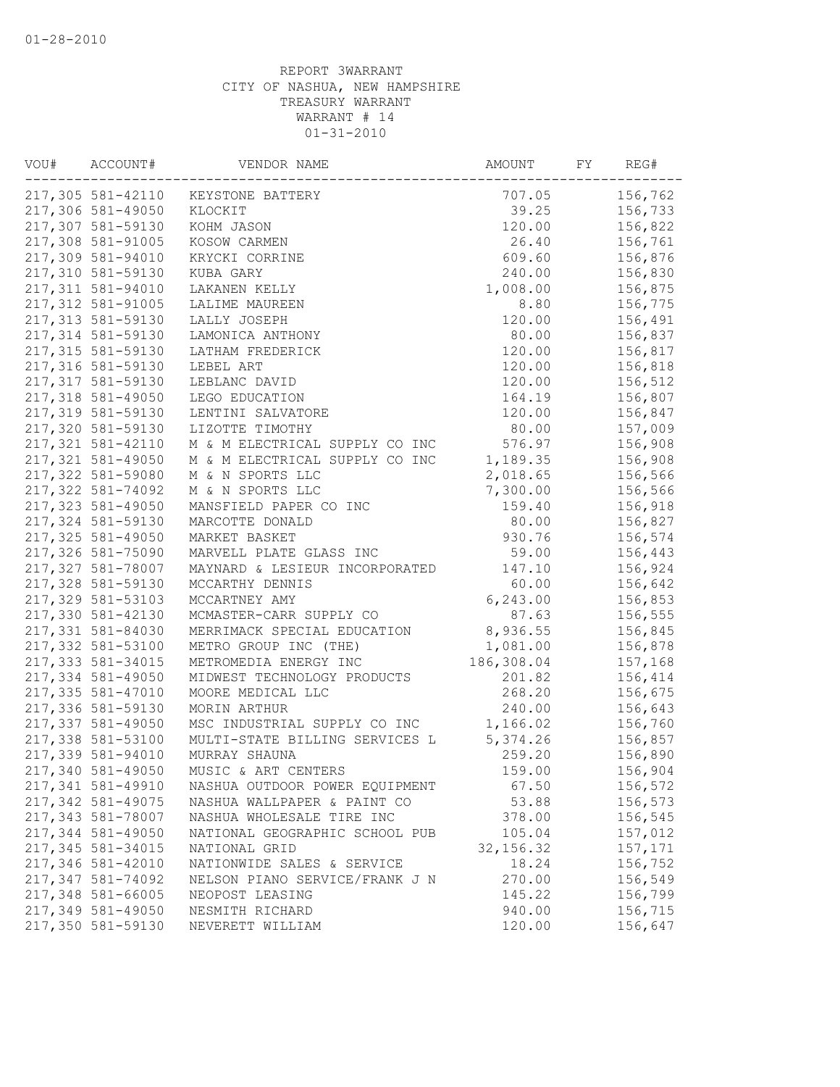| VOU# | ACCOUNT#           | VENDOR NAME                    | AMOUNT     | FY | REG#    |
|------|--------------------|--------------------------------|------------|----|---------|
|      | 217,305 581-42110  | KEYSTONE BATTERY               | 707.05     |    | 156,762 |
|      | 217,306 581-49050  | KLOCKIT                        | 39.25      |    | 156,733 |
|      | 217,307 581-59130  | KOHM JASON                     | 120.00     |    | 156,822 |
|      | 217,308 581-91005  | KOSOW CARMEN                   | 26.40      |    | 156,761 |
|      | 217,309 581-94010  | KRYCKI CORRINE                 | 609.60     |    | 156,876 |
|      | 217,310 581-59130  | KUBA GARY                      | 240.00     |    | 156,830 |
|      | 217,311 581-94010  | LAKANEN KELLY                  | 1,008.00   |    | 156,875 |
|      | 217,312 581-91005  | LALIME MAUREEN                 | 8.80       |    | 156,775 |
|      | 217,313 581-59130  | LALLY JOSEPH                   | 120.00     |    | 156,491 |
|      | 217,314 581-59130  | LAMONICA ANTHONY               | 80.00      |    | 156,837 |
|      | 217,315 581-59130  | LATHAM FREDERICK               | 120.00     |    | 156,817 |
|      | 217,316 581-59130  | LEBEL ART                      | 120.00     |    | 156,818 |
|      | 217,317 581-59130  | LEBLANC DAVID                  | 120.00     |    | 156,512 |
|      | 217,318 581-49050  | LEGO EDUCATION                 | 164.19     |    | 156,807 |
|      | 217,319 581-59130  | LENTINI SALVATORE              | 120.00     |    | 156,847 |
|      | 217,320 581-59130  | LIZOTTE TIMOTHY                | 80.00      |    | 157,009 |
|      | 217, 321 581-42110 | M & M ELECTRICAL SUPPLY CO INC | 576.97     |    | 156,908 |
|      | 217,321 581-49050  | M & M ELECTRICAL SUPPLY CO INC | 1,189.35   |    | 156,908 |
|      | 217,322 581-59080  | M & N SPORTS LLC               | 2,018.65   |    | 156,566 |
|      | 217,322 581-74092  | M & N SPORTS LLC               | 7,300.00   |    | 156,566 |
|      | 217,323 581-49050  | MANSFIELD PAPER CO INC         | 159.40     |    | 156,918 |
|      | 217,324 581-59130  | MARCOTTE DONALD                | 80.00      |    | 156,827 |
|      | 217,325 581-49050  | MARKET BASKET                  | 930.76     |    | 156,574 |
|      | 217,326 581-75090  | MARVELL PLATE GLASS INC        | 59.00      |    | 156,443 |
|      | 217,327 581-78007  | MAYNARD & LESIEUR INCORPORATED | 147.10     |    | 156,924 |
|      | 217,328 581-59130  | MCCARTHY DENNIS                | 60.00      |    | 156,642 |
|      | 217,329 581-53103  | MCCARTNEY AMY                  | 6, 243.00  |    | 156,853 |
|      | 217,330 581-42130  | MCMASTER-CARR SUPPLY CO        | 87.63      |    | 156,555 |
|      | 217,331 581-84030  | MERRIMACK SPECIAL EDUCATION    | 8,936.55   |    | 156,845 |
|      | 217,332 581-53100  | METRO GROUP INC (THE)          | 1,081.00   |    | 156,878 |
|      | 217,333 581-34015  | METROMEDIA ENERGY INC          | 186,308.04 |    | 157,168 |
|      | 217,334 581-49050  | MIDWEST TECHNOLOGY PRODUCTS    | 201.82     |    | 156,414 |
|      | 217,335 581-47010  | MOORE MEDICAL LLC              | 268.20     |    | 156,675 |
|      | 217,336 581-59130  | MORIN ARTHUR                   | 240.00     |    | 156,643 |
|      | 217,337 581-49050  | MSC INDUSTRIAL SUPPLY CO INC   | 1,166.02   |    | 156,760 |
|      | 217,338 581-53100  | MULTI-STATE BILLING SERVICES L | 5,374.26   |    | 156,857 |
|      | 217,339 581-94010  | MURRAY SHAUNA                  | 259.20     |    | 156,890 |
|      | 217,340 581-49050  | MUSIC & ART CENTERS            | 159.00     |    | 156,904 |
|      | 217,341 581-49910  | NASHUA OUTDOOR POWER EQUIPMENT | 67.50      |    | 156,572 |
|      | 217,342 581-49075  | NASHUA WALLPAPER & PAINT CO    | 53.88      |    | 156,573 |
|      | 217,343 581-78007  | NASHUA WHOLESALE TIRE INC      | 378.00     |    | 156,545 |
|      | 217,344 581-49050  | NATIONAL GEOGRAPHIC SCHOOL PUB | 105.04     |    | 157,012 |
|      | 217,345 581-34015  | NATIONAL GRID                  | 32, 156.32 |    | 157,171 |
|      | 217,346 581-42010  | NATIONWIDE SALES & SERVICE     | 18.24      |    | 156,752 |
|      | 217,347 581-74092  | NELSON PIANO SERVICE/FRANK J N | 270.00     |    | 156,549 |
|      | 217,348 581-66005  | NEOPOST LEASING                | 145.22     |    | 156,799 |
|      | 217,349 581-49050  | NESMITH RICHARD                | 940.00     |    | 156,715 |
|      | 217,350 581-59130  | NEVERETT WILLIAM               | 120.00     |    | 156,647 |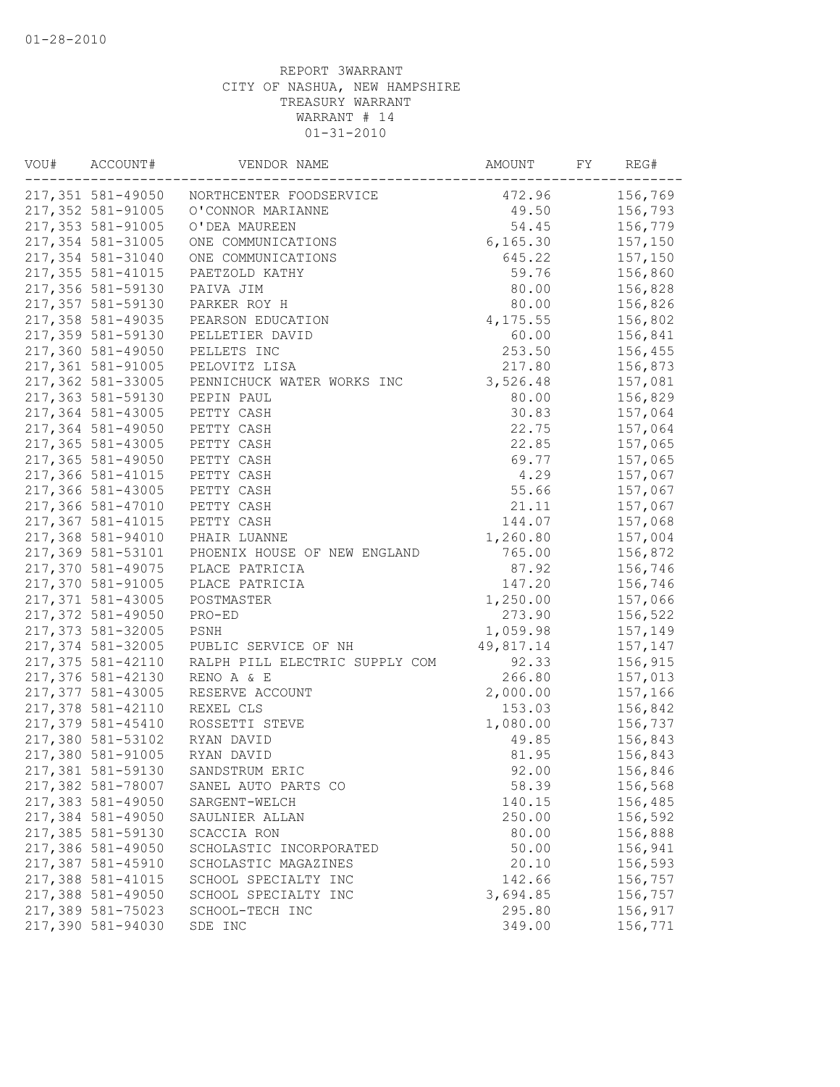| VOU# | ACCOUNT#           | VENDOR NAME                               | AMOUNT    | FY | REG#    |
|------|--------------------|-------------------------------------------|-----------|----|---------|
|      |                    | 217,351 581-49050 NORTHCENTER FOODSERVICE | 472.96    |    | 156,769 |
|      | 217,352 581-91005  | O'CONNOR MARIANNE                         | 49.50     |    | 156,793 |
|      | 217,353 581-91005  | O'DEA MAUREEN                             | 54.45     |    | 156,779 |
|      | 217,354 581-31005  | ONE COMMUNICATIONS                        | 6, 165.30 |    | 157,150 |
|      | 217,354 581-31040  | ONE COMMUNICATIONS                        | 645.22    |    | 157,150 |
|      | 217, 355 581-41015 | PAETZOLD KATHY                            | 59.76     |    | 156,860 |
|      | 217,356 581-59130  | PAIVA JIM                                 | 80.00     |    | 156,828 |
|      | 217,357 581-59130  | PARKER ROY H                              | 80.00     |    | 156,826 |
|      | 217,358 581-49035  | PEARSON EDUCATION                         | 4, 175.55 |    | 156,802 |
|      | 217,359 581-59130  | PELLETIER DAVID                           | 60.00     |    | 156,841 |
|      | 217,360 581-49050  | PELLETS INC                               | 253.50    |    | 156,455 |
|      | 217,361 581-91005  | PELOVITZ LISA                             | 217.80    |    | 156,873 |
|      | 217,362 581-33005  | PENNICHUCK WATER WORKS INC                | 3,526.48  |    | 157,081 |
|      | 217,363 581-59130  | PEPIN PAUL                                | 80.00     |    | 156,829 |
|      | 217,364 581-43005  | PETTY CASH                                | 30.83     |    | 157,064 |
|      | 217,364 581-49050  | PETTY CASH                                | 22.75     |    | 157,064 |
|      | 217,365 581-43005  | PETTY CASH                                | 22.85     |    | 157,065 |
|      | 217,365 581-49050  | PETTY CASH                                | 69.77     |    | 157,065 |
|      | 217,366 581-41015  | PETTY CASH                                | 4.29      |    | 157,067 |
|      | 217,366 581-43005  | PETTY CASH                                | 55.66     |    | 157,067 |
|      | 217,366 581-47010  | PETTY CASH                                | 21.11     |    | 157,067 |
|      | 217,367 581-41015  | PETTY CASH                                | 144.07    |    | 157,068 |
|      | 217,368 581-94010  | PHAIR LUANNE                              | 1,260.80  |    | 157,004 |
|      | 217,369 581-53101  | PHOENIX HOUSE OF NEW ENGLAND              | 765.00    |    | 156,872 |
|      | 217,370 581-49075  | PLACE PATRICIA                            | 87.92     |    | 156,746 |
|      | 217,370 581-91005  | PLACE PATRICIA                            | 147.20    |    | 156,746 |
|      | 217,371 581-43005  | POSTMASTER                                | 1,250.00  |    | 157,066 |
|      | 217,372 581-49050  | PRO-ED                                    | 273.90    |    | 156,522 |
|      | 217,373 581-32005  | PSNH                                      | 1,059.98  |    | 157,149 |
|      | 217,374 581-32005  | PUBLIC SERVICE OF NH                      | 49,817.14 |    | 157,147 |
|      | 217,375 581-42110  | RALPH PILL ELECTRIC SUPPLY COM            | 92.33     |    | 156,915 |
|      | 217,376 581-42130  | RENO A & E                                | 266.80    |    | 157,013 |
|      | 217,377 581-43005  | RESERVE ACCOUNT                           | 2,000.00  |    | 157,166 |
|      | 217,378 581-42110  | REXEL CLS                                 | 153.03    |    | 156,842 |
|      | 217,379 581-45410  | ROSSETTI STEVE                            | 1,080.00  |    | 156,737 |
|      | 217,380 581-53102  | RYAN DAVID                                | 49.85     |    | 156,843 |
|      | 217,380 581-91005  | RYAN DAVID                                | 81.95     |    | 156,843 |
|      | 217,381 581-59130  | SANDSTRUM ERIC                            | 92.00     |    | 156,846 |
|      | 217,382 581-78007  | SANEL AUTO PARTS CO                       | 58.39     |    | 156,568 |
|      | 217,383 581-49050  | SARGENT-WELCH                             | 140.15    |    | 156,485 |
|      | 217,384 581-49050  | SAULNIER ALLAN                            | 250.00    |    | 156,592 |
|      | 217,385 581-59130  | SCACCIA RON                               | 80.00     |    | 156,888 |
|      | 217,386 581-49050  | SCHOLASTIC INCORPORATED                   | 50.00     |    | 156,941 |
|      | 217,387 581-45910  | SCHOLASTIC MAGAZINES                      | 20.10     |    | 156,593 |
|      | 217,388 581-41015  | SCHOOL SPECIALTY INC                      | 142.66    |    | 156,757 |
|      | 217,388 581-49050  | SCHOOL SPECIALTY INC                      | 3,694.85  |    | 156,757 |
|      | 217,389 581-75023  | SCHOOL-TECH INC                           | 295.80    |    | 156,917 |
|      | 217,390 581-94030  | SDE INC                                   | 349.00    |    | 156,771 |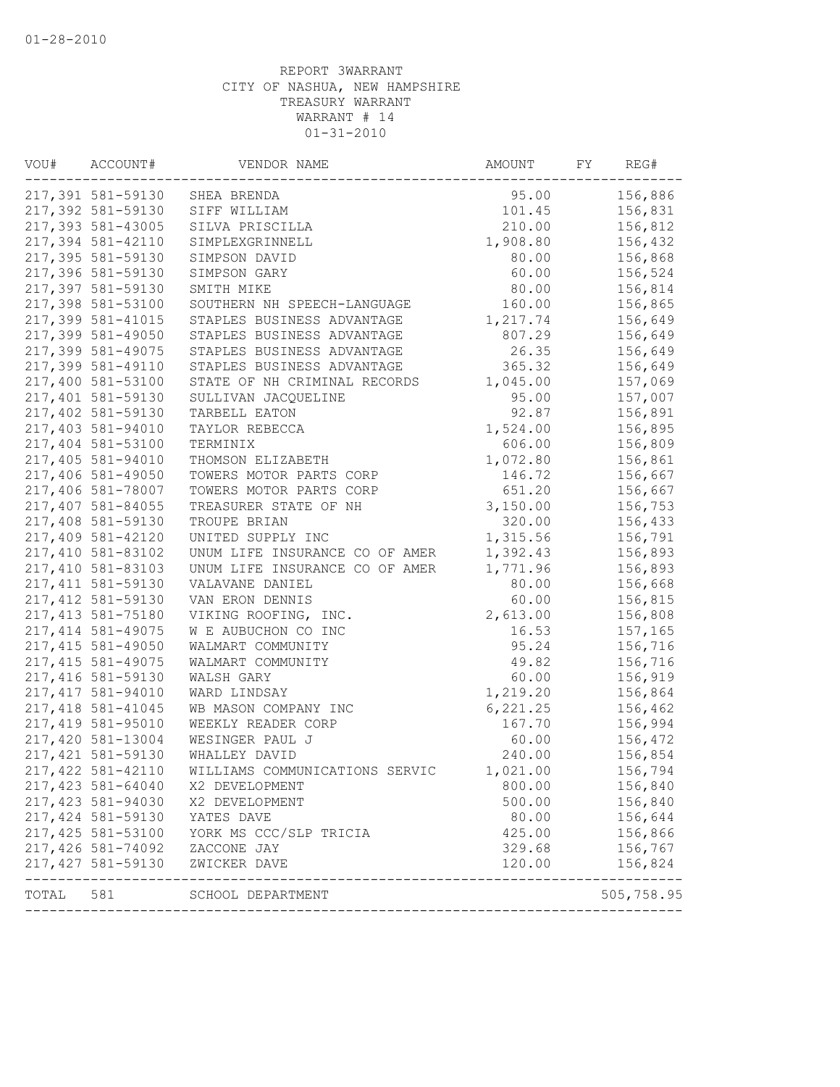| VOU#  | ACCOUNT#           | VENDOR NAME                    | AMOUNT    | FY | REG#                     |
|-------|--------------------|--------------------------------|-----------|----|--------------------------|
|       | 217,391 581-59130  | SHEA BRENDA                    | 95.00     |    | 156,886                  |
|       | 217,392 581-59130  | SIFF WILLIAM                   | 101.45    |    | 156,831                  |
|       | 217,393 581-43005  | SILVA PRISCILLA                | 210.00    |    | 156,812                  |
|       | 217,394 581-42110  | SIMPLEXGRINNELL                | 1,908.80  |    | 156,432                  |
|       | 217,395 581-59130  | SIMPSON DAVID                  | 80.00     |    | 156,868                  |
|       | 217,396 581-59130  | SIMPSON GARY                   | 60.00     |    | 156,524                  |
|       | 217,397 581-59130  | SMITH MIKE                     | 80.00     |    | 156,814                  |
|       | 217,398 581-53100  | SOUTHERN NH SPEECH-LANGUAGE    | 160.00    |    | 156,865                  |
|       | 217,399 581-41015  | STAPLES BUSINESS ADVANTAGE     | 1,217.74  |    | 156,649                  |
|       | 217,399 581-49050  | STAPLES BUSINESS ADVANTAGE     | 807.29    |    | 156,649                  |
|       | 217,399 581-49075  | STAPLES BUSINESS ADVANTAGE     | 26.35     |    | 156,649                  |
|       | 217,399 581-49110  | STAPLES BUSINESS ADVANTAGE     | 365.32    |    | 156,649                  |
|       | 217,400 581-53100  | STATE OF NH CRIMINAL RECORDS   | 1,045.00  |    | 157,069                  |
|       | 217,401 581-59130  | SULLIVAN JACQUELINE            | 95.00     |    | 157,007                  |
|       | 217,402 581-59130  | TARBELL EATON                  | 92.87     |    | 156,891                  |
|       | 217,403 581-94010  | TAYLOR REBECCA                 | 1,524.00  |    | 156,895                  |
|       | 217,404 581-53100  | TERMINIX                       | 606.00    |    | 156,809                  |
|       | 217,405 581-94010  | THOMSON ELIZABETH              | 1,072.80  |    | 156,861                  |
|       | 217,406 581-49050  | TOWERS MOTOR PARTS CORP        | 146.72    |    | 156,667                  |
|       | 217,406 581-78007  | TOWERS MOTOR PARTS CORP        | 651.20    |    | 156,667                  |
|       | 217,407 581-84055  | TREASURER STATE OF NH          | 3,150.00  |    | 156,753                  |
|       | 217,408 581-59130  | TROUPE BRIAN                   | 320.00    |    | 156,433                  |
|       | 217,409 581-42120  | UNITED SUPPLY INC              | 1,315.56  |    | 156,791                  |
|       | 217,410 581-83102  | UNUM LIFE INSURANCE CO OF AMER | 1,392.43  |    | 156,893                  |
|       | 217,410 581-83103  | UNUM LIFE INSURANCE CO OF AMER | 1,771.96  |    | 156,893                  |
|       | 217, 411 581-59130 | VALAVANE DANIEL                | 80.00     |    | 156,668                  |
|       | 217, 412 581-59130 | VAN ERON DENNIS                | 60.00     |    | 156,815                  |
|       | 217, 413 581-75180 | VIKING ROOFING, INC.           | 2,613.00  |    | 156,808                  |
|       | 217, 414 581-49075 | W E AUBUCHON CO INC            | 16.53     |    | 157,165                  |
|       | 217, 415 581-49050 | WALMART COMMUNITY              | 95.24     |    | 156,716                  |
|       | 217, 415 581-49075 | WALMART COMMUNITY              | 49.82     |    | 156,716                  |
|       | 217,416 581-59130  | WALSH GARY                     | 60.00     |    | 156,919                  |
|       | 217, 417 581-94010 | WARD LINDSAY                   | 1,219.20  |    | 156,864                  |
|       | 217, 418 581-41045 | WB MASON COMPANY INC           | 6, 221.25 |    | 156,462                  |
|       | 217,419 581-95010  | WEEKLY READER CORP             | 167.70    |    | 156,994                  |
|       | 217,420 581-13004  | WESINGER PAUL J                | 60.00     |    | 156,472                  |
|       | 217, 421 581-59130 | WHALLEY DAVID                  | 240.00    |    | 156,854                  |
|       | 217, 422 581-42110 | WILLIAMS COMMUNICATIONS SERVIC | 1,021.00  |    | 156,794                  |
|       | 217,423 581-64040  | X2 DEVELOPMENT                 | 800.00    |    | 156,840                  |
|       | 217,423 581-94030  | X2 DEVELOPMENT                 | 500.00    |    | 156,840                  |
|       | 217, 424 581-59130 | YATES DAVE                     | 80.00     |    | 156,644                  |
|       | 217, 425 581-53100 | YORK MS CCC/SLP TRICIA         | 425.00    |    | 156,866                  |
|       | 217,426 581-74092  | ZACCONE JAY                    | 329.68    |    | 156,767                  |
|       | 217,427 581-59130  | ZWICKER DAVE                   | 120.00    |    | 156,824<br>------------- |
| TOTAL | 581                | SCHOOL DEPARTMENT              |           |    | 505,758.95               |
|       |                    |                                |           |    |                          |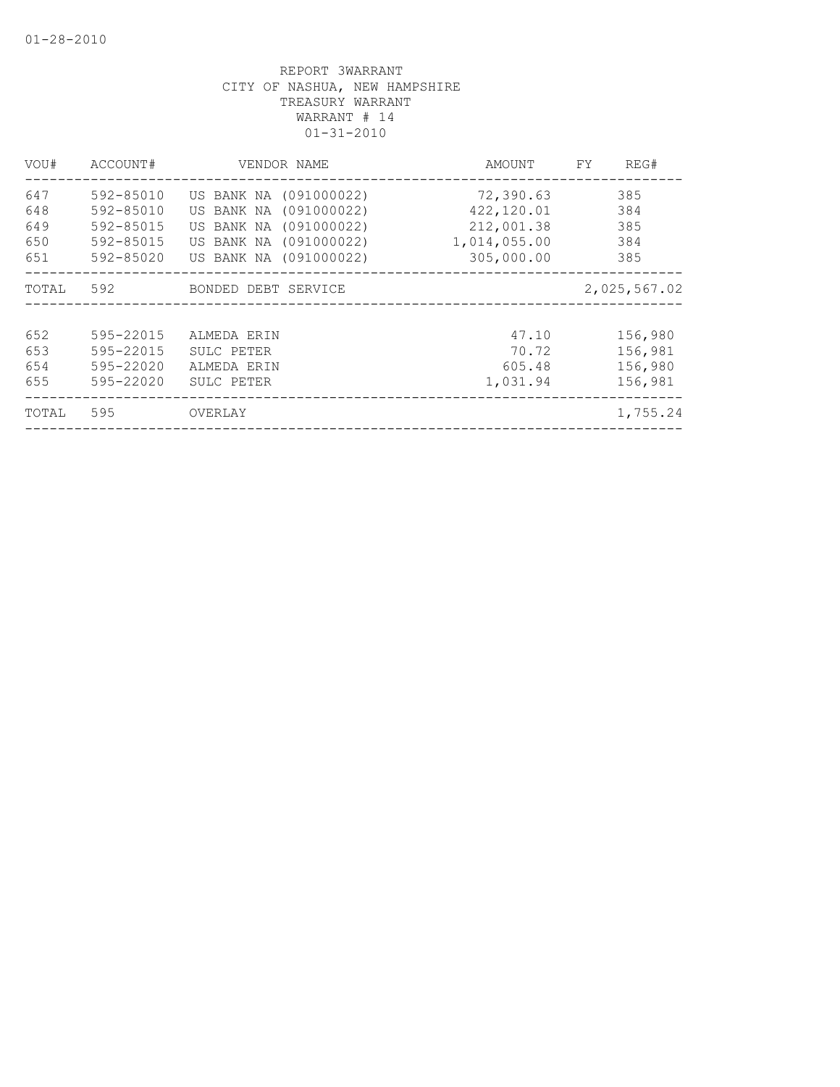| VOU#                            | ACCOUNT#                                                      | VENDOR NAME                                                                                                                    | AMOUNT                                                              | REG#<br>FY.                              |
|---------------------------------|---------------------------------------------------------------|--------------------------------------------------------------------------------------------------------------------------------|---------------------------------------------------------------------|------------------------------------------|
| 647<br>648<br>649<br>650<br>651 | 592-85010<br>592-85010<br>592-85015<br>592-85015<br>592-85020 | US BANK NA (091000022)<br>US BANK NA (091000022)<br>US BANK NA (091000022)<br>US BANK NA (091000022)<br>US BANK NA (091000022) | 72,390.63<br>422,120.01<br>212,001.38<br>1,014,055.00<br>305,000.00 | 385<br>384<br>385<br>384<br>385          |
| TOTAL                           | 592                                                           | BONDED DEBT SERVICE                                                                                                            |                                                                     | 2,025,567.02                             |
| 652<br>653<br>654<br>655        | 595-22015<br>595-22015<br>595-22020<br>595-22020              | ALMEDA ERIN<br>SULC PETER<br>ALMEDA ERIN<br>SULC PETER                                                                         | 47.10<br>70.72<br>605.48<br>1,031.94                                | 156,980<br>156,981<br>156,980<br>156,981 |
| TOTAL                           | 595                                                           | OVERLAY                                                                                                                        |                                                                     | 1,755.24                                 |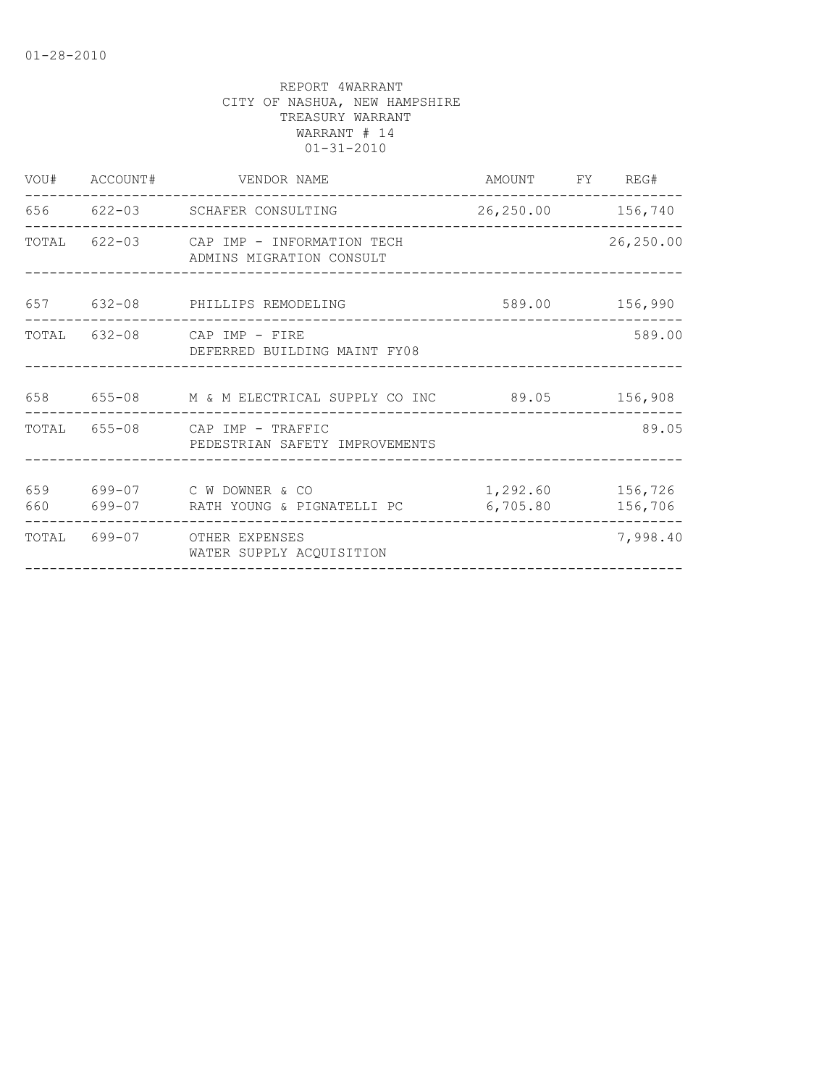|            | VOU# ACCOUNT# VENDOR NAME<br>__________________________             | AMOUNT FY REG#               |                |
|------------|---------------------------------------------------------------------|------------------------------|----------------|
|            | 656 622-03 SCHAFER CONSULTING                                       | 26, 250.00 156, 740          |                |
|            | TOTAL 622-03 CAP IMP - INFORMATION TECH<br>ADMINS MIGRATION CONSULT |                              | 26,250.00      |
|            | 657 632-08 PHILLIPS REMODELING                                      |                              | 589.00 156,990 |
|            | TOTAL 632-08 CAP IMP - FIRE<br>DEFERRED BUILDING MAINT FY08         |                              | 589.00         |
|            | 658  655-08  M & M ELECTRICAL SUPPLY CO INC  89.05  156,908         |                              |                |
|            | TOTAL 655-08 CAP IMP - TRAFFIC<br>PEDESTRIAN SAFETY IMPROVEMENTS    |                              | 89.05          |
| 659<br>660 | 699-07 C W DOWNER & CO                                              | 1,292.60 156,726<br>6,705.80 | 156,706        |
|            | TOTAL 699-07 OTHER EXPENSES<br>WATER SUPPLY ACQUISITION             |                              | 7,998.40       |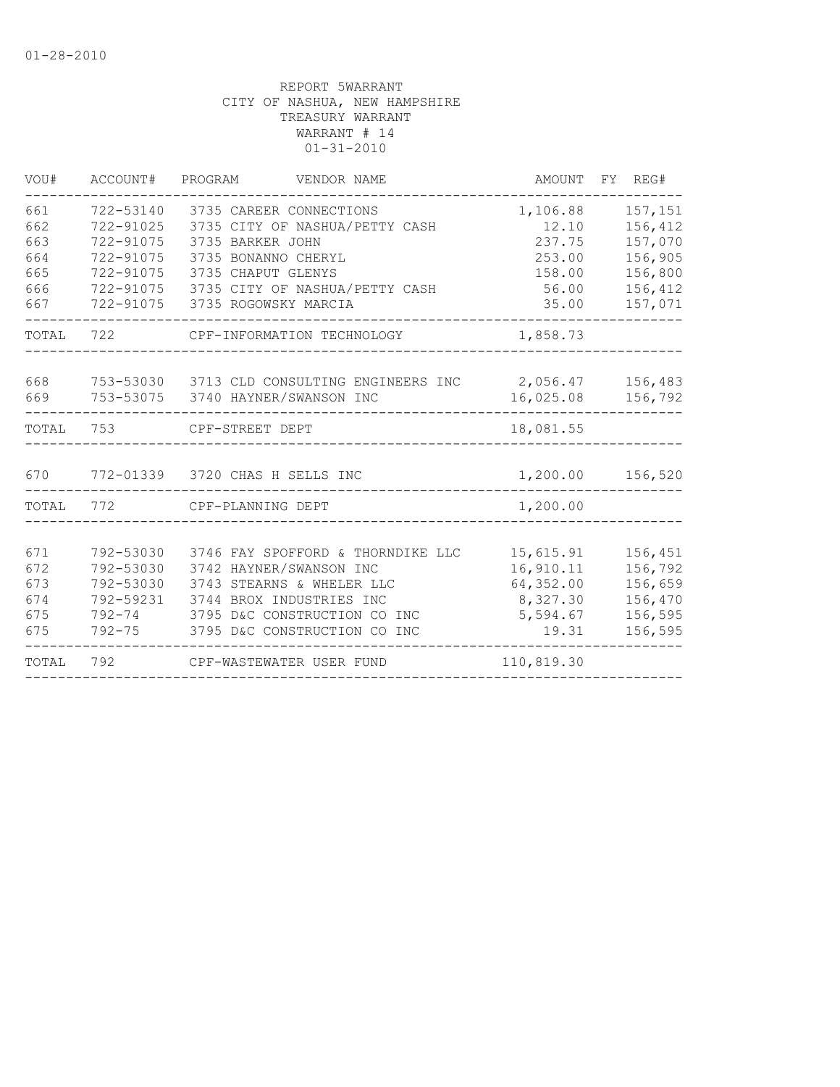| VOU#       | ACCOUNT#               | PROGRAM<br>VENDOR NAME                                    |                   | AMOUNT FY REG#     |
|------------|------------------------|-----------------------------------------------------------|-------------------|--------------------|
| 661<br>662 | 722-53140<br>722-91025 | 3735 CAREER CONNECTIONS<br>3735 CITY OF NASHUA/PETTY CASH | 1,106.88<br>12.10 | 157,151<br>156,412 |
| 663        | 722-91075              | 3735 BARKER JOHN                                          | 237.75            | 157,070            |
| 664        | 722-91075              | 3735 BONANNO CHERYL                                       | 253.00            | 156,905            |
| 665        | 722-91075              | 3735 CHAPUT GLENYS                                        | 158.00            | 156,800            |
| 666        | 722-91075              | 3735 CITY OF NASHUA/PETTY CASH                            | 56.00             | 156,412            |
| 667        | 722-91075              | 3735 ROGOWSKY MARCIA                                      | 35.00             | 157,071            |
| TOTAL      | 722                    | CPF-INFORMATION TECHNOLOGY                                | 1,858.73          |                    |
| 668        |                        | 753-53030 3713 CLD CONSULTING ENGINEERS INC               |                   | 2,056.47 156,483   |
| 669        |                        | 753-53075 3740 HAYNER/SWANSON INC                         | 16,025.08         | 156,792            |
| TOTAL      | 753                    | CPF-STREET DEPT                                           | 18,081.55         |                    |
| 670        |                        | 772-01339 3720 CHAS H SELLS INC                           | 1,200.00          | 156,520            |
| TOTAL      | 772                    | CPF-PLANNING DEPT                                         | 1,200.00          |                    |
|            |                        |                                                           |                   |                    |
| 671        | 792-53030              | 3746 FAY SPOFFORD & THORNDIKE LLC                         | 15,615.91         | 156,451            |
| 672        | 792-53030              | 3742 HAYNER/SWANSON INC                                   | 16,910.11         | 156,792            |
| 673        | 792-53030              | 3743 STEARNS & WHELER LLC                                 | 64,352.00         | 156,659            |
| 674        | 792-59231              | 3744 BROX INDUSTRIES INC                                  | 8,327.30          | 156,470            |
| 675        | $792 - 74$             | 3795 D&C CONSTRUCTION CO INC                              | 5,594.67          | 156,595            |
| 675        | $792 - 75$             | 3795 D&C CONSTRUCTION CO INC                              | 19.31             | 156,595            |
| TOTAL      | 792                    | CPF-WASTEWATER USER FUND                                  | 110,819.30        |                    |
|            |                        |                                                           |                   |                    |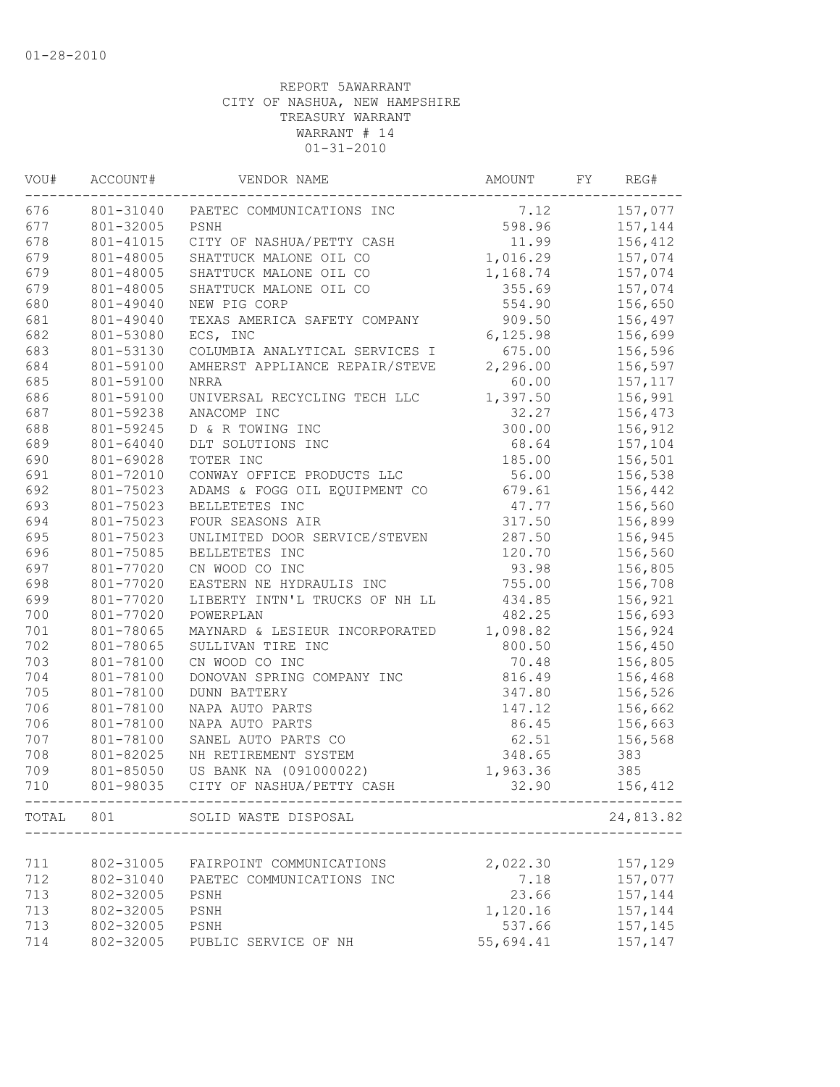| VOU# | ACCOUNT#  | VENDOR NAME                    | AMOUNT    | FY | REG#      |
|------|-----------|--------------------------------|-----------|----|-----------|
| 676  | 801-31040 | PAETEC COMMUNICATIONS INC      | 7.12      |    | 157,077   |
| 677  | 801-32005 | PSNH                           | 598.96    |    | 157,144   |
| 678  | 801-41015 | CITY OF NASHUA/PETTY CASH      | 11.99     |    | 156,412   |
| 679  | 801-48005 | SHATTUCK MALONE OIL CO         | 1,016.29  |    | 157,074   |
| 679  | 801-48005 | SHATTUCK MALONE OIL CO         | 1,168.74  |    | 157,074   |
| 679  | 801-48005 | SHATTUCK MALONE OIL CO         | 355.69    |    | 157,074   |
| 680  | 801-49040 | NEW PIG CORP                   | 554.90    |    | 156,650   |
| 681  | 801-49040 | TEXAS AMERICA SAFETY COMPANY   | 909.50    |    | 156,497   |
| 682  | 801-53080 | ECS, INC                       | 6, 125.98 |    | 156,699   |
| 683  | 801-53130 | COLUMBIA ANALYTICAL SERVICES I | 675.00    |    | 156,596   |
| 684  | 801-59100 | AMHERST APPLIANCE REPAIR/STEVE | 2,296.00  |    | 156,597   |
| 685  | 801-59100 | <b>NRRA</b>                    | 60.00     |    | 157,117   |
| 686  | 801-59100 | UNIVERSAL RECYCLING TECH LLC   | 1,397.50  |    | 156,991   |
| 687  | 801-59238 | ANACOMP INC                    | 32.27     |    | 156,473   |
| 688  | 801-59245 | D & R TOWING INC               | 300.00    |    | 156,912   |
| 689  | 801-64040 | DLT SOLUTIONS INC              | 68.64     |    | 157,104   |
| 690  | 801-69028 | TOTER INC                      | 185.00    |    | 156,501   |
| 691  | 801-72010 | CONWAY OFFICE PRODUCTS LLC     | 56.00     |    | 156,538   |
| 692  | 801-75023 | ADAMS & FOGG OIL EQUIPMENT CO  | 679.61    |    | 156,442   |
| 693  | 801-75023 | BELLETETES INC                 | 47.77     |    | 156,560   |
| 694  | 801-75023 | FOUR SEASONS AIR               | 317.50    |    | 156,899   |
| 695  | 801-75023 | UNLIMITED DOOR SERVICE/STEVEN  | 287.50    |    | 156,945   |
| 696  | 801-75085 | BELLETETES INC                 | 120.70    |    | 156,560   |
| 697  | 801-77020 | CN WOOD CO INC                 | 93.98     |    | 156,805   |
| 698  | 801-77020 | EASTERN NE HYDRAULIS INC       | 755.00    |    | 156,708   |
| 699  | 801-77020 | LIBERTY INTN'L TRUCKS OF NH LL | 434.85    |    | 156,921   |
| 700  | 801-77020 | POWERPLAN                      | 482.25    |    | 156,693   |
| 701  | 801-78065 | MAYNARD & LESIEUR INCORPORATED | 1,098.82  |    | 156,924   |
| 702  | 801-78065 | SULLIVAN TIRE INC              | 800.50    |    | 156,450   |
| 703  | 801-78100 | CN WOOD CO INC                 | 70.48     |    | 156,805   |
| 704  | 801-78100 | DONOVAN SPRING COMPANY INC     | 816.49    |    | 156,468   |
| 705  | 801-78100 | <b>DUNN BATTERY</b>            | 347.80    |    | 156,526   |
| 706  | 801-78100 | NAPA AUTO PARTS                | 147.12    |    | 156,662   |
| 706  | 801-78100 | NAPA AUTO PARTS                | 86.45     |    | 156,663   |
| 707  | 801-78100 | SANEL AUTO PARTS CO            | 62.51     |    | 156,568   |
| 708  | 801-82025 | NH RETIREMENT SYSTEM           | 348.65    |    | 383       |
| 709  | 801-85050 | US BANK NA (091000022)         | 1,963.36  |    | 385       |
| 710  | 801-98035 | CITY OF NASHUA/PETTY CASH      | 32.90     |    | 156,412   |
|      |           | TOTAL 801 SOLID WASTE DISPOSAL |           |    | 24,813.82 |
|      |           |                                |           |    |           |
| 711  | 802-31005 | FAIRPOINT COMMUNICATIONS       | 2,022.30  |    | 157,129   |
| 712  | 802-31040 | PAETEC COMMUNICATIONS INC      | 7.18      |    | 157,077   |
| 713  | 802-32005 | PSNH                           | 23.66     |    | 157,144   |
| 713  | 802-32005 | PSNH                           | 1,120.16  |    | 157,144   |
| 713  | 802-32005 | PSNH                           | 537.66    |    | 157,145   |
| 714  | 802-32005 | PUBLIC SERVICE OF NH           | 55,694.41 |    | 157,147   |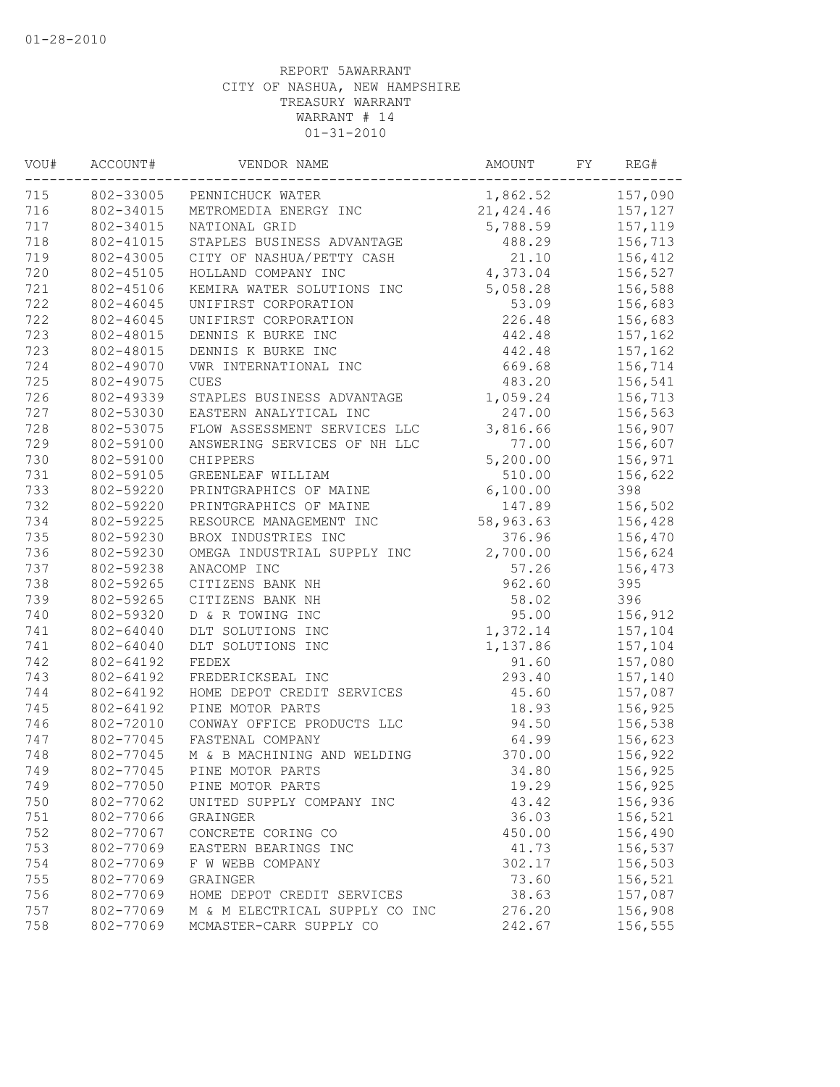| VOU# | ACCOUNT#  | VENDOR NAME                    | AMOUNT    | FΥ | REG#    |
|------|-----------|--------------------------------|-----------|----|---------|
| 715  | 802-33005 | PENNICHUCK WATER               | 1,862.52  |    | 157,090 |
| 716  | 802-34015 | METROMEDIA ENERGY INC          | 21,424.46 |    | 157,127 |
| 717  | 802-34015 | NATIONAL GRID                  | 5,788.59  |    | 157,119 |
| 718  | 802-41015 | STAPLES BUSINESS ADVANTAGE     | 488.29    |    | 156,713 |
| 719  | 802-43005 | CITY OF NASHUA/PETTY CASH      | 21.10     |    | 156,412 |
| 720  | 802-45105 | HOLLAND COMPANY INC            | 4,373.04  |    | 156,527 |
| 721  | 802-45106 | KEMIRA WATER SOLUTIONS INC     | 5,058.28  |    | 156,588 |
| 722  | 802-46045 | UNIFIRST CORPORATION           | 53.09     |    | 156,683 |
| 722  | 802-46045 | UNIFIRST CORPORATION           | 226.48    |    | 156,683 |
| 723  | 802-48015 | DENNIS K BURKE INC             | 442.48    |    | 157,162 |
| 723  | 802-48015 | DENNIS K BURKE INC             | 442.48    |    | 157,162 |
| 724  | 802-49070 | VWR INTERNATIONAL INC          | 669.68    |    | 156,714 |
| 725  | 802-49075 | <b>CUES</b>                    | 483.20    |    | 156,541 |
| 726  | 802-49339 | STAPLES BUSINESS ADVANTAGE     | 1,059.24  |    | 156,713 |
| 727  | 802-53030 | EASTERN ANALYTICAL INC         | 247.00    |    | 156,563 |
| 728  | 802-53075 | FLOW ASSESSMENT SERVICES LLC   | 3,816.66  |    | 156,907 |
| 729  | 802-59100 | ANSWERING SERVICES OF NH LLC   | 77.00     |    | 156,607 |
| 730  | 802-59100 | CHIPPERS                       | 5,200.00  |    | 156,971 |
| 731  | 802-59105 | GREENLEAF WILLIAM              | 510.00    |    | 156,622 |
| 733  | 802-59220 | PRINTGRAPHICS OF MAINE         | 6,100.00  |    | 398     |
| 732  | 802-59220 | PRINTGRAPHICS OF MAINE         | 147.89    |    | 156,502 |
| 734  | 802-59225 | RESOURCE MANAGEMENT INC        | 58,963.63 |    | 156,428 |
| 735  | 802-59230 | BROX INDUSTRIES INC            | 376.96    |    | 156,470 |
| 736  | 802-59230 | OMEGA INDUSTRIAL SUPPLY INC    | 2,700.00  |    | 156,624 |
| 737  | 802-59238 | ANACOMP INC                    | 57.26     |    | 156,473 |
| 738  | 802-59265 | CITIZENS BANK NH               | 962.60    |    | 395     |
| 739  | 802-59265 | CITIZENS BANK NH               | 58.02     |    | 396     |
| 740  | 802-59320 | D & R TOWING INC               | 95.00     |    | 156,912 |
| 741  | 802-64040 | DLT SOLUTIONS INC              | 1,372.14  |    | 157,104 |
| 741  | 802-64040 | DLT SOLUTIONS INC              | 1,137.86  |    | 157,104 |
| 742  | 802-64192 | FEDEX                          | 91.60     |    | 157,080 |
| 743  | 802-64192 | FREDERICKSEAL INC              | 293.40    |    | 157,140 |
| 744  | 802-64192 | HOME DEPOT CREDIT SERVICES     | 45.60     |    | 157,087 |
| 745  | 802-64192 | PINE MOTOR PARTS               | 18.93     |    | 156,925 |
| 746  | 802-72010 | CONWAY OFFICE PRODUCTS LLC     | 94.50     |    | 156,538 |
| 747  | 802-77045 | FASTENAL COMPANY               | 64.99     |    | 156,623 |
| 748  | 802-77045 | M & B MACHINING AND WELDING    | 370.00    |    | 156,922 |
| 749  | 802-77045 | PINE MOTOR PARTS               | 34.80     |    | 156,925 |
| 749  | 802-77050 | PINE MOTOR PARTS               | 19.29     |    | 156,925 |
| 750  | 802-77062 | UNITED SUPPLY COMPANY INC      | 43.42     |    | 156,936 |
| 751  | 802-77066 | GRAINGER                       | 36.03     |    | 156,521 |
| 752  | 802-77067 | CONCRETE CORING CO             | 450.00    |    | 156,490 |
| 753  | 802-77069 | EASTERN BEARINGS INC           | 41.73     |    | 156,537 |
| 754  | 802-77069 | F W WEBB COMPANY               | 302.17    |    | 156,503 |
| 755  | 802-77069 | GRAINGER                       | 73.60     |    | 156,521 |
| 756  | 802-77069 | HOME DEPOT CREDIT SERVICES     | 38.63     |    | 157,087 |
| 757  | 802-77069 | M & M ELECTRICAL SUPPLY CO INC | 276.20    |    | 156,908 |
| 758  | 802-77069 | MCMASTER-CARR SUPPLY CO        | 242.67    |    | 156,555 |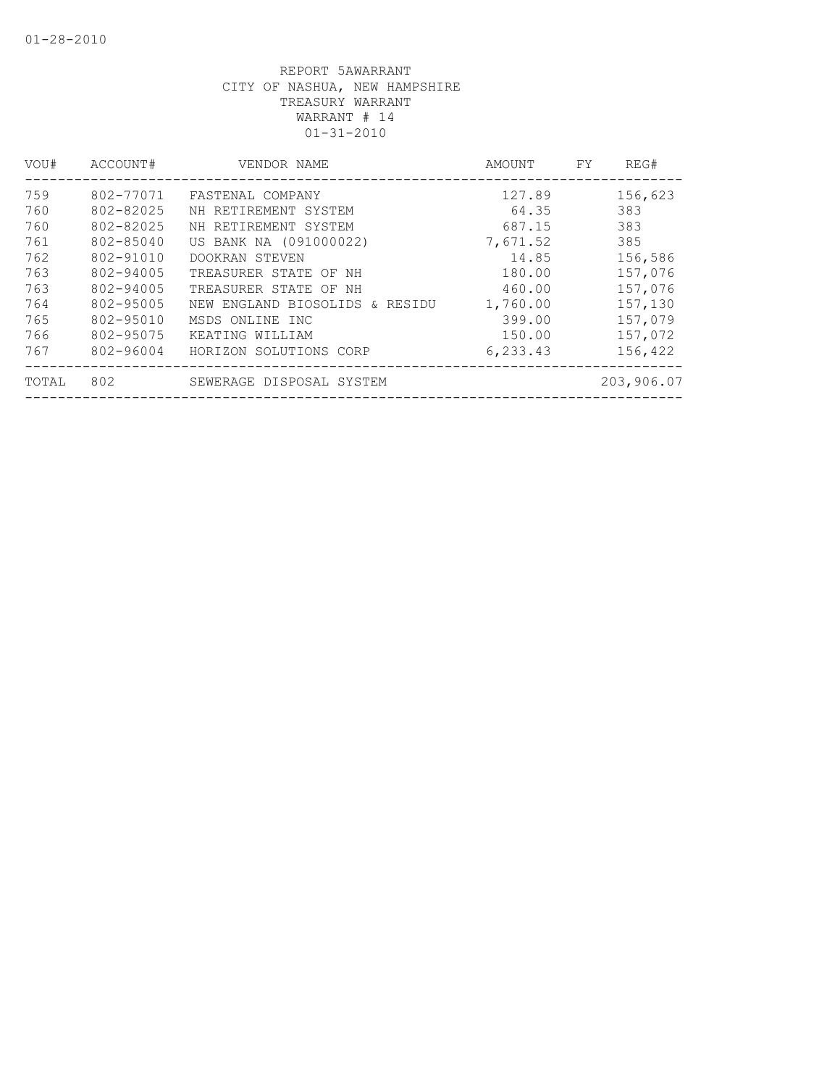| VOU#  | ACCOUNT#  | VENDOR NAME                       | AMOUNT   | FY. | REG#       |
|-------|-----------|-----------------------------------|----------|-----|------------|
| 759   | 802-77071 | FASTENAL COMPANY                  | 127.89   |     | 156,623    |
| 760   | 802-82025 | NH RETIREMENT SYSTEM              | 64.35    |     | 383        |
| 760   | 802-82025 | NH RETIREMENT SYSTEM              | 687.15   |     | 383        |
| 761   | 802-85040 | US BANK NA (091000022)            | 7,671.52 |     | 385        |
| 762   | 802-91010 | DOOKRAN STEVEN                    | 14.85    |     | 156,586    |
| 763   | 802-94005 | TREASURER STATE OF NH             | 180.00   |     | 157,076    |
| 763   | 802-94005 | TREASURER STATE OF NH             | 460.00   |     | 157,076    |
| 764   | 802-95005 | NEW ENGLAND BIOSOLIDS<br>& RESIDU | 1,760.00 |     | 157,130    |
| 765   | 802-95010 | MSDS ONLINE INC                   | 399.00   |     | 157,079    |
| 766   | 802-95075 | KEATING WILLIAM                   | 150.00   |     | 157,072    |
| 767   | 802-96004 | HORIZON SOLUTIONS CORP            | 6,233.43 |     | 156,422    |
| TOTAL | 802       | SEWERAGE DISPOSAL SYSTEM          |          |     | 203,906.07 |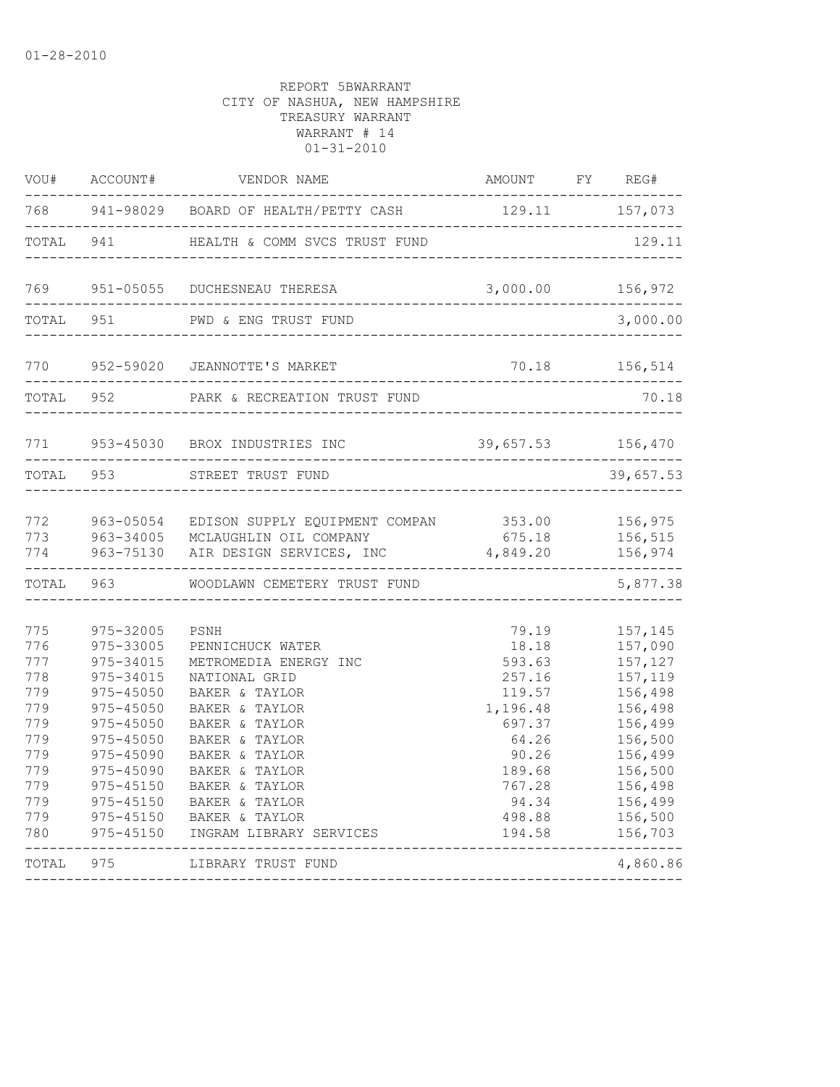| 768<br>941-98029<br>129.11<br>BOARD OF HEALTH/PETTY CASH<br>---------<br>___________________________<br>-----------<br>TOTAL<br>941<br>HEALTH & COMM SVCS TRUST FUND<br>769<br>951-05055<br>3,000.00<br>DUCHESNEAU THERESA<br>TOTAL<br>951<br>PWD & ENG TRUST FUND<br>770<br>952-59020<br>70.18<br>JEANNOTTE'S MARKET<br>952<br>TOTAL<br>PARK & RECREATION TRUST FUND<br>---------                                                                                                                                                                                                                                                                                                                   | 157,073<br>129.11<br>156,972<br>3,000.00<br>156,514<br>70.18                                                                                           |
|------------------------------------------------------------------------------------------------------------------------------------------------------------------------------------------------------------------------------------------------------------------------------------------------------------------------------------------------------------------------------------------------------------------------------------------------------------------------------------------------------------------------------------------------------------------------------------------------------------------------------------------------------------------------------------------------------|--------------------------------------------------------------------------------------------------------------------------------------------------------|
|                                                                                                                                                                                                                                                                                                                                                                                                                                                                                                                                                                                                                                                                                                      |                                                                                                                                                        |
|                                                                                                                                                                                                                                                                                                                                                                                                                                                                                                                                                                                                                                                                                                      |                                                                                                                                                        |
|                                                                                                                                                                                                                                                                                                                                                                                                                                                                                                                                                                                                                                                                                                      |                                                                                                                                                        |
|                                                                                                                                                                                                                                                                                                                                                                                                                                                                                                                                                                                                                                                                                                      |                                                                                                                                                        |
|                                                                                                                                                                                                                                                                                                                                                                                                                                                                                                                                                                                                                                                                                                      |                                                                                                                                                        |
|                                                                                                                                                                                                                                                                                                                                                                                                                                                                                                                                                                                                                                                                                                      |                                                                                                                                                        |
| 771<br>953-45030<br>BROX INDUSTRIES INC<br>39,657.53                                                                                                                                                                                                                                                                                                                                                                                                                                                                                                                                                                                                                                                 | 156,470                                                                                                                                                |
| TOTAL<br>953<br>STREET TRUST FUND                                                                                                                                                                                                                                                                                                                                                                                                                                                                                                                                                                                                                                                                    | 39,657.53                                                                                                                                              |
| 772<br>963-05054<br>EDISON SUPPLY EQUIPMENT COMPAN<br>353.00<br>773<br>963-34005<br>MCLAUGHLIN OIL COMPANY<br>675.18<br>774<br>963-75130<br>4,849.20<br>AIR DESIGN SERVICES, INC                                                                                                                                                                                                                                                                                                                                                                                                                                                                                                                     | 156,975<br>156,515<br>156,974                                                                                                                          |
| -----------<br>963<br>TOTAL<br>WOODLAWN CEMETERY TRUST FUND                                                                                                                                                                                                                                                                                                                                                                                                                                                                                                                                                                                                                                          | 5,877.38                                                                                                                                               |
| 775<br>975-32005<br>79.19<br>PSNH<br>776<br>975-33005<br>18.18<br>PENNICHUCK WATER<br>777<br>975-34015<br>METROMEDIA ENERGY INC<br>593.63<br>778<br>975-34015<br>NATIONAL GRID<br>257.16<br>779<br>$975 - 45050$<br>119.57<br>BAKER & TAYLOR<br>779<br>975-45050<br>BAKER & TAYLOR<br>1,196.48<br>779<br>975-45050<br>BAKER & TAYLOR<br>697.37<br>779<br>975-45050<br>BAKER & TAYLOR<br>64.26<br>779<br>975-45090<br>90.26<br>BAKER & TAYLOR<br>779<br>975-45090<br>189.68<br>BAKER & TAYLOR<br>779<br>767.28<br>975-45150<br>BAKER & TAYLOR<br>779<br>975-45150<br>BAKER & TAYLOR<br>94.34<br>779<br>975-45150<br>BAKER & TAYLOR<br>498.88<br>780<br>975-45150<br>INGRAM LIBRARY SERVICES<br>194.58 | 157,145<br>157,090<br>157,127<br>157,119<br>156,498<br>156,498<br>156,499<br>156,500<br>156,499<br>156,500<br>156,498<br>156,499<br>156,500<br>156,703 |
| 975<br>TOTAL<br>LIBRARY TRUST FUND                                                                                                                                                                                                                                                                                                                                                                                                                                                                                                                                                                                                                                                                   | 4,860.86                                                                                                                                               |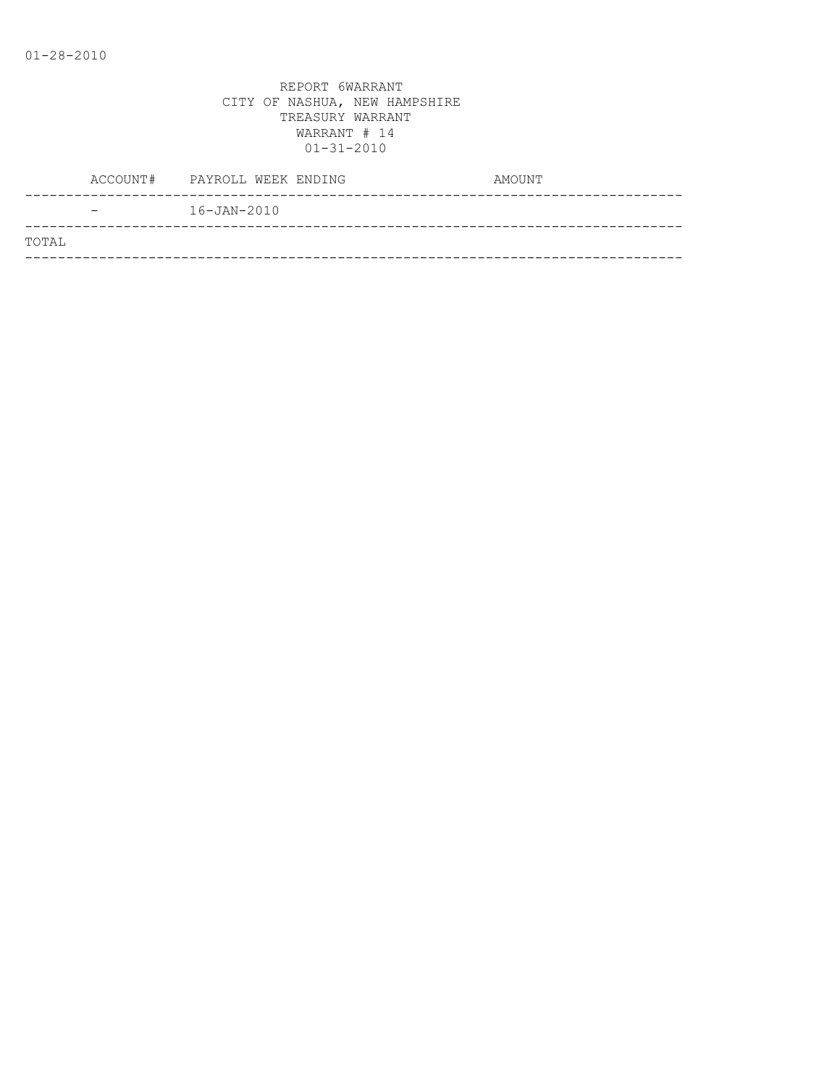|       | ACCOUNT# PAYROLL WEEK ENDING | AMOUNT |
|-------|------------------------------|--------|
|       | $16 - JAN - 2010$            |        |
| TOTAL |                              |        |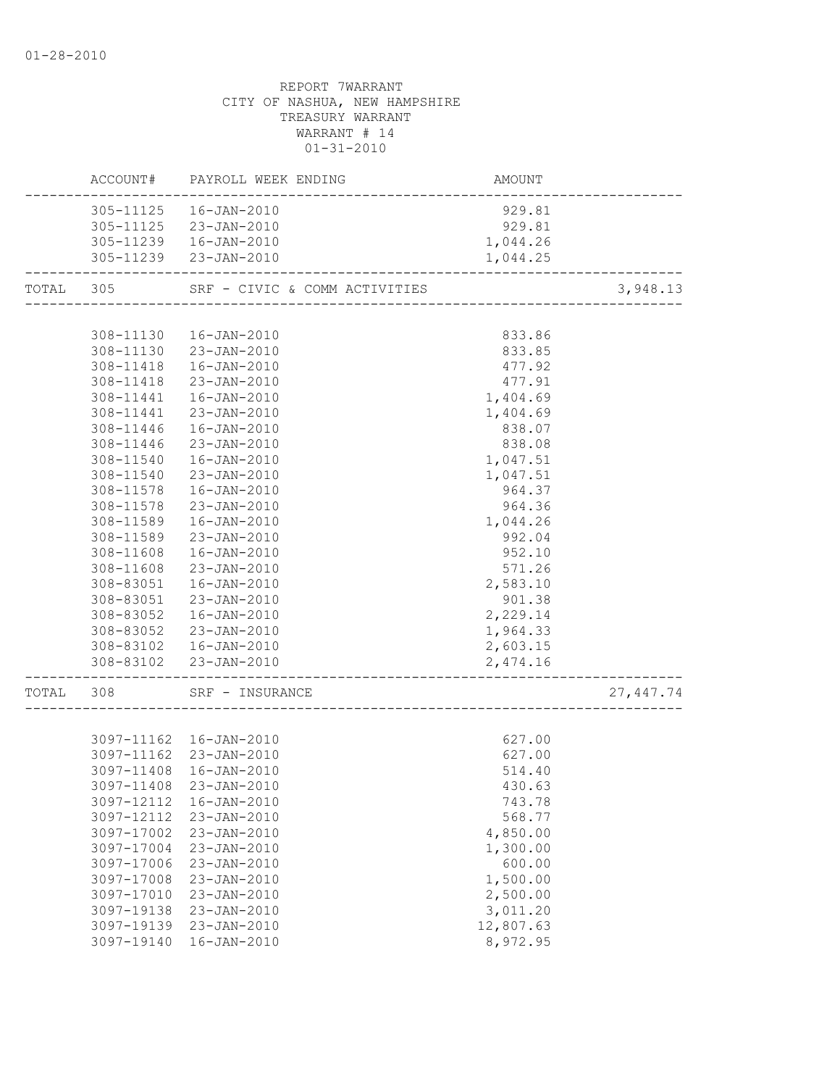# REPORT 7WARRANT CITY OF NASHUA, NEW HAMPSHIRE TREASURY WARRANT WARRANT # 14  $01 - 31 - 2010$ ACCOUNT# PAYROLL WEEK ENDING COUNT AMOUNT -------------------------------------------------------------------------------- 305-11125 16-JAN-2010 929.81 305-11125 23-JAN-2010 929.81 305-11239 16-JAN-2010 1,044.26 305-11239 23-JAN-2010 1,044.25 -------------------------------------------------------------------------------- TOTAL 305 SRF - CIVIC & COMM ACTIVITIES 3,948.13 -------------------------------------------------------------------------------- 308-11130 16-JAN-2010 833.86 308-11130 23-JAN-2010 833.85 308-11418 16-JAN-2010 477.92 308-11418 23-JAN-2010 477.91 308-11441 16-JAN-2010 1,404.69 308-11441 23-JAN-2010 1,404.69 308-11446 16-JAN-2010 838.07 308-11446 23-JAN-2010 838.08 308-11540 16-JAN-2010 1,047.51 308-11540 23-JAN-2010 1,047.51 308-11578 16-JAN-2010 964.37 308-11578 23-JAN-2010 964.36 308-11589 16-JAN-2010 1,044.26 308-11589 23-JAN-2010 992.04 308-11608 16-JAN-2010 952.10 308-11608 23-JAN-2010 571.26 308-83051 16-JAN-2010 2,583.10 308-83051 23-JAN-2010 901.38 308-83052 16-JAN-2010 2,229.14 308-83052 23-JAN-2010 1,964.33 308-83102 16-JAN-2010 2,603.15 308-83102 23-JAN-2010 2,474.16 -------------------------------------------------------------------------------- TOTAL 308 SRF – INSURANCE 27,447.74 -------------------------------------------------------------------------------- 3097-11162 16-JAN-2010 627.00 3097-11162 23-JAN-2010 627.00 3097-11408 16-JAN-2010 514.40 3097-11408 23-JAN-2010 430.63 3097-12112 16-JAN-2010 743.78

|            | 3097-12112 16-JAN-2010 | 743.78    |
|------------|------------------------|-----------|
|            | 3097-12112 23-JAN-2010 | 568.77    |
| 3097-17002 | 23-JAN-2010            | 4,850.00  |
| 3097-17004 | 23-JAN-2010            | 1,300.00  |
| 3097-17006 | 23-JAN-2010            | 600.00    |
| 3097-17008 | 23-JAN-2010            | 1,500.00  |
| 3097-17010 | 23-JAN-2010            | 2,500.00  |
| 3097-19138 | 23-JAN-2010            | 3,011.20  |
| 3097-19139 | 23-JAN-2010            | 12,807.63 |
| 3097-19140 | 16-JAN-2010            | 8,972.95  |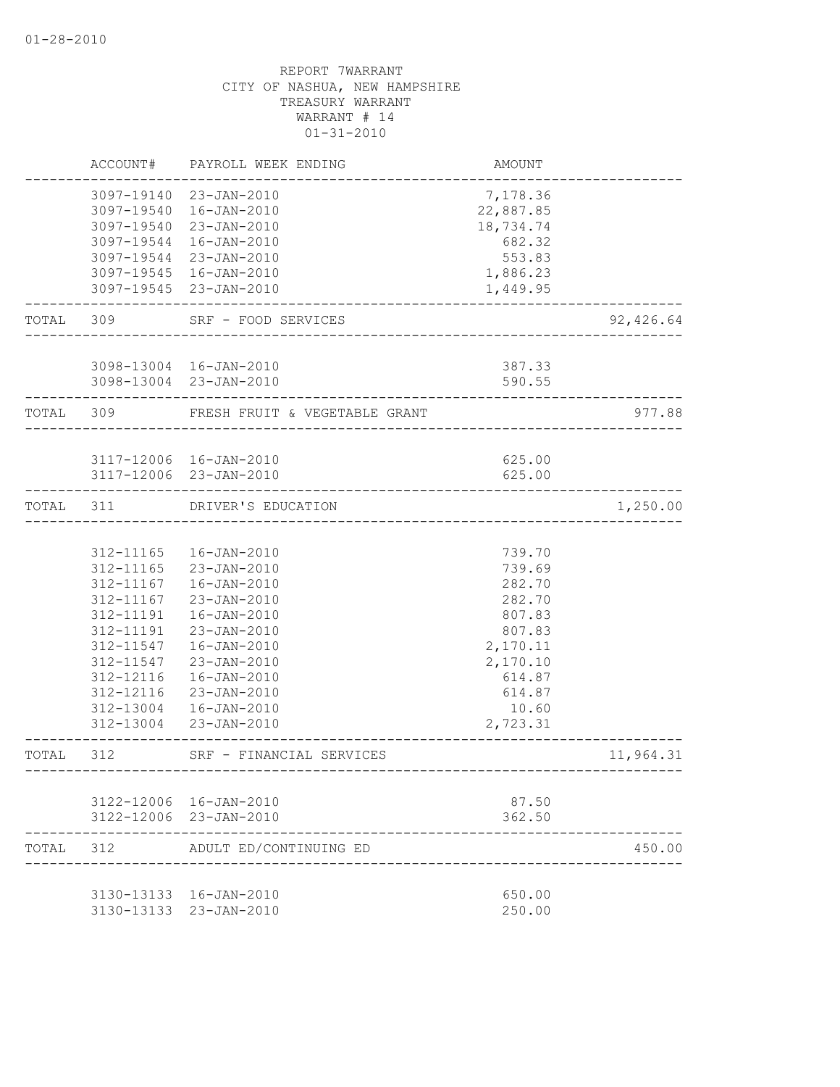|           | ACCOUNT#                                                                                             | PAYROLL WEEK ENDING                                                                                                                                                                                                              | AMOUNT                                                                                                                    |           |
|-----------|------------------------------------------------------------------------------------------------------|----------------------------------------------------------------------------------------------------------------------------------------------------------------------------------------------------------------------------------|---------------------------------------------------------------------------------------------------------------------------|-----------|
|           |                                                                                                      | 3097-19140 23-JAN-2010<br>3097-19540  16-JAN-2010<br>3097-19540 23-JAN-2010<br>3097-19544 16-JAN-2010<br>3097-19544 23-JAN-2010<br>3097-19545  16-JAN-2010<br>3097-19545 23-JAN-2010                                             | 7,178.36<br>22,887.85<br>18,734.74<br>682.32<br>553.83<br>1,886.23<br>1,449.95                                            |           |
| TOTAL     | 309                                                                                                  | SRF - FOOD SERVICES                                                                                                                                                                                                              |                                                                                                                           | 92,426.64 |
|           |                                                                                                      | 3098-13004 16-JAN-2010<br>3098-13004 23-JAN-2010                                                                                                                                                                                 | 387.33<br>590.55                                                                                                          |           |
| TOTAL 309 |                                                                                                      | FRESH FRUIT & VEGETABLE GRANT                                                                                                                                                                                                    |                                                                                                                           | 977.88    |
|           |                                                                                                      | 3117-12006 16-JAN-2010<br>3117-12006 23-JAN-2010                                                                                                                                                                                 | 625.00<br>625.00                                                                                                          |           |
| TOTAL     | 311                                                                                                  | DRIVER'S EDUCATION                                                                                                                                                                                                               |                                                                                                                           | 1,250.00  |
|           | 312-11167<br>312-11167<br>312-11191<br>312-11191<br>312-11547<br>312-11547<br>312-12116<br>312-12116 | 312-11165  16-JAN-2010<br>312-11165 23-JAN-2010<br>16-JAN-2010<br>23-JAN-2010<br>16-JAN-2010<br>23-JAN-2010<br>16-JAN-2010<br>23-JAN-2010<br>$16 - JAN - 2010$<br>23-JAN-2010<br>312-13004  16-JAN-2010<br>312-13004 23-JAN-2010 | 739.70<br>739.69<br>282.70<br>282.70<br>807.83<br>807.83<br>2,170.11<br>2,170.10<br>614.87<br>614.87<br>10.60<br>2,723.31 |           |
| TOTAL     | 312                                                                                                  | SRF - FINANCIAL SERVICES                                                                                                                                                                                                         |                                                                                                                           | 11,964.31 |
| TOTAL     | 312                                                                                                  | 3122-12006 16-JAN-2010<br>3122-12006 23-JAN-2010<br>ADULT ED/CONTINUING ED                                                                                                                                                       | 87.50<br>362.50                                                                                                           | 450.00    |
|           |                                                                                                      | 3130-13133 16-JAN-2010<br>3130-13133 23-JAN-2010                                                                                                                                                                                 | 650.00<br>250.00                                                                                                          |           |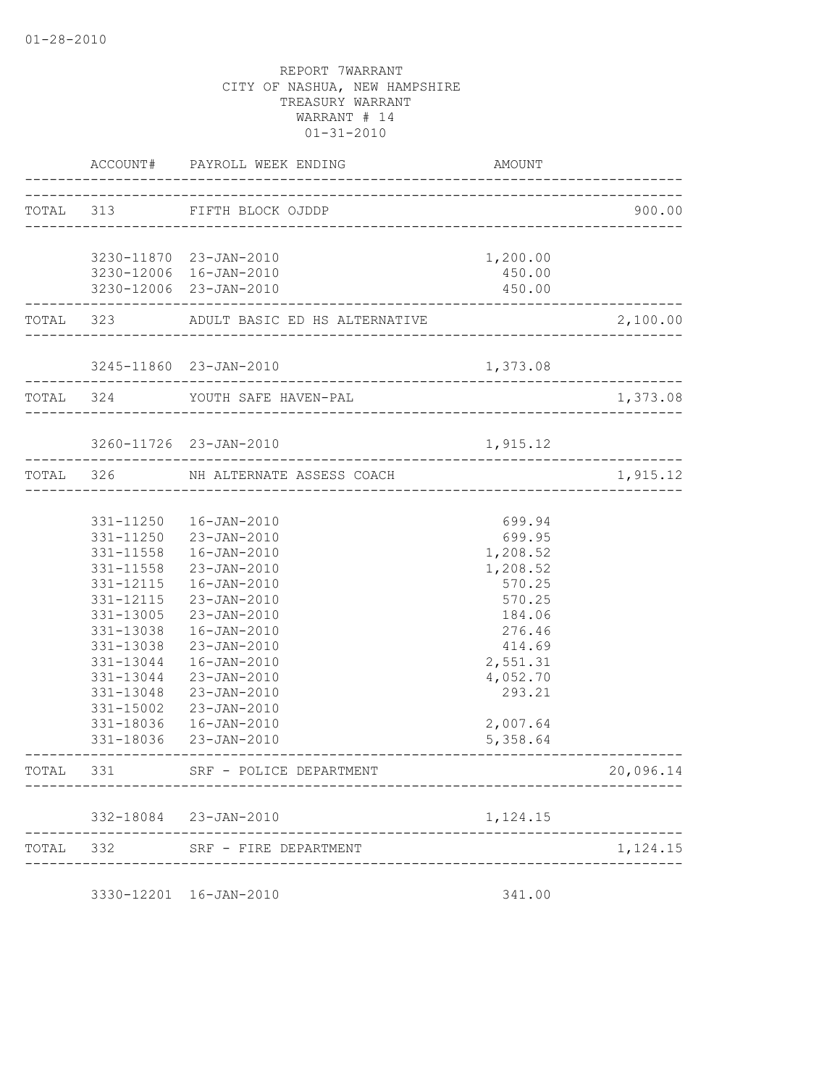|           | ACCOUNT#               | PAYROLL WEEK ENDING<br>------------                                                 | AMOUNT                           |           |
|-----------|------------------------|-------------------------------------------------------------------------------------|----------------------------------|-----------|
| TOTAL 313 |                        | FIFTH BLOCK OJDDP                                                                   |                                  | 900.00    |
|           |                        | 3230-11870 23-JAN-2010                                                              | 1,200.00                         |           |
|           |                        | 3230-12006 16-JAN-2010                                                              | 450.00                           |           |
|           |                        | 3230-12006 23-JAN-2010<br>------------------------<br>_____________________________ | 450.00                           |           |
|           |                        |                                                                                     |                                  | 2,100.00  |
|           |                        | 3245-11860 23-JAN-2010                                                              | 1,373.08                         |           |
| TOTAL 324 |                        | YOUTH SAFE HAVEN-PAL<br>_______________________                                     |                                  | 1,373.08  |
|           |                        | 3260-11726 23-JAN-2010                                                              | 1,915.12                         |           |
|           | _________________      | __________________________<br>TOTAL 326 NH ALTERNATE ASSESS COACH                   |                                  | 1,915.12  |
|           |                        |                                                                                     | -------------------------------- |           |
|           |                        | 331-11250  16-JAN-2010                                                              | 699.94                           |           |
|           | 331-11250              | 23-JAN-2010                                                                         | 699.95                           |           |
|           | $331 - 11558$          | 16-JAN-2010                                                                         | 1,208.52                         |           |
|           | 331-11558<br>331-12115 | 23-JAN-2010<br>$16 - JAN - 2010$                                                    | 1,208.52<br>570.25               |           |
|           | 331-12115              | 23-JAN-2010                                                                         | 570.25                           |           |
|           | 331-13005              | $23 - JAN - 2010$                                                                   | 184.06                           |           |
|           | 331-13038              | $16 - JAN - 2010$                                                                   | 276.46                           |           |
|           | 331-13038              | $23 - JAN - 2010$                                                                   | 414.69                           |           |
|           | 331-13044              | $16 - JAN - 2010$                                                                   | 2,551.31                         |           |
|           | 331-13044              | $23 - JAN - 2010$                                                                   | 4,052.70                         |           |
|           | 331-13048              | 23-JAN-2010                                                                         | 293.21                           |           |
|           | 331-15002              | $23 - JAN - 2010$                                                                   |                                  |           |
|           |                        | 331-18036  16-JAN-2010                                                              | 2,007.64                         |           |
|           | ___________________    | 331-18036 23-JAN-2010                                                               | 5,358.64                         |           |
| TOTAL     | 331                    | SRF - POLICE DEPARTMENT                                                             |                                  | 20,096.14 |
|           |                        | 332-18084 23-JAN-2010                                                               | 1,124.15                         |           |
| TOTAL     | 332                    | _______________.<br>SRF - FIRE DEPARTMENT                                           |                                  | 1,124.15  |

3330-12201 16-JAN-2010 341.00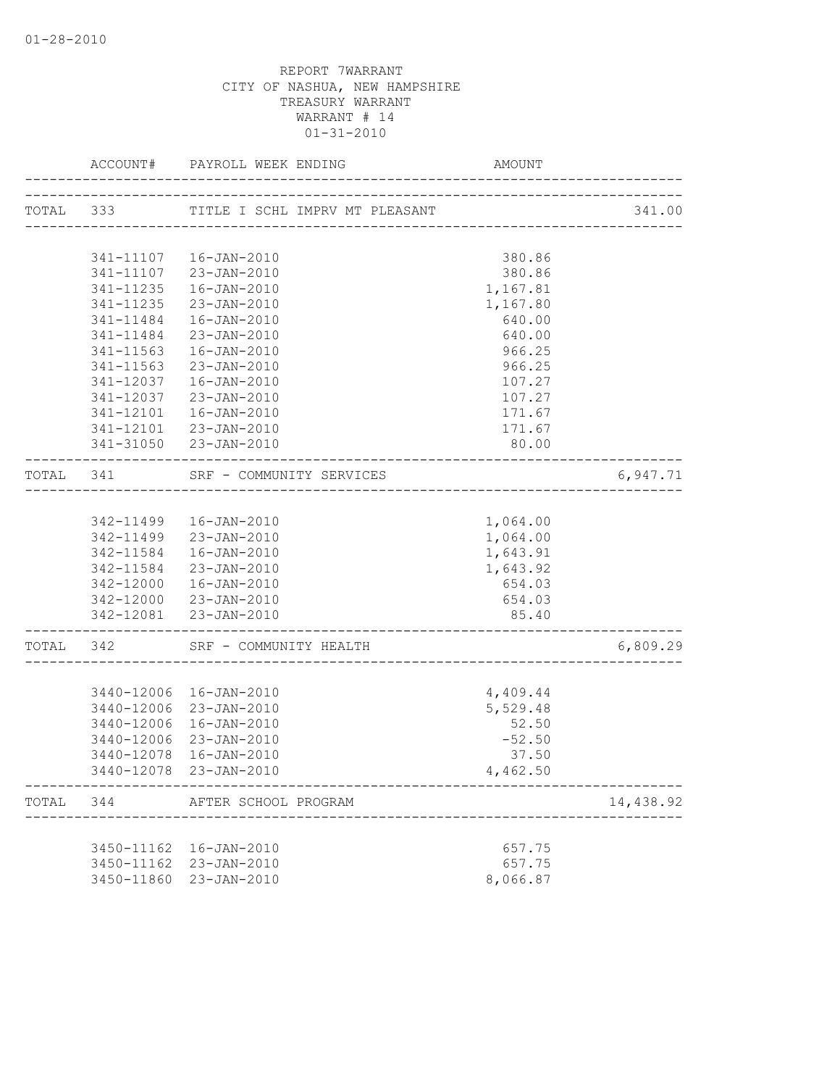|           |            | ACCOUNT# PAYROLL WEEK ENDING                                  | AMOUNT                                 |           |
|-----------|------------|---------------------------------------------------------------|----------------------------------------|-----------|
| TOTAL 333 |            | TITLE I SCHL IMPRV MT PLEASANT                                | -------------------------------------- | 341.00    |
|           |            |                                                               |                                        |           |
|           |            | 341-11107  16-JAN-2010                                        | 380.86                                 |           |
|           |            | 341-11107 23-JAN-2010                                         | 380.86                                 |           |
|           | 341-11235  | 16-JAN-2010                                                   | 1,167.81                               |           |
|           | 341-11235  | 23-JAN-2010                                                   | 1,167.80                               |           |
|           | 341-11484  | 16-JAN-2010                                                   | 640.00                                 |           |
|           | 341-11484  | 23-JAN-2010                                                   | 640.00                                 |           |
|           | 341-11563  | 16-JAN-2010                                                   | 966.25                                 |           |
|           | 341-11563  | 23-JAN-2010                                                   | 966.25                                 |           |
|           |            | 341-12037  16-JAN-2010                                        | 107.27                                 |           |
|           | 341-12037  | 23-JAN-2010                                                   | 107.27                                 |           |
|           | 341-12101  | 16-JAN-2010                                                   | 171.67                                 |           |
|           |            | 341-12101 23-JAN-2010                                         | 171.67                                 |           |
|           |            | 341-31050 23-JAN-2010                                         | 80.00                                  |           |
| TOTAL 341 |            | SRF - COMMUNITY SERVICES<br>--------------------------------- |                                        | 6,947.71  |
|           |            |                                                               |                                        |           |
|           |            | 342-11499  16-JAN-2010                                        | 1,064.00                               |           |
|           |            | 342-11499 23-JAN-2010                                         | 1,064.00                               |           |
|           | 342-11584  | 16-JAN-2010                                                   | 1,643.91                               |           |
|           |            | 342-11584 23-JAN-2010                                         | 1,643.92                               |           |
|           |            | 342-12000  16-JAN-2010                                        | 654.03                                 |           |
|           |            | 342-12000 23-JAN-2010                                         | 654.03                                 |           |
|           |            | 342-12081 23-JAN-2010                                         | 85.40                                  |           |
| TOTAL 342 |            | SRF - COMMUNITY HEALTH                                        |                                        | 6,809.29  |
|           |            |                                                               |                                        |           |
|           |            | 3440-12006 16-JAN-2010                                        | 4,409.44                               |           |
|           |            | 3440-12006 23-JAN-2010                                        | 5,529.48                               |           |
|           | 3440-12006 | 16-JAN-2010                                                   | 52.50                                  |           |
|           | 3440-12006 | 23-JAN-2010                                                   | $-52.50$                               |           |
|           | 3440-12078 | 16-JAN-2010                                                   | 37.50                                  |           |
|           |            | 3440-12078 23-JAN-2010                                        | 4,462.50                               |           |
|           |            | TOTAL 344 AFTER SCHOOL PROGRAM                                |                                        | 14,438.92 |
|           |            |                                                               |                                        |           |
|           |            | 3450-11162  16-JAN-2010                                       | 657.75                                 |           |
|           |            | 3450-11162 23-JAN-2010                                        | 657.75                                 |           |
|           | 3450-11860 | 23-JAN-2010                                                   | 8,066.87                               |           |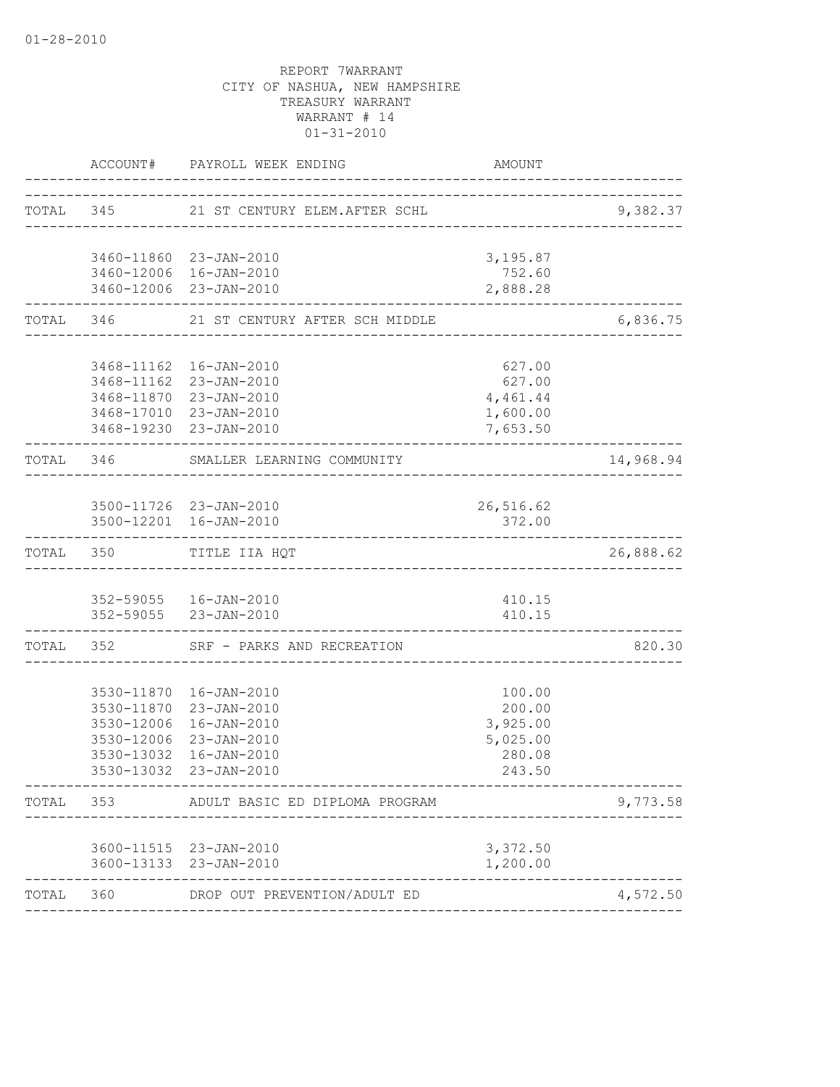|       |            | ACCOUNT# PAYROLL WEEK ENDING                         | AMOUNT              |           |
|-------|------------|------------------------------------------------------|---------------------|-----------|
|       |            | TOTAL 345 21 ST CENTURY ELEM.AFTER SCHL              |                     | 9,382.37  |
|       |            | 3460-11860 23-JAN-2010                               | 3,195.87            |           |
|       |            | 3460-12006 16-JAN-2010                               | 752.60              |           |
|       |            | 3460-12006 23-JAN-2010                               | 2,888.28            |           |
|       |            | TOTAL 346 21 ST CENTURY AFTER SCH MIDDLE             |                     | 6,836.75  |
|       |            | 3468-11162  16-JAN-2010                              | 627.00              |           |
|       |            | 3468-11162 23-JAN-2010                               | 627.00              |           |
|       |            | 3468-11870 23-JAN-2010                               | 4,461.44            |           |
|       |            | 3468-17010 23-JAN-2010                               | 1,600.00            |           |
|       |            | 3468-19230 23-JAN-2010                               | 7,653.50            |           |
|       |            | TOTAL 346 SMALLER LEARNING COMMUNITY                 |                     | 14,968.94 |
|       |            |                                                      |                     |           |
|       |            | 3500-11726 23-JAN-2010<br>3500-12201 16-JAN-2010     | 26,516.62<br>372.00 |           |
|       | TOTAL 350  | TITLE IIA HQT                                        |                     | 26,888.62 |
|       |            |                                                      |                     |           |
|       |            | 352-59055  16-JAN-2010                               | 410.15              |           |
|       |            | 352-59055 23-JAN-2010                                | 410.15              |           |
|       |            | TOTAL 352 SRF - PARKS AND RECREATION                 |                     | 820.30    |
|       |            | 3530-11870  16-JAN-2010                              |                     |           |
|       |            | 3530-11870 23-JAN-2010                               | 100.00<br>200.00    |           |
|       |            | 3530-12006 16-JAN-2010                               | 3,925.00            |           |
|       |            | 3530-12006 23-JAN-2010                               | 5,025.00            |           |
|       | 3530-13032 | $16 - JAN - 2010$                                    | 280.08              |           |
|       |            | 3530-13032 23-JAN-2010                               | 243.50              |           |
| TOTAL | 353        | ADULT BASIC ED DIPLOMA PROGRAM                       |                     | 9,773.58  |
|       |            | 3600-11515 23-JAN-2010                               | 3,372.50            |           |
|       |            | 3600-13133 23-JAN-2010                               | 1,200.00            |           |
| TOTAL | 360        | --------------------<br>DROP OUT PREVENTION/ADULT ED |                     | 4,572.50  |
|       |            |                                                      |                     |           |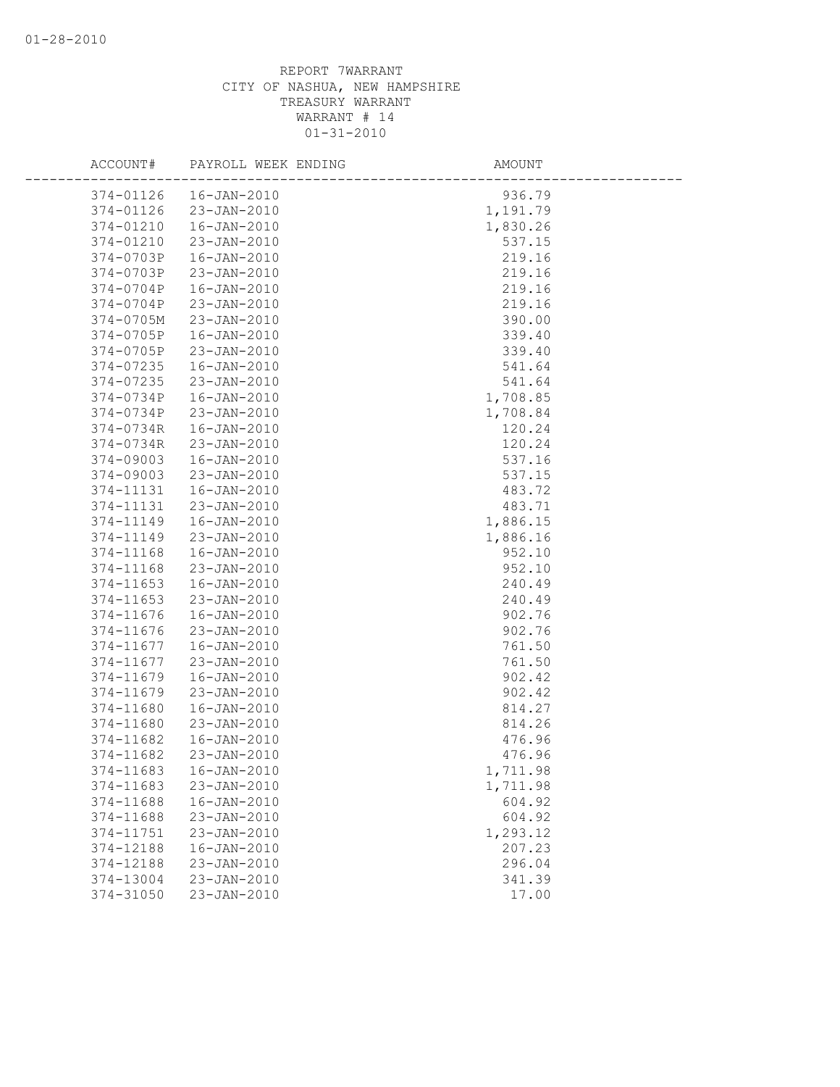| ACCOUNT#               | PAYROLL WEEK ENDING              | AMOUNT           |
|------------------------|----------------------------------|------------------|
| 374-01126              | 16-JAN-2010                      | 936.79           |
| 374-01126              | 23-JAN-2010                      | 1,191.79         |
| 374-01210              | $16 - JAN - 2010$                | 1,830.26         |
| 374-01210              | 23-JAN-2010                      | 537.15           |
| 374-0703P              | $16 - JAN - 2010$                | 219.16           |
| 374-0703P              | 23-JAN-2010                      | 219.16           |
| 374-0704P              | $16 - JAN - 2010$                | 219.16           |
| 374-0704P              | $23 - JAN - 2010$                | 219.16           |
| 374-0705M              | 23-JAN-2010                      | 390.00           |
| 374-0705P              | $16 - JAN - 2010$                | 339.40           |
| 374-0705P              | 23-JAN-2010                      | 339.40           |
| 374-07235              | $16 - JAN - 2010$                | 541.64           |
| 374-07235              | 23-JAN-2010                      | 541.64           |
| 374-0734P              | $16 - JAN - 2010$                | 1,708.85         |
| 374-0734P              | 23-JAN-2010                      | 1,708.84         |
| 374-0734R              | $16 - JAN - 2010$                | 120.24           |
| 374-0734R              | 23-JAN-2010                      | 120.24           |
| 374-09003              | $16 - JAN - 2010$                | 537.16           |
| 374-09003              | $23 - JAN - 2010$                | 537.15           |
| 374-11131              | $16 - JAN - 2010$                | 483.72           |
| 374-11131              | 23-JAN-2010                      | 483.71           |
| 374-11149              | $16 - JAN - 2010$                | 1,886.15         |
| 374-11149              | 23-JAN-2010                      | 1,886.16         |
| 374-11168<br>374-11168 | $16 - JAN - 2010$<br>23-JAN-2010 | 952.10<br>952.10 |
| 374-11653              | $16 - JAN - 2010$                | 240.49           |
| 374-11653              | 23-JAN-2010                      | 240.49           |
| 374-11676              | $16 - JAN - 2010$                | 902.76           |
| 374-11676              | 23-JAN-2010                      | 902.76           |
| 374-11677              | $16 - JAN - 2010$                | 761.50           |
| 374-11677              | 23-JAN-2010                      | 761.50           |
| 374-11679              | $16 - JAN - 2010$                | 902.42           |
| 374-11679              | 23-JAN-2010                      | 902.42           |
| 374-11680              | $16 - JAN - 2010$                | 814.27           |
| 374-11680              | 23-JAN-2010                      | 814.26           |
| 374-11682              | $16 - JAN - 2010$                | 476.96           |
| 374-11682              | 23-JAN-2010                      | 476.96           |
| 374-11683              | $16 - JAN - 2010$                | 1,711.98         |
| 374-11683              | 23-JAN-2010                      | 1,711.98         |
| 374-11688              | $16 - JAN - 2010$                | 604.92           |
| 374-11688              | 23-JAN-2010                      | 604.92           |
| 374-11751              | 23-JAN-2010                      | 1,293.12         |
| 374-12188              | $16 - JAN - 2010$                | 207.23           |
| 374-12188              | 23-JAN-2010                      | 296.04           |
| 374-13004              | $23 - JAN - 2010$                | 341.39           |
| 374-31050              | $23 - JAN - 2010$                | 17.00            |
|                        |                                  |                  |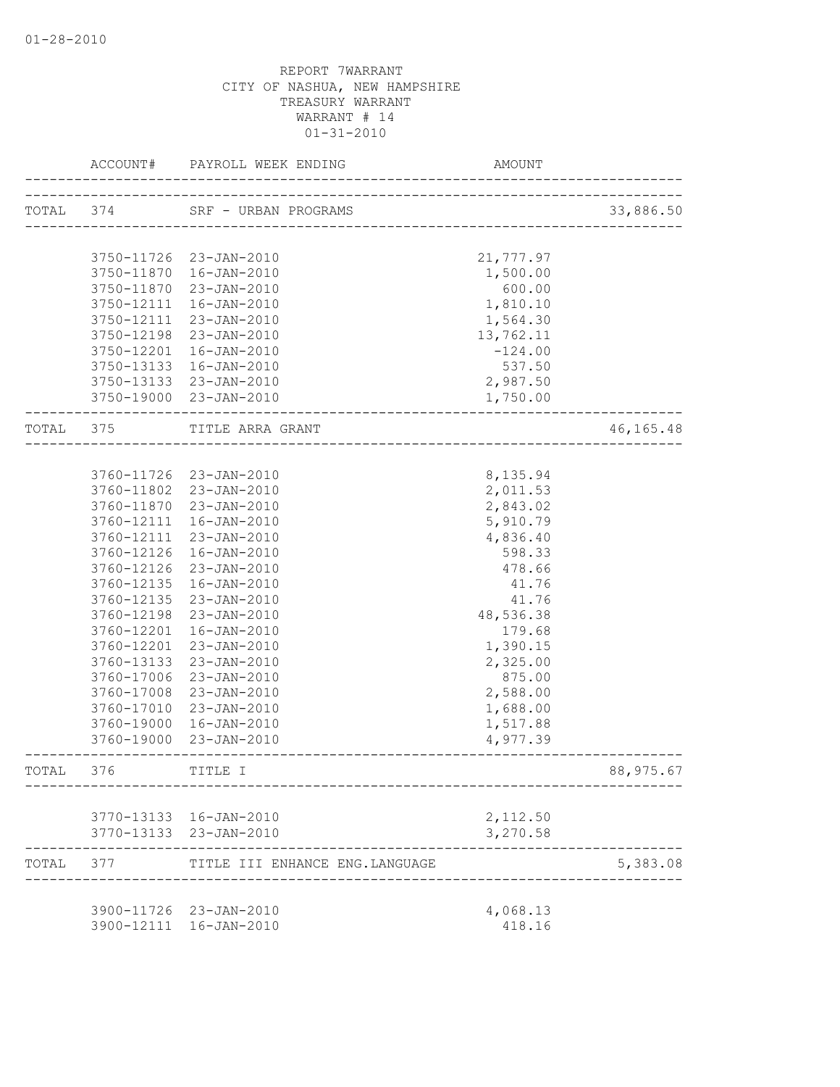|           | ACCOUNT#   | PAYROLL WEEK ENDING            | AMOUNT                        |           |
|-----------|------------|--------------------------------|-------------------------------|-----------|
|           | TOTAL 374  | SRF - URBAN PROGRAMS           | _____________________________ | 33,886.50 |
|           |            |                                |                               |           |
|           |            | 3750-11726 23-JAN-2010         | 21,777.97                     |           |
|           |            | 3750-11870  16-JAN-2010        | 1,500.00                      |           |
|           |            | 3750-11870 23-JAN-2010         | 600.00                        |           |
|           | 3750-12111 | 16-JAN-2010                    | 1,810.10                      |           |
|           | 3750-12111 | 23-JAN-2010                    | 1,564.30                      |           |
|           | 3750-12198 | 23-JAN-2010                    | 13,762.11                     |           |
|           | 3750-12201 | 16-JAN-2010                    | $-124.00$                     |           |
|           |            | 3750-13133 16-JAN-2010         | 537.50                        |           |
|           |            | 3750-13133 23-JAN-2010         | 2,987.50                      |           |
|           |            | 3750-19000 23-JAN-2010         | 1,750.00                      |           |
| TOTAL 375 |            | TITLE ARRA GRANT               |                               | 46,165.48 |
|           |            |                                |                               |           |
|           |            | 3760-11726 23-JAN-2010         | 8,135.94                      |           |
|           |            | 3760-11802 23-JAN-2010         | 2,011.53                      |           |
|           |            | 3760-11870 23-JAN-2010         | 2,843.02                      |           |
|           |            | 3760-12111 16-JAN-2010         | 5,910.79                      |           |
|           | 3760-12111 | 23-JAN-2010                    | 4,836.40                      |           |
|           | 3760-12126 | 16-JAN-2010                    | 598.33                        |           |
|           | 3760-12126 | 23-JAN-2010                    | 478.66                        |           |
|           | 3760-12135 | 16-JAN-2010                    | 41.76                         |           |
|           | 3760-12135 | 23-JAN-2010                    | 41.76                         |           |
|           | 3760-12198 | 23-JAN-2010                    | 48,536.38                     |           |
|           | 3760-12201 | 16-JAN-2010                    | 179.68                        |           |
|           | 3760-12201 | 23-JAN-2010                    | 1,390.15                      |           |
|           | 3760-13133 | 23-JAN-2010                    | 2,325.00                      |           |
|           | 3760-17006 | 23-JAN-2010                    | 875.00                        |           |
|           | 3760-17008 | 23-JAN-2010                    | 2,588.00                      |           |
|           | 3760-17010 | 23-JAN-2010                    | 1,688.00                      |           |
|           | 3760-19000 | 16-JAN-2010                    | 1,517.88                      |           |
|           | 3760-19000 | 23-JAN-2010                    | 4,977.39                      |           |
| TOTAL     | 376        | TITLE I                        |                               | 88,975.67 |
|           |            |                                |                               |           |
|           |            | 3770-13133 16-JAN-2010         | 2,112.50                      |           |
|           |            | 3770-13133 23-JAN-2010         | 3,270.58                      |           |
| TOTAL 377 |            | TITLE III ENHANCE ENG.LANGUAGE |                               | 5,383.08  |
|           |            |                                |                               |           |
|           |            | 3900-11726 23-JAN-2010         | 4,068.13                      |           |
|           |            | 3900-12111 16-JAN-2010         | 418.16                        |           |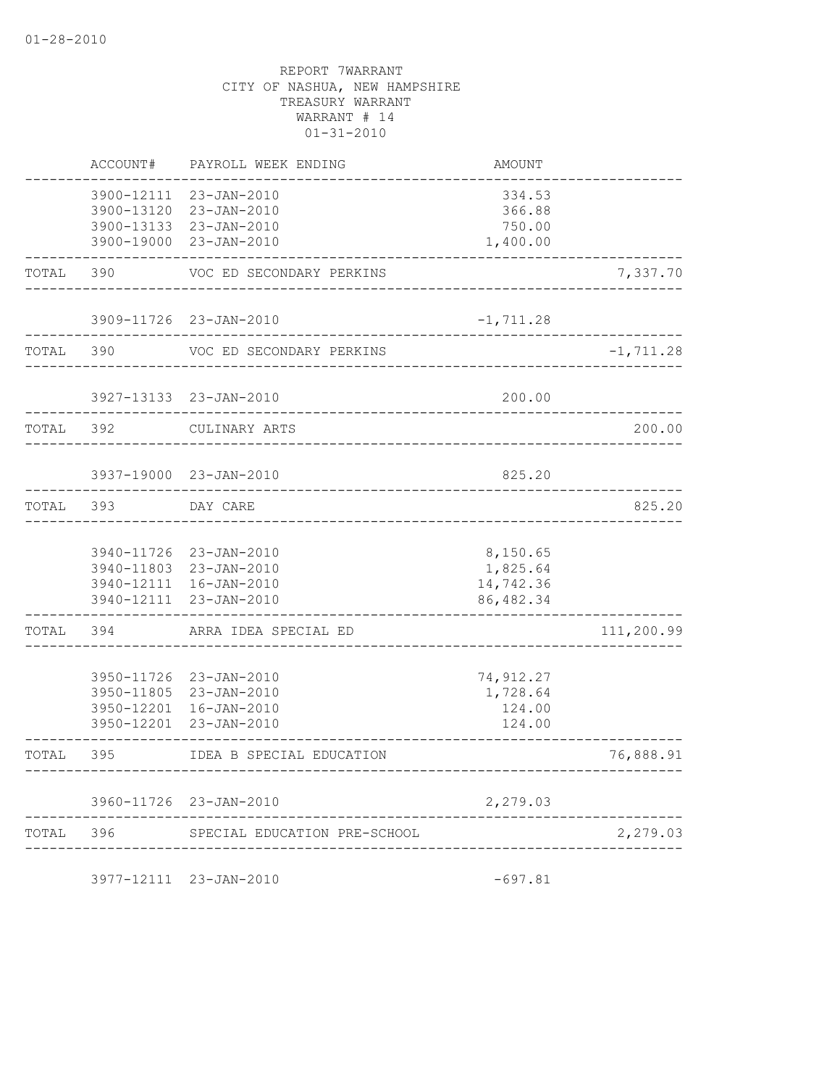|       | ACCOUNT#                 | PAYROLL WEEK ENDING                                                                                  | AMOUNT                                                         |              |
|-------|--------------------------|------------------------------------------------------------------------------------------------------|----------------------------------------------------------------|--------------|
|       | 3900-12111<br>3900-13120 | $23 - JAN - 2010$<br>23-JAN-2010<br>3900-13133 23-JAN-2010<br>3900-19000 23-JAN-2010                 | 334.53<br>366.88<br>750.00<br>1,400.00                         |              |
| TOTAL | 390                      | VOC ED SECONDARY PERKINS                                                                             |                                                                | 7,337.70     |
|       |                          | 3909-11726 23-JAN-2010                                                                               | $-1, 711.28$<br>$- - - - -$                                    |              |
| TOTAL | 390                      | VOC ED SECONDARY PERKINS                                                                             |                                                                | $-1, 711.28$ |
|       |                          | 3927-13133 23-JAN-2010<br>______________________________                                             | 200.00                                                         |              |
| TOTAL | 392                      | CULINARY ARTS                                                                                        |                                                                | 200.00       |
|       |                          | 3937-19000 23-JAN-2010                                                                               | 825.20<br>. <u>.</u>                                           |              |
| TOTAL | 393                      | DAY CARE                                                                                             |                                                                | 825.20       |
|       | 3940-11726<br>3940-12111 | 23-JAN-2010<br>3940-11803 23-JAN-2010<br>3940-12111 16-JAN-2010<br>23-JAN-2010                       | 8,150.65<br>1,825.64<br>14,742.36<br>86, 482.34<br>----------- |              |
| TOTAL | 394                      | ARRA IDEA SPECIAL ED                                                                                 |                                                                | 111,200.99   |
|       |                          | 3950-11726 23-JAN-2010<br>3950-11805 23-JAN-2010<br>3950-12201 16-JAN-2010<br>3950-12201 23-JAN-2010 | 74, 912.27<br>1,728.64<br>124.00<br>124.00                     |              |
| TOTAL | 395                      | IDEA B SPECIAL EDUCATION                                                                             |                                                                | 76,888.91    |
|       |                          | 3960-11726 23-JAN-2010                                                                               | 2,279.03                                                       |              |
| TOTAL | 396                      | SPECIAL EDUCATION PRE-SCHOOL                                                                         | _________________                                              | 2,279.03     |
|       |                          |                                                                                                      |                                                                |              |

3977-12111 23-JAN-2010 -697.81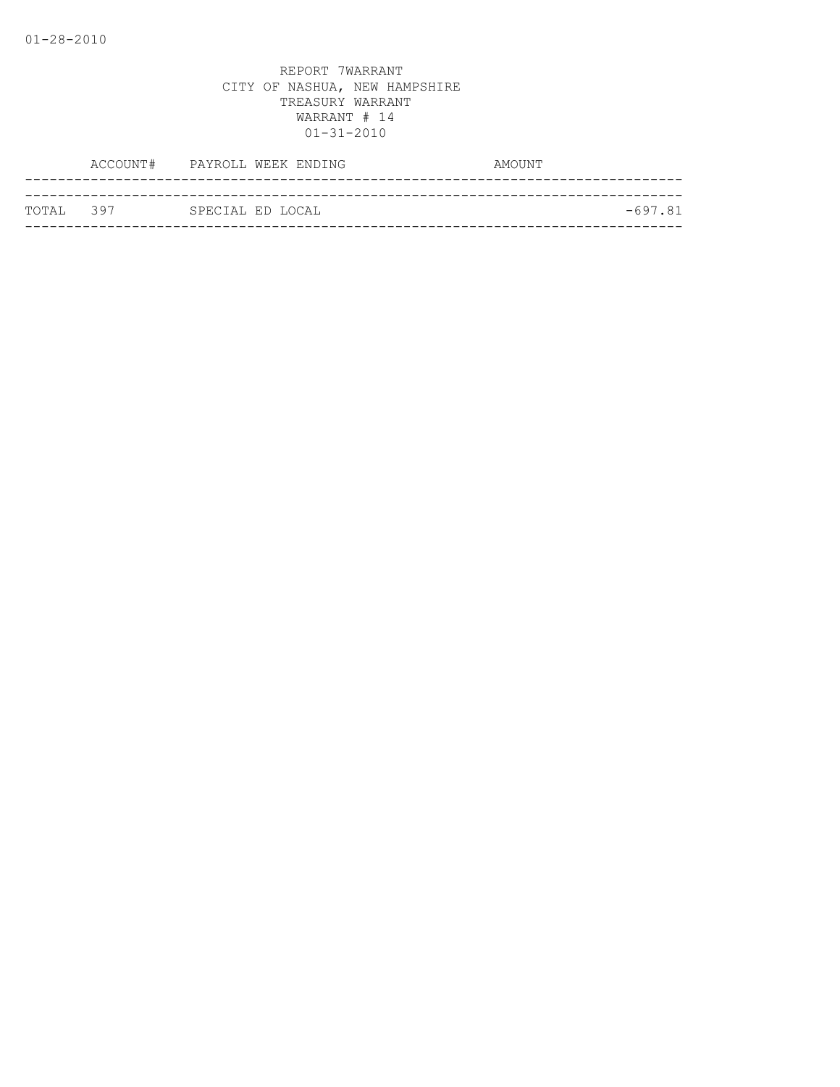|            | ACCOUNT# PAYROLL WEEK ENDING | AMOUNT    |
|------------|------------------------------|-----------|
|            |                              |           |
| ТОТАІ. 397 | SPECIAL ED LOCAL             | $-697.81$ |
|            |                              |           |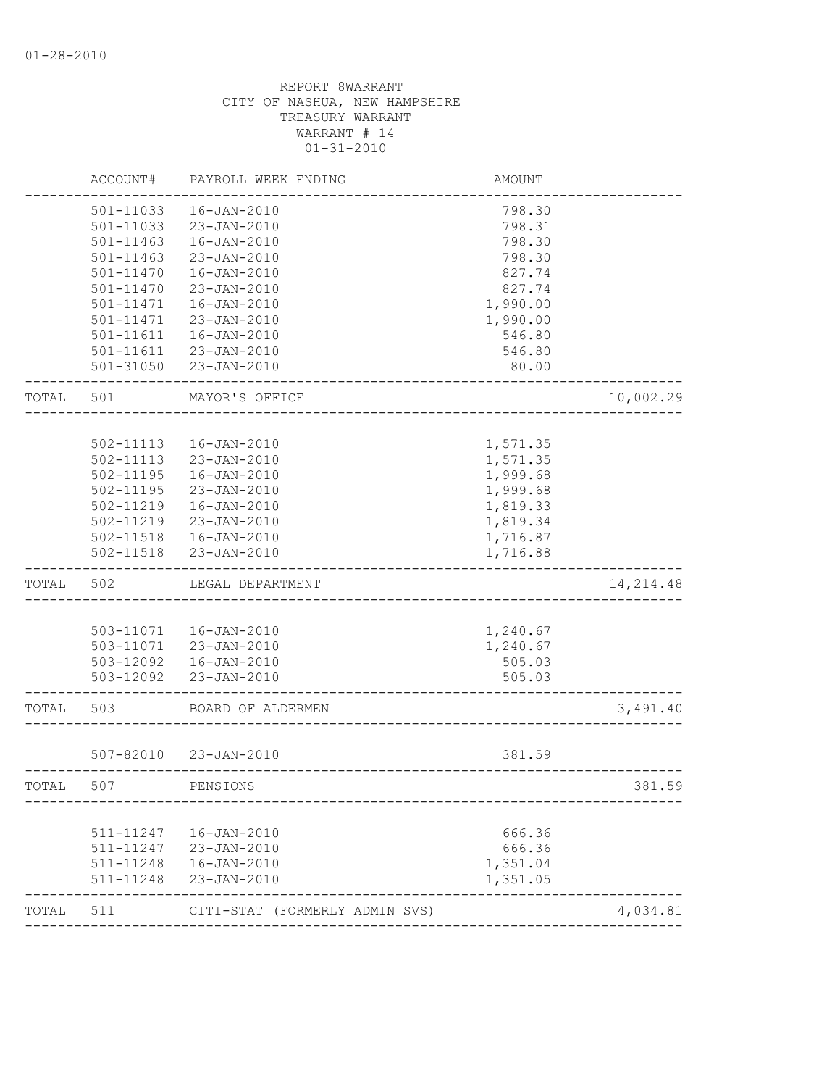|       | ACCOUNT#  | PAYROLL WEEK ENDING            | AMOUNT   |            |
|-------|-----------|--------------------------------|----------|------------|
|       | 501-11033 | $16 - JAN - 2010$              | 798.30   |            |
|       | 501-11033 | 23-JAN-2010                    | 798.31   |            |
|       | 501-11463 | $16 - JAN - 2010$              | 798.30   |            |
|       | 501-11463 | 23-JAN-2010                    | 798.30   |            |
|       | 501-11470 | $16 - JAN - 2010$              | 827.74   |            |
|       | 501-11470 | 23-JAN-2010                    | 827.74   |            |
|       | 501-11471 | $16 - JAN - 2010$              | 1,990.00 |            |
|       | 501-11471 | 23-JAN-2010                    | 1,990.00 |            |
|       | 501-11611 | $16 - JAN - 2010$              | 546.80   |            |
|       | 501-11611 | 23-JAN-2010                    | 546.80   |            |
|       | 501-31050 | 23-JAN-2010                    | 80.00    |            |
| TOTAL | 501       | MAYOR'S OFFICE                 |          | 10,002.29  |
|       |           |                                |          |            |
|       | 502-11113 | $16 - JAN - 2010$              | 1,571.35 |            |
|       | 502-11113 | 23-JAN-2010                    | 1,571.35 |            |
|       | 502-11195 | $16 - JAN - 2010$              | 1,999.68 |            |
|       | 502-11195 | 23-JAN-2010                    | 1,999.68 |            |
|       | 502-11219 | 16-JAN-2010                    | 1,819.33 |            |
|       | 502-11219 | 23-JAN-2010                    | 1,819.34 |            |
|       | 502-11518 | 16-JAN-2010                    | 1,716.87 |            |
|       | 502-11518 | 23-JAN-2010                    | 1,716.88 |            |
| TOTAL | 502       | LEGAL DEPARTMENT               |          | 14, 214.48 |
|       |           |                                |          |            |
|       |           | 503-11071  16-JAN-2010         | 1,240.67 |            |
|       |           | 503-11071 23-JAN-2010          | 1,240.67 |            |
|       |           | 503-12092  16-JAN-2010         | 505.03   |            |
|       | 503-12092 | 23-JAN-2010                    | 505.03   |            |
| TOTAL | 503       | BOARD OF ALDERMEN              |          | 3,491.40   |
|       |           | 507-82010 23-JAN-2010          | 381.59   |            |
| TOTAL | 507       | PENSIONS                       |          | 381.59     |
|       |           |                                |          |            |
|       | 511-11247 | 16-JAN-2010                    | 666.36   |            |
|       | 511-11247 | 23-JAN-2010                    | 666.36   |            |
|       | 511-11248 | 16-JAN-2010                    | 1,351.04 |            |
|       | 511-11248 | 23-JAN-2010                    | 1,351.05 |            |
| TOTAL | 511       | CITI-STAT (FORMERLY ADMIN SVS) |          | 4,034.81   |
|       |           |                                |          |            |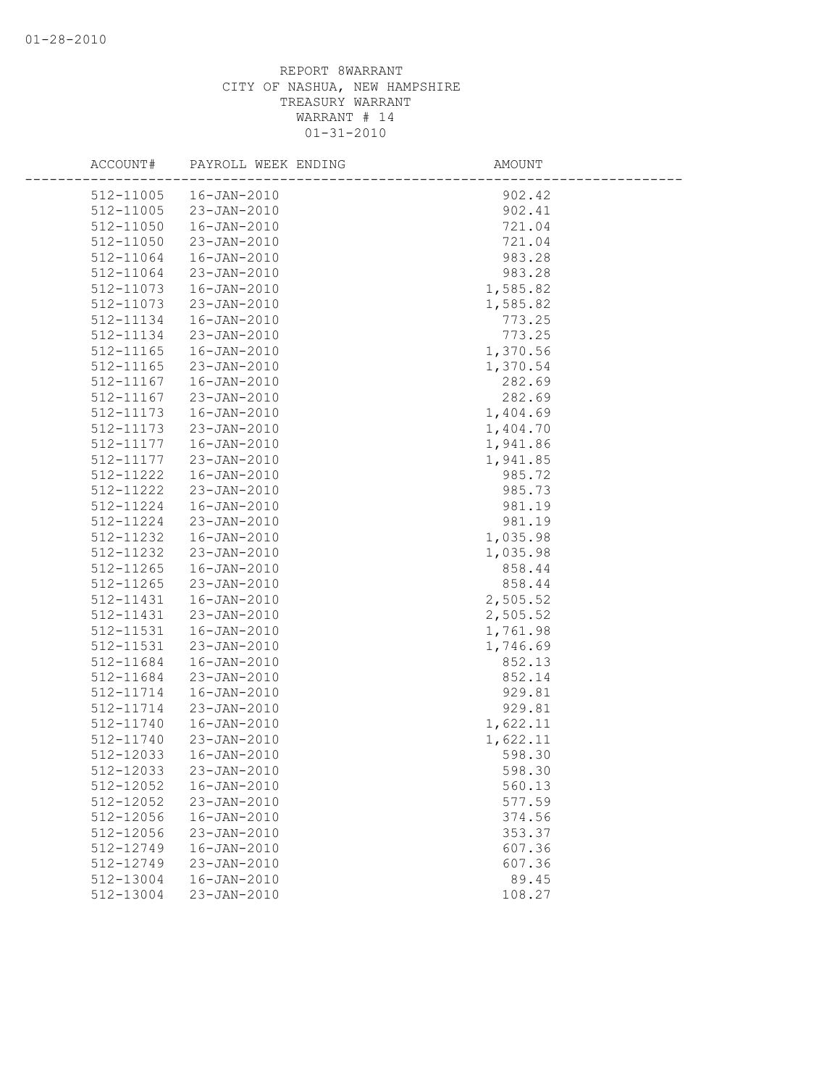| ACCOUNT#               | PAYROLL WEEK ENDING                    | AMOUNT             |  |
|------------------------|----------------------------------------|--------------------|--|
| 512-11005              | 16-JAN-2010                            | 902.42             |  |
| 512-11005              | 23-JAN-2010                            | 902.41             |  |
| 512-11050              | $16 - JAN - 2010$                      | 721.04             |  |
| 512-11050              | 23-JAN-2010                            | 721.04             |  |
|                        |                                        |                    |  |
| 512-11064              | $16 - JAN - 2010$                      | 983.28             |  |
| 512-11064<br>512-11073 | 23-JAN-2010                            | 983.28<br>1,585.82 |  |
|                        | $16 - JAN - 2010$<br>$23 - JAN - 2010$ |                    |  |
| 512-11073              | $16 - JAN - 2010$                      | 1,585.82           |  |
| 512-11134<br>512-11134 |                                        | 773.25             |  |
|                        | 23-JAN-2010<br>16-JAN-2010             | 773.25             |  |
| 512-11165              |                                        | 1,370.56           |  |
| 512-11165              | 23-JAN-2010                            | 1,370.54           |  |
| 512-11167              | $16 - JAN - 2010$                      | 282.69             |  |
| 512-11167              | 23-JAN-2010                            | 282.69             |  |
| 512-11173              | $16 - JAN - 2010$                      | 1,404.69           |  |
| 512-11173              | 23-JAN-2010                            | 1,404.70           |  |
| 512-11177              | 16-JAN-2010                            | 1,941.86           |  |
| 512-11177              | $23 - JAN - 2010$                      | 1,941.85           |  |
| 512-11222              | $16 - JAN - 2010$                      | 985.72             |  |
| 512-11222              | 23-JAN-2010                            | 985.73             |  |
| 512-11224              | $16 - JAN - 2010$                      | 981.19             |  |
| 512-11224              | 23-JAN-2010                            | 981.19             |  |
| 512-11232              | $16 - JAN - 2010$                      | 1,035.98           |  |
| 512-11232              | 23-JAN-2010                            | 1,035.98           |  |
| 512-11265              | 16-JAN-2010                            | 858.44             |  |
| 512-11265              | 23-JAN-2010                            | 858.44             |  |
| 512-11431              | 16-JAN-2010                            | 2,505.52           |  |
| 512-11431              | 23-JAN-2010                            | 2,505.52           |  |
| 512-11531              | $16 - JAN - 2010$                      | 1,761.98           |  |
| 512-11531              | 23-JAN-2010                            | 1,746.69           |  |
| 512-11684              | $16 - JAN - 2010$                      | 852.13             |  |
| 512-11684              | 23-JAN-2010                            | 852.14             |  |
| 512-11714              | $16 - JAN - 2010$                      | 929.81             |  |
| 512-11714              | 23-JAN-2010                            | 929.81             |  |
| 512-11740              | $16 - JAN - 2010$                      | 1,622.11           |  |
| 512-11740              | 23-JAN-2010                            | 1,622.11           |  |
| 512-12033              | $16 - JAN - 2010$                      | 598.30             |  |
| 512-12033              | 23-JAN-2010                            | 598.30             |  |
| 512-12052              | 16-JAN-2010                            | 560.13             |  |
| 512-12052              | 23-JAN-2010                            | 577.59             |  |
| 512-12056              | $16 - JAN - 2010$                      | 374.56             |  |
| 512-12056              | 23-JAN-2010                            | 353.37             |  |
| 512-12749              | $16 - JAN - 2010$                      | 607.36             |  |
| $512 - 12749$          | $23 - JAN - 2010$                      | 607.36             |  |
| 512-13004              | $16 - JAN - 2010$                      | 89.45              |  |
| 512-13004              | 23-JAN-2010                            | 108.27             |  |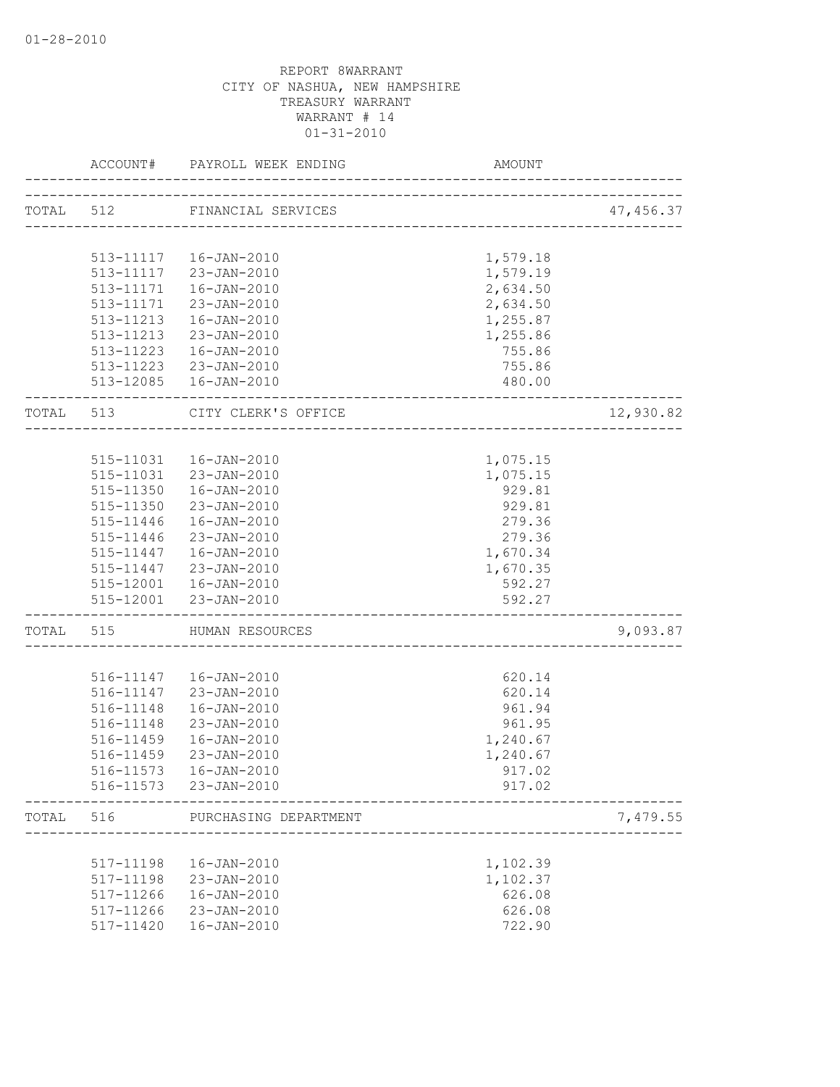|           | ACCOUNT#  | PAYROLL WEEK ENDING    | AMOUNT                            |            |
|-----------|-----------|------------------------|-----------------------------------|------------|
| TOTAL 512 |           | FINANCIAL SERVICES     |                                   | 47, 456.37 |
|           |           |                        | --------------------------------- |            |
|           |           | 513-11117  16-JAN-2010 | 1,579.18                          |            |
|           |           |                        | 1,579.19                          |            |
|           |           | 513-11117 23-JAN-2010  |                                   |            |
|           | 513-11171 | 16-JAN-2010            | 2,634.50                          |            |
|           | 513-11171 | 23-JAN-2010            | 2,634.50                          |            |
|           | 513-11213 | 16-JAN-2010            | 1,255.87                          |            |
|           |           | 513-11213 23-JAN-2010  | 1,255.86                          |            |
|           |           | 513-11223  16-JAN-2010 | 755.86                            |            |
|           |           | 513-11223 23-JAN-2010  | 755.86                            |            |
|           |           | 513-12085  16-JAN-2010 | 480.00                            |            |
| TOTAL 513 |           | CITY CLERK'S OFFICE    |                                   | 12,930.82  |
|           |           |                        |                                   |            |
|           |           | 515-11031  16-JAN-2010 | 1,075.15                          |            |
|           |           | 515-11031 23-JAN-2010  | 1,075.15                          |            |
|           |           | 515-11350  16-JAN-2010 | 929.81                            |            |
|           |           | 515-11350 23-JAN-2010  | 929.81                            |            |
|           |           | 515-11446  16-JAN-2010 | 279.36                            |            |
|           | 515-11446 | 23-JAN-2010            | 279.36                            |            |
|           |           | 515-11447  16-JAN-2010 | 1,670.34                          |            |
|           | 515-11447 | 23-JAN-2010            | 1,670.35                          |            |
|           |           | 515-12001  16-JAN-2010 | 592.27                            |            |
|           |           | 515-12001 23-JAN-2010  | 592.27                            |            |
| TOTAL 515 |           | HUMAN RESOURCES        | _________________________         | 9,093.87   |
|           |           |                        |                                   |            |
|           |           | 516-11147  16-JAN-2010 | 620.14                            |            |
|           |           | 516-11147 23-JAN-2010  | 620.14                            |            |
|           | 516-11148 | 16-JAN-2010            | 961.94                            |            |
|           | 516-11148 | 23-JAN-2010            | 961.95                            |            |
|           | 516-11459 | 16-JAN-2010            | 1,240.67                          |            |
|           | 516-11459 | 23-JAN-2010            | 1,240.67                          |            |
|           |           |                        | 917.02                            |            |
|           |           | 516-11573 23-JAN-2010  | 917.02                            |            |
| TOTAL     | 516       | PURCHASING DEPARTMENT  |                                   | 7,479.55   |
|           |           |                        |                                   |            |
|           | 517-11198 | $16 - JAN - 2010$      | 1,102.39                          |            |
|           | 517-11198 | 23-JAN-2010            | 1,102.37                          |            |
|           | 517-11266 | $16 - JAN - 2010$      | 626.08                            |            |
|           | 517-11266 | 23-JAN-2010            | 626.08                            |            |
|           | 517-11420 | $16 - JAN - 2010$      | 722.90                            |            |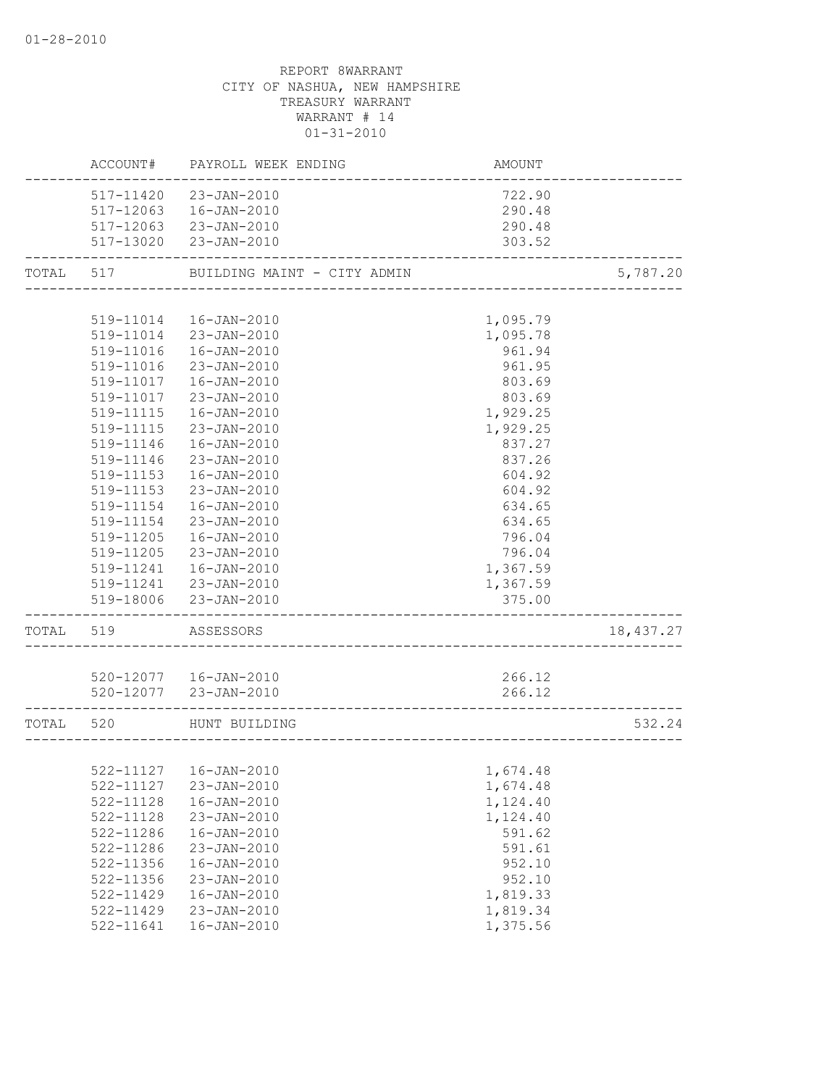|           |               | ACCOUNT# PAYROLL WEEK ENDING                         | AMOUNT   |            |
|-----------|---------------|------------------------------------------------------|----------|------------|
|           |               | 517-11420 23-JAN-2010                                | 722.90   |            |
|           |               | 517-12063  16-JAN-2010                               | 290.48   |            |
|           |               | 517-12063 23-JAN-2010                                | 290.48   |            |
|           |               | 517-13020 23-JAN-2010                                | 303.52   |            |
| TOTAL     | 517           | BUILDING MAINT - CITY ADMIN                          |          | 5,787.20   |
|           |               |                                                      |          |            |
|           | 519-11014     | 16-JAN-2010                                          | 1,095.79 |            |
|           |               | 519-11014 23-JAN-2010                                | 1,095.78 |            |
|           | 519-11016     | 16-JAN-2010                                          | 961.94   |            |
|           | 519-11016     | 23-JAN-2010                                          | 961.95   |            |
|           | 519-11017     | 16-JAN-2010                                          | 803.69   |            |
|           | 519-11017     | 23-JAN-2010                                          | 803.69   |            |
|           | 519-11115     | 16-JAN-2010                                          | 1,929.25 |            |
|           | 519-11115     | 23-JAN-2010                                          | 1,929.25 |            |
|           | 519-11146     | 16-JAN-2010                                          | 837.27   |            |
|           | 519-11146     | 23-JAN-2010                                          | 837.26   |            |
|           | 519-11153     | 16-JAN-2010                                          | 604.92   |            |
|           | 519-11153     | 23-JAN-2010                                          | 604.92   |            |
|           | 519-11154     | $16 - JAN - 2010$                                    | 634.65   |            |
|           | 519-11154     | 23-JAN-2010                                          | 634.65   |            |
|           | 519-11205     | $16 - JAN - 2010$                                    | 796.04   |            |
|           | 519-11205     | 23-JAN-2010                                          | 796.04   |            |
|           |               | 519-11241  16-JAN-2010                               | 1,367.59 |            |
|           |               | 519-11241 23-JAN-2010                                | 1,367.59 |            |
|           |               | 519-18006 23-JAN-2010                                | 375.00   |            |
|           | TOTAL 519     | ASSESSORS                                            |          | 18, 437.27 |
|           |               |                                                      |          |            |
|           |               | 520-12077  16-JAN-2010                               | 266.12   |            |
|           |               | 520-12077 23-JAN-2010<br>___________________________ | 266.12   |            |
| TOTAL 520 |               | HUNT BUILDING<br>___________________________         |          | 532.24     |
|           |               |                                                      |          |            |
|           |               |                                                      | 1,674.48 |            |
|           | 522-11127     | $23 - JAN - 2010$                                    | 1,674.48 |            |
|           | 522-11128     | $16 - JAN - 2010$                                    | 1,124.40 |            |
|           | 522-11128     | 23-JAN-2010                                          | 1,124.40 |            |
|           | 522-11286     | $16 - JAN - 2010$                                    | 591.62   |            |
|           | 522-11286     | 23-JAN-2010                                          | 591.61   |            |
|           | 522-11356     | $16 - JAN - 2010$                                    | 952.10   |            |
|           | 522-11356     | 23-JAN-2010                                          | 952.10   |            |
|           | 522-11429     | $16 - JAN - 2010$                                    | 1,819.33 |            |
|           | $522 - 11429$ | $23 - JAN - 2010$                                    | 1,819.34 |            |
|           | 522-11641     | $16 - JAN - 2010$                                    | 1,375.56 |            |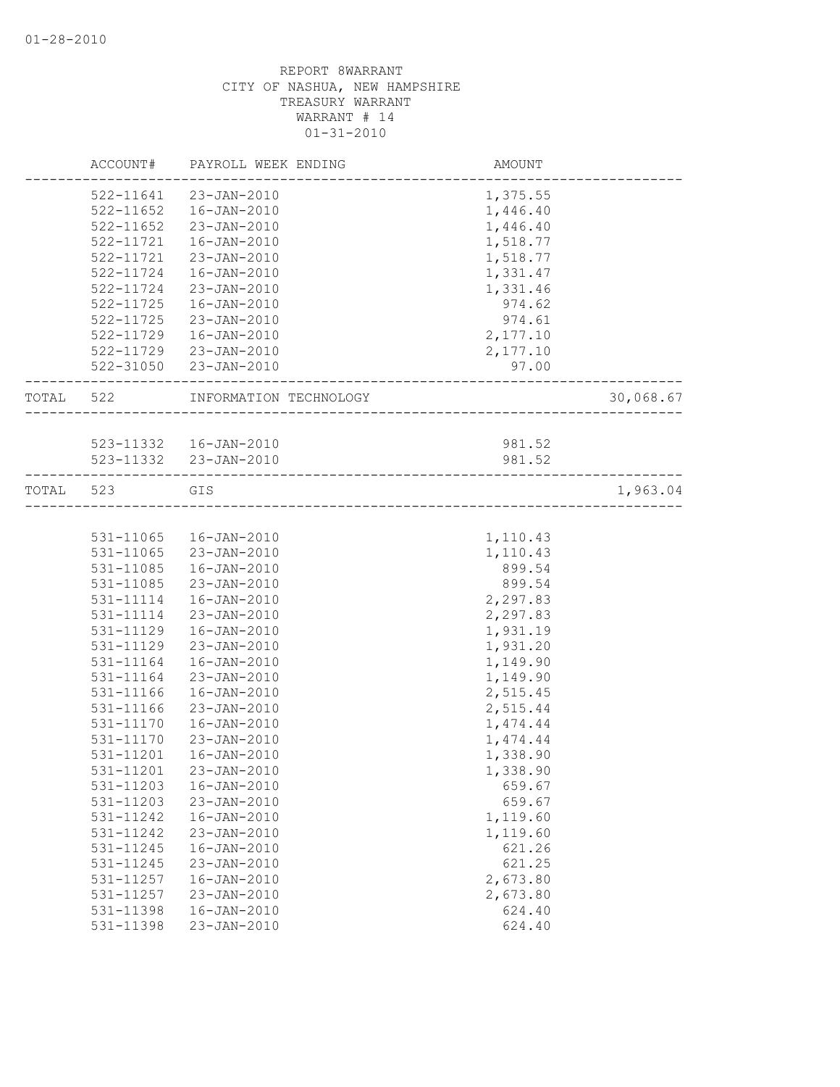|           | ACCOUNT#      | PAYROLL WEEK ENDING    | AMOUNT   |           |
|-----------|---------------|------------------------|----------|-----------|
|           |               | 522-11641 23-JAN-2010  | 1,375.55 |           |
|           | $522 - 11652$ | 16-JAN-2010            | 1,446.40 |           |
|           | 522-11652     | 23-JAN-2010            | 1,446.40 |           |
|           | 522-11721     | 16-JAN-2010            | 1,518.77 |           |
|           | 522-11721     | 23-JAN-2010            | 1,518.77 |           |
|           | 522-11724     | 16-JAN-2010            | 1,331.47 |           |
|           | 522-11724     | 23-JAN-2010            | 1,331.46 |           |
|           | $522 - 11725$ | $16 - JAN - 2010$      | 974.62   |           |
|           | 522-11725     | 23-JAN-2010            | 974.61   |           |
|           | 522-11729     | 16-JAN-2010            | 2,177.10 |           |
|           |               | 522-11729 23-JAN-2010  | 2,177.10 |           |
|           |               | 522-31050 23-JAN-2010  | 97.00    |           |
| TOTAL 522 |               | INFORMATION TECHNOLOGY |          | 30,068.67 |
|           |               |                        |          |           |
|           |               | 523-11332  16-JAN-2010 | 981.52   |           |
|           |               | 523-11332 23-JAN-2010  | 981.52   |           |
| TOTAL 523 |               | GIS                    |          | 1,963.04  |
|           |               |                        |          |           |
|           | 531-11065     | 16-JAN-2010            | 1,110.43 |           |
|           | 531-11065     | 23-JAN-2010            | 1,110.43 |           |
|           | 531-11085     | 16-JAN-2010            | 899.54   |           |
|           | 531-11085     | 23-JAN-2010            | 899.54   |           |
|           | 531-11114     | 16-JAN-2010            | 2,297.83 |           |
|           | 531-11114     | 23-JAN-2010            | 2,297.83 |           |
|           | 531-11129     | $16 - JAN - 2010$      | 1,931.19 |           |
|           | 531-11129     | 23-JAN-2010            | 1,931.20 |           |
|           | 531-11164     | 16-JAN-2010            | 1,149.90 |           |
|           | 531-11164     | 23-JAN-2010            | 1,149.90 |           |
|           | 531-11166     | $16 - JAN - 2010$      | 2,515.45 |           |
|           | 531-11166     | 23-JAN-2010            | 2,515.44 |           |
|           | 531-11170     | 16-JAN-2010            | 1,474.44 |           |
|           | 531-11170     | 23-JAN-2010            | 1,474.44 |           |
|           | 531-11201     | $16 - JAN - 2010$      | 1,338.90 |           |
|           | 531-11201     | 23-JAN-2010            | 1,338.90 |           |
|           | 531-11203     | $16 - JAN - 2010$      | 659.67   |           |
|           | 531-11203     | 23-JAN-2010            | 659.67   |           |
|           | 531-11242     | $16 - JAN - 2010$      | 1,119.60 |           |
|           | 531-11242     | 23-JAN-2010            | 1,119.60 |           |
|           | 531-11245     | $16 - JAN - 2010$      | 621.26   |           |
|           | 531-11245     | 23-JAN-2010            | 621.25   |           |
|           | 531-11257     | $16 - JAN - 2010$      |          |           |
|           | 531-11257     | 23-JAN-2010            | 2,673.80 |           |
|           | 531-11398     |                        | 2,673.80 |           |
|           |               | 16-JAN-2010            | 624.40   |           |
|           | 531-11398     | 23-JAN-2010            | 624.40   |           |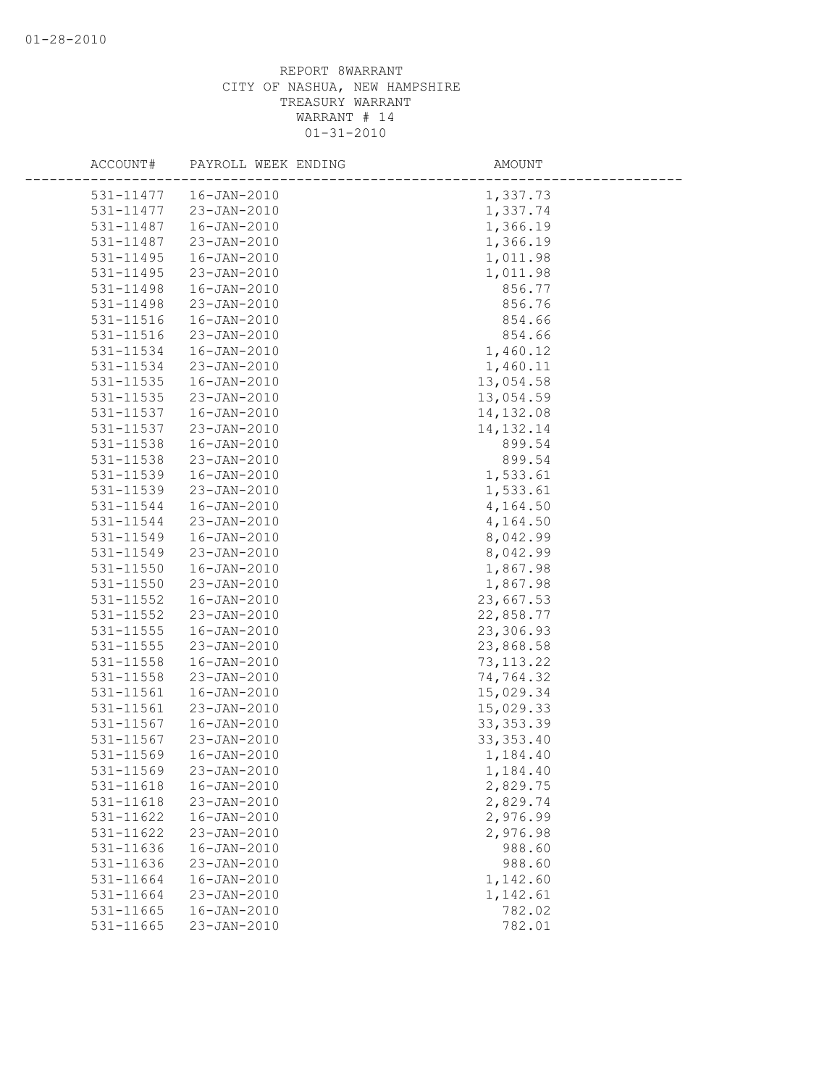| ACCOUNT#      | PAYROLL WEEK ENDING | AMOUNT      |
|---------------|---------------------|-------------|
| 531-11477     | 16-JAN-2010         | 1,337.73    |
| 531-11477     | 23-JAN-2010         | 1,337.74    |
| 531-11487     | $16 - JAN - 2010$   | 1,366.19    |
| 531-11487     | 23-JAN-2010         | 1,366.19    |
| 531-11495     | $16 - JAN - 2010$   | 1,011.98    |
| 531-11495     | 23-JAN-2010         | 1,011.98    |
| 531-11498     | $16 - JAN - 2010$   | 856.77      |
| 531-11498     | $23 - JAN - 2010$   | 856.76      |
| 531-11516     | $16 - JAN - 2010$   | 854.66      |
| 531-11516     | $23 - JAN - 2010$   | 854.66      |
| 531-11534     | $16 - JAN - 2010$   | 1,460.12    |
| 531-11534     | 23-JAN-2010         | 1,460.11    |
| 531-11535     | $16 - JAN - 2010$   | 13,054.58   |
| 531-11535     | 23-JAN-2010         | 13,054.59   |
| 531-11537     | $16 - JAN - 2010$   | 14, 132.08  |
| 531-11537     | 23-JAN-2010         | 14, 132. 14 |
| 531-11538     | $16 - JAN - 2010$   | 899.54      |
| 531-11538     | $23 - JAN - 2010$   | 899.54      |
| 531-11539     | $16 - JAN - 2010$   | 1,533.61    |
| 531-11539     | 23-JAN-2010         | 1,533.61    |
| 531-11544     | $16 - JAN - 2010$   | 4,164.50    |
| 531-11544     | 23-JAN-2010         | 4,164.50    |
| 531-11549     | $16 - JAN - 2010$   | 8,042.99    |
| 531-11549     | 23-JAN-2010         | 8,042.99    |
| 531-11550     | $16 - JAN - 2010$   | 1,867.98    |
| 531-11550     | 23-JAN-2010         | 1,867.98    |
| $531 - 11552$ | $16 - JAN - 2010$   | 23,667.53   |
| $531 - 11552$ | 23-JAN-2010         | 22,858.77   |
| 531-11555     | $16 - JAN - 2010$   | 23,306.93   |
| 531-11555     | 23-JAN-2010         | 23,868.58   |
| 531-11558     | $16 - JAN - 2010$   | 73, 113.22  |
| 531-11558     | 23-JAN-2010         | 74,764.32   |
| 531-11561     | $16 - JAN - 2010$   | 15,029.34   |
| 531-11561     | 23-JAN-2010         | 15,029.33   |
| 531-11567     | $16 - JAN - 2010$   | 33, 353.39  |
| 531-11567     | 23-JAN-2010         | 33, 353.40  |
| 531-11569     | $16 - JAN - 2010$   | 1,184.40    |
| 531-11569     | 23-JAN-2010         | 1,184.40    |
| 531-11618     | $16 - JAN - 2010$   | 2,829.75    |
| 531-11618     | 23-JAN-2010         | 2,829.74    |
| 531-11622     | $16 - JAN - 2010$   | 2,976.99    |
| 531-11622     | 23-JAN-2010         | 2,976.98    |
| 531-11636     | $16 - JAN - 2010$   | 988.60      |
| 531-11636     | 23-JAN-2010         | 988.60      |
| 531-11664     | $16 - JAN - 2010$   | 1,142.60    |
| 531-11664     | 23-JAN-2010         | 1,142.61    |
| 531-11665     | $16 - JAN - 2010$   | 782.02      |
| 531-11665     | 23-JAN-2010         | 782.01      |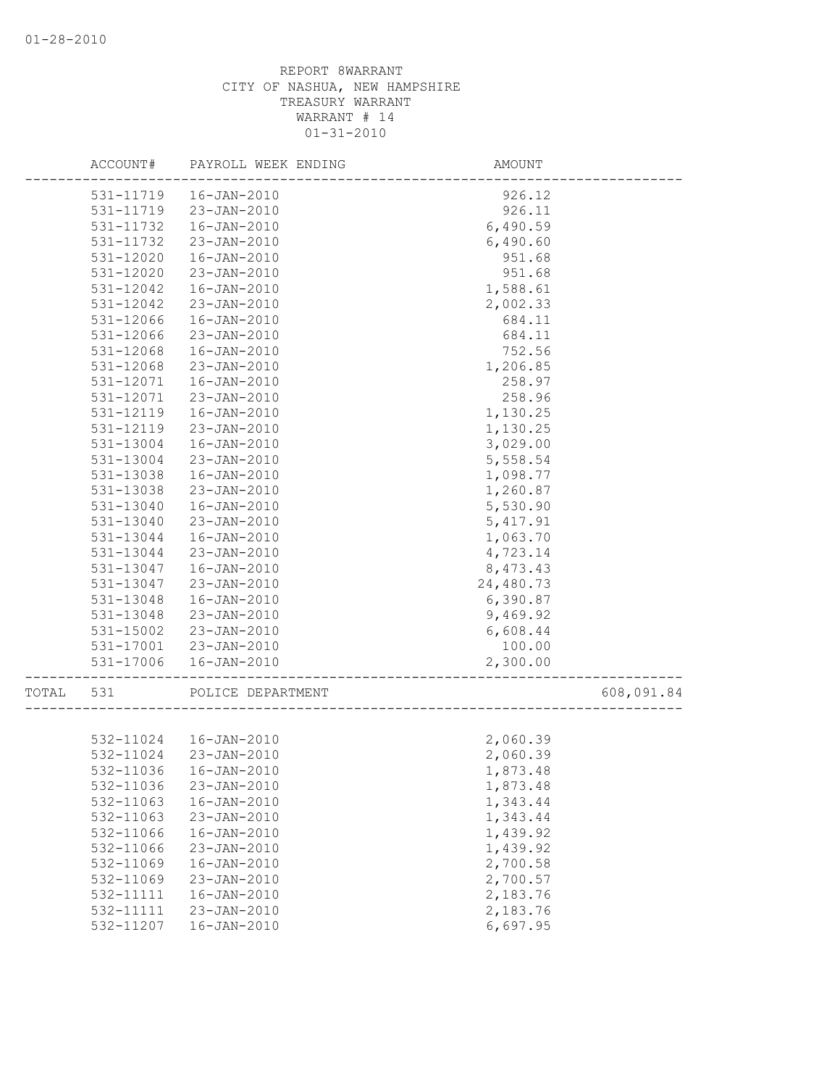| ACCOUNT#     | PAYROLL WEEK ENDING    | AMOUNT    |            |
|--------------|------------------------|-----------|------------|
| 531-11719    | $16 - JAN - 2010$      | 926.12    |            |
| 531-11719    | 23-JAN-2010            | 926.11    |            |
| 531-11732    | $16 - JAN - 2010$      | 6,490.59  |            |
| 531-11732    | 23-JAN-2010            | 6,490.60  |            |
| 531-12020    | $16 - JAN - 2010$      | 951.68    |            |
| 531-12020    | 23-JAN-2010            | 951.68    |            |
| 531-12042    | $16 - JAN - 2010$      | 1,588.61  |            |
| 531-12042    | $23 - JAN - 2010$      | 2,002.33  |            |
| 531-12066    | $16 - JAN - 2010$      | 684.11    |            |
| 531-12066    | 23-JAN-2010            | 684.11    |            |
| 531-12068    | $16 - JAN - 2010$      | 752.56    |            |
| 531-12068    | 23-JAN-2010            | 1,206.85  |            |
| 531-12071    | $16 - JAN - 2010$      | 258.97    |            |
| 531-12071    | 23-JAN-2010            | 258.96    |            |
| 531-12119    | $16 - JAN - 2010$      | 1,130.25  |            |
| 531-12119    | 23-JAN-2010            | 1,130.25  |            |
| 531-13004    | 16-JAN-2010            | 3,029.00  |            |
| 531-13004    | $23 - JAN - 2010$      | 5,558.54  |            |
| 531-13038    | $16 - JAN - 2010$      | 1,098.77  |            |
| 531-13038    | 23-JAN-2010            | 1,260.87  |            |
| 531-13040    | $16 - JAN - 2010$      | 5,530.90  |            |
| 531-13040    | 23-JAN-2010            | 5, 417.91 |            |
| 531-13044    | $16 - JAN - 2010$      | 1,063.70  |            |
| 531-13044    | $23 - JAN - 2010$      | 4,723.14  |            |
| 531-13047    | $16 - JAN - 2010$      | 8,473.43  |            |
| 531-13047    | $23 - JAN - 2010$      | 24,480.73 |            |
| 531-13048    | $16 - JAN - 2010$      | 6,390.87  |            |
| 531-13048    | 23-JAN-2010            | 9,469.92  |            |
| 531-15002    | 23-JAN-2010            | 6,608.44  |            |
| 531-17001    | 23-JAN-2010            | 100.00    |            |
| 531-17006    | $16 - JAN - 2010$      | 2,300.00  |            |
|              |                        |           |            |
| TOTAL<br>531 | POLICE DEPARTMENT      |           | 608,091.84 |
|              |                        |           |            |
|              | 532-11024  16-JAN-2010 | 2,060.39  |            |
| 532-11024    | 23-JAN-2010            | 2,060.39  |            |
| 532-11036    | 16-JAN-2010            | 1,873.48  |            |
| 532-11036    | 23-JAN-2010            | 1,873.48  |            |
| 532-11063    | $16 - JAN - 2010$      | 1,343.44  |            |
| 532-11063    | 23-JAN-2010            | 1,343.44  |            |
| 532-11066    | $16 - JAN - 2010$      | 1,439.92  |            |
| 532-11066    | 23-JAN-2010            | 1,439.92  |            |
| 532-11069    | $16 - JAN - 2010$      | 2,700.58  |            |
| 532-11069    | 23-JAN-2010            | 2,700.57  |            |
| 532-11111    | $16 - JAN - 2010$      | 2,183.76  |            |
| 532-11111    | $23 - JAN - 2010$      | 2,183.76  |            |
| 532-11207    | $16 - JAN - 2010$      | 6,697.95  |            |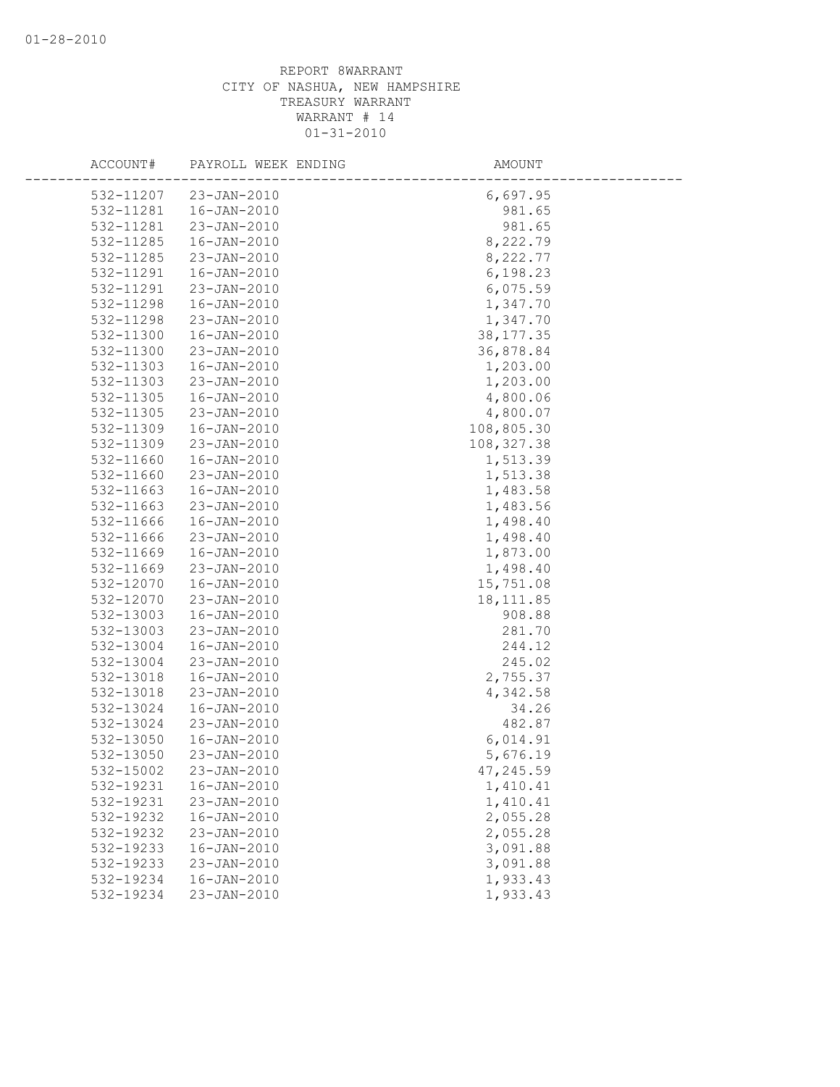| ACCOUNT#               | PAYROLL WEEK ENDING | AMOUNT      |  |
|------------------------|---------------------|-------------|--|
|                        |                     |             |  |
| 532-11207<br>532-11281 | $23 - JAN - 2010$   | 6,697.95    |  |
|                        | 16-JAN-2010         | 981.65      |  |
| 532-11281              | 23-JAN-2010         | 981.65      |  |
| 532-11285              | 16-JAN-2010         | 8,222.79    |  |
| 532-11285              | 23-JAN-2010         | 8,222.77    |  |
| 532-11291              | $16 - JAN - 2010$   | 6,198.23    |  |
| 532-11291              | 23-JAN-2010         | 6,075.59    |  |
| 532-11298              | $16 - JAN - 2010$   | 1,347.70    |  |
| 532-11298              | 23-JAN-2010         | 1,347.70    |  |
| 532-11300              | $16 - JAN - 2010$   | 38, 177.35  |  |
| 532-11300              | 23-JAN-2010         | 36,878.84   |  |
| 532-11303              | $16 - JAN - 2010$   | 1,203.00    |  |
| 532-11303              | 23-JAN-2010         | 1,203.00    |  |
| 532-11305              | 16-JAN-2010         | 4,800.06    |  |
| 532-11305              | 23-JAN-2010         | 4,800.07    |  |
| 532-11309              | 16-JAN-2010         | 108,805.30  |  |
| 532-11309              | $23 - JAN - 2010$   | 108, 327.38 |  |
| 532-11660              | 16-JAN-2010         | 1,513.39    |  |
| 532-11660              | $23 - JAN - 2010$   | 1,513.38    |  |
| 532-11663              | 16-JAN-2010         | 1,483.58    |  |
| 532-11663              | 23-JAN-2010         | 1,483.56    |  |
| 532-11666              | 16-JAN-2010         | 1,498.40    |  |
| 532-11666              | 23-JAN-2010         | 1,498.40    |  |
| 532-11669              | $16 - JAN - 2010$   | 1,873.00    |  |
| 532-11669              | 23-JAN-2010         | 1,498.40    |  |
| 532-12070              | $16 - JAN - 2010$   | 15,751.08   |  |
| 532-12070              | 23-JAN-2010         | 18, 111.85  |  |
| 532-13003              | $16 - JAN - 2010$   | 908.88      |  |
| 532-13003              | 23-JAN-2010         | 281.70      |  |
| 532-13004              | 16-JAN-2010         | 244.12      |  |
| 532-13004              | 23-JAN-2010         | 245.02      |  |
| 532-13018              | $16 - JAN - 2010$   | 2,755.37    |  |
| 532-13018              | 23-JAN-2010         | 4,342.58    |  |
| 532-13024              | $16 - JAN - 2010$   | 34.26       |  |
| 532-13024              | 23-JAN-2010         | 482.87      |  |
| 532-13050              | $16 - JAN - 2010$   | 6,014.91    |  |
| 532-13050              | $23 - JAN - 2010$   | 5,676.19    |  |
| 532-15002              | 23-JAN-2010         | 47,245.59   |  |
| 532-19231              | $16 - JAN - 2010$   | 1,410.41    |  |
| 532-19231              | 23-JAN-2010         | 1,410.41    |  |
| 532-19232              | $16 - JAN - 2010$   | 2,055.28    |  |
| 532-19232              | 23-JAN-2010         | 2,055.28    |  |
| 532-19233              | $16 - JAN - 2010$   | 3,091.88    |  |
| 532-19233              | 23-JAN-2010         | 3,091.88    |  |
| 532-19234              | 16-JAN-2010         | 1,933.43    |  |
| 532-19234              | 23-JAN-2010         | 1,933.43    |  |
|                        |                     |             |  |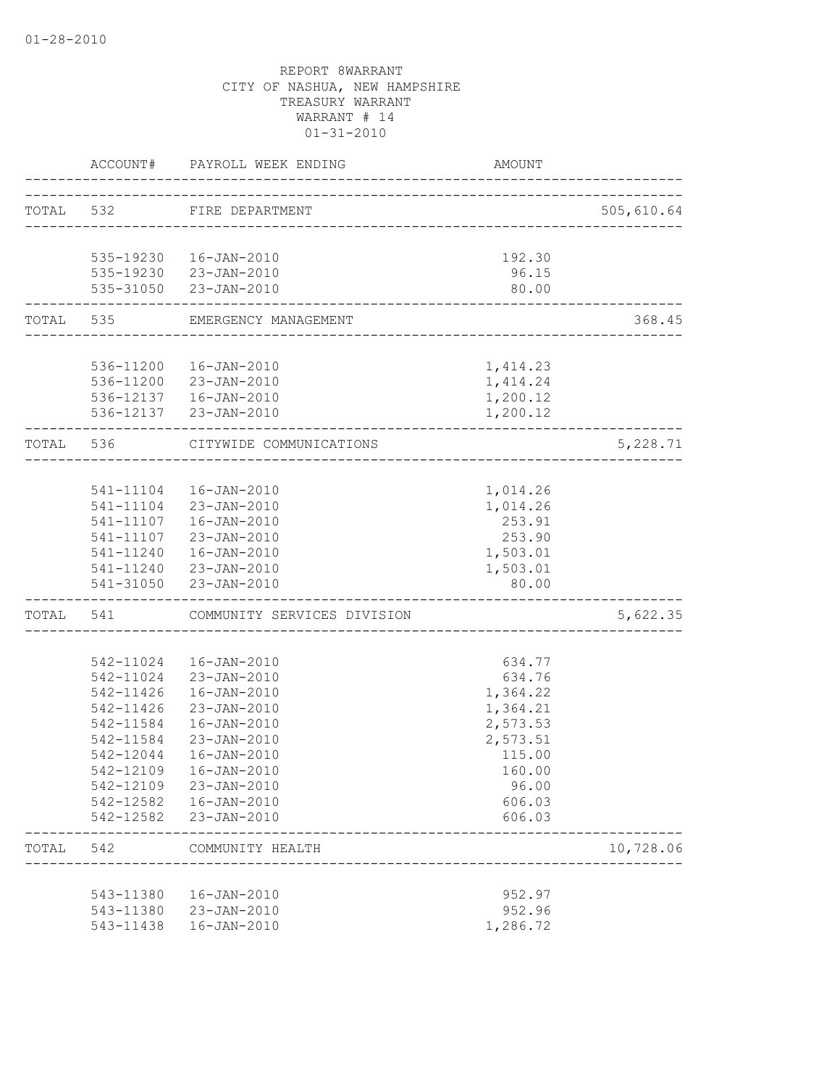|       |                   | ACCOUNT# PAYROLL WEEK ENDING          | AMOUNT                     |                           |
|-------|-------------------|---------------------------------------|----------------------------|---------------------------|
|       |                   | TOTAL 532 FIRE DEPARTMENT             |                            | 505,610.64                |
|       |                   |                                       |                            |                           |
|       |                   | 535-19230  16-JAN-2010                | 192.30                     |                           |
|       |                   | 535-19230 23-JAN-2010                 | 96.15                      |                           |
|       | --------------    | 535-31050 23-JAN-2010                 | 80.00                      |                           |
|       |                   | TOTAL 535 EMERGENCY MANAGEMENT        | -------------------------- | 368.45<br>_______________ |
|       |                   |                                       |                            |                           |
|       |                   | 536-11200  16-JAN-2010                | 1,414.23                   |                           |
|       |                   | 536-11200 23-JAN-2010                 | 1, 414.24                  |                           |
|       |                   | 536-12137   16-JAN-2010               | 1,200.12                   |                           |
|       |                   | 536-12137 23-JAN-2010                 | 1,200.12                   |                           |
|       |                   | TOTAL 536 CITYWIDE COMMUNICATIONS     |                            | 5,228.71                  |
|       |                   |                                       |                            |                           |
|       |                   | 541-11104  16-JAN-2010                | 1,014.26                   |                           |
|       |                   | 541-11104 23-JAN-2010                 | 1,014.26                   |                           |
|       |                   | 541-11107  16-JAN-2010                | 253.91                     |                           |
|       |                   | 541-11107 23-JAN-2010                 | 253.90                     |                           |
|       |                   | 541-11240  16-JAN-2010                | 1,503.01                   |                           |
|       |                   | 541-11240 23-JAN-2010                 | 1,503.01                   |                           |
|       | _________________ | 541-31050 23-JAN-2010                 | 80.00                      |                           |
|       |                   | TOTAL 541 COMMUNITY SERVICES DIVISION |                            | 5,622.35                  |
|       |                   |                                       |                            |                           |
|       | 542-11024         | 16-JAN-2010                           | 634.77                     |                           |
|       | 542-11024         | 23-JAN-2010                           | 634.76                     |                           |
|       | 542-11426         | 16-JAN-2010                           | 1,364.22                   |                           |
|       | 542-11426         | 23-JAN-2010                           | 1,364.21                   |                           |
|       | 542-11584         | 16-JAN-2010                           | 2,573.53                   |                           |
|       | 542-11584         | 23-JAN-2010                           | 2,573.51                   |                           |
|       | 542-12044         | 16-JAN-2010                           | 115.00                     |                           |
|       | 542-12109         | 16-JAN-2010                           | 160.00                     |                           |
|       | 542-12109         | 23-JAN-2010                           | 96.00                      |                           |
|       | 542-12582         | $16 - JAN - 2010$                     | 606.03                     |                           |
|       |                   | 542-12582 23-JAN-2010                 | 606.03                     |                           |
| TOTAL | 542               | COMMUNITY HEALTH                      |                            | 10,728.06                 |
|       |                   |                                       |                            |                           |
|       | 543-11380         | 16-JAN-2010                           | 952.97                     |                           |
|       |                   | 543-11380 23-JAN-2010                 | 952.96                     |                           |
|       | 543-11438         | 16-JAN-2010                           | 1,286.72                   |                           |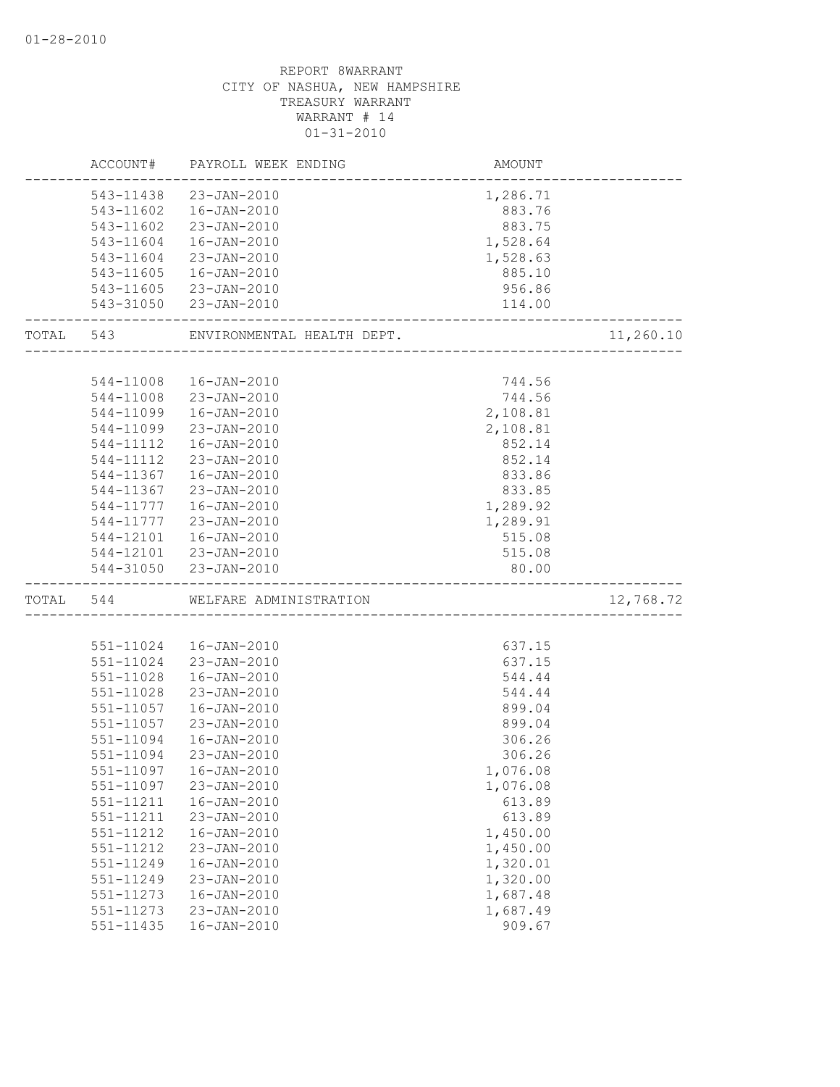|           | ACCOUNT#  | PAYROLL WEEK ENDING        | AMOUNT                   |           |
|-----------|-----------|----------------------------|--------------------------|-----------|
|           |           | 543-11438 23-JAN-2010      | 1,286.71                 |           |
|           | 543-11602 | 16-JAN-2010                | 883.76                   |           |
|           | 543-11602 | 23-JAN-2010                | 883.75                   |           |
|           | 543-11604 | 16-JAN-2010                | 1,528.64                 |           |
|           | 543-11604 | 23-JAN-2010                | 1,528.63                 |           |
|           | 543-11605 | 16-JAN-2010                | 885.10                   |           |
|           |           | 543-11605 23-JAN-2010      | 956.86                   |           |
|           |           | 543-31050 23-JAN-2010      | 114.00                   |           |
| TOTAL 543 |           | ENVIRONMENTAL HEALTH DEPT. | ________________________ | 11,260.10 |
|           |           |                            |                          |           |
|           | 544-11008 | 16-JAN-2010                | 744.56                   |           |
|           | 544-11008 | 23-JAN-2010                | 744.56                   |           |
|           | 544-11099 | $16 - JAN - 2010$          | 2,108.81                 |           |
|           | 544-11099 | 23-JAN-2010                | 2,108.81                 |           |
|           | 544-11112 | 16-JAN-2010                | 852.14                   |           |
|           | 544-11112 | 23-JAN-2010                | 852.14                   |           |
|           | 544-11367 | 16-JAN-2010                | 833.86                   |           |
|           | 544-11367 | 23-JAN-2010                | 833.85                   |           |
|           | 544-11777 | 16-JAN-2010                | 1,289.92                 |           |
|           | 544-11777 | 23-JAN-2010                | 1,289.91                 |           |
|           | 544-12101 | 16-JAN-2010                | 515.08                   |           |
|           |           | 544-12101 23-JAN-2010      | 515.08                   |           |
|           |           | 544-31050 23-JAN-2010      | 80.00                    |           |
| TOTAL 544 |           | WELFARE ADMINISTRATION     |                          | 12,768.72 |
|           |           |                            |                          |           |
|           | 551-11024 | 16-JAN-2010                | 637.15                   |           |
|           | 551-11024 | 23-JAN-2010                | 637.15                   |           |
|           | 551-11028 | $16 - JAN - 2010$          | 544.44                   |           |
|           | 551-11028 | 23-JAN-2010                | 544.44                   |           |
|           | 551-11057 | $16 - JAN - 2010$          | 899.04                   |           |
|           | 551-11057 | 23-JAN-2010                | 899.04                   |           |
|           | 551-11094 | 16-JAN-2010                | 306.26                   |           |
|           | 551-11094 | 23-JAN-2010                | 306.26                   |           |
|           | 551-11097 | 16-JAN-2010                | 1,076.08                 |           |
|           | 551-11097 | 23-JAN-2010                | 1,076.08                 |           |
|           | 551-11211 | $16 - JAN - 2010$          | 613.89                   |           |
|           | 551-11211 | 23-JAN-2010                | 613.89                   |           |
|           | 551-11212 | $16 - JAN - 2010$          | 1,450.00                 |           |
|           | 551-11212 | 23-JAN-2010                | 1,450.00                 |           |
|           | 551-11249 | $16 - JAN - 2010$          | 1,320.01                 |           |
|           | 551-11249 | $23 - JAN - 2010$          | 1,320.00                 |           |
|           | 551-11273 | $16 - JAN - 2010$          | 1,687.48                 |           |
|           | 551-11273 | 23-JAN-2010                | 1,687.49                 |           |
|           | 551-11435 | $16 - JAN - 2010$          | 909.67                   |           |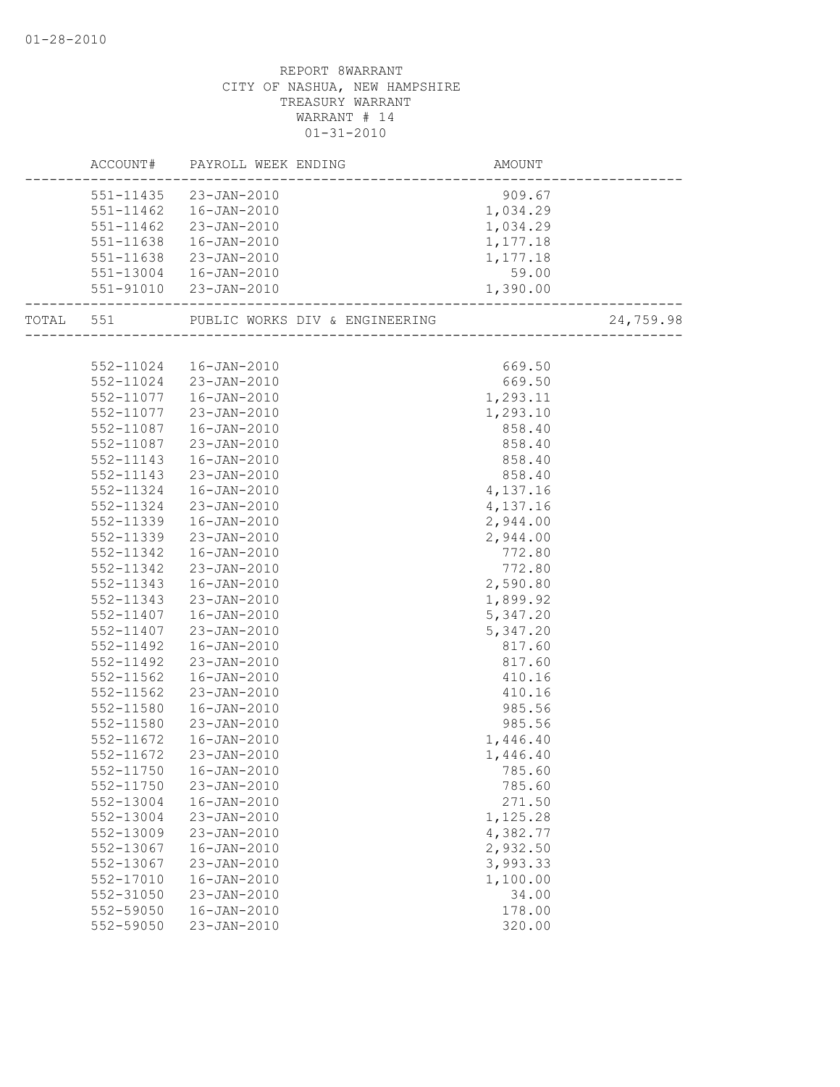|           |           | ACCOUNT# PAYROLL WEEK ENDING | AMOUNT     |           |
|-----------|-----------|------------------------------|------------|-----------|
|           |           | 551-11435 23-JAN-2010        | 909.67     |           |
|           |           | 551-11462  16-JAN-2010       | 1,034.29   |           |
|           | 551-11462 | 23-JAN-2010                  | 1,034.29   |           |
|           | 551-11638 | 16-JAN-2010                  | 1,177.18   |           |
|           |           | 551-11638 23-JAN-2010        | 1,177.18   |           |
|           |           | 551-13004  16-JAN-2010       | 59.00      |           |
|           |           | 551-91010 23-JAN-2010        | 1,390.00   |           |
| TOTAL 551 |           |                              |            | 24,759.98 |
|           |           |                              |            |           |
|           |           | 552-11024  16-JAN-2010       | 669.50     |           |
|           |           | 552-11024 23-JAN-2010        | 669.50     |           |
|           | 552-11077 | 16-JAN-2010                  | 1,293.11   |           |
|           | 552-11077 | 23-JAN-2010                  | 1,293.10   |           |
|           | 552-11087 | 16-JAN-2010                  | 858.40     |           |
|           | 552-11087 | 23-JAN-2010                  | 858.40     |           |
|           | 552-11143 | 16-JAN-2010                  | 858.40     |           |
|           | 552-11143 | 23-JAN-2010                  | 858.40     |           |
|           | 552-11324 | 16-JAN-2010                  | 4,137.16   |           |
|           | 552-11324 | 23-JAN-2010                  | 4, 137. 16 |           |
|           | 552-11339 | $16 - JAN - 2010$            | 2,944.00   |           |
|           | 552-11339 | 23-JAN-2010                  | 2,944.00   |           |
|           | 552-11342 | 16-JAN-2010                  | 772.80     |           |
|           | 552-11342 | 23-JAN-2010                  | 772.80     |           |
|           | 552-11343 | 16-JAN-2010                  | 2,590.80   |           |
|           | 552-11343 | 23-JAN-2010                  | 1,899.92   |           |
|           | 552-11407 | 16-JAN-2010                  | 5,347.20   |           |
|           | 552-11407 | 23-JAN-2010                  | 5,347.20   |           |
|           | 552-11492 | 16-JAN-2010                  | 817.60     |           |
|           | 552-11492 | 23-JAN-2010                  | 817.60     |           |
|           | 552-11562 | 16-JAN-2010                  | 410.16     |           |
|           | 552-11562 | 23-JAN-2010                  | 410.16     |           |
|           | 552-11580 | 16-JAN-2010                  | 985.56     |           |
|           | 552-11580 | 23-JAN-2010                  | 985.56     |           |
|           | 552-11672 | 16-JAN-2010                  | 1,446.40   |           |
|           | 552-11672 | 23-JAN-2010                  | 1,446.40   |           |
|           | 552-11750 | 16-JAN-2010                  | 785.60     |           |
|           | 552-11750 | 23-JAN-2010                  | 785.60     |           |
|           | 552-13004 | 16-JAN-2010                  | 271.50     |           |
|           | 552-13004 | 23-JAN-2010                  | 1,125.28   |           |
|           | 552-13009 | 23-JAN-2010                  | 4,382.77   |           |
|           | 552-13067 | $16 - JAN - 2010$            | 2,932.50   |           |
|           | 552-13067 | 23-JAN-2010                  | 3,993.33   |           |
|           | 552-17010 | $16 - JAN - 2010$            | 1,100.00   |           |
|           | 552-31050 | $23 - JAN - 2010$            | 34.00      |           |
|           | 552-59050 | $16 - JAN - 2010$            | 178.00     |           |
|           | 552-59050 | 23-JAN-2010                  | 320.00     |           |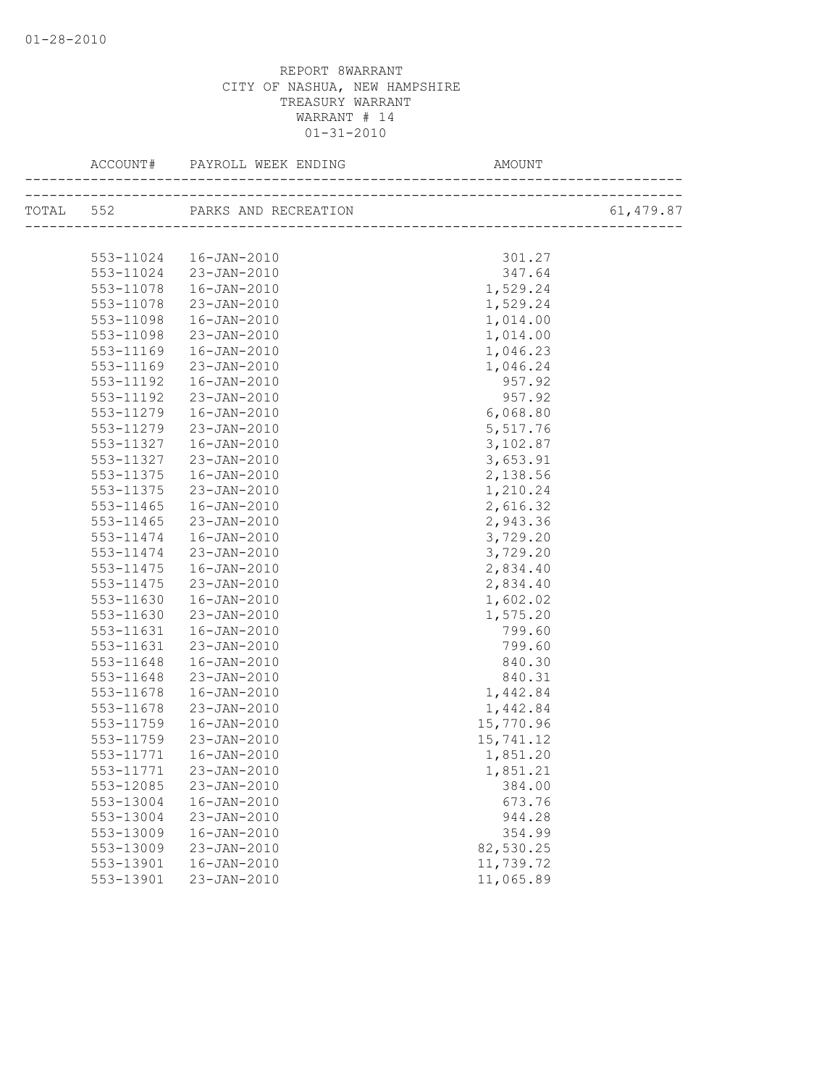|               | TOTAL 552 PARKS AND RECREATION |           | 61,479.87 |
|---------------|--------------------------------|-----------|-----------|
|               |                                |           |           |
|               | 553-11024  16-JAN-2010         | 301.27    |           |
|               | 553-11024 23-JAN-2010          | 347.64    |           |
| 553-11078     | 16-JAN-2010                    | 1,529.24  |           |
| 553-11078     | $23 - JAN - 2010$              | 1,529.24  |           |
| 553-11098     | $16 - JAN - 2010$              | 1,014.00  |           |
| 553-11098     | 23-JAN-2010                    | 1,014.00  |           |
| 553-11169     | 16-JAN-2010                    | 1,046.23  |           |
| 553-11169     | 23-JAN-2010                    | 1,046.24  |           |
| 553-11192     | $16 - JAN - 2010$              | 957.92    |           |
| 553-11192     | 23-JAN-2010                    | 957.92    |           |
| 553-11279     | 16-JAN-2010                    | 6,068.80  |           |
| 553-11279     | 23-JAN-2010                    | 5,517.76  |           |
| 553-11327     | 16-JAN-2010                    | 3,102.87  |           |
| 553-11327     | 23-JAN-2010                    | 3,653.91  |           |
| 553-11375     | 16-JAN-2010                    | 2,138.56  |           |
| 553-11375     | 23-JAN-2010                    | 1,210.24  |           |
| $553 - 11465$ | 16-JAN-2010                    | 2,616.32  |           |
| 553-11465     | 23-JAN-2010                    | 2,943.36  |           |
| 553-11474     | 16-JAN-2010                    | 3,729.20  |           |
| 553-11474     | 23-JAN-2010                    | 3,729.20  |           |
| 553-11475     | 16-JAN-2010                    | 2,834.40  |           |
| 553-11475     | 23-JAN-2010                    | 2,834.40  |           |
| 553-11630     | $16 - JAN - 2010$              | 1,602.02  |           |
| 553-11630     | 23-JAN-2010                    | 1,575.20  |           |
| 553-11631     | 16-JAN-2010                    | 799.60    |           |
| 553-11631     | 23-JAN-2010                    | 799.60    |           |
| 553-11648     | 16-JAN-2010                    | 840.30    |           |
| 553-11648     | 23-JAN-2010                    | 840.31    |           |
| 553-11678     | $16 - JAN - 2010$              | 1,442.84  |           |
| 553-11678     | 23-JAN-2010                    | 1,442.84  |           |
| 553-11759     | 16-JAN-2010                    | 15,770.96 |           |
| 553-11759     | 23-JAN-2010                    | 15,741.12 |           |
| 553-11771     | 16-JAN-2010                    | 1,851.20  |           |
|               | 553-11771 23-JAN-2010          | 1,851.21  |           |
| 553-12085     | 23-JAN-2010                    | 384.00    |           |
| 553-13004     | $16 - JAN - 2010$              | 673.76    |           |
| 553-13004     | 23-JAN-2010                    | 944.28    |           |
| 553-13009     | $16 - JAN - 2010$              | 354.99    |           |
| 553-13009     | 23-JAN-2010                    | 82,530.25 |           |
| 553-13901     | $16 - JAN - 2010$              | 11,739.72 |           |
| 553-13901     | 23-JAN-2010                    | 11,065.89 |           |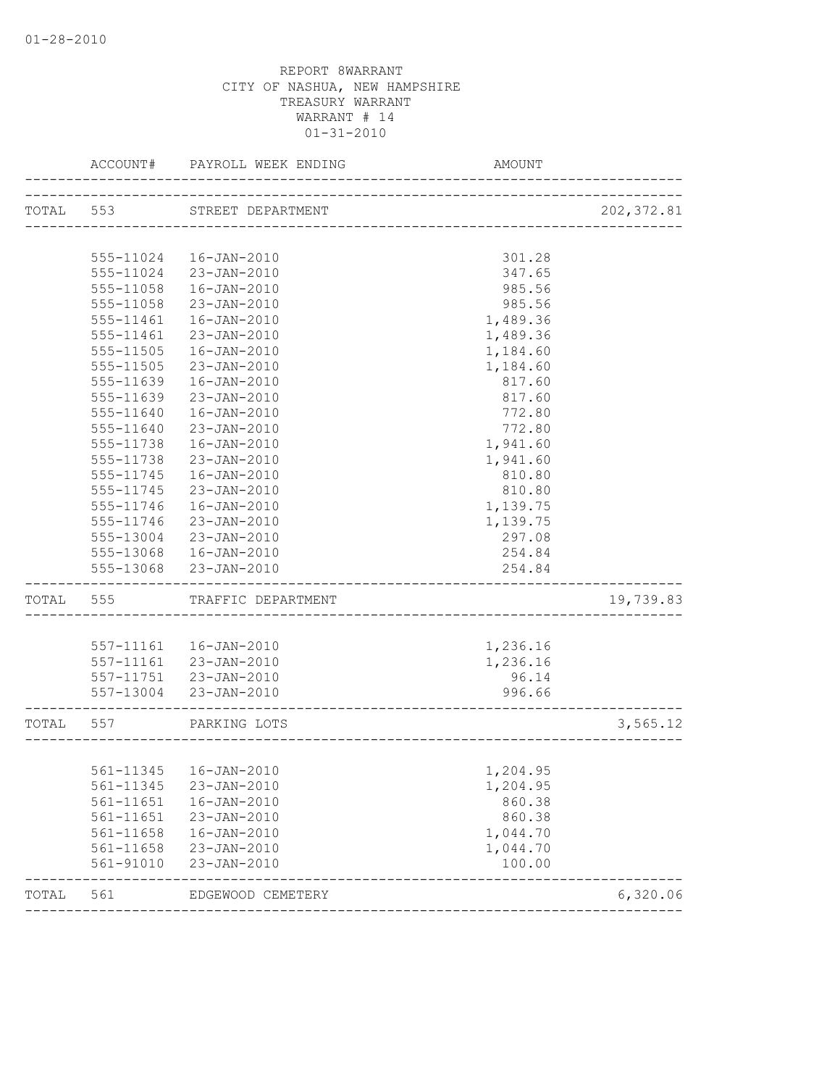|           | ACCOUNT#  | PAYROLL WEEK ENDING    | AMOUNT                             |             |
|-----------|-----------|------------------------|------------------------------------|-------------|
| TOTAL 553 |           | STREET DEPARTMENT      |                                    | 202, 372.81 |
|           |           |                        | ---------------------------------- |             |
|           | 555-11024 | 16-JAN-2010            | 301.28                             |             |
|           | 555-11024 | 23-JAN-2010            | 347.65                             |             |
|           | 555-11058 | 16-JAN-2010            | 985.56                             |             |
|           | 555-11058 | 23-JAN-2010            | 985.56                             |             |
|           | 555-11461 | $16 - JAN - 2010$      | 1,489.36                           |             |
|           | 555-11461 | 23-JAN-2010            | 1,489.36                           |             |
|           | 555-11505 | 16-JAN-2010            | 1,184.60                           |             |
|           | 555-11505 | 23-JAN-2010            | 1,184.60                           |             |
|           | 555-11639 | 16-JAN-2010            | 817.60                             |             |
|           | 555-11639 | 23-JAN-2010            | 817.60                             |             |
|           | 555-11640 | 16-JAN-2010            | 772.80                             |             |
|           | 555-11640 | 23-JAN-2010            | 772.80                             |             |
|           | 555-11738 | $16 - JAN - 2010$      | 1,941.60                           |             |
|           | 555-11738 | $23 - JAN - 2010$      | 1,941.60                           |             |
|           | 555-11745 | 16-JAN-2010            | 810.80                             |             |
|           | 555-11745 | 23-JAN-2010            | 810.80                             |             |
|           | 555-11746 | 16-JAN-2010            | 1,139.75                           |             |
|           | 555-11746 | 23-JAN-2010            | 1,139.75                           |             |
|           | 555-13004 | 23-JAN-2010            | 297.08                             |             |
|           | 555-13068 | 16-JAN-2010            | 254.84                             |             |
|           | 555-13068 | 23-JAN-2010            | 254.84                             |             |
| TOTAL     | 555       | TRAFFIC DEPARTMENT     |                                    | 19,739.83   |
|           |           |                        |                                    |             |
|           |           | 557-11161  16-JAN-2010 | 1,236.16                           |             |
|           |           | 557-11161 23-JAN-2010  | 1,236.16                           |             |
|           |           | 557-11751 23-JAN-2010  | 96.14                              |             |
|           |           | 557-13004 23-JAN-2010  | 996.66                             |             |
| TOTAL 557 |           | PARKING LOTS           |                                    | 3,565.12    |
|           |           |                        |                                    |             |
|           |           | 561-11345  16-JAN-2010 | 1,204.95                           |             |
|           | 561-11345 | $23 - JAN - 2010$      | 1,204.95                           |             |
|           | 561-11651 | 16-JAN-2010            | 860.38                             |             |
|           | 561-11651 | 23-JAN-2010            | 860.38                             |             |
|           | 561-11658 | $16 - JAN - 2010$      | 1,044.70                           |             |
|           | 561-11658 | 23-JAN-2010            | 1,044.70                           |             |
|           | 561-91010 | 23-JAN-2010            | 100.00                             |             |
| TOTAL     | 561       | EDGEWOOD CEMETERY      |                                    | 6,320.06    |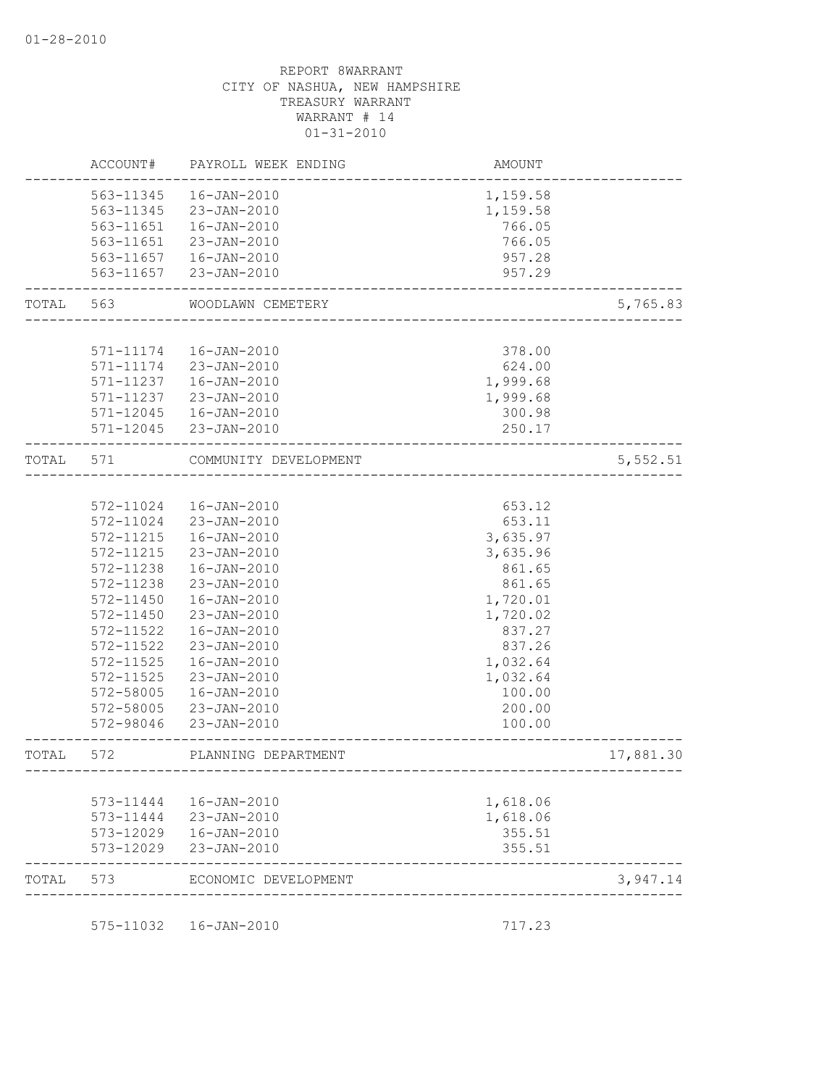|       | ACCOUNT#      | PAYROLL WEEK ENDING                         | AMOUNT                         |           |
|-------|---------------|---------------------------------------------|--------------------------------|-----------|
|       | 563-11345     | $16 - JAN - 2010$                           | 1,159.58                       |           |
|       | 563-11345     | 23-JAN-2010                                 | 1,159.58                       |           |
|       | 563-11651     | 16-JAN-2010                                 | 766.05                         |           |
|       | 563-11651     | $23 - JAN - 2010$                           | 766.05                         |           |
|       | 563-11657     | 16-JAN-2010                                 | 957.28                         |           |
|       | 563-11657     | 23-JAN-2010                                 | 957.29                         |           |
| TOTAL | 563           | WOODLAWN CEMETERY                           |                                | 5,765.83  |
|       |               |                                             |                                |           |
|       | 571-11174     | 16-JAN-2010                                 | 378.00                         |           |
|       | 571-11174     | 23-JAN-2010                                 | 624.00                         |           |
|       | 571-11237     | 16-JAN-2010                                 | 1,999.68                       |           |
|       | 571-11237     | 23-JAN-2010                                 | 1,999.68                       |           |
|       | $571 - 12045$ | 16-JAN-2010                                 | 300.98                         |           |
|       | $571 - 12045$ | 23-JAN-2010                                 | 250.17                         |           |
| TOTAL | 571           | COMMUNITY DEVELOPMENT                       | _________________              | 5,552.51  |
|       |               |                                             |                                |           |
|       | 572-11024     | $16 - JAN - 2010$                           | 653.12                         |           |
|       | 572-11024     | 23-JAN-2010                                 | 653.11                         |           |
|       | 572-11215     | $16 - JAN - 2010$                           | 3,635.97                       |           |
|       | 572-11215     | 23-JAN-2010                                 | 3,635.96                       |           |
|       | 572-11238     | $16 - JAN - 2010$                           | 861.65                         |           |
|       | 572-11238     | 23-JAN-2010                                 | 861.65                         |           |
|       | 572-11450     | 16-JAN-2010                                 | 1,720.01                       |           |
|       | 572-11450     | 23-JAN-2010                                 | 1,720.02                       |           |
|       | 572-11522     | $16 - JAN - 2010$                           | 837.27                         |           |
|       | 572-11522     | 23-JAN-2010                                 | 837.26                         |           |
|       | 572-11525     | $16 - JAN - 2010$                           | 1,032.64                       |           |
|       | 572-11525     | 23-JAN-2010                                 | 1,032.64                       |           |
|       | 572-58005     | $16 - JAN - 2010$                           | 100.00                         |           |
|       | 572-58005     | 23-JAN-2010                                 | 200.00                         |           |
|       | 572-98046     | 23-JAN-2010                                 | 100.00                         |           |
| TOTAL | 572           | PLANNING DEPARTMENT                         | ------------------------------ | 17,881.30 |
|       |               |                                             |                                |           |
|       | 573-11444     | 16-JAN-2010                                 | 1,618.06                       |           |
|       | 573-11444     | 23-JAN-2010                                 | 1,618.06                       |           |
|       | 573-12029     | 573-12029  16-JAN-2010<br>$23 - JAN - 2010$ | 355.51<br>355.51               |           |
| TOTAL | 573           | ECONOMIC DEVELOPMENT                        |                                | 3,947.14  |
|       |               |                                             |                                |           |
|       | 575-11032     | 16-JAN-2010                                 | 717.23                         |           |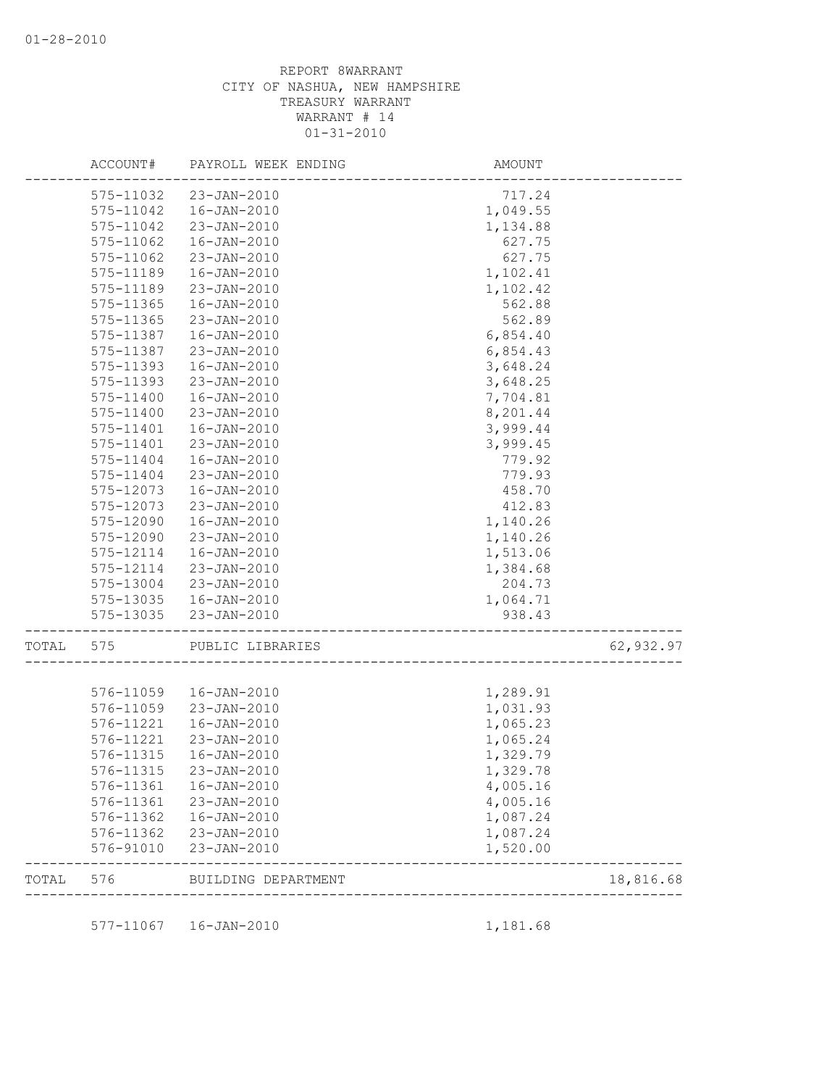|       | ACCOUNT#      | PAYROLL WEEK ENDING     | AMOUNT                 |           |
|-------|---------------|-------------------------|------------------------|-----------|
|       | 575-11032     | 23-JAN-2010             | 717.24                 |           |
|       | 575-11042     | 16-JAN-2010             | 1,049.55               |           |
|       | 575-11042     | 23-JAN-2010             | 1,134.88               |           |
|       | 575-11062     | 16-JAN-2010             | 627.75                 |           |
|       | 575-11062     | 23-JAN-2010             | 627.75                 |           |
|       | 575-11189     | $16 - JAN - 2010$       | 1,102.41               |           |
|       | 575-11189     | 23-JAN-2010             | 1,102.42               |           |
|       | 575-11365     | $16 - JAN - 2010$       | 562.88                 |           |
|       | 575-11365     | 23-JAN-2010             | 562.89                 |           |
|       | 575-11387     | $16 - JAN - 2010$       | 6,854.40               |           |
|       | 575-11387     | 23-JAN-2010             | 6,854.43               |           |
|       | 575-11393     | $16 - JAN - 2010$       | 3,648.24               |           |
|       | 575-11393     | $23 - JAN - 2010$       | 3,648.25               |           |
|       | $575 - 11400$ | $16 - JAN - 2010$       | 7,704.81               |           |
|       | 575-11400     | 23-JAN-2010             | 8,201.44               |           |
|       | 575-11401     | $16 - JAN - 2010$       | 3,999.44               |           |
|       | 575-11401     | 23-JAN-2010             | 3,999.45               |           |
|       | 575-11404     | 16-JAN-2010             | 779.92                 |           |
|       | 575-11404     | $23 - JAN - 2010$       | 779.93                 |           |
|       | 575-12073     | $16 - JAN - 2010$       | 458.70                 |           |
|       | 575-12073     | 23-JAN-2010             | 412.83                 |           |
|       | 575-12090     | $16 - JAN - 2010$       | 1,140.26               |           |
|       | 575-12090     | 23-JAN-2010             | 1,140.26               |           |
|       | 575-12114     | $16 - JAN - 2010$       | 1,513.06               |           |
|       | 575-12114     | 23-JAN-2010             | 1,384.68               |           |
|       | 575-13004     | 23-JAN-2010             | 204.73                 |           |
|       | 575-13035     | 16-JAN-2010             | 1,064.71               |           |
|       | 575-13035     | 23-JAN-2010             | 938.43                 |           |
| TOTAL | 575           | PUBLIC LIBRARIES        | __________________     | 62,932.97 |
|       |               |                         |                        |           |
|       | 576-11059     | 16-JAN-2010             | 1,289.91               |           |
|       | 576-11059     | $23 - JAN - 2010$       | 1,031.93               |           |
|       | 576-11221     | $16 - JAN - 2010$       | 1,065.23               |           |
|       | 576-11221     | 23-JAN-2010             | 1,065.24               |           |
|       | 576-11315     | $16 - JAN - 2010$       | 1,329.79               |           |
|       | 576-11315     | 23-JAN-2010             | 1,329.78               |           |
|       | 576-11361     | 16-JAN-2010             | 4,005.16               |           |
|       | 576-11361     | 23-JAN-2010             | 4,005.16               |           |
|       | 576-11362     | $16 - JAN - 2010$       | 1,087.24               |           |
|       | 576-11362     | 23-JAN-2010             | 1,087.24               |           |
|       | 576-91010     | 23-JAN-2010             | 1,520.00               |           |
| TOTAL |               | 576 BUILDING DEPARTMENT | ---------------------- | 18,816.68 |
|       |               |                         |                        |           |
|       |               | 577-11067  16-JAN-2010  | 1,181.68               |           |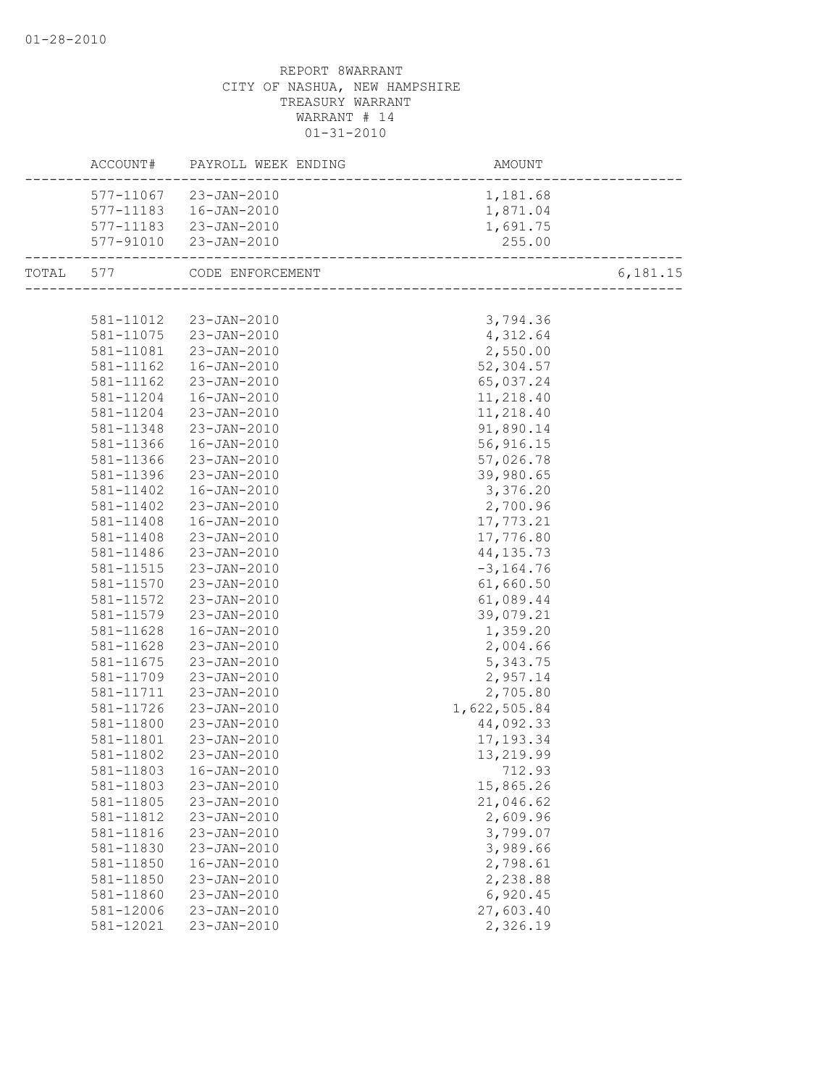|           |           | ACCOUNT# PAYROLL WEEK ENDING | AMOUNT                                 |          |
|-----------|-----------|------------------------------|----------------------------------------|----------|
|           |           | 577-11067 23-JAN-2010        | 1,181.68                               |          |
|           |           | 577-11183  16-JAN-2010       | 1,871.04                               |          |
|           |           | 577-11183 23-JAN-2010        | 1,691.75                               |          |
|           |           | 577-91010 23-JAN-2010        | 255.00<br>---------------------------- |          |
| TOTAL 577 |           | CODE ENFORCEMENT             |                                        | 6,181.15 |
|           |           |                              |                                        |          |
|           |           | 581-11012 23-JAN-2010        | 3,794.36                               |          |
|           |           | 581-11075 23-JAN-2010        | 4,312.64                               |          |
|           | 581-11081 | $23 - JAN - 2010$            | 2,550.00                               |          |
|           | 581-11162 | $16 - JAN - 2010$            | 52,304.57                              |          |
|           | 581-11162 | 23-JAN-2010                  | 65,037.24                              |          |
|           | 581-11204 | 16-JAN-2010                  | 11,218.40                              |          |
|           | 581-11204 | 23-JAN-2010                  | 11,218.40                              |          |
|           | 581-11348 | 23-JAN-2010                  | 91,890.14                              |          |
|           | 581-11366 | 16-JAN-2010                  | 56,916.15                              |          |
|           | 581-11366 | 23-JAN-2010                  | 57,026.78                              |          |
|           | 581-11396 | 23-JAN-2010                  | 39,980.65                              |          |
|           | 581-11402 | 16-JAN-2010                  | 3,376.20                               |          |
|           | 581-11402 | 23-JAN-2010                  | 2,700.96                               |          |
|           | 581-11408 | 16-JAN-2010                  | 17,773.21                              |          |
|           | 581-11408 | 23-JAN-2010                  | 17,776.80                              |          |
|           | 581-11486 | 23-JAN-2010                  | 44, 135.73                             |          |
|           | 581-11515 | $23 - JAN - 2010$            | $-3, 164.76$                           |          |
|           | 581-11570 | 23-JAN-2010                  | 61,660.50                              |          |
|           | 581-11572 | 23-JAN-2010                  | 61,089.44                              |          |
|           | 581-11579 | $23 - JAN - 2010$            | 39,079.21                              |          |
|           | 581-11628 | 16-JAN-2010                  | 1,359.20                               |          |
|           | 581-11628 | 23-JAN-2010                  | 2,004.66                               |          |
|           | 581-11675 | 23-JAN-2010                  | 5,343.75                               |          |
|           | 581-11709 | 23-JAN-2010                  | 2,957.14                               |          |
|           | 581-11711 | 23-JAN-2010                  | 2,705.80                               |          |
|           | 581-11726 | 23-JAN-2010                  | 1,622,505.84                           |          |
|           | 581-11800 | 23-JAN-2010                  | 44,092.33                              |          |
|           | 581-11801 | 23-JAN-2010                  | 17, 193.34                             |          |
|           | 581-11802 | $23 - JAN - 2010$            | 13,219.99                              |          |
|           |           | 581-11803  16-JAN-2010       | 712.93                                 |          |
|           | 581-11803 | 23-JAN-2010                  | 15,865.26                              |          |
|           | 581-11805 | 23-JAN-2010                  | 21,046.62                              |          |
|           | 581-11812 | 23-JAN-2010                  | 2,609.96                               |          |
|           | 581-11816 | 23-JAN-2010                  | 3,799.07                               |          |
|           | 581-11830 | 23-JAN-2010                  | 3,989.66                               |          |
|           | 581-11850 | $16 - JAN - 2010$            | 2,798.61                               |          |
|           | 581-11850 | 23-JAN-2010                  | 2,238.88                               |          |
|           | 581-11860 | 23-JAN-2010                  | 6,920.45                               |          |
|           | 581-12006 | 23-JAN-2010                  | 27,603.40                              |          |
|           | 581-12021 | 23-JAN-2010                  | 2,326.19                               |          |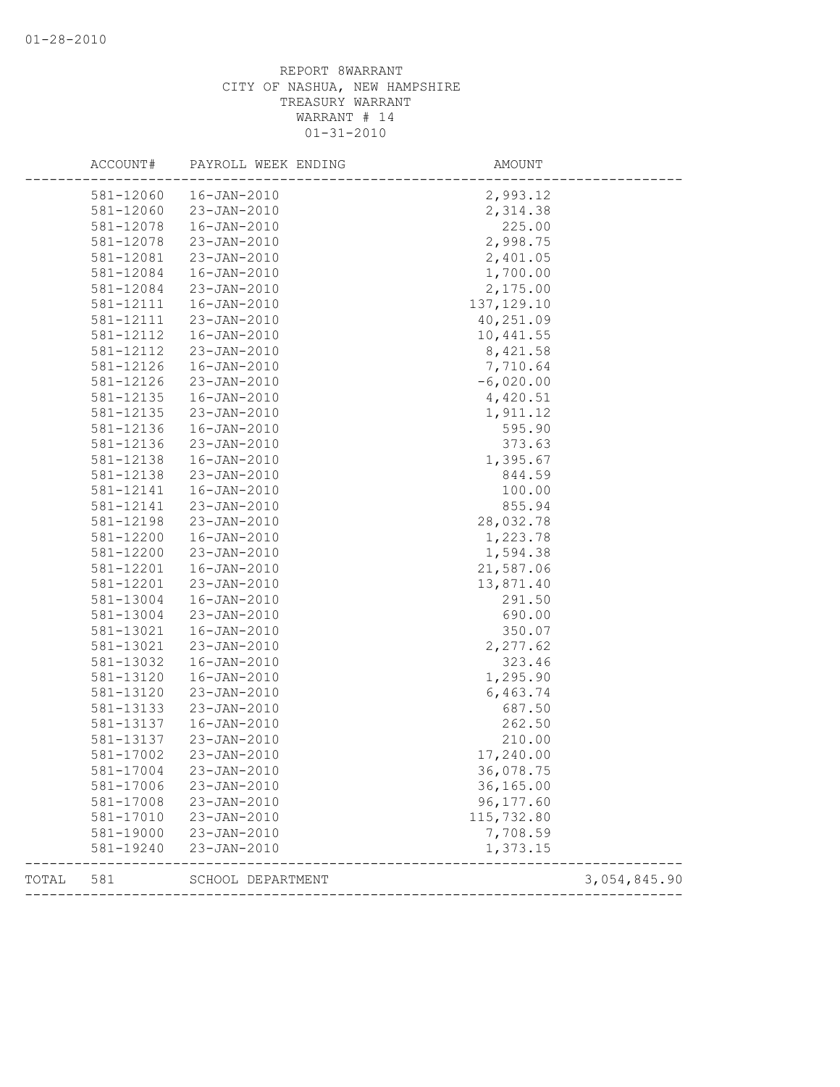|       | ACCOUNT#  | PAYROLL WEEK ENDING | AMOUNT      |              |
|-------|-----------|---------------------|-------------|--------------|
|       | 581-12060 | $16 - JAN - 2010$   | 2,993.12    |              |
|       | 581-12060 | 23-JAN-2010         | 2,314.38    |              |
|       | 581-12078 | $16 - JAN - 2010$   | 225.00      |              |
|       | 581-12078 | 23-JAN-2010         | 2,998.75    |              |
|       | 581-12081 | 23-JAN-2010         | 2,401.05    |              |
|       | 581-12084 | $16 - JAN - 2010$   | 1,700.00    |              |
|       | 581-12084 | 23-JAN-2010         | 2,175.00    |              |
|       | 581-12111 | 16-JAN-2010         | 137, 129.10 |              |
|       | 581-12111 | 23-JAN-2010         | 40,251.09   |              |
|       | 581-12112 | $16 - JAN - 2010$   | 10,441.55   |              |
|       | 581-12112 | $23 - JAN - 2010$   | 8,421.58    |              |
|       | 581-12126 | $16 - JAN - 2010$   | 7,710.64    |              |
|       | 581-12126 | 23-JAN-2010         | $-6,020.00$ |              |
|       | 581-12135 | $16 - JAN - 2010$   | 4,420.51    |              |
|       | 581-12135 | 23-JAN-2010         | 1,911.12    |              |
|       | 581-12136 | $16 - JAN - 2010$   | 595.90      |              |
|       | 581-12136 | 23-JAN-2010         | 373.63      |              |
|       | 581-12138 | $16 - JAN - 2010$   | 1,395.67    |              |
|       | 581-12138 | $23 - JAN - 2010$   | 844.59      |              |
|       | 581-12141 | $16 - JAN - 2010$   | 100.00      |              |
|       | 581-12141 | 23-JAN-2010         | 855.94      |              |
|       | 581-12198 | 23-JAN-2010         | 28,032.78   |              |
|       | 581-12200 | $16 - JAN - 2010$   | 1,223.78    |              |
|       | 581-12200 | 23-JAN-2010         | 1,594.38    |              |
|       | 581-12201 | 16-JAN-2010         | 21,587.06   |              |
|       | 581-12201 | 23-JAN-2010         | 13,871.40   |              |
|       | 581-13004 | $16 - JAN - 2010$   | 291.50      |              |
|       | 581-13004 | 23-JAN-2010         | 690.00      |              |
|       | 581-13021 | $16 - JAN - 2010$   | 350.07      |              |
|       | 581-13021 | 23-JAN-2010         | 2,277.62    |              |
|       | 581-13032 | $16 - JAN - 2010$   | 323.46      |              |
|       | 581-13120 | $16 - JAN - 2010$   | 1,295.90    |              |
|       | 581-13120 | $23 - JAN - 2010$   | 6,463.74    |              |
|       | 581-13133 | 23-JAN-2010         | 687.50      |              |
|       | 581-13137 | 16-JAN-2010         | 262.50      |              |
|       | 581-13137 | 23-JAN-2010         | 210.00      |              |
|       | 581-17002 | $23 - JAN - 2010$   | 17,240.00   |              |
|       | 581-17004 | 23-JAN-2010         | 36,078.75   |              |
|       | 581-17006 | 23-JAN-2010         | 36,165.00   |              |
|       | 581-17008 | 23-JAN-2010         | 96, 177.60  |              |
|       | 581-17010 | 23-JAN-2010         | 115,732.80  |              |
|       | 581-19000 | 23-JAN-2010         | 7,708.59    |              |
|       | 581-19240 | 23-JAN-2010         | 1,373.15    |              |
| TOTAL | 581       | SCHOOL DEPARTMENT   |             | 3,054,845.90 |
|       |           |                     |             |              |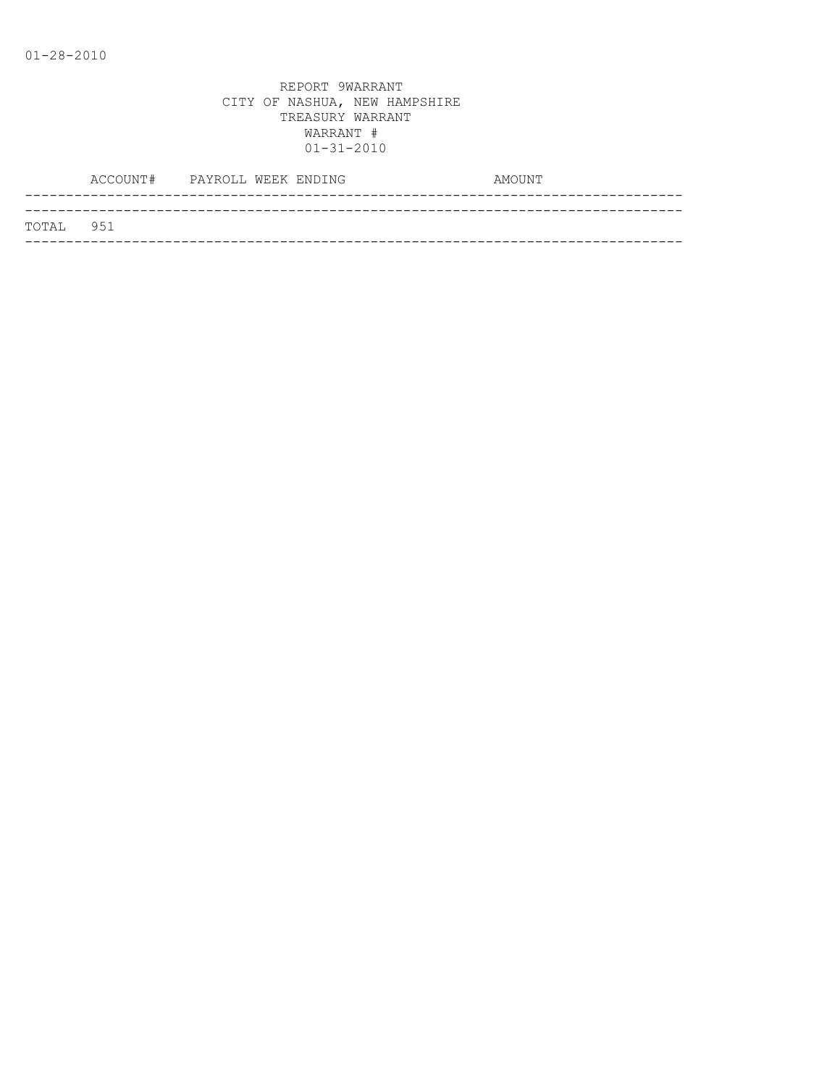|           | ACCOUNT# PAYROLL WEEK ENDING |  | AMOUNT |
|-----------|------------------------------|--|--------|
|           |                              |  |        |
| TOTAL 951 |                              |  |        |
|           |                              |  |        |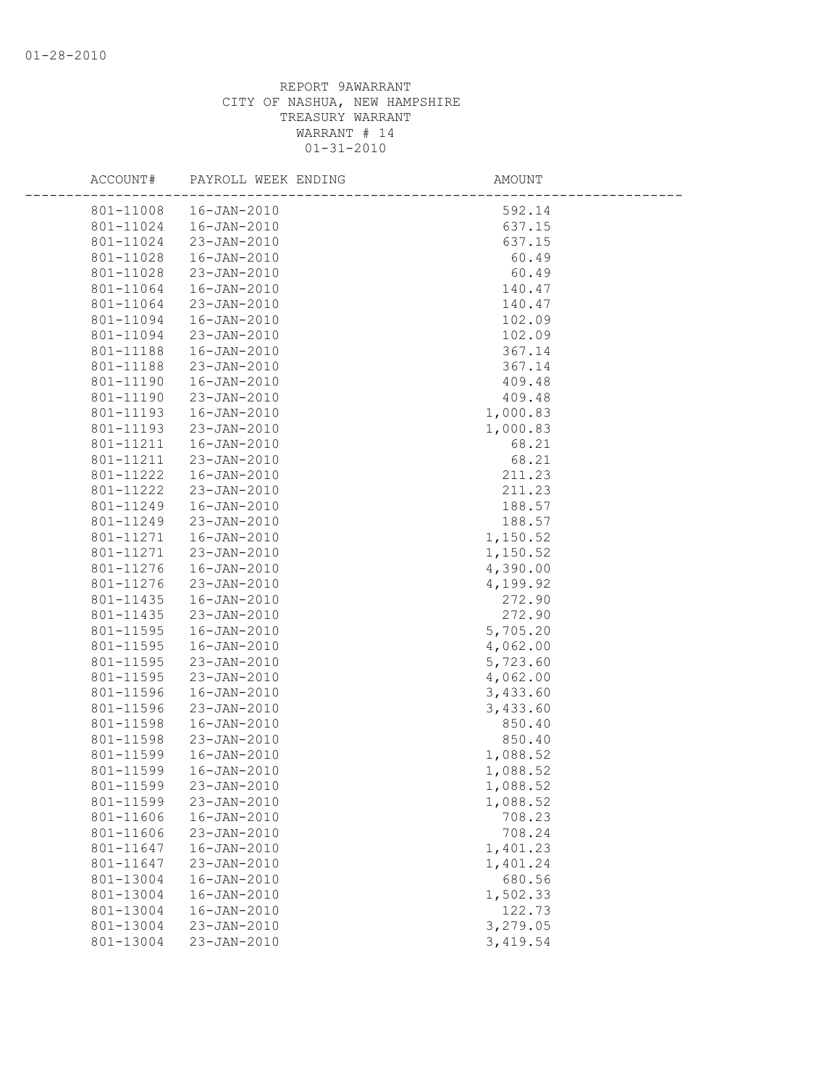| ACCOUNT#  | PAYROLL WEEK ENDING | AMOUNT   |  |
|-----------|---------------------|----------|--|
| 801-11008 | 16-JAN-2010         | 592.14   |  |
| 801-11024 | 16-JAN-2010         | 637.15   |  |
| 801-11024 | 23-JAN-2010         | 637.15   |  |
| 801-11028 | 16-JAN-2010         | 60.49    |  |
| 801-11028 | 23-JAN-2010         | 60.49    |  |
| 801-11064 | 16-JAN-2010         | 140.47   |  |
| 801-11064 | 23-JAN-2010         | 140.47   |  |
| 801-11094 | 16-JAN-2010         | 102.09   |  |
| 801-11094 | 23-JAN-2010         | 102.09   |  |
| 801-11188 | 16-JAN-2010         | 367.14   |  |
| 801-11188 | 23-JAN-2010         | 367.14   |  |
| 801-11190 | 16-JAN-2010         | 409.48   |  |
| 801-11190 | 23-JAN-2010         | 409.48   |  |
| 801-11193 | 16-JAN-2010         | 1,000.83 |  |
| 801-11193 | 23-JAN-2010         | 1,000.83 |  |
| 801-11211 | 16-JAN-2010         | 68.21    |  |
| 801-11211 | 23-JAN-2010         | 68.21    |  |
| 801-11222 | 16-JAN-2010         | 211.23   |  |
| 801-11222 | 23-JAN-2010         | 211.23   |  |
| 801-11249 | 16-JAN-2010         | 188.57   |  |
| 801-11249 | 23-JAN-2010         | 188.57   |  |
| 801-11271 | 16-JAN-2010         | 1,150.52 |  |
| 801-11271 | 23-JAN-2010         | 1,150.52 |  |
| 801-11276 | 16-JAN-2010         | 4,390.00 |  |
| 801-11276 | 23-JAN-2010         | 4,199.92 |  |
| 801-11435 | 16-JAN-2010         | 272.90   |  |
| 801-11435 | 23-JAN-2010         | 272.90   |  |
| 801-11595 | 16-JAN-2010         | 5,705.20 |  |
| 801-11595 | $16 - JAN - 2010$   | 4,062.00 |  |
| 801-11595 | 23-JAN-2010         | 5,723.60 |  |
| 801-11595 | 23-JAN-2010         | 4,062.00 |  |
| 801-11596 | 16-JAN-2010         | 3,433.60 |  |
| 801-11596 | 23-JAN-2010         | 3,433.60 |  |
| 801-11598 | 16-JAN-2010         | 850.40   |  |
| 801-11598 | 23-JAN-2010         | 850.40   |  |
| 801-11599 | 16-JAN-2010         | 1,088.52 |  |
| 801-11599 | 16-JAN-2010         | 1,088.52 |  |
| 801-11599 | 23-JAN-2010         | 1,088.52 |  |
| 801-11599 | 23-JAN-2010         | 1,088.52 |  |
| 801-11606 | $16 - JAN - 2010$   | 708.23   |  |
| 801-11606 | 23-JAN-2010         | 708.24   |  |
| 801-11647 | $16 - JAN - 2010$   | 1,401.23 |  |
| 801-11647 | $23 - JAN - 2010$   | 1,401.24 |  |
| 801-13004 | $16 - JAN - 2010$   | 680.56   |  |
| 801-13004 | $16 - JAN - 2010$   | 1,502.33 |  |
| 801-13004 | $16 - JAN - 2010$   | 122.73   |  |
| 801-13004 | 23-JAN-2010         | 3,279.05 |  |
| 801-13004 | 23-JAN-2010         | 3,419.54 |  |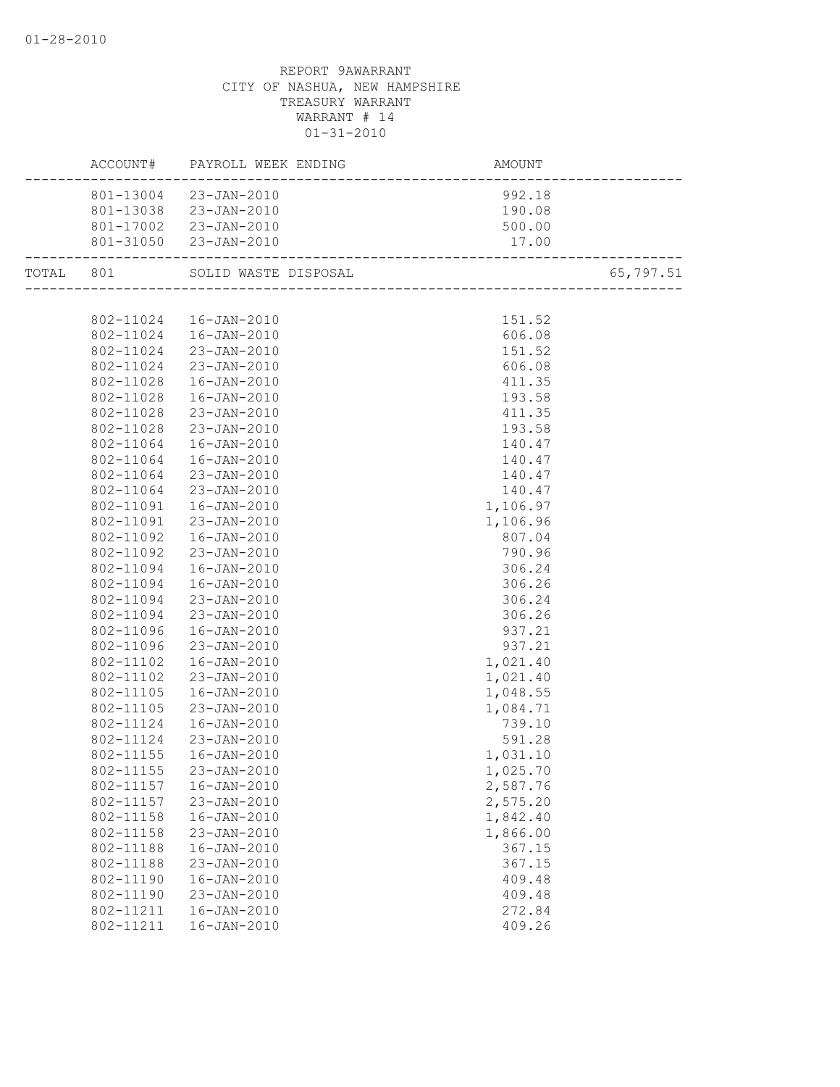|           |                        | ACCOUNT# PAYROLL WEEK ENDING | AMOUNT<br>--------------------------    |           |
|-----------|------------------------|------------------------------|-----------------------------------------|-----------|
|           |                        | 801-13004 23-JAN-2010        | 992.18                                  |           |
|           |                        | 801-13038 23-JAN-2010        | 190.08                                  |           |
|           |                        | 801-17002 23-JAN-2010        | 500.00                                  |           |
|           |                        | 801-31050 23-JAN-2010        | 17.00<br>------------------------       |           |
| TOTAL 801 |                        | SOLID WASTE DISPOSAL         | L<br>__________________________________ | 65,797.51 |
|           |                        |                              |                                         |           |
|           |                        | 802-11024  16-JAN-2010       | 151.52                                  |           |
|           |                        | 802-11024  16-JAN-2010       | 606.08                                  |           |
|           |                        | 802-11024 23-JAN-2010        | 151.52                                  |           |
|           |                        | 802-11024 23-JAN-2010        | 606.08                                  |           |
|           | 802-11028              | 16-JAN-2010                  | 411.35                                  |           |
|           | 802-11028              | 16-JAN-2010                  | 193.58                                  |           |
|           | 802-11028              | 23-JAN-2010                  | 411.35                                  |           |
|           | 802-11028              | 23-JAN-2010                  | 193.58                                  |           |
|           | 802-11064              | 16-JAN-2010                  | 140.47                                  |           |
|           | 802-11064              | 16-JAN-2010                  | 140.47                                  |           |
|           | 802-11064              | 23-JAN-2010                  | 140.47                                  |           |
|           | 802-11064              | 23-JAN-2010                  | 140.47                                  |           |
|           | 802-11091              | 16-JAN-2010                  | 1,106.97                                |           |
|           | 802-11091              | 23-JAN-2010                  | 1,106.96                                |           |
|           | 802-11092              | 16-JAN-2010                  | 807.04                                  |           |
|           | 802-11092              | 23-JAN-2010                  | 790.96                                  |           |
|           | 802-11094              | 16-JAN-2010                  | 306.24                                  |           |
|           | 802-11094              | 16-JAN-2010                  | 306.26                                  |           |
|           | 802-11094              | 23-JAN-2010                  | 306.24                                  |           |
|           | 802-11094              | 23-JAN-2010                  | 306.26                                  |           |
|           | 802-11096              | 16-JAN-2010                  | 937.21                                  |           |
|           | 802-11096              | 23-JAN-2010                  | 937.21                                  |           |
|           | 802-11102              | 16-JAN-2010                  | 1,021.40                                |           |
|           | 802-11102              | 23-JAN-2010                  | 1,021.40                                |           |
|           | 802-11105              | 16-JAN-2010                  | 1,048.55                                |           |
|           | 802-11105              | 23-JAN-2010                  | 1,084.71                                |           |
|           | 802-11124              | 16-JAN-2010                  | 739.10                                  |           |
|           | 802-11124              | 23-JAN-2010                  | 591.28                                  |           |
|           | 802-11155              | $16 - JAN - 2010$            | 1,031.10                                |           |
|           |                        | 802-11155 23-JAN-2010        | 1,025.70                                |           |
|           | 802-11157              | $16 - JAN - 2010$            | 2,587.76                                |           |
|           | 802-11157              | 23-JAN-2010                  | 2,575.20                                |           |
|           | 802-11158              | $16 - JAN - 2010$            | 1,842.40                                |           |
|           | 802-11158              | 23-JAN-2010                  | 1,866.00                                |           |
|           | 802-11188              | $16 - JAN - 2010$            | 367.15                                  |           |
|           |                        |                              |                                         |           |
|           | 802-11188<br>802-11190 | 23-JAN-2010                  | 367.15                                  |           |
|           |                        | $16 - JAN - 2010$            | 409.48                                  |           |
|           | 802-11190              | 23-JAN-2010                  | 409.48                                  |           |
|           | 802-11211              | $16 - JAN - 2010$            | 272.84                                  |           |
|           | 802-11211              | $16 - JAN - 2010$            | 409.26                                  |           |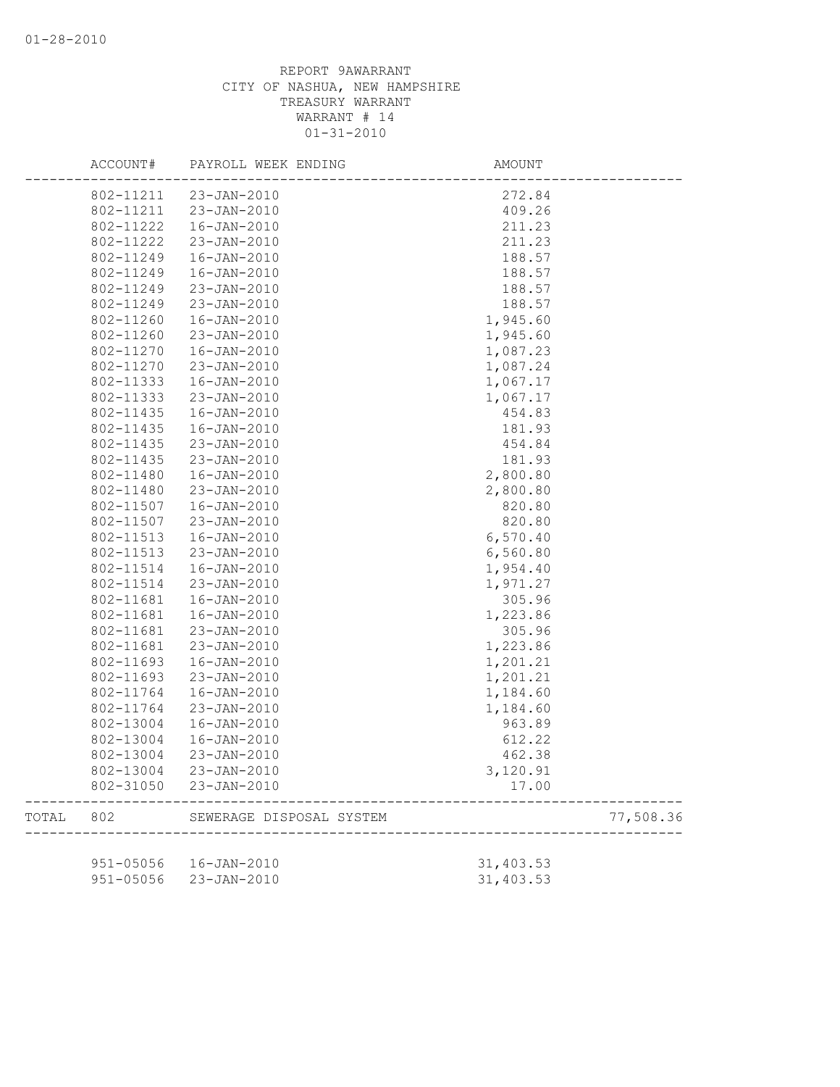|       | ACCOUNT#      | PAYROLL WEEK ENDING      | AMOUNT    |           |
|-------|---------------|--------------------------|-----------|-----------|
|       | 802-11211     | 23-JAN-2010              | 272.84    |           |
|       | 802-11211     | 23-JAN-2010              | 409.26    |           |
|       | 802-11222     | 16-JAN-2010              | 211.23    |           |
|       | 802-11222     | 23-JAN-2010              | 211.23    |           |
|       | 802-11249     | 16-JAN-2010              | 188.57    |           |
|       | 802-11249     | $16 - JAN - 2010$        | 188.57    |           |
|       | 802-11249     | 23-JAN-2010              | 188.57    |           |
|       | 802-11249     | 23-JAN-2010              | 188.57    |           |
|       | 802-11260     | $16 - JAN - 2010$        | 1,945.60  |           |
|       | 802-11260     | 23-JAN-2010              | 1,945.60  |           |
|       | 802-11270     | $16 - JAN - 2010$        | 1,087.23  |           |
|       | 802-11270     | 23-JAN-2010              | 1,087.24  |           |
|       | 802-11333     | $16 - JAN - 2010$        | 1,067.17  |           |
|       | 802-11333     | 23-JAN-2010              | 1,067.17  |           |
|       | 802-11435     | 16-JAN-2010              | 454.83    |           |
|       | 802-11435     | $16 - JAN - 2010$        | 181.93    |           |
|       | 802-11435     | 23-JAN-2010              | 454.84    |           |
|       | 802-11435     | $23 - JAN - 2010$        | 181.93    |           |
|       | 802-11480     | $16 - JAN - 2010$        | 2,800.80  |           |
|       | 802-11480     | 23-JAN-2010              | 2,800.80  |           |
|       | 802-11507     | $16 - JAN - 2010$        | 820.80    |           |
|       | 802-11507     | 23-JAN-2010              | 820.80    |           |
|       | 802-11513     | 16-JAN-2010              | 6,570.40  |           |
|       | 802-11513     | 23-JAN-2010              | 6,560.80  |           |
|       | 802-11514     | $16 - JAN - 2010$        | 1,954.40  |           |
|       | 802-11514     | 23-JAN-2010              | 1,971.27  |           |
|       | 802-11681     | 16-JAN-2010              | 305.96    |           |
|       | 802-11681     | 16-JAN-2010              | 1,223.86  |           |
|       | 802-11681     | 23-JAN-2010              | 305.96    |           |
|       | 802-11681     | 23-JAN-2010              | 1,223.86  |           |
|       | 802-11693     | $16 - JAN - 2010$        | 1,201.21  |           |
|       | 802-11693     | 23-JAN-2010              | 1,201.21  |           |
|       | 802-11764     | 16-JAN-2010              | 1,184.60  |           |
|       | 802-11764     | 23-JAN-2010              | 1,184.60  |           |
|       | 802-13004     | 16-JAN-2010              | 963.89    |           |
|       | 802-13004     | 16-JAN-2010              | 612.22    |           |
|       | 802-13004     | 23-JAN-2010              | 462.38    |           |
|       | 802-13004     | 23-JAN-2010              | 3,120.91  |           |
|       | 802-31050     | 23-JAN-2010              | 17.00     |           |
| TOTAL | 802           | SEWERAGE DISPOSAL SYSTEM |           | 77,508.36 |
|       |               |                          |           |           |
|       | 951-05056     | 16-JAN-2010              | 31,403.53 |           |
|       | $951 - 05056$ | 23-JAN-2010              | 31,403.53 |           |